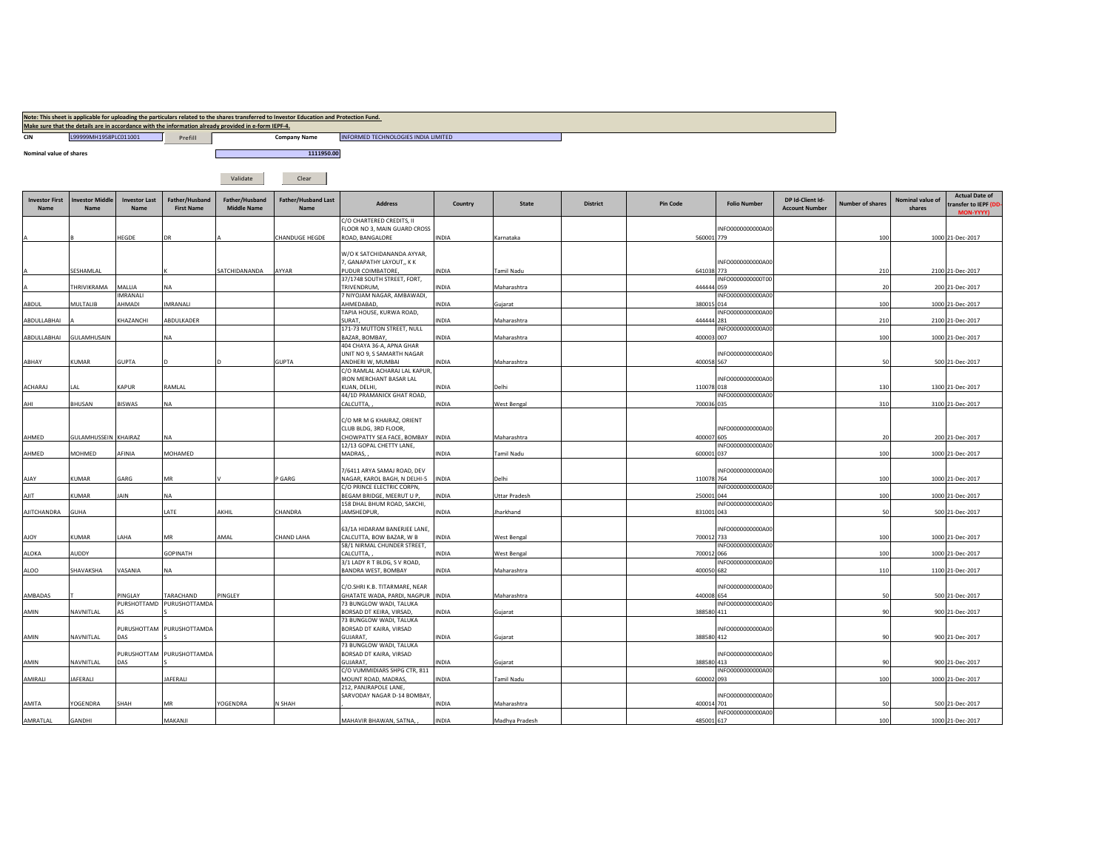|                               |                                |                                  |                                     | Make sure that the details are in accordance with the information already provided in e-form IEPF-4. | Note: This sheet is applicable for uploading the particulars related to the shares transferred to Investor Education and Protection Fund. |                                                                              |              |                      |                 |                 |                     |                                           |                  |                            |                                                            |
|-------------------------------|--------------------------------|----------------------------------|-------------------------------------|------------------------------------------------------------------------------------------------------|-------------------------------------------------------------------------------------------------------------------------------------------|------------------------------------------------------------------------------|--------------|----------------------|-----------------|-----------------|---------------------|-------------------------------------------|------------------|----------------------------|------------------------------------------------------------|
| <b>CIN</b>                    | L99999MH1958PLC011001          |                                  | Prefill                             |                                                                                                      | <b>Company Name</b>                                                                                                                       | INFORMED TECHNOLOGIES INDIA LIMITED                                          |              |                      |                 |                 |                     |                                           |                  |                            |                                                            |
| Nominal value of shares       |                                |                                  |                                     |                                                                                                      | 1111950.00                                                                                                                                |                                                                              |              |                      |                 |                 |                     |                                           |                  |                            |                                                            |
|                               |                                |                                  |                                     |                                                                                                      |                                                                                                                                           |                                                                              |              |                      |                 |                 |                     |                                           |                  |                            |                                                            |
|                               |                                |                                  |                                     | Validate                                                                                             | Clear                                                                                                                                     |                                                                              |              |                      |                 |                 |                     |                                           |                  |                            |                                                            |
| <b>Investor First</b><br>Name | <b>Investor Middle</b><br>Name | <b>Investor Last</b><br>Name     | Father/Husband<br><b>First Name</b> | Father/Husband<br><b>Middle Name</b>                                                                 | <b>Father/Husband Last</b><br>Name                                                                                                        | <b>Address</b>                                                               | Country      | <b>State</b>         | <b>District</b> | <b>Pin Code</b> | <b>Folio Number</b> | DP Id-Client Id-<br><b>Account Number</b> | Number of shares | Nominal value of<br>shares | <b>Actual Date of</b><br>transfer to IEPF (DD<br>MON-YYYY) |
|                               |                                | HEGDE                            |                                     |                                                                                                      | CHANDUGE HEGDE                                                                                                                            | C/O CHARTERED CREDITS, II<br>FLOOR NO 3, MAIN GUARD CROSS<br>ROAD, BANGALORE | INDIA        | Karnataka            |                 | 560001 779      | INFO0000000000A00   |                                           | 100              |                            | 1000 21-Dec-2017                                           |
|                               |                                |                                  |                                     |                                                                                                      |                                                                                                                                           |                                                                              |              |                      |                 |                 |                     |                                           |                  |                            |                                                            |
|                               |                                |                                  |                                     |                                                                                                      |                                                                                                                                           | W/O K SATCHIDANANDA AYYAR,<br>7, GANAPATHY LAYOUT,, KK                       |              |                      |                 |                 | INFO0000000000A00   |                                           |                  |                            |                                                            |
|                               | SESHAMLAL                      |                                  |                                     | SATCHIDANANDA                                                                                        | AYYAR                                                                                                                                     | <b>PUDUR COIMBATORE</b><br>37/1748 SOUTH STREET, FORT,                       | INDIA        | Tamil Nadu           |                 | 641038 773      | INFO0000000000T00   |                                           | 210              |                            | 2100 21-Dec-2017                                           |
|                               | THRIVIKRAMA                    | MALLIA                           | <b>NA</b>                           |                                                                                                      |                                                                                                                                           | TRIVENDRUM,                                                                  | INDIA        | Maharashtra          |                 | 444444 059      |                     |                                           | 20               |                            | 200 21-Dec-2017                                            |
| ABDUL                         | MULTALIB                       | <b>IMRANALI</b><br><b>AHMADI</b> | IMRANALI                            |                                                                                                      |                                                                                                                                           | 7 NIYOJAM NAGAR, AMBAWADI,<br>AHMEDABAD,                                     | INDIA        | Gujarat              |                 | 380015 014      | INFO0000000000A00   |                                           | 100              |                            | 1000 21-Dec-2017                                           |
|                               |                                |                                  |                                     |                                                                                                      |                                                                                                                                           | TAPIA HOUSE, KURWA ROAD,                                                     |              |                      |                 |                 | INFO0000000000A00   |                                           |                  |                            |                                                            |
| ABDULLABHAI                   |                                | <b>CHAZANCHI</b>                 | ABDULKADER                          |                                                                                                      |                                                                                                                                           | SURAT,<br>171-73 MUTTON STREET, NULL                                         | INDIA        | Maharashtra          |                 | 444444 281      | INFO0000000000A00   |                                           | 210              |                            | 2100 21-Dec-2017                                           |
| ABDULLABHAI                   | GULAMHUSAIN                    |                                  | NA                                  |                                                                                                      |                                                                                                                                           | BAZAR, BOMBAY,<br>404 CHAYA 36-A, APNA GHAR                                  | INDIA        | Maharashtra          |                 | 400003 007      |                     |                                           | 100              |                            | 1000 21-Dec-2017                                           |
|                               |                                |                                  |                                     |                                                                                                      |                                                                                                                                           | UNIT NO 9, S SAMARTH NAGAR                                                   |              |                      |                 |                 | INFO0000000000A00   |                                           |                  |                            |                                                            |
| ABHAY                         | <b>KUMAR</b>                   | <b>GUPTA</b>                     |                                     |                                                                                                      | <b>GUPTA</b>                                                                                                                              | ANDHERI W, MUMBAI<br>C/O RAMLAL ACHARAJ LAL KAPUR,                           | INDIA        | Maharashtra          |                 | 400058 567      |                     |                                           | 50               |                            | 500 21-Dec-2017                                            |
| ACHARAJ                       | LAL                            | KAPUR                            | RAMLAL                              |                                                                                                      |                                                                                                                                           | <b>RON MERCHANT BASAR LAL</b><br>KUAN, DELHI,                                | INDIA        | Delhi                |                 | 110078 018      | INFO0000000000A00   |                                           | 130              |                            | 1300 21-Dec-2017                                           |
|                               |                                |                                  |                                     |                                                                                                      |                                                                                                                                           | 44/1D PRAMANICK GHAT ROAD,                                                   |              |                      |                 |                 | INFO0000000000A00   |                                           |                  |                            |                                                            |
| AHI                           | BHUSAN                         | BISWAS                           | NA                                  |                                                                                                      |                                                                                                                                           | CALCUTTA,                                                                    | INDIA        | <b>West Bengal</b>   |                 | 700036 035      |                     |                                           | 310              |                            | 3100 21-Dec-2017                                           |
|                               |                                |                                  |                                     |                                                                                                      |                                                                                                                                           | C/O MR M G KHAIRAZ, ORIENT                                                   |              |                      |                 |                 |                     |                                           |                  |                            |                                                            |
| AHMED                         | GULAMHUSSEIN KHAIRAZ           |                                  | <b>NA</b>                           |                                                                                                      |                                                                                                                                           | CLUB BLDG, 3RD FLOOR,<br>CHOWPATTY SEA FACE, BOMBAY INDIA                    |              | Maharashtra          |                 | 400007 605      | INFO000000000A00    |                                           | -20              |                            | 200 21-Dec-2017                                            |
| AHMED                         | MOHMED                         | AFINIA                           | MOHAMED                             |                                                                                                      |                                                                                                                                           | 12/13 GOPAL CHETTY LANE,<br>MADRAS,                                          | INDIA        | Tamil Nadu           |                 | 600001 037      | INFO0000000000A00   |                                           | 100              |                            | 1000 21-Dec-2017                                           |
|                               |                                |                                  |                                     |                                                                                                      |                                                                                                                                           |                                                                              |              |                      |                 |                 |                     |                                           |                  |                            |                                                            |
| AJAY                          | KUMAR                          | GARG                             | <b>MR</b>                           |                                                                                                      | P GARG                                                                                                                                    | 7/6411 ARYA SAMAJ ROAD, DEV<br>NAGAR, KAROL BAGH, N DELHI-5 INDIA            |              | Delhi                |                 | 110078 764      | INFO000000000A00    |                                           | 100              |                            | 1000 21-Dec-2017                                           |
|                               |                                |                                  |                                     |                                                                                                      |                                                                                                                                           | C/O PRINCE ELECTRIC CORPN,                                                   |              |                      |                 |                 | INFO0000000000A00   |                                           |                  |                            |                                                            |
| AJIT                          | KUMAR                          | JAIN                             | NA                                  |                                                                                                      |                                                                                                                                           | BEGAM BRIDGE, MEERUT U P,<br>158 DHAL BHUM ROAD, SAKCHI,                     | INDIA        | <b>Uttar Pradesh</b> |                 | 250001 044      | INFO000000000A00    |                                           | 100              |                            | 1000 21-Dec-2017                                           |
| AJITCHANDRA                   | <b>GUHA</b>                    |                                  | LATE                                | AKHIL                                                                                                | CHANDRA                                                                                                                                   | JAMSHEDPUR,                                                                  | INDIA        | Jharkhand            |                 | 831001 043      |                     |                                           | 50               |                            | 500 21-Dec-2017                                            |
|                               |                                |                                  |                                     |                                                                                                      |                                                                                                                                           | 63/1A HIDARAM BANERJEE LANE,                                                 |              |                      |                 |                 | INFO0000000000A00   |                                           |                  |                            |                                                            |
| <b>AJOY</b>                   | KUMAR                          | LAHA                             | MR                                  | AMAL                                                                                                 | CHAND LAHA                                                                                                                                | CALCUTTA, BOW BAZAR, W B<br>58/1 NIRMAL CHUNDER STREET,                      | INDIA        | <b>West Bengal</b>   |                 | 700012 733      | INFO000000000A00    |                                           | 100              |                            | 1000 21-Dec-2017                                           |
| ALOKA                         | AUDDY                          |                                  | GOPINATH                            |                                                                                                      |                                                                                                                                           | CALCUTTA,                                                                    | INDIA        | <b>West Bengal</b>   |                 | 700012 066      |                     |                                           | 100              |                            | 1000 21-Dec-2017                                           |
| <b>ALOO</b>                   | SHAVAKSHA                      | VASANIA                          | NA                                  |                                                                                                      |                                                                                                                                           | 3/1 LADY R T BLDG, S V ROAD,<br>BANDRA WEST, BOMBAY                          | INDIA        | Maharashtra          |                 | 400050 682      | INFO0000000000A00   |                                           | 110              |                            | 1100 21-Dec-2017                                           |
|                               |                                |                                  |                                     |                                                                                                      |                                                                                                                                           | C/O.SHRI K.B. TITARMARE, NEAR                                                |              |                      |                 |                 | INFO0000000000A00   |                                           |                  |                            |                                                            |
| AMBADAS                       |                                | PINGLAY                          | TARACHAND                           | PINGLEY                                                                                              |                                                                                                                                           | GHATATE WADA, PARDI, NAGPUR INDIA                                            |              | Maharashtra          |                 | 440008 654      |                     |                                           | 50               |                            | 500 21-Dec-2017                                            |
| AMIN                          | NAVNITLAL                      | ΔŚ                               | PURSHOTTAMD PURUSHOTTAMDA           |                                                                                                      |                                                                                                                                           | 73 BUNGLOW WADI, TALUKA<br>BORSAD DT KEIRA, VIRSAD,                          | INDIA        | Gujarat              |                 | 388580 411      | INFO0000000000A00   |                                           | 90               |                            | 900 21-Dec-2017                                            |
|                               |                                |                                  |                                     |                                                                                                      |                                                                                                                                           | 73 BUNGLOW WADI, TALUKA                                                      |              |                      |                 |                 |                     |                                           |                  |                            |                                                            |
| AMIN                          | NAVNITLAL                      | DAS                              | PURUSHOTTAM PURUSHOTTAMDA           |                                                                                                      |                                                                                                                                           | BORSAD DT KAIRA, VIRSAD<br>GUJARAT,                                          | INDIA        | Gujarat              |                 | 388580 412      | INFO0000000000A00   |                                           | 90               |                            | 900 21-Dec-2017                                            |
|                               |                                |                                  | PURUSHOTTAM PURUSHOTTAMDA           |                                                                                                      |                                                                                                                                           | 73 BUNGLOW WADI, TALUKA<br>BORSAD DT KAIRA, VIRSAD                           |              |                      |                 |                 | INFO000000000A00    |                                           |                  |                            |                                                            |
| AMIN                          | NAVNITLAL                      | DAS                              |                                     |                                                                                                      |                                                                                                                                           | GUJARAT,                                                                     | INDIA        | Gujarat              |                 | 388580 413      |                     |                                           | 90               |                            | 900 21-Dec-2017                                            |
| AMIRALI                       | JAFERALI                       |                                  | <b>JAFERALI</b>                     |                                                                                                      |                                                                                                                                           | C/O VUMMIDIARS SHPG CTR, 811<br>MOUNT ROAD, MADRAS,                          | <b>INDIA</b> | <b>Tamil Nadu</b>    |                 | 600002 093      | INFO0000000000A00   |                                           | 100              |                            | 1000 21-Dec-2017                                           |
|                               |                                |                                  |                                     |                                                                                                      |                                                                                                                                           | 212, PANJRAPOLE LANE,                                                        |              |                      |                 |                 |                     |                                           |                  |                            |                                                            |
| AMITA                         | YOGENDRA                       | SHAH                             | <b>MR</b>                           | YOGENDRA                                                                                             | N SHAH                                                                                                                                    | SARVODAY NAGAR D-14 BOMBAY,                                                  | INDIA        | Maharashtra          |                 | 400014 701      | INFO0000000000A00   |                                           |                  |                            | 500 21-Dec-2017                                            |
| AMRATLAL                      | GANDHI                         |                                  | MAKANJI                             |                                                                                                      |                                                                                                                                           | MAHAVIR BHAWAN, SATNA,                                                       | <b>INDIA</b> | Madhya Pradesh       |                 | 485001 617      | INFO0000000000A00   |                                           | 100              |                            | 1000 21-Dec-2017                                           |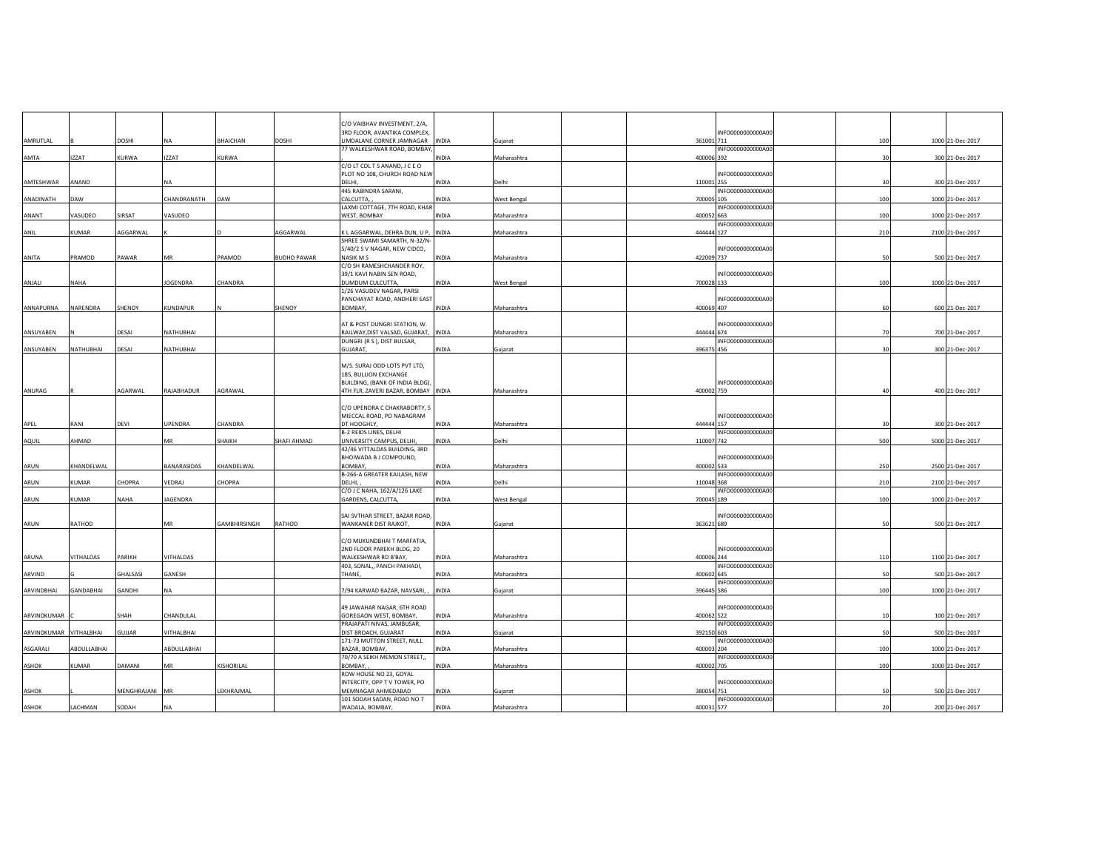|             |                   |                |                 |                 |                    | C/O VAIBHAV INVESTMENT, 2/A,                             |              |             |                                 |              |                  |
|-------------|-------------------|----------------|-----------------|-----------------|--------------------|----------------------------------------------------------|--------------|-------------|---------------------------------|--------------|------------------|
|             |                   |                |                 |                 |                    | 3RD FLOOR, AVANTIKA COMPLEX,                             |              |             | INFO0000000000A00               |              |                  |
| AMRUTLAL    |                   | DOSHI          | <b>NA</b>       | <b>BHAICHAN</b> | DOSHI              | LIMDALANE CORNER JAMNAGAR<br>77 WALKESHWAR ROAD, BOMBAY  | INDIA        | Gujarat     | 361001 711<br>INFO000000000A00  | 100          | 1000 21-Dec-2017 |
| AMTA        | <b>IZZAT</b>      | KURWA          | <b>IZZAT</b>    | <b>KURWA</b>    |                    |                                                          | INDIA        | Maharashtra | 400006 392                      | 30           | 300 21-Dec-2017  |
|             |                   |                |                 |                 |                    | C/O LT COL T S ANAND, J C E O                            |              |             |                                 |              |                  |
|             |                   |                |                 |                 |                    | PLOT NO 108, CHURCH ROAD NEW                             |              |             | INFO0000000000A00               |              |                  |
| AMTESHWAR   | ANAND             |                | <b>NA</b>       |                 |                    | DELHI,                                                   | INDIA        | Delhi       | 110001 255                      | 30           | 300 21-Dec-2017  |
|             |                   |                |                 |                 |                    | 445 RABINDRA SARANI,                                     |              |             | INFO0000000000A00               |              |                  |
| ANADINATH   | DAW               |                | CHANDRANATH     | DAW             |                    | CALCUTTA,<br>AXMI COTTAGE, 7TH ROAD, KHAR                | INDIA        | West Bengal | 700005 105<br>INFO0000000000A00 | 100          | 1000 21-Dec-2017 |
| ANANT       | VASUDEO           | SIRSAT         | VASUDEO         |                 |                    | WEST, BOMBAY                                             | INDIA        | Maharashtra | 400052 663                      | 100          | 1000 21-Dec-2017 |
|             |                   |                |                 |                 |                    |                                                          |              |             | INFO0000000000A00               |              |                  |
| ANIL        | KUMAR             | AGGARWAL       |                 |                 | AGGARWAL           | K L AGGARWAL, DEHRA DUN, U P,                            | INDIA        | Maharashtra | 444444 127                      | 210          | 2100 21-Dec-2017 |
|             |                   |                |                 |                 |                    | SHREE SWAMI SAMARTH, N-32/N-                             |              |             |                                 |              |                  |
|             | PRAMOD            | PAWAR          | MR              | PRAMOD          | <b>BUDHO PAWAR</b> | 5/40/2 S V NAGAR, NEW CIDCO,<br>NASIK M S                |              |             | INFO0000000000A00<br>422009 737 | 50           |                  |
| ANITA       |                   |                |                 |                 |                    | C/O SH RAMESHCHANDER ROY,                                | INDIA        | Maharashtra |                                 |              | 500 21-Dec-2017  |
|             |                   |                |                 |                 |                    | 39/1 KAVI NABIN SEN ROAD,                                |              |             | INFO000000000A00                |              |                  |
| ANJALI      | <b>NAHA</b>       |                | <b>JOGENDRA</b> | CHANDRA         |                    | DUMDUM CULCUTTA,                                         | <b>INDIA</b> | West Bengal | 700028 133                      | 100          | 1000 21-Dec-2017 |
|             |                   |                |                 |                 |                    | 1/26 VASUDEV NAGAR, PARSI                                |              |             |                                 |              |                  |
|             |                   |                |                 |                 |                    | PANCHAYAT ROAD, ANDHERI EAST                             |              |             | INFO000000000A00                |              |                  |
| ANNAPURNA   | NARENDRA          | SHENOY         | <b>KUNDAPUR</b> |                 | SHENOY             | <b>BOMBAY</b>                                            | <b>INDIA</b> | Maharashtra | 400069 407                      | 60           | 600 21-Dec-2017  |
|             |                   |                |                 |                 |                    | AT & POST DUNGRI STATION, W.                             |              |             | INFO0000000000A00               |              |                  |
| ANSUYABEN   |                   | DESAI          | NATHUBHAI       |                 |                    | RAILWAY, DIST VALSAD, GUJARAT, INDIA                     |              | Maharashtra | 444444 674                      | 70           | 700 21-Dec-2017  |
|             |                   |                |                 |                 |                    | DUNGRI (R S ), DIST BULSAR,                              |              |             | INFO0000000000A00               |              |                  |
| ANSUYABEN   | NATHUBHAI         | DESAI          | NATHUBHAI       |                 |                    | <b>GUJARAT</b>                                           | INDIA        | Gujarat     | 396375 456                      | $30^{\circ}$ | 300 21-Dec-2017  |
|             |                   |                |                 |                 |                    |                                                          |              |             |                                 |              |                  |
|             |                   |                |                 |                 |                    | M/S. SURAJ ODD-LOTS PVT LTD,                             |              |             |                                 |              |                  |
|             |                   |                |                 |                 |                    | 185, BULLION EXCHANGE<br>BUILDING, (BANK OF INDIA BLDG), |              |             | INFO0000000000A00               |              |                  |
| ANURAG      |                   | AGARWAL        | RAJABHADUR      | AGRAWAL         |                    | 4TH FLR, ZAVERI BAZAR, BOMBAY INDIA                      |              | Maharashtra | 400002 759                      | 40           | 400 21-Dec-2017  |
|             |                   |                |                 |                 |                    |                                                          |              |             |                                 |              |                  |
|             |                   |                |                 |                 |                    | C/O UPENDRA C CHAKRABORTY, 5                             |              |             |                                 |              |                  |
|             |                   |                |                 |                 |                    | MIECCAL ROAD, PO NABAGRAM                                |              |             | INFO0000000000A00               |              |                  |
| APEL        | RANI              | DEVI           | UPENDRA         | CHANDRA         |                    | DT HOOGHLY,                                              | <b>INDIA</b> | Maharashtra | 444444 157                      | 30           | 300 21-Dec-2017  |
| AQUIL       | AHMAD             |                | MR              | SHAIKH          | SHAFI AHMAD        | B-2 REIDS LINES, DELHI<br>UNIVERSITY CAMPUS, DELHI,      | INDIA        | Delhi       | INFO0000000000A00<br>110007 742 | 500          | 5000 21-Dec-2017 |
|             |                   |                |                 |                 |                    | 42/46 VITTALDAS BUILDING, 3RD                            |              |             |                                 |              |                  |
|             |                   |                |                 |                 |                    | BHOIWADA B J COMPOUND,                                   |              |             | INFO0000000000A00               |              |                  |
| ARUN        | KHANDELWAL        |                | BANARASIDAS     | KHANDELWAL      |                    | BOMBAY,                                                  | INDIA        | Maharashtra | 400002 533                      | 250          | 2500 21-Dec-2017 |
|             |                   |                |                 |                 |                    | B-266-A GREATER KAILASH, NEW                             |              |             | INFO0000000000A00               |              |                  |
| ARUN        | KUMAR             | CHOPRA         | VEDRAJ          | CHOPRA          |                    | DELHI.                                                   | INDIA        | Delhi       | 110048 368<br>INFO0000000000A00 | 210          | 2100 21-Dec-2017 |
| ARUN        | KUMAR             | NAHA           | JAGENDRA        |                 |                    | C/O J C NAHA, 162/A/126 LAKE<br>GARDENS, CALCUTTA,       | INDIA        | West Bengal | 700045 189                      | 100          | 1000 21-Dec-2017 |
|             |                   |                |                 |                 |                    |                                                          |              |             |                                 |              |                  |
|             |                   |                |                 |                 |                    | SAI SVTHAR STREET, BAZAR ROAD,                           |              |             | INFO0000000000A00               |              |                  |
| ARUN        | RATHOD            |                | MR              | GAMBHIRSINGH    | RATHOD             | WANKANER DIST RAJKOT,                                    | <b>INDIA</b> | Gujarat     | 363621 689                      | 50           | 500 21-Dec-2017  |
|             |                   |                |                 |                 |                    |                                                          |              |             |                                 |              |                  |
|             |                   |                |                 |                 |                    | C/O MUKUNDBHAI T MARFATIA,<br>2ND FLOOR PAREKH BLDG, 20  |              |             | INFO0000000000A00               |              |                  |
| ARUNA       | VITHALDAS         | PARIKH         | VITHALDAS       |                 |                    | WALKESHWAR RD B'BAY,                                     | INDIA        | Maharashtra |                                 | 110          | 1100 21-Dec-2017 |
|             |                   |                |                 |                 |                    |                                                          |              |             |                                 |              |                  |
| ARVIND      |                   |                |                 |                 |                    | 403, SONAL,, PANCH PAKHADI,                              |              |             | 400006 244<br>INFO0000000000A00 |              |                  |
|             |                   | GHALSASI       | GANESH          |                 |                    | THANE,                                                   | INDIA        | Maharashtra | 400602 645                      | 50           | 500 21-Dec-2017  |
|             |                   |                |                 |                 |                    |                                                          |              |             | INFO0000000000A00               |              |                  |
| ARVINDBHAI  | GANDABHAI         | GANDHI         | <b>NA</b>       |                 |                    | 7/94 KARWAD BAZAR, NAVSARI,                              | INDIA        | Gujarat     | 396445 586                      | 100          | 1000 21-Dec-2017 |
|             |                   |                |                 |                 |                    |                                                          |              |             |                                 |              |                  |
|             |                   |                |                 |                 |                    | 49 JAWAHAR NAGAR, 6TH ROAD                               |              |             | INFO000000000A00                | 10           |                  |
| ARVINDKUMAR |                   | SHAH           | CHANDULAL       |                 |                    | GOREGAON WEST, BOMBAY,<br>PRAJAPATI NIVAS, JAMBUSAR,     | INDIA        | Maharashtra | 400062 522<br>INFO0000000000A00 |              | 100 21-Dec-2017  |
| ARVINDKUMAR | <b>VITHALBHAI</b> | GUJJAR         | VITHALBHAI      |                 |                    | DIST BROACH, GUJARAT                                     | INDIA        | Gujarat     | 392150 603                      | 50           | 500 21-Dec-2017  |
|             |                   |                |                 |                 |                    | 171-73 MUTTON STREET, NULL                               |              |             | INFO0000000000A00               |              |                  |
| ASGARALI    | ABDULLABHAI       |                | ABDULLABHAI     |                 |                    | BAZAR, BOMBAY,                                           | <b>INDIA</b> | Maharashtra | 400003 204                      | 100          | 1000 21-Dec-2017 |
|             |                   |                | MR              |                 |                    | 70/70 A SEIKH MEMON STREET,,                             |              |             | INFO0000000000A00               |              |                  |
| ASHOK       | KUMAR             | DAMANI         |                 | KISHORILAL      |                    | BOMBAY.<br>ROW HOUSE NO 23, GOYAL                        | <b>INDIA</b> | Maharashtra | 400002 705                      | 100          | 1000 21-Dec-2017 |
|             |                   |                |                 |                 |                    | INTERCITY, OPP T V TOWER, PO                             |              |             | INFO0000000000A00               |              |                  |
| ASHOK       |                   | MENGHRAJANI MR |                 | LEKHRAJMAL      |                    | MEMNAGAR AHMEDABAD                                       | INDIA        | Gujarat     | 380054 751                      |              | 500 21-Dec-2017  |
| ASHOK       | LACHMAN           | SODAH          | <b>NA</b>       |                 |                    | 101 SODAH SADAN, ROAD NO 7<br>WADALA, BOMBAY,            | INDIA        | Maharashtra | INFO0000000000A00<br>400031 577 | 20           | 200 21-Dec-2017  |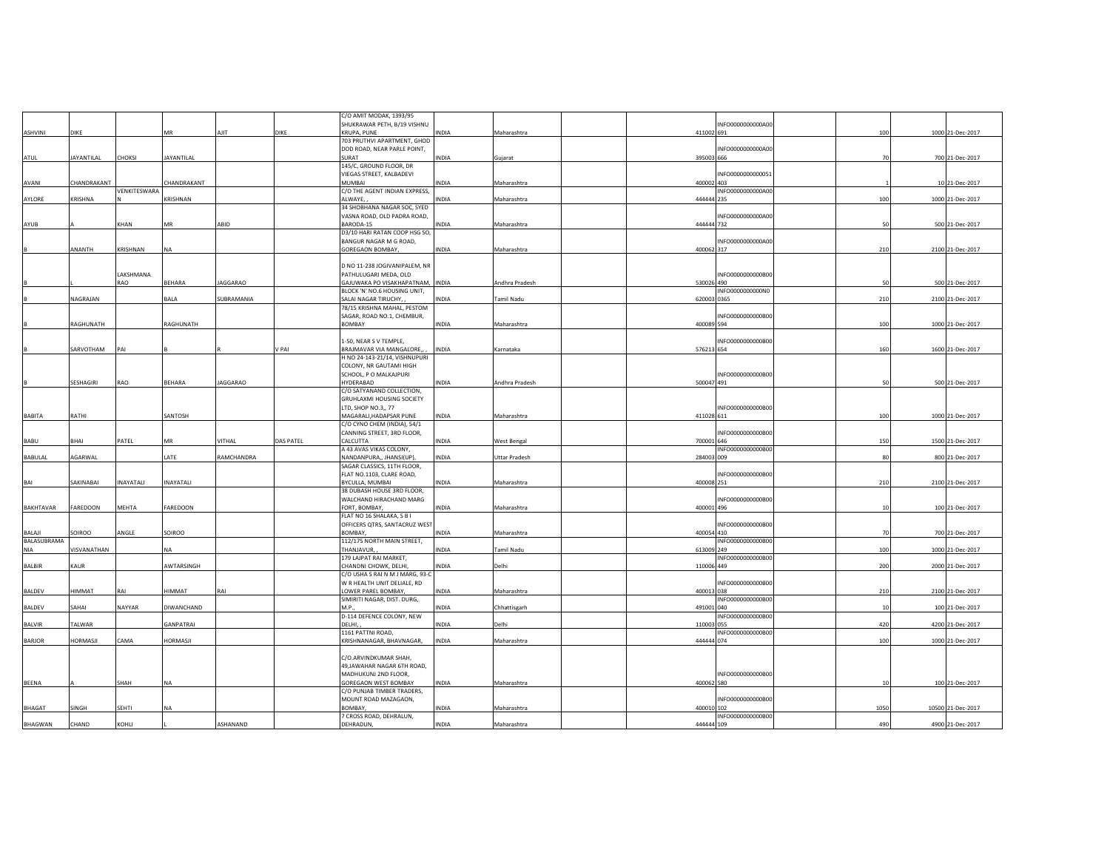|                  |             |                  |                  |                 |           | C/O AMIT MODAK, 1393/95                                        |              |                      |             |                   |                |                   |
|------------------|-------------|------------------|------------------|-----------------|-----------|----------------------------------------------------------------|--------------|----------------------|-------------|-------------------|----------------|-------------------|
|                  |             |                  |                  |                 |           | SHUKRAWAR PETH, B/19 VISHNU                                    |              |                      |             | INFO0000000000A00 |                |                   |
| ASHVINI          | DIKE        |                  | MR               | AJIT            | DIKE      | <b>KRUPA, PUNE</b>                                             | <b>INDIA</b> | Maharashtra          | 411002 691  |                   | 100            | 1000 21-Dec-2017  |
|                  |             |                  |                  |                 |           | 703 PRUTHVI APARTMENT, GHOD                                    |              |                      |             |                   |                |                   |
|                  |             |                  |                  |                 |           | DOD ROAD, NEAR PARLE POINT,                                    |              |                      |             | INFO000000000A00  |                |                   |
| <b>ATUL</b>      | JAYANTILAL  | CHOKSI           | JAYANTILAL       |                 |           | SURAT<br>145/C, GROUND FLOOR, DR                               | <b>INDIA</b> | Gujarat              | 395003 666  |                   | 7 <sup>c</sup> | 700 21-Dec-2017   |
|                  |             |                  |                  |                 |           | VIEGAS STREET, KALBADEVI                                       |              |                      |             | INFO0000000000051 |                |                   |
| AVANI            | CHANDRAKANT |                  | CHANDRAKANT      |                 |           | MUMBAI                                                         | <b>INDIA</b> | Maharashtra          | 400002 403  |                   |                | 10 21-Dec-2017    |
|                  |             | VENKITESWARA     |                  |                 |           | C/O THE AGENT INDIAN EXPRESS,                                  |              |                      |             | INFO0000000000A00 |                |                   |
| AYLORE           | KRISHNA     |                  | KRISHNAN         |                 |           | ALWAYE,                                                        | <b>INDIA</b> | Maharashtra          | 444444 235  |                   | 100            | 1000 21-Dec-2017  |
|                  |             |                  |                  |                 |           | 34 SHOBHANA NAGAR SOC, SYED                                    |              |                      |             |                   |                |                   |
|                  |             |                  |                  |                 |           | VASNA ROAD, OLD PADRA ROAD,                                    |              |                      |             | INFO0000000000A00 |                |                   |
| AYUB             |             | KHAN             | MR               | ABID            |           | BARODA-15                                                      | INDIA        | Maharashtra          | 444444 732  |                   | 50             | 500 21-Dec-2017   |
|                  |             |                  |                  |                 |           | D3/10 HARI RATAN COOP HSG SO,                                  |              |                      |             |                   |                |                   |
|                  | ANANTH      | KRISHNAN         | <b>NA</b>        |                 |           | BANGUR NAGAR M G ROAD,<br><b>GOREGAON BOMBAY,</b>              | <b>INDIA</b> | Maharashtra          | 400062 317  | INFO0000000000A00 | 210            | 2100 21-Dec-2017  |
|                  |             |                  |                  |                 |           |                                                                |              |                      |             |                   |                |                   |
|                  |             |                  |                  |                 |           | D NO 11-238 JOGIVANIPALEM, NR                                  |              |                      |             |                   |                |                   |
|                  |             | LAKSHMANA        |                  |                 |           | PATHULUGARI MEDA, OLD                                          |              |                      |             | INFO0000000000B00 |                |                   |
|                  |             | RAO              | BEHARA           | JAGGARAO        |           | GAJUWAKA PO VISAKHAPATNAM, INDIA                               |              | Andhra Pradesh       | 530026 490  |                   | 50             | 500 21-Dec-2017   |
|                  |             |                  |                  |                 |           | BLOCK 'N' NO.6 HOUSING UNIT,                                   |              |                      |             | INFO0000000000N0  |                |                   |
|                  | NAGRAJAN    |                  | BALA             | SUBRAMANIA      |           | SALAI NAGAR TIRUCHY,                                           | INDIA        | <b>Tamil Nadu</b>    | 620003 0365 |                   | 210            | 2100 21-Dec-2017  |
|                  |             |                  |                  |                 |           | 78/15 KRISHNA MAHAL, PESTOM                                    |              |                      |             |                   |                |                   |
|                  |             |                  |                  |                 |           | SAGAR, ROAD NO.1, CHEMBUR,                                     |              |                      |             | INFO0000000000B00 |                |                   |
|                  | RAGHUNATH   |                  | RAGHUNATH        |                 |           | <b>BOMBAY</b>                                                  | <b>INDIA</b> | Maharashtra          | 400089 594  |                   | 100            | 1000 21-Dec-2017  |
|                  |             |                  |                  |                 |           |                                                                |              |                      |             |                   |                |                   |
|                  |             |                  |                  |                 |           | 1-50, NEAR S V TEMPLE,                                         |              |                      |             | INFO0000000000B00 |                |                   |
|                  | SARVOTHAM   | PAI              |                  |                 | V PAI     | BRAJMAVAR VIA MANGALORE,,                                      | <b>INDIA</b> | Karnataka            | 576213 654  |                   | 160            | 1600 21-Dec-2017  |
|                  |             |                  |                  |                 |           | H NO 24-143-21/14, VISHNUPURI                                  |              |                      |             |                   |                |                   |
|                  |             |                  |                  |                 |           | COLONY, NR GAUTAMI HIGH                                        |              |                      |             |                   |                |                   |
|                  |             |                  |                  |                 |           | SCHOOL, P O MALKAJPURI                                         |              |                      |             | INFO0000000000B00 |                |                   |
|                  | SESHAGIRI   | RAO              | BEHARA           | <b>JAGGARAO</b> |           | HYDERABAD                                                      | INDIA        | Andhra Pradesh       | 500047 491  |                   | 50             | 500 21-Dec-2017   |
|                  |             |                  |                  |                 |           | C/O SATYANAND COLLECTION,                                      |              |                      |             |                   |                |                   |
|                  |             |                  |                  |                 |           | GRUHLAXMI HOUSING SOCIETY<br>LTD, SHOP NO.3,, 77               |              |                      |             | INFO0000000000B00 |                |                   |
| <b>BABITA</b>    | RATHI       |                  | SANTOSH          |                 |           | MAGARALI, HADAPSAR PUNE                                        | INDIA        | Maharashtra          | 411028 611  |                   | 100            | 1000 21-Dec-2017  |
|                  |             |                  |                  |                 |           | C/O CYNO CHEM (INDIA), 54/1                                    |              |                      |             |                   |                |                   |
|                  |             |                  |                  |                 |           | CANNING STREET, 3RD FLOOR,                                     |              |                      |             | INFO0000000000B00 |                |                   |
| BABU             | BHAI        | PATEL            | MR               | VITHAL          | DAS PATEL | CALCUTTA                                                       | INDIA        | West Bengal          | 700001 646  |                   | 150            | 1500 21-Dec-2017  |
|                  |             |                  |                  |                 |           | A 43 AVAS VIKAS COLONY,                                        |              |                      |             | INFO0000000000B00 |                |                   |
| BABULAL          | AGARWAL     |                  | LATE             | RAMCHANDRA      |           | NANDANPURA,, JHANSI(UP),                                       | <b>INDIA</b> | <b>Uttar Pradesh</b> | 284003 009  |                   | 80             | 800 21-Dec-2017   |
|                  |             |                  |                  |                 |           | SAGAR CLASSICS, 11TH FLOOR,                                    |              |                      |             |                   |                |                   |
|                  |             |                  |                  |                 |           | FLAT NO.1103, CLARE ROAD,                                      |              |                      |             | INFO0000000000B00 |                |                   |
| BAI              | SAKINABAI   | <b>INAYATALI</b> | <b>INAYATALI</b> |                 |           | BYCULLA, MUMBAI                                                | <b>INDIA</b> | Maharashtra          | 400008 251  |                   | 210            | 2100 21-Dec-2017  |
|                  |             |                  |                  |                 |           | 38 DUBASH HOUSE 3RD FLOOR,                                     |              |                      |             |                   |                |                   |
|                  |             |                  |                  |                 |           | WALCHAND HIRACHAND MARG                                        |              |                      |             | INFO0000000000B00 |                |                   |
| <b>BAKHTAVAR</b> | FAREDOON    | MEHTA            | FAREDOON         |                 |           | FORT, BOMBAY                                                   | INDIA        | Maharashtra          | 400001 496  |                   | 10             | 100 21-Dec-2017   |
|                  |             |                  |                  |                 |           | FLAT NO 16 SHALAKA, S B I                                      |              |                      |             |                   |                |                   |
|                  |             |                  |                  |                 |           | OFFICERS QTRS, SANTACRUZ WEST                                  |              |                      |             | INFO0000000000B00 |                |                   |
| BALAJI           | SOIROO      | ANGLE            | SOIROO           |                 |           | BOMBAY,                                                        | INDIA        | Maharashtra          | 400054 410  |                   | 70             | 700 21-Dec-2017   |
| BALASUBRAMA      |             |                  |                  |                 |           | 112/175 NORTH MAIN STREET,                                     |              |                      |             | INFO0000000000B00 |                |                   |
| <b>NIA</b>       | VISVANATHAN |                  | <b>NA</b>        |                 |           | THANJAVUR,                                                     | INDIA        | Tamil Nadu           | 613009 249  |                   | 100            | 1000 21-Dec-2017  |
|                  |             |                  |                  |                 |           | 179 LAJPAT RAI MARKET,                                         |              |                      |             | INFO0000000000B00 |                |                   |
| BALBIR           | KAUR        |                  | AWTARSINGH       |                 |           | CHANDNI CHOWK, DELHI,                                          | INDIA        | Delhi                | 110006 449  |                   | 200            | 2000 21-Dec-2017  |
|                  |             |                  |                  |                 |           | C/O USHA S RAI N M J MARG, 93-C<br>W R HEALTH UNIT DELIALE, RD |              |                      |             | INFO0000000000B00 |                |                   |
| BALDEV           | HIMMAT      | RAI              | HIMMAT           | RAI             |           | LOWER PAREL BOMBAY,                                            | INDIA        | Maharashtra          | 400013 038  |                   | 210            | 2100 21-Dec-2017  |
|                  |             |                  |                  |                 |           | SIMIRITI NAGAR, DIST. DURG,                                    |              |                      |             | INFO0000000000B00 |                |                   |
| BALDEV           | SAHAI       | NAYYAR           | DIWANCHAND       |                 |           | M.P.                                                           | INDIA        | Chhattisgarh         | 491001 040  |                   | 10             | 100 21-Dec-2017   |
|                  |             |                  |                  |                 |           | D-114 DEFENCE COLONY, NEW                                      |              |                      |             | INFO0000000000B00 |                |                   |
| <b>BALVIR</b>    | TALWAR      |                  | GANPATRAI        |                 |           | DELHI,                                                         | INDIA        | Delhi                | 110003 055  |                   | 420            | 4200 21-Dec-2017  |
|                  |             |                  |                  |                 |           | 1161 PATTNI ROAD,                                              |              |                      |             | INFO0000000000B00 |                |                   |
| <b>BARJOR</b>    | HORMASJI    | CAMA             | <b>HORMASJI</b>  |                 |           | KRISHNANAGAR, BHAVNAGAR,                                       | <b>INDIA</b> | Maharashtra          | 444444 074  |                   | 100            | 1000 21-Dec-2017  |
|                  |             |                  |                  |                 |           |                                                                |              |                      |             |                   |                |                   |
|                  |             |                  |                  |                 |           | C/O.ARVINDKUMAR SHAH,                                          |              |                      |             |                   |                |                   |
|                  |             |                  |                  |                 |           | 49, JAWAHAR NAGAR 6TH ROAD,                                    |              |                      |             |                   |                |                   |
|                  |             |                  |                  |                 |           | MADHUKUNJ 2ND FLOOR,                                           |              |                      |             | INFO0000000000B00 |                |                   |
| <b>BEENA</b>     |             | SHAH             | <b>NA</b>        |                 |           | GOREGAON WEST BOMBAY                                           | <b>INDIA</b> | Maharashtra          | 400062 580  |                   | 10             | 100 21-Dec-2017   |
|                  |             |                  |                  |                 |           | C/O PUNJAB TIMBER TRADERS,                                     |              |                      |             |                   |                |                   |
|                  |             |                  |                  |                 |           | MOUNT ROAD MAZAGAON,                                           |              |                      |             | INFO0000000000B00 |                |                   |
| <b>BHAGAT</b>    | SINGH       | <b>SEHTI</b>     | <b>NA</b>        |                 |           | BOMBAY.                                                        | INDIA        | Maharashtra          | 400010 102  | INFO0000000000B00 | 1050           | 10500 21-Dec-2017 |
|                  | CHAND       | KOHLI            |                  | ASHANAND        |           | 7 CROSS ROAD, DEHRALUN,<br>DEHRADUN,                           | <b>INDIA</b> |                      | 444444 109  |                   | 490            |                   |
| BHAGWAN          |             |                  |                  |                 |           |                                                                |              | Maharashtra          |             |                   |                | 4900 21-Dec-2017  |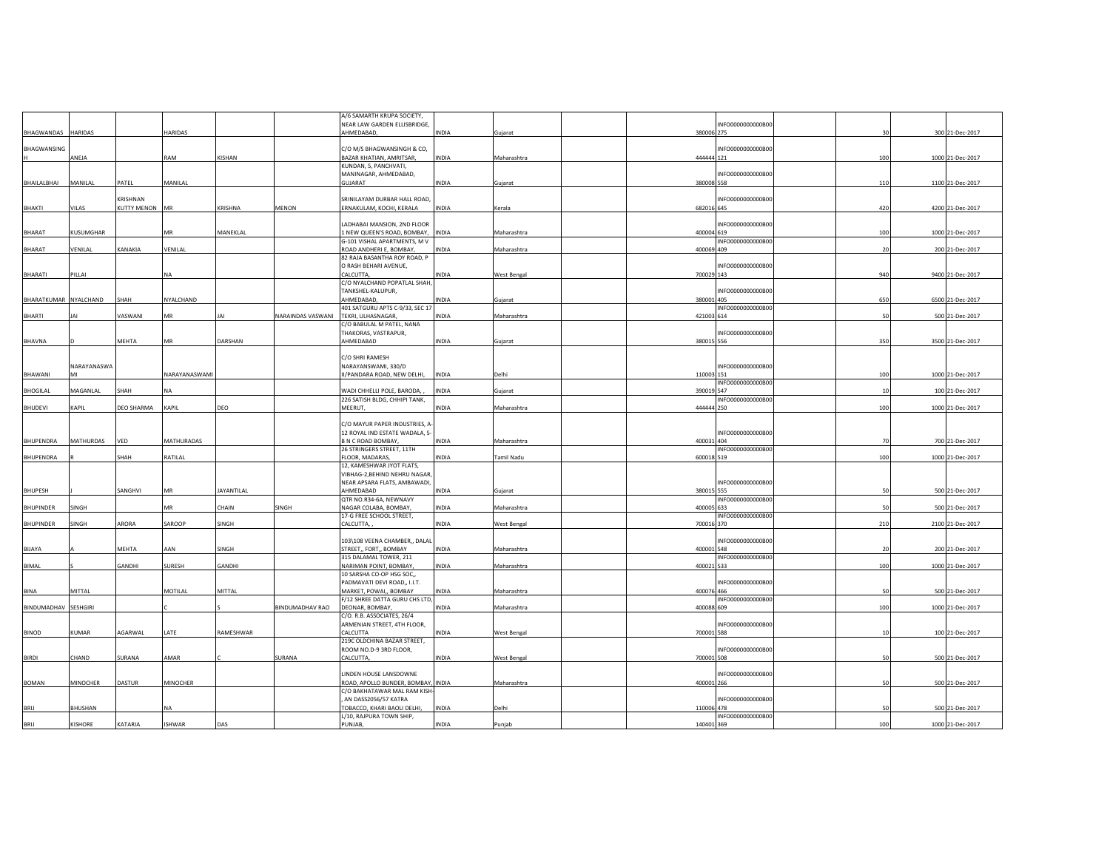|                      |                 |                |                   |                   |                   | A/6 SAMARTH KRUPA SOCIETY,                     |              |             |            |                   |               |                  |
|----------------------|-----------------|----------------|-------------------|-------------------|-------------------|------------------------------------------------|--------------|-------------|------------|-------------------|---------------|------------------|
|                      |                 |                |                   |                   |                   | NEAR LAW GARDEN ELLISBRIDGE,                   |              |             |            | INFO0000000000B00 |               |                  |
| BHAGWANDAS           | HARIDAS         |                | <b>HARIDAS</b>    |                   |                   | AHMEDABAD,                                     | <b>INDIA</b> | Gujarat     | 380006 275 |                   | $\mathcal{R}$ | 300 21-Dec-2017  |
|                      |                 |                |                   |                   |                   |                                                |              |             |            |                   |               |                  |
| BHAGWANSING          |                 |                |                   |                   |                   | C/O M/S BHAGWANSINGH & CO,                     |              |             |            | INFO0000000000B00 |               |                  |
|                      | ANEJA           |                | RAM               | KISHAN            |                   | BAZAR KHATIAN, AMRITSAR,                       | <b>INDIA</b> | Maharashtra | 444444 121 |                   | 100           | 1000 21-Dec-2017 |
|                      |                 |                |                   |                   |                   | KUNDAN, 5, PANCHVATI,<br>MANINAGAR, AHMEDABAD, |              |             |            | INFO0000000000B00 |               |                  |
| BHAILALBHAI          | MANILAL         | PATEL          | MANILAL           |                   |                   | GUJARAT                                        | INDIA        | Gujarat     | 380008 558 |                   | 110           | 1100 21-Dec-2017 |
|                      |                 |                |                   |                   |                   |                                                |              |             |            |                   |               |                  |
|                      |                 | KRISHNAN       |                   |                   |                   | SRINILAYAM DURBAR HALL ROAD,                   |              |             |            | INFO0000000000B00 |               |                  |
| BHAKTI               | VILAS           | KUTTY MENON MR |                   | <b>KRISHNA</b>    | <b>MENON</b>      | ERNAKULAM, KOCHI, KERALA                       | <b>INDIA</b> | Kerala      | 682016 645 |                   | 420           | 4200 21-Dec-2017 |
|                      |                 |                |                   |                   |                   |                                                |              |             |            |                   |               |                  |
|                      |                 |                |                   |                   |                   | LADHABAI MANSION, 2ND FLOOR                    |              |             |            | INFO0000000000B00 |               |                  |
| BHARAT               | KUSUMGHAR       |                | <b>MR</b>         | MANEKLAL          |                   | 1 NEW QUEEN'S ROAD, BOMBAY,                    | INDIA        | Maharashtra | 400004 619 |                   | 100           | 1000 21-Dec-2017 |
|                      |                 |                |                   |                   |                   | G-101 VISHAL APARTMENTS, M V                   |              |             |            | INFO0000000000B00 |               |                  |
| <b>BHARAT</b>        | VENILAL         | KANAKIA        | VENILAL           |                   |                   | ROAD ANDHERI E, BOMBAY,                        | <b>INDIA</b> | Maharashtra | 400069 409 |                   | 20            | 200 21-Dec-2017  |
|                      |                 |                |                   |                   |                   | 82 RAJA BASANTHA ROY ROAD, P                   |              |             |            |                   |               |                  |
|                      |                 |                |                   |                   |                   | O RASH BEHARI AVENUE,                          |              |             |            | INFO0000000000B00 |               |                  |
| BHARATI              | PILLAI          |                | <b>NA</b>         |                   |                   | CALCUTTA,                                      | INDIA        | West Bengal | 700029 143 |                   | 940           | 9400 21-Dec-2017 |
|                      |                 |                |                   |                   |                   | C/O NYALCHAND POPATLAL SHAH                    |              |             |            |                   |               |                  |
|                      |                 |                |                   |                   |                   | TANKSHEL-KALUPUR,                              |              |             |            | INFO0000000000B00 |               |                  |
| BHARATKUMAR          | NYALCHAND       | SHAH           | NYALCHAND         |                   |                   | AHMEDABAD,                                     | INDIA        | Gujarat     | 380001 405 |                   | 650           | 6500 21-Dec-2017 |
|                      |                 |                |                   |                   |                   | 401 SATGURU APTS C-9/33, SEC 17                |              |             |            | INFO0000000000B00 |               |                  |
| BHARTI               |                 | VASWANI        | MR                | JAI               | NARAINDAS VASWANI | TEKRI, ULHASNAGAR                              | INDIA        | Maharashtra | 421003 614 |                   | 50            | 500 21-Dec-2017  |
|                      |                 |                |                   |                   |                   | C/O BABULAL M PATEL, NANA                      |              |             |            |                   |               |                  |
|                      |                 | MEHTA          | MR                | DARSHAN           |                   | THAKORAS, VASTRAPUR,<br>AHMEDABAD              | INDIA        |             | 380015 556 | INFO0000000000B00 | 350           |                  |
| BHAVNA               |                 |                |                   |                   |                   |                                                |              | Gujarat     |            |                   |               | 3500 21-Dec-2017 |
|                      |                 |                |                   |                   |                   | C/O SHRI RAMESH                                |              |             |            |                   |               |                  |
|                      | NARAYANASWA     |                |                   |                   |                   | NARAYANSWAMI, 330/D                            |              |             |            | INFO0000000000B00 |               |                  |
| BHAWANI              | MI              |                | NARAYANASWAMI     |                   |                   | II/PANDARA ROAD, NEW DELHI,                    | <b>INDIA</b> | Delhi       | 110003 151 |                   | 100           | 1000 21-Dec-2017 |
|                      |                 |                |                   |                   |                   |                                                |              |             |            | INFO0000000000B00 |               |                  |
| BHOGILAL             | MAGANLAL        | SHAH           | <b>NA</b>         |                   |                   | WADI CHHELLI POLE, BARODA,                     | INDIA        | Gujarat     | 390019 547 |                   | 10            | 100 21-Dec-2017  |
|                      |                 |                |                   |                   |                   | 226 SATISH BLDG, CHHIPI TANK,                  |              |             |            | INFO0000000000B00 |               |                  |
| <b>BHUDEVI</b>       | KAPIL           | DEO SHARMA     | KAPIL             | DEO               |                   | MEERUT,                                        | INDIA        | Maharashtra | 444444 250 |                   | 100           | 1000 21-Dec-2017 |
|                      |                 |                |                   |                   |                   |                                                |              |             |            |                   |               |                  |
|                      |                 |                |                   |                   |                   | C/O MAYUR PAPER INDUSTRIES, A-                 |              |             |            |                   |               |                  |
|                      |                 |                |                   |                   |                   | 12 ROYAL IND ESTATE WADALA, 5-                 |              |             |            | INFO0000000000B00 |               |                  |
| <b>BHUPENDRA</b>     | MATHURDAS       | VED            | <b>MATHURADAS</b> |                   |                   | <b>B N C ROAD BOMBAY,</b>                      | INDIA        | Maharashtra | 400031 404 |                   | 70            | 700 21-Dec-2017  |
|                      |                 |                |                   |                   |                   | 26 STRINGERS STREET, 11TH                      |              |             |            | INFO0000000000B00 |               |                  |
| <b>BHUPENDRA</b>     |                 | SHAH           | RATILAL           |                   |                   | FLOOR, MADARAS.                                | <b>INDIA</b> | Tamil Nadu  | 600018 519 |                   | 100           | 1000 21-Dec-2017 |
|                      |                 |                |                   |                   |                   | 12, KAMESHWAR JYOT FLATS,                      |              |             |            |                   |               |                  |
|                      |                 |                |                   |                   |                   | VIBHAG-2, BEHIND NEHRU NAGAR                   |              |             |            |                   |               |                  |
|                      |                 | SANGHVI        | MR                |                   |                   | NEAR APSARA FLATS, AMBAWADI,                   | <b>INDIA</b> |             |            | INFO0000000000B00 | 50            |                  |
| <b>BHUPESH</b>       |                 |                |                   | <b>JAYANTILAL</b> |                   | AHMEDABAD<br>QTR NO.R34-6A, NEWNAVY            |              | Gujarat     | 380015 555 | INFO0000000000B00 |               | 500 21-Dec-2017  |
| BHUPINDER            | SINGH           |                | <b>MR</b>         | CHAIN             | SINGH             | NAGAR COLABA, BOMBAY,                          | INDIA        | Maharashtra | 400005 633 |                   | 50            | 500 21-Dec-2017  |
|                      |                 |                |                   |                   |                   | 17-G FREE SCHOOL STREET,                       |              |             |            | INFO0000000000B00 |               |                  |
| <b>BHUPINDER</b>     | SINGH           | ARORA          | SAROOP            | SINGH             |                   | CALCUTTA,                                      | <b>INDIA</b> | West Bengal | 700016 370 |                   | 210           | 2100 21-Dec-2017 |
|                      |                 |                |                   |                   |                   |                                                |              |             |            |                   |               |                  |
|                      |                 |                |                   |                   |                   | 103\108 VEENA CHAMBER,, DALAL                  |              |             |            | INFO0000000000B00 |               |                  |
| BIJAYA               |                 | MEHTA          | AAN               | SINGH             |                   | STREET,, FORT,, BOMBAY                         | INDIA        | Maharashtra | 400001 548 |                   | 20            | 200 21-Dec-2017  |
|                      |                 |                |                   |                   |                   | 315 DALAMAL TOWER, 211                         |              |             |            | INFO0000000000B00 |               |                  |
| BIMAL                |                 | GANDHI         | SURESH            | GANDHI            |                   | NARIMAN POINT, BOMBAY,                         | INDIA        | Maharashtra | 400021 533 |                   | 100           | 1000 21-Dec-2017 |
|                      |                 |                |                   |                   |                   | 10 SARSHA CO-OP HSG SOC,,                      |              |             |            |                   |               |                  |
|                      |                 |                |                   |                   |                   | PADMAVATI DEVI ROAD,, I.I.T.                   |              |             |            | INFO0000000000B00 |               |                  |
| BINA                 | MITTAL          |                | MOTILAL           | MITTAL            |                   | MARKET, POWAI,, BOMBAY                         | INDIA        | Maharashtra | 400076 466 |                   | 50            | 500 21-Dec-2017  |
|                      |                 |                |                   |                   |                   | F/12 SHREE DATTA GURU CHS LTD,                 |              |             |            | INFO0000000000B00 |               |                  |
| BINDUMADHAV SESHGIRI |                 |                |                   |                   | BINDUMADHAV RAO   | DEONAR, BOMBAY,                                | INDIA        | Maharashtra | 400088 609 |                   | 100           | 1000 21-Dec-2017 |
|                      |                 |                |                   |                   |                   | C/O. R.B. ASSOCIATES, 26/4                     |              |             |            |                   |               |                  |
|                      |                 |                |                   |                   |                   | ARMENIAN STREET, 4TH FLOOR,                    |              |             |            | INFO0000000000B00 |               |                  |
| BINOD                | KUMAR           | AGARWAL        | LATE              | RAMESHWAR         |                   | CALCUTTA<br>219C OLDCHINA BAZAR STREET,        | INDIA        | West Bengal | 700001 588 |                   | 10            | 100 21-Dec-2017  |
|                      |                 |                |                   |                   |                   | ROOM NO.D-9 3RD FLOOR,                         |              |             |            | INFO0000000000B00 |               |                  |
| <b>BIRDI</b>         | CHAND           | URANA          | AMAR              |                   | SURANA            | CALCUTTA,                                      | <b>INDIA</b> | West Bengal | 700001 508 |                   |               | 500 21-Dec-2017  |
|                      |                 |                |                   |                   |                   |                                                |              |             |            |                   |               |                  |
|                      |                 |                |                   |                   |                   | LINDEN HOUSE LANSDOWNE                         |              |             |            | INFO0000000000B00 |               |                  |
| <b>BOMAN</b>         | <b>MINOCHER</b> | DASTUR         | MINOCHER          |                   |                   | ROAD, APOLLO BUNDER, BOMBAY, INDIA             |              | Maharashtra | 400001 266 |                   | 50            | 500 21-Dec-2017  |
|                      |                 |                |                   |                   |                   | C/O BAKHATAWAR MAL RAM KISH-                   |              |             |            |                   |               |                  |
|                      |                 |                |                   |                   |                   | AN DASS2056/57 KATRA                           |              |             |            | INFO0000000000B00 |               |                  |
| BRIJ                 | BHUSHAN         |                | <b>NA</b>         |                   |                   | TOBACCO, KHARI BAOLI DELHI,                    | <b>INDIA</b> | Delhi       | 110006 478 |                   | 50            | 500 21-Dec-2017  |
|                      |                 |                |                   |                   |                   | L/10, RAJPURA TOWN SHIP,                       |              |             |            | INFO0000000000B00 |               |                  |
| BRIJ                 | KISHORE         | KATARIA        | <b>ISHWAR</b>     | DAS               |                   | PUNJAB,                                        | <b>INDIA</b> | Punjab      | 140401 369 |                   | 100           | 1000 21-Dec-2017 |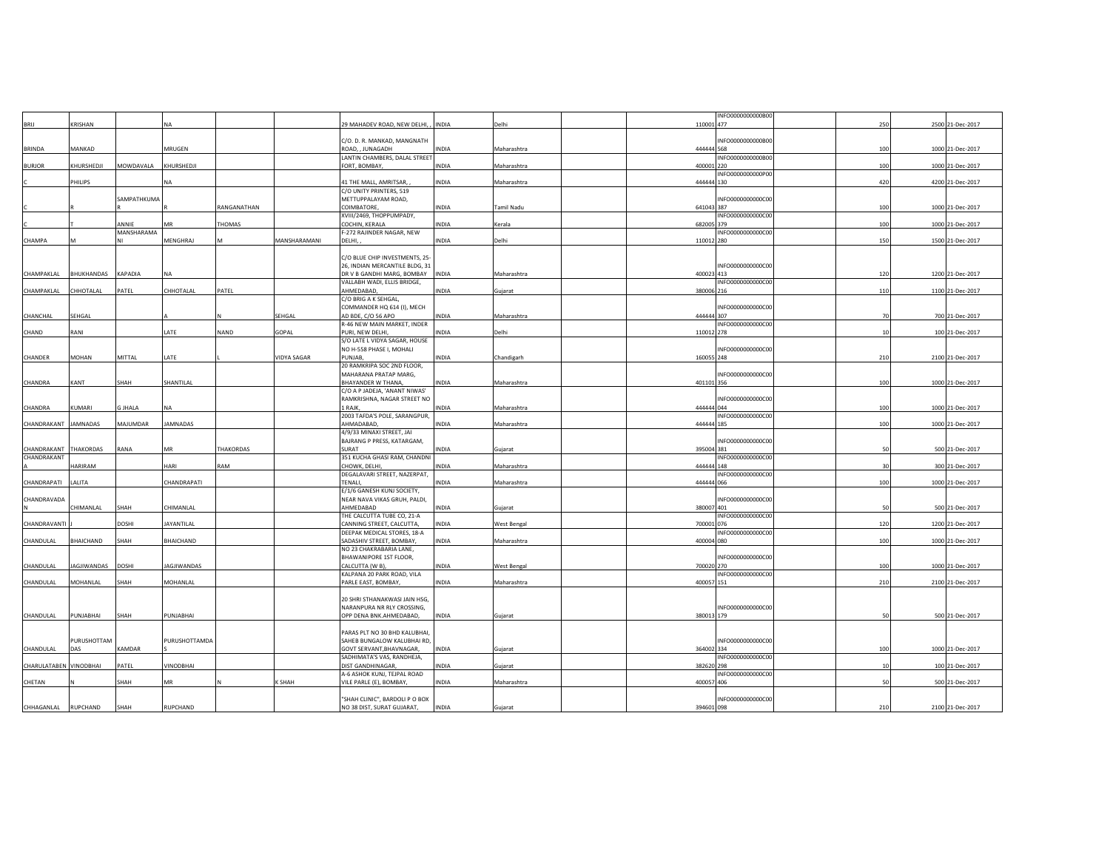|                        |                    |              |                   |             |                    |                                     |              |             |            | INFO0000000000B00 |     |                  |
|------------------------|--------------------|--------------|-------------------|-------------|--------------------|-------------------------------------|--------------|-------------|------------|-------------------|-----|------------------|
| BRIJ                   | KRISHAN            |              | NA                |             |                    | 29 MAHADEV ROAD, NEW DELHI, , INDIA |              | Delhi       | 110001 477 |                   | 250 | 2500 21-Dec-2017 |
|                        |                    |              |                   |             |                    |                                     |              |             |            |                   |     |                  |
|                        |                    |              |                   |             |                    | C/O. D. R. MANKAD, MANGNATH         |              |             |            | INFO0000000000B00 |     |                  |
|                        |                    |              | MRUGEN            |             |                    | ROAD, , JUNAGADH                    |              |             | 444444 568 |                   |     |                  |
| BRINDA                 | MANKAD             |              |                   |             |                    |                                     | INDIA        | Maharashtra |            |                   | 100 | 1000 21-Dec-2017 |
|                        |                    |              |                   |             |                    | LANTIN CHAMBERS, DALAL STREET       |              |             |            | INFO0000000000B00 |     |                  |
| <b>BURJOR</b>          | KHURSHEDJI         | MOWDAVALA    | KHURSHEDJI        |             |                    | FORT, BOMBAY,                       | INDIA        | Maharashtra | 400001 220 |                   | 100 | 1000 21-Dec-2017 |
|                        |                    |              |                   |             |                    |                                     |              |             |            | INFO0000000000P00 |     |                  |
|                        | <b>HILIPS</b>      |              | NA                |             |                    | 41 THE MALL, AMRITSAR,              | INDIA        | Maharashtra | 444444 130 |                   | 420 | 4200 21-Dec-2017 |
|                        |                    |              |                   |             |                    | C/O UNITY PRINTERS, 519             |              |             |            |                   |     |                  |
|                        |                    | SAMPATHKUMA  |                   |             |                    | METTUPPALAYAM ROAD,                 |              |             |            | INFO0000000000C00 |     |                  |
|                        |                    |              |                   | RANGANATHAN |                    | <b>COIMBATORE</b>                   | INDIA        | Tamil Nadu  | 641043 387 |                   | 100 | 1000 21-Dec-2017 |
|                        |                    |              |                   |             |                    | XVIII/2469, THOPPUMPADY,            |              |             |            | INFO0000000000C00 |     |                  |
|                        |                    | ANNIE        | MR                | THOMAS      |                    | COCHIN, KERALA                      | INDIA        | Kerala      | 682005 379 |                   | 100 | 1000 21-Dec-2017 |
|                        |                    | MANSHARAMA   |                   |             |                    | F-272 RAJINDER NAGAR, NEW           |              |             |            | INFO0000000000C00 |     |                  |
|                        |                    |              |                   |             |                    |                                     |              |             |            |                   |     |                  |
| CHAMPA                 |                    |              | MENGHRAJ          | M           | MANSHARAMANI       | DELHI,                              | INDIA        | Delhi       | 110012 280 |                   | 150 | 1500 21-Dec-2017 |
|                        |                    |              |                   |             |                    |                                     |              |             |            |                   |     |                  |
|                        |                    |              |                   |             |                    | C/O BLUE CHIP INVESTMENTS, 25-      |              |             |            |                   |     |                  |
|                        |                    |              |                   |             |                    | 26, INDIAN MERCANTILE BLDG, 31      |              |             |            | INFO0000000000C00 |     |                  |
| CHAMPAKLAL             | BHUKHANDAS         | KAPADIA      | NA                |             |                    | DR V B GANDHI MARG, BOMBAY          | INDIA        | Maharashtra | 400023 413 |                   | 120 | 1200 21-Dec-2017 |
|                        |                    |              |                   |             |                    | VALLABH WADI, ELLIS BRIDGE,         |              |             |            | INFO0000000000C00 |     |                  |
| CHAMPAKLAL             | CHHOTALAL          | PATEL        | CHHOTALAL         | PATEL       |                    | AHMEDABAD                           | INDIA        | Gujarat     | 380006 216 |                   | 110 | 1100 21-Dec-2017 |
|                        |                    |              |                   |             |                    | C/O BRIG A K SEHGAL,                |              |             |            |                   |     |                  |
|                        |                    |              |                   |             |                    |                                     |              |             |            |                   |     |                  |
|                        |                    |              |                   |             |                    | COMMANDER HQ 614 (I), MECH          |              |             |            | INFO0000000000C00 |     |                  |
| CHANCHAL               | SEHGAL             |              |                   |             | SEHGAL             | AD BDE, C/O 56 APO                  | INDIA        | Maharashtra | 444444 307 |                   | 70  | 700 21-Dec-2017  |
|                        |                    |              |                   |             |                    | R-46 NEW MAIN MARKET, INDER         |              |             |            | INFO0000000000C00 |     |                  |
| CHAND                  | RANI               |              | LATE              | <b>NAND</b> | GOPAL              | PURI, NEW DELHI                     | INDIA        | Delhi       | 110012 278 |                   | 10  | 100 21-Dec-2017  |
|                        |                    |              |                   |             |                    | S/O LATE L VIDYA SAGAR, HOUSE       |              |             |            |                   |     |                  |
|                        |                    |              |                   |             |                    | NO H-558 PHASE I, MOHALI            |              |             |            | INFO0000000000C00 |     |                  |
| CHANDER                | MOHAN              | MITTAL       | LATE              |             | <b>VIDYA SAGAR</b> | PUNJAB.                             | INDIA        | Chandigarh  | 160055 248 |                   | 210 | 2100 21-Dec-2017 |
|                        |                    |              |                   |             |                    | 20 RAMKRIPA SOC 2ND FLOOR,          |              |             |            |                   |     |                  |
|                        |                    |              |                   |             |                    |                                     |              |             |            |                   |     |                  |
|                        |                    |              |                   |             |                    | MAHARANA PRATAP MARG,               |              |             |            | INFO0000000000C00 |     |                  |
| CHANDRA                | KANT               | SHAH         | SHANTILAL         |             |                    | BHAYANDER W THANA,                  | INDIA        | Maharashtra | 401101 356 |                   | 100 | 1000 21-Dec-2017 |
|                        |                    |              |                   |             |                    | C/O A P JADEJA, 'ANANT NIWAS'       |              |             |            |                   |     |                  |
|                        |                    |              |                   |             |                    | RAMKRISHNA, NAGAR STREET NO         |              |             |            | INFO0000000000C00 |     |                  |
| CHANDRA                | KUMARI             | G JHALA      | NA                |             |                    | LRAJK,                              | INDIA        | Maharashtra | 444444 044 |                   | 100 | 1000 21-Dec-2017 |
|                        |                    |              |                   |             |                    | 2003 TAFDA'S POLE, SARANGPUR,       |              |             |            | INFO0000000000C00 |     |                  |
| CHANDRAKANT            | JAMNADAS           | MAJUMDAR     | JAMNADAS          |             |                    | AHMADABAD,                          | INDIA        | Maharashtra | 444444 185 |                   | 100 | 1000 21-Dec-2017 |
|                        |                    |              |                   |             |                    | 4/9/33 MINAXI STREET, JAI           |              |             |            |                   |     |                  |
|                        |                    |              |                   |             |                    | BAJRANG P PRESS, KATARGAM,          |              |             |            | INFO0000000000C00 |     |                  |
|                        |                    |              |                   | THAKORDAS   |                    |                                     |              |             |            |                   | 50  |                  |
| CHANDRAKANT            | THAKORDAS          | RANA         | MR                |             |                    | SURAT                               | INDIA        | Gujarat     | 395004 381 |                   |     | 500 21-Dec-2017  |
| CHANDRAKANT            |                    |              |                   |             |                    | 351 KUCHA GHASI RAM, CHANDNI        |              |             |            | INFO0000000000C00 |     |                  |
|                        | HARIRAM            |              | HARI              | RAM         |                    | CHOWK, DELHI                        | INDIA        | Maharashtra | 444444 148 |                   | ٩ń  | 300 21-Dec-2017  |
|                        |                    |              |                   |             |                    | DEGALAVARI STREET, NAZERPAT,        |              |             |            | INFO0000000000C00 |     |                  |
| CHANDRAPATI            | LALITA             |              | CHANDRAPATI       |             |                    | TENALI,                             | INDIA        | Maharashtra | 444444 066 |                   | 100 | 1000 21-Dec-2017 |
|                        |                    |              |                   |             |                    | E/1/6 GANESH KUNJ SOCIETY,          |              |             |            |                   |     |                  |
| CHANDRAVADA            |                    |              |                   |             |                    | NEAR NAVA VIKAS GRUH, PALDI,        |              |             |            | INFO0000000000C00 |     |                  |
|                        | <b>HIMANLAL</b>    | SHAH         | CHIMANLAL         |             |                    | AHMEDABAD                           | <b>INDIA</b> | Gujarat     | 380007 401 |                   | 50  | 500 21-Dec-2017  |
|                        |                    |              |                   |             |                    | THE CALCUTTA TUBE CO, 21-A          |              |             |            | INFO0000000000C00 |     |                  |
| CHANDRAVANT            |                    | DOSHI        | <b>JAYANTILAL</b> |             |                    | CANNING STREET, CALCUTTA,           | <b>INDIA</b> |             | 700001 076 |                   | 120 | 1200 21-Dec-2017 |
|                        |                    |              |                   |             |                    |                                     |              | West Bengal |            |                   |     |                  |
|                        |                    |              |                   |             |                    | DEEPAK MEDICAL STORES, 18-A         |              |             |            | INFO0000000000C00 |     |                  |
| CHANDULAL              | BHAICHAND          | SHAH         | BHAICHAND         |             |                    | SADASHIV STREET, BOMBAY,            | INDIA        | Maharashtra | 400004 080 |                   | 100 | 1000 21-Dec-2017 |
|                        |                    |              |                   |             |                    | NO 23 CHAKRABARIA LANE,             |              |             |            |                   |     |                  |
|                        |                    |              |                   |             |                    | BHAWANIPORE 1ST FLOOR,              |              |             |            | INFO0000000000C00 |     |                  |
| CHANDULAL              | <b>JAGJIWANDAS</b> | <b>DOSHI</b> | JAGJIWANDAS       |             |                    | CALCUTTA (W B)                      | INDIA        | West Bengal | 700020 270 |                   | 100 | 1000 21-Dec-2017 |
|                        |                    |              |                   |             |                    | KALPANA 20 PARK ROAD, VILA          |              |             |            | INFO0000000000C00 |     |                  |
| CHANDULAL              | MOHANLAL           | SHAH         | MOHANLAL          |             |                    | PARLE EAST, BOMBAY,                 | INDIA        | Maharashtra | 400057 151 |                   | 210 | 2100 21-Dec-2017 |
|                        |                    |              |                   |             |                    |                                     |              |             |            |                   |     |                  |
|                        |                    |              |                   |             |                    | 20 SHRI STHANAKWASI JAIN HSG,       |              |             |            |                   |     |                  |
|                        |                    |              |                   |             |                    | NARANPURA NR RLY CROSSING,          |              |             |            | INFO0000000000C00 |     |                  |
|                        |                    |              |                   |             |                    |                                     |              |             |            |                   |     |                  |
| CHANDULAL              | PUNJABHAI          | SHAH         | PUNJABHAI         |             |                    | OPP DENA BNK.AHMEDABAD,             | INDIA        | Gujarat     | 380013 179 |                   | 50  | 500 21-Dec-2017  |
|                        |                    |              |                   |             |                    |                                     |              |             |            |                   |     |                  |
|                        |                    |              |                   |             |                    | PARAS PLT NO 30 BHD KALUBHAI,       |              |             |            |                   |     |                  |
|                        | PURUSHOTTAM        |              | PURUSHOTTAMDA     |             |                    | SAHEB BUNGALOW KALUBHAI RD,         |              |             |            | INFO0000000000C00 |     |                  |
| CHANDULAL              | DAS                | KAMDAR       |                   |             |                    | GOVT SERVANT, BHAVNAGAR,            | INDIA        | Gujarat     | 364002 334 |                   | 100 | 1000 21-Dec-2017 |
|                        |                    |              |                   |             |                    | SADHIMATA'S VAS, RANDHEJA,          |              |             |            | INFO0000000000C00 |     |                  |
| CHARULATABEN VINODBHAI |                    | PATEL        | VINODBHAI         |             |                    | DIST GANDHINAGAR                    | INDIA        | Gujarat     | 382620 298 |                   | 10  | 100 21-Dec-2017  |
|                        |                    |              |                   |             |                    | A-6 ASHOK KUNJ, TEJPAL ROAD         |              |             |            | INFO0000000000C00 |     |                  |
| CHETAN                 |                    | SHAH         | MR                |             | <b>SHAH</b>        | VILE PARLE (E), BOMBAY,             | INDIA        | Maharashtra | 400057 406 |                   |     | 500 21-Dec-2017  |
|                        |                    |              |                   |             |                    |                                     |              |             |            |                   |     |                  |
|                        |                    |              |                   |             |                    |                                     |              |             |            |                   |     |                  |
|                        |                    |              |                   |             |                    | "SHAH CLINIC", BARDOLI P O BOX      |              |             |            | INFO0000000000C00 |     |                  |
| CHHAGANLAL             | RUPCHAND           | SHAH         | RUPCHAND          |             |                    | NO 38 DIST, SURAT GUJARAT,          | INDIA        | Gujarat     | 394601 098 |                   | 210 | 2100 21-Dec-2017 |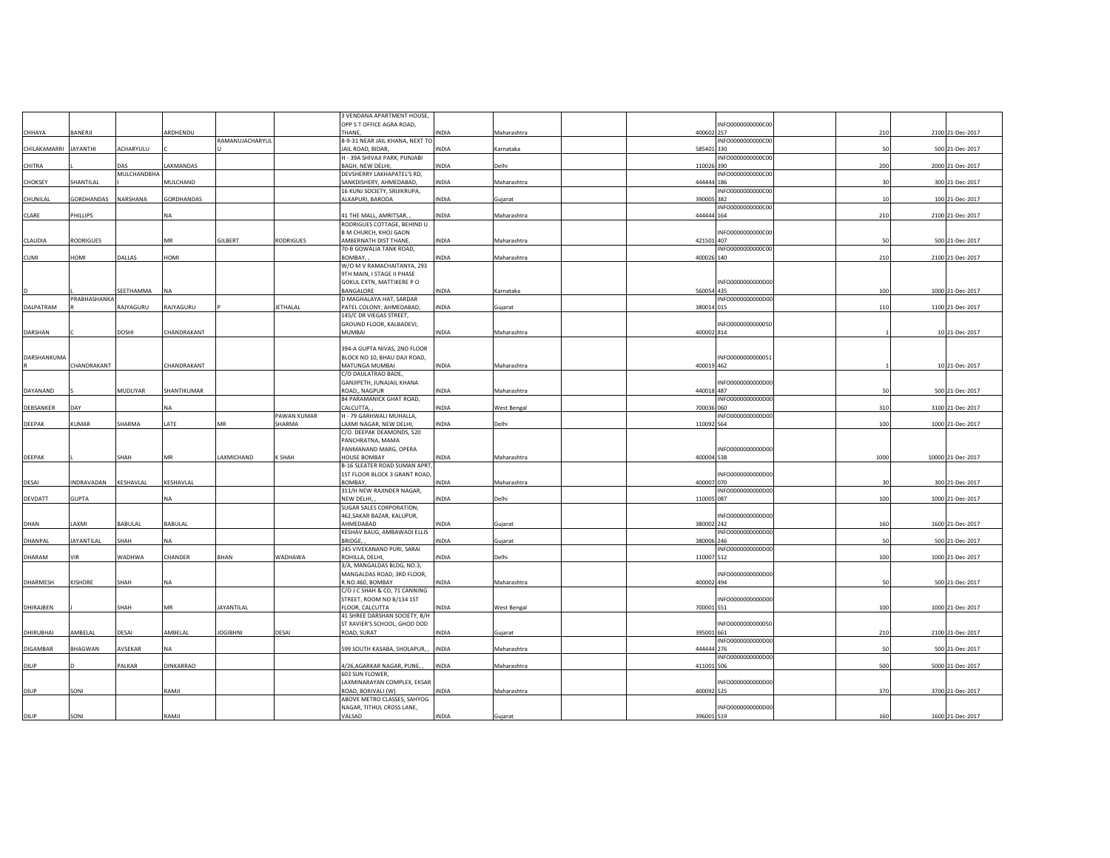|              |                   |             |                |                   |             | 3 VENDANA APARTMENT HOUSE,                                    |              |             |            |                   |      |                   |
|--------------|-------------------|-------------|----------------|-------------------|-------------|---------------------------------------------------------------|--------------|-------------|------------|-------------------|------|-------------------|
|              |                   |             |                |                   |             | OPP S T OFFICE AGRA ROAD,                                     |              |             |            | INFO0000000000C00 |      |                   |
| CHHAYA       | BANERJI           |             | ARDHENDU       | RAMANUJACHARYUL   |             | THANE,                                                        | INDIA        | Maharashtra | 400602 257 |                   | 210  | 2100 21-Dec-2017  |
| CHILAKAMARRI | <b>IHTWAYAL</b>   | ACHARYULU   |                |                   |             | 8-9-31 NEAR JAIL KHANA, NEXT TO<br>JAIL ROAD, BIDAR           | INDIA        | Karnataka   | 585401 330 | INFO0000000000C00 | 50   | 500 21-Dec-2017   |
|              |                   |             |                |                   |             | H - 39A SHIVAJI PARK, PUNJABI                                 |              |             |            | INFO0000000000C00 |      |                   |
| CHITRA       |                   | DAS         | LAXMANDAS      |                   |             | BAGH, NEW DELHI,                                              | INDIA        | Delhi       | 110026 390 |                   | 200  | 2000 21-Dec-2017  |
|              |                   | MULCHANDBHA |                |                   |             | DEVSHERRY LAKHAPATEL'S RD,                                    |              |             |            | INFO0000000000C00 |      |                   |
| CHOKSEY      | SHANTILAL         |             | MULCHAND       |                   |             | SANKDISHERY, AHMEDABAD,                                       | INDIA        | Maharashtra | 444444 186 |                   | 30   | 300 21-Dec-2017   |
|              |                   |             |                |                   |             | 16 KUNJ SOCIETY, SRIJIKRUPA,                                  |              |             |            | INFO0000000000C00 |      |                   |
| CHUNILAL     | GORDHANDAS        | NARSHANA    | GORDHANDAS     |                   |             | ALKAPURI, BARODA                                              | INDIA        | Gujarat     | 390005 382 |                   | 10   | 100 21-Dec-2017   |
| CLARE        | PHILLIPS          |             | <b>NA</b>      |                   |             | 41 THE MALL, AMRITSAR,                                        | INDIA        | Maharashtra | 444444 164 | INFO0000000000C00 | 210  | 2100 21-Dec-2017  |
|              |                   |             |                |                   |             | RODRIGUES COTTAGE, BEHIND U                                   |              |             |            |                   |      |                   |
|              |                   |             |                |                   |             | B M CHURCH, KHOJ GAON                                         |              |             |            | INFO0000000000C00 |      |                   |
| CLAUDIA      | <b>RODRIGUES</b>  |             | MR             | <b>GILBERT</b>    | RODRIGUES   | AMBERNATH DIST THANE.                                         | <b>INDIA</b> | Maharashtra | 421501 407 |                   | 50   | 500 21-Dec-2017   |
|              |                   |             |                |                   |             | 70-B GOWALIA TANK ROAD,                                       |              |             |            | INFO0000000000C00 |      |                   |
| <b>CUMI</b>  | HOMI              | DALLAS      | HOMI           |                   |             | ROMRAY                                                        | <b>AIONI</b> | Maharashtra | 400026 140 |                   | 210  | 2100 21-Dec-2017  |
|              |                   |             |                |                   |             | W/O M V RAMACHAITANYA, 293<br>9TH MAIN, I STAGE II PHASE      |              |             |            |                   |      |                   |
|              |                   |             |                |                   |             | GOKUL EXTN, MATTIKERE P O                                     |              |             |            | INFO0000000000D00 |      |                   |
|              |                   | SEETHAMMA   | <b>NA</b>      |                   |             | BANGALORE                                                     | INDIA        | Karnataka   | 560054 435 |                   | 100  | 1000 21-Dec-2017  |
|              | PRABHASHANKA      |             |                |                   |             | D MAGHALAYA HAT, SARDAR                                       |              |             |            | INFO0000000000D00 |      |                   |
| DALPATRAM    |                   | RAJYAGURU   | RAJYAGURU      |                   | ETHALAL     | PATEL COLONY, AHMEDABAD,                                      | INDIA        | Gujarat     | 380014 015 |                   | 110  | 1100 21-Dec-2017  |
|              |                   |             |                |                   |             | 145/C DR VIEGAS STREET,                                       |              |             |            |                   |      |                   |
|              |                   |             |                |                   |             | GROUND FLOOR, KALBADEVI,                                      |              |             |            | INFO0000000000050 |      |                   |
| DARSHAN      |                   | DOSHI       | CHANDRAKANT    |                   |             | MUMBAI                                                        | INDIA        | Maharashtra | 400002 814 |                   |      | 10 21-Dec-2017    |
|              |                   |             |                |                   |             | 394-A GUPTA NIVAS, 2ND FLOOR                                  |              |             |            |                   |      |                   |
| DARSHANKUMA  |                   |             |                |                   |             | BLOCK NO 10, BHAU DAJI ROAD,                                  |              |             |            | INFO0000000000051 |      |                   |
|              | CHANDRAKANT       |             | CHANDRAKANT    |                   |             | MATUNGA MUMBAI                                                | INDIA        | Maharashtra | 400019 462 |                   |      | 10 21-Dec-2017    |
|              |                   |             |                |                   |             | C/O DAULATRAO BADE,                                           |              |             |            |                   |      |                   |
|              |                   |             |                |                   |             | GANJIPETH, JUNAJAIL KHANA                                     |              |             |            | INFO0000000000D00 |      |                   |
| DAYANAND     |                   | MUDLIYAR    | SHANTIKUMAR    |                   |             | ROAD,, NAGPUR                                                 | INDIA        | Maharashtra | 440018 487 |                   | 50   | 500 21-Dec-2017   |
| DEBSANKER    | DAY               |             | NA             |                   |             | 84 PARAMANICK GHAT ROAD,<br>CALCUTTA,                         | INDIA        | West Bengal | 700036 060 | INFO0000000000D00 | 310  | 3100 21-Dec-2017  |
|              |                   |             |                |                   | PAWAN KUMAR | H - 79 GARHWALI MUHALLA,                                      |              |             |            | INFO0000000000D00 |      |                   |
|              |                   |             |                |                   |             |                                                               |              |             |            |                   |      |                   |
| DEEPAK       | KUMAR             | SHARMA      | LATE           | MR                | SHARMA      | LAXMI NAGAR, NEW DELHI,                                       | <b>INDIA</b> | Delhi       | 110092 564 |                   | 100  | 1000 21-Dec-2017  |
|              |                   |             |                |                   |             | C/O. DEEPAK DEAMONDS, 520                                     |              |             |            |                   |      |                   |
|              |                   |             |                |                   |             | PANCHRATNA, MAMA                                              |              |             |            |                   |      |                   |
|              |                   |             |                |                   |             | PANMANAND MARG, OPERA                                         |              |             |            | INFO0000000000D00 |      |                   |
| DEEPAK       |                   | SHAH        | <b>MR</b>      | LAXMICHAND        | K SHAH      | <b>HOUSE BOMBAY</b>                                           | INDIA        | Maharashtra | 400004 538 |                   | 1000 | 10000 21-Dec-2017 |
|              |                   |             |                |                   |             | B-16 SLEATER ROAD SUMAN APRT                                  |              |             |            |                   |      |                   |
|              |                   |             |                |                   |             | 1ST FLOOR BLOCK 3 GRANT ROAD,                                 |              |             |            | INFO0000000000D00 |      |                   |
| DESAI        | <b>INDRAVADAN</b> | KESHAVLAL   | KESHAVLAL      |                   |             | BOMBAY,<br>311/H NEW RAJINDER NAGAR,                          | INDIA        | Maharashtra | 400007 070 | INFO0000000000D00 | 30   | 300 21-Dec-2017   |
| DEVDATT      | <b>GUPTA</b>      |             | NA             |                   |             | NEW DELHI,                                                    | INDIA        | Delhi       | 110005 087 |                   | 100  | 1000 21-Dec-2017  |
|              |                   |             |                |                   |             | SUGAR SALES CORPORATION,                                      |              |             |            |                   |      |                   |
|              |                   |             |                |                   |             | 462, SAKAR BAZAR, KALUPUR,                                    |              |             |            | INFO0000000000D00 |      |                   |
| DHAN         | LAXMI             | BABULAL     | <b>BABULAL</b> |                   |             | AHMEDABAD                                                     | INDIA        | Gujarat     | 380002 242 |                   | 160  | 1600 21-Dec-2017  |
|              |                   |             | NA             |                   |             | KESHAV BAUG, AMBAWADI ELLIS                                   |              |             |            | INFO0000000000D00 |      |                   |
| DHANPAL      | <b>JAYANTILAL</b> | SHAH        |                |                   |             | <b>BRIDGE.</b>                                                | INDIA        | Gujarat     | 380006 246 | INFO0000000000D00 | 50   | 500 21-Dec-2017   |
| DHARAM       | VIR               | WADHWA      | CHANDER        | BHAN              | WADHAWA     | 245 VIVEKANAND PURI, SARAI<br>ROHILLA, DELHI                  | INDIA        | Delhi       | 110007 512 |                   | 100  | 1000 21-Dec-2017  |
|              |                   |             |                |                   |             | 3/A, MANGALDAS BLDG, NO.3,                                    |              |             |            |                   |      |                   |
|              |                   |             |                |                   |             | MANGALDAS ROAD, 3RD FLOOR,                                    |              |             |            | INFO0000000000D00 |      |                   |
| DHARMESH     | KISHORE           | SHAH        | <b>NA</b>      |                   |             | R.NO.460, BOMBAY                                              | INDIA        | Maharashtra | 400002 494 |                   | 50   | 500 21-Dec-2017   |
|              |                   |             |                |                   |             | C/O J C SHAH & CO, 71 CANNING                                 |              |             |            |                   |      |                   |
|              |                   | SHAH        | MR             | <b>JAYANTILAL</b> |             | STREET, ROOM NO B/134 1ST<br>FLOOR, CALCUTTA                  | <b>INDIA</b> |             | 700001 551 | INFO0000000000D00 | 100  |                   |
| DHIRAJBEN    |                   |             |                |                   |             |                                                               |              | West Bengal |            |                   |      | 1000 21-Dec-2017  |
|              |                   |             |                |                   |             | 41 SHREE DARSHAN SOCIETY, B/H<br>ST XAVIER'S SCHOOL, GHOD DOD |              |             |            | INFO0000000000050 |      |                   |
| DHIRUBHAI    | AMBELAL           | DESAI       | AMBELAL        | <b>JOGIBHNI</b>   | DESAI       | ROAD, SURAT                                                   | INDIA        | Gujarat     | 395001 661 |                   | 210  | 2100 21-Dec-2017  |
|              |                   |             |                |                   |             |                                                               |              |             |            | INFO0000000000D00 |      |                   |
| DIGAMBAR     | BHAGWAN           | AVSEKAR     | NA             |                   |             | 599 SOUTH KASABA, SHOLAPUR, , INDIA                           |              | Maharashtra | 444444 276 |                   | 50   | 500 21-Dec-2017   |
|              |                   |             |                |                   |             |                                                               |              |             |            | INFO0000000000D00 |      |                   |
| DILIP        |                   | PALKAR      | DINKARRAO      |                   |             | 4/26, AGARKAR NAGAR, PUNE,,                                   | INDIA        | Maharashtra | 411001 506 |                   | 500  | 5000 21-Dec-2017  |
|              |                   |             |                |                   |             | 603 SUN FLOWER,<br>LAXMINARAYAN COMPLEX, EKSAR                |              |             |            | INFO0000000000D00 |      |                   |
| DILIP        | SONI              |             | RAMJI          |                   |             | ROAD, BORIVALI (W)                                            | <b>INDIA</b> | Maharashtra | 400092 525 |                   | 370  | 3700 21-Dec-2017  |
|              |                   |             |                |                   |             | ABOVE METRO CLASSES, SAHYOG                                   |              |             |            |                   |      |                   |
| DILIP        | SONI              |             | RAMJI          |                   |             | NAGAR, TITHUL CROSS LANE,<br>VALSAD                           | <b>INDIA</b> | Gujarat     | 396001 519 | INFO0000000000D00 | 160  | 1600 21-Dec-2017  |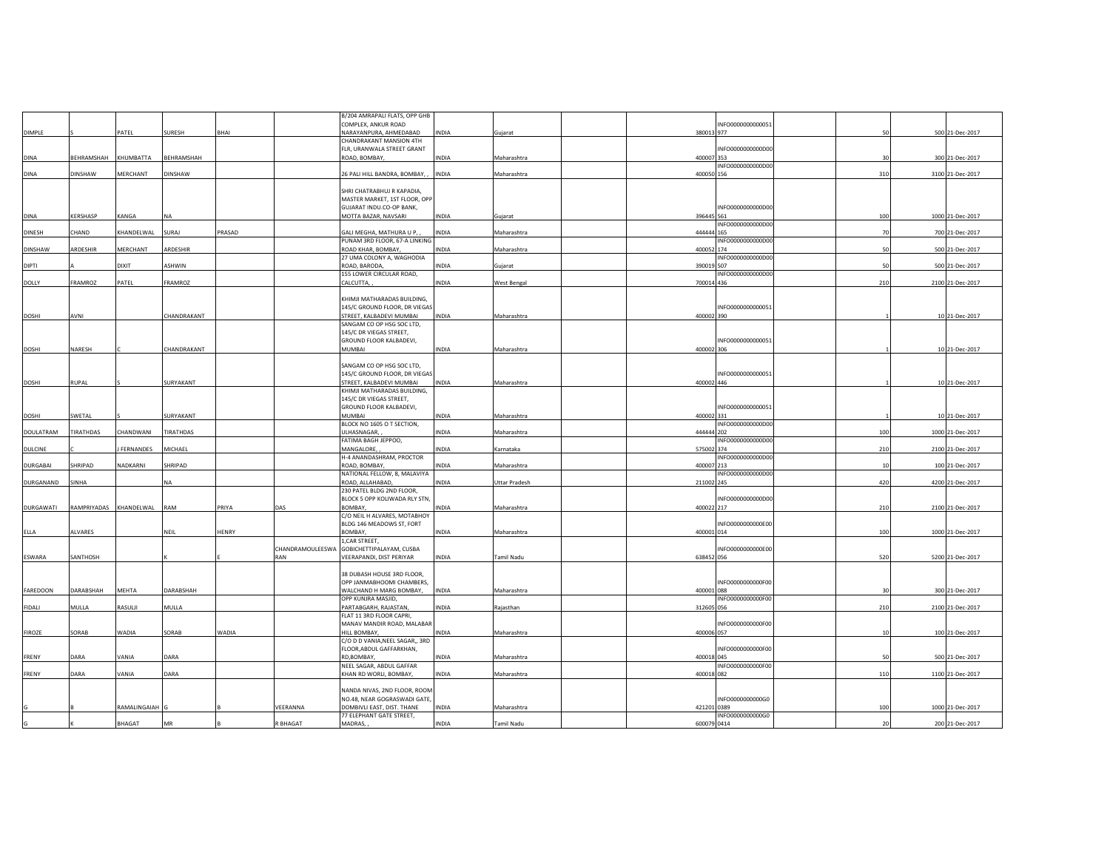| DIMPLE<br>DINA<br>DINA | BEHRAMSHAH KHUMBATTA | PATEL                      | SURESH<br>BEHRAMSHAH | BHAI   |                  | COMPLEX, ANKUR ROAD<br>NARAYANPURA, AHMEDABAD<br>CHANDRAKANT MANSION 4TH<br>FLR, URANWALA STREET GRANT | INDIA        | Gujarat       | INFO0000000000051<br>380013 977 | 50  | 500 21-Dec-2017  |
|------------------------|----------------------|----------------------------|----------------------|--------|------------------|--------------------------------------------------------------------------------------------------------|--------------|---------------|---------------------------------|-----|------------------|
|                        |                      |                            |                      |        |                  |                                                                                                        |              |               |                                 |     |                  |
|                        |                      |                            |                      |        |                  |                                                                                                        |              |               |                                 |     |                  |
|                        |                      |                            |                      |        |                  |                                                                                                        |              |               |                                 |     |                  |
|                        |                      |                            |                      |        |                  | ROAD, BOMBAY,                                                                                          | INDIA        | Maharashtra   | INFO0000000000D00<br>400007 353 | 30  | 300 21-Dec-2017  |
|                        |                      |                            |                      |        |                  |                                                                                                        |              |               | INFO0000000000D00               |     |                  |
|                        | <b>DINSHAW</b>       | MERCHANT                   | DINSHAW              |        |                  | 26 PALI HILL BANDRA, BOMBAY,,                                                                          | <b>INDIA</b> | Maharashtra   | 400050 156                      | 310 | 3100 21-Dec-2017 |
|                        |                      |                            |                      |        |                  |                                                                                                        |              |               |                                 |     |                  |
|                        |                      |                            |                      |        |                  | SHRI CHATRABHUJ R KAPADIA,                                                                             |              |               |                                 |     |                  |
|                        |                      |                            |                      |        |                  | MASTER MARKET, 1ST FLOOR, OPP                                                                          |              |               |                                 |     |                  |
|                        |                      |                            |                      |        |                  | GUJARAT INDU.CO-OP BANK,                                                                               |              |               | INFO0000000000D00               |     |                  |
| DINA                   | KERSHASP             | KANGA                      | <b>NA</b>            |        |                  | MOTTA BAZAR, NAVSARI                                                                                   | INDIA        | Gujarat       | 396445 561<br>INFO000000000000  | 100 | 1000 21-Dec-2017 |
| DINESH                 | CHAND                | KHANDELWAL                 | SURAJ                | PRASAD |                  | GALI MEGHA, MATHURA U P,                                                                               | <b>INDIA</b> | Maharashtra   | 444444 165                      | 70  | 700 21-Dec-2017  |
|                        |                      |                            |                      |        |                  | PUNAM 3RD FLOOR, 67-A LINKING                                                                          |              |               | INFO0000000000D00               |     |                  |
| <b>DINSHAW</b>         | ARDESHIR             | MERCHANT                   | ARDESHIR             |        |                  | ROAD KHAR, BOMBAY,                                                                                     | <b>INDIA</b> | Maharashtra   | 400052 174                      | 50  | 500 21-Dec-2017  |
|                        |                      |                            |                      |        |                  | 27 UMA COLONY A, WAGHODIA                                                                              |              |               | INFO0000000000D00               |     |                  |
| DIPTI                  |                      | <b>DIXIT</b>               | ASHWIN               |        |                  | ROAD, BARODA,                                                                                          | INDIA        | Gujarat       | 390019 507                      | 50  | 500 21-Dec-2017  |
|                        |                      |                            |                      |        |                  | 155 LOWER CIRCULAR ROAD,                                                                               |              |               | INFO0000000000D00               |     |                  |
| DOLLY                  | FRAMROZ              | PATEL                      | FRAMROZ              |        |                  | CALCUTTA,                                                                                              | INDIA        | West Bengal   | 700014 436                      | 210 | 2100 21-Dec-2017 |
|                        |                      |                            |                      |        |                  | KHIMJI MATHARADAS BUILDING,                                                                            |              |               |                                 |     |                  |
|                        |                      |                            |                      |        |                  | 145/C GROUND FLOOR, DR VIEGAS                                                                          |              |               | INFO0000000000051               |     |                  |
| DOSHI<br>AVNI          |                      |                            | CHANDRAKANT          |        |                  | STREET, KALBADEVI MUMBAI                                                                               | <b>INDIA</b> | Maharashtra   | 400002 390                      |     | 10 21-Dec-2017   |
|                        |                      |                            |                      |        |                  | SANGAM CO OP HSG SOC LTD,                                                                              |              |               |                                 |     |                  |
|                        |                      |                            |                      |        |                  | 145/C DR VIEGAS STREET,                                                                                |              |               |                                 |     |                  |
|                        |                      |                            |                      |        |                  | GROUND FLOOR KALBADEVI,                                                                                |              |               | INFO0000000000051               |     |                  |
| DOSHI                  | NARESH               |                            | CHANDRAKANT          |        |                  | MUMBAI                                                                                                 | INDIA        | Maharashtra   | 400002 306                      |     | 10 21-Dec-2017   |
|                        |                      |                            |                      |        |                  | SANGAM CO OP HSG SOC LTD,                                                                              |              |               |                                 |     |                  |
|                        |                      |                            |                      |        |                  | 145/C GROUND FLOOR, DR VIEGAS                                                                          |              |               | INFO0000000000051               |     |                  |
| RUPAL<br>DOSHI         |                      |                            | SURYAKANT            |        |                  | STREET, KALBADEVI MUMBAI                                                                               | INDIA        | Maharashtra   | 400002 446                      |     | 10 21-Dec-2017   |
|                        |                      |                            |                      |        |                  | KHIMJI MATHARADAS BUILDING,                                                                            |              |               |                                 |     |                  |
|                        |                      |                            |                      |        |                  | 145/C DR VIEGAS STREET,                                                                                |              |               |                                 |     |                  |
|                        |                      |                            |                      |        |                  | GROUND FLOOR KALBADEVI,                                                                                |              |               | INFO0000000000051               |     |                  |
| DOSHI                  | SWETAL               |                            | SURYAKANT            |        |                  | MUMBAI                                                                                                 | INDIA        | Maharashtra   | 400002 331                      |     | 10 21-Dec-2017   |
| DOULATRAM              | TIRATHDAS            |                            | TIRATHDAS            |        |                  | BLOCK NO 1605 O T SECTION,                                                                             | INDIA        | Maharashtra   | INFO0000000000D00               | 100 |                  |
|                        |                      | CHANDWANI                  |                      |        |                  | ULHASNAGAR,<br>FATIMA BAGH JEPPOO,                                                                     |              |               | 444444 202<br>INFO0000000000D00 |     | 1000 21-Dec-2017 |
| DULCINE                |                      | FERNANDES                  | MICHAEL              |        |                  | MANGALORE,                                                                                             | INDIA        | Karnataka     | 575002 374                      | 210 | 2100 21-Dec-2017 |
|                        |                      |                            |                      |        |                  | H-4 ANANDASHRAM, PROCTOR                                                                               |              |               | INFO0000000000D00               |     |                  |
| DURGABAI               | SHRIPAD              | NADKARNI                   | SHRIPAD              |        |                  | ROAD, BOMBAY,                                                                                          | INDIA        | Maharashtra   | 400007 213                      | 10  | 100 21-Dec-2017  |
|                        |                      |                            |                      |        |                  | NATIONAL FELLOW, 8, MALAVIYA                                                                           |              |               | INFO0000000000000               |     |                  |
| DURGANAND<br>SINHA     |                      |                            | <b>NA</b>            |        |                  | ROAD, ALLAHABAD,                                                                                       | INDIA        | Uttar Pradesh | 211002 245                      | 420 | 4200 21-Dec-2017 |
|                        |                      |                            |                      |        |                  | 230 PATEL BLDG 2ND FLOOR,                                                                              |              |               | INFO0000000000D00               |     |                  |
| <b>DURGAWATI</b>       |                      | RAMPRIYADAS KHANDELWAL RAM |                      | PRIYA  | DAS              | BLOCK 5 OPP KOLIWADA RLY STN<br>BOMBAY,                                                                | INDIA        | Maharashtra   | 400022 217                      | 210 | 2100 21-Dec-2017 |
|                        |                      |                            |                      |        |                  | C/O NEIL H ALVARES, MOTABHOY                                                                           |              |               |                                 |     |                  |
|                        |                      |                            |                      |        |                  | BLDG 146 MEADOWS ST, FORT                                                                              |              |               | INFO0000000000E00               |     |                  |
| ELLA                   | ALVARES              |                            | NEIL                 | HENRY  |                  | BOMBAY,                                                                                                | INDIA        | Maharashtra   | 400001 014                      | 100 | 1000 21-Dec-2017 |
|                        |                      |                            |                      |        |                  | 1, CAR STREET,                                                                                         |              |               |                                 |     |                  |
|                        |                      |                            |                      |        | CHANDRAMOULEESWA | GOBICHETTIPALAYAM, CUSBA                                                                               |              |               | INFO0000000000E00               |     |                  |
| ESWARA                 | SANTHOSH             |                            |                      |        | RAN              | VEERAPANDI, DIST PERIYAR                                                                               | <b>INDIA</b> | Tamil Nadu    | 638452 056                      | 520 | 5200 21-Dec-2017 |
|                        |                      |                            |                      |        |                  |                                                                                                        |              |               |                                 |     |                  |
|                        |                      |                            |                      |        |                  | 38 DUBASH HOUSE 3RD FLOOR,<br>OPP JANMABHOOMI CHAMBERS,                                                |              |               | INFO0000000000F00               |     |                  |
| FAREDOON               | DARABSHAH            | MEHTA                      | DARABSHAH            |        |                  | WALCHAND H MARG BOMBAY,                                                                                | <b>INDIA</b> | Maharashtra   | 400001 088                      | 30  | 300 21-Dec-2017  |
|                        |                      |                            |                      |        |                  | OPP KUNJRA MASJID,                                                                                     |              |               | INFO0000000000F00               |     |                  |
| MULLA<br>FIDALI        |                      | RASULJI                    | MULLA                |        |                  | PARTABGARH, RAJASTAN,                                                                                  | INDIA        | Rajasthan     | 312605 056                      | 210 | 2100 21-Dec-2017 |
|                        |                      |                            |                      |        |                  | FLAT 11 3RD FLOOR CAPRI                                                                                |              |               |                                 |     |                  |
|                        |                      |                            |                      |        |                  | MANAV MANDIR ROAD, MALABAR                                                                             |              |               | INFO0000000000F00               |     |                  |
| FIROZE<br>SORAB        |                      | WADIA                      | SORAB                | WADIA  |                  | HILL BOMBAY,                                                                                           | INDIA        | Maharashtra   | 400006 057                      | 10  | 100 21-Dec-2017  |
|                        |                      |                            |                      |        |                  | C/O D D VANIA, NEEL SAGAR,, 3RD                                                                        |              |               |                                 |     |                  |
| DARA                   |                      | VANIA                      | DARA                 |        |                  | FLOOR, ABDUL GAFFARKHAN,<br>RD,BOMBAY,                                                                 | INDIA        |               | INFO0000000000F00<br>400018 045 | 50  | 500 21-Dec-2017  |
| FRENY                  |                      |                            |                      |        |                  | NEEL SAGAR, ABDUL GAFFAR                                                                               |              | Maharashtra   | INFO0000000000F00               |     |                  |
|                        |                      | VANIA                      | DARA                 |        |                  | KHAN RD WORLI, BOMBAY,                                                                                 | INDIA        | Maharashtra   | 400018 082                      | 110 | 1100 21-Dec-2017 |
|                        |                      |                            |                      |        |                  |                                                                                                        |              |               |                                 |     |                  |
| FRENY<br>DARA          |                      |                            |                      |        |                  | NANDA NIVAS, 2ND FLOOR, ROOM                                                                           |              |               |                                 |     |                  |
|                        |                      |                            |                      |        |                  |                                                                                                        |              |               |                                 |     |                  |
|                        |                      |                            |                      |        |                  | NO.48, NEAR GOGRASWADI GATE                                                                            |              |               | INFO0000000000G0                |     |                  |
|                        |                      | RAMALINGAIAH G             |                      |        | VEERANNA         | DOMBIVLI EAST, DIST. THANE<br>77 ELEPHANT GATE STREET,                                                 | INDIA        | Maharashtra   | 421201 0389<br>INFO0000000000G0 | 100 | 1000 21-Dec-2017 |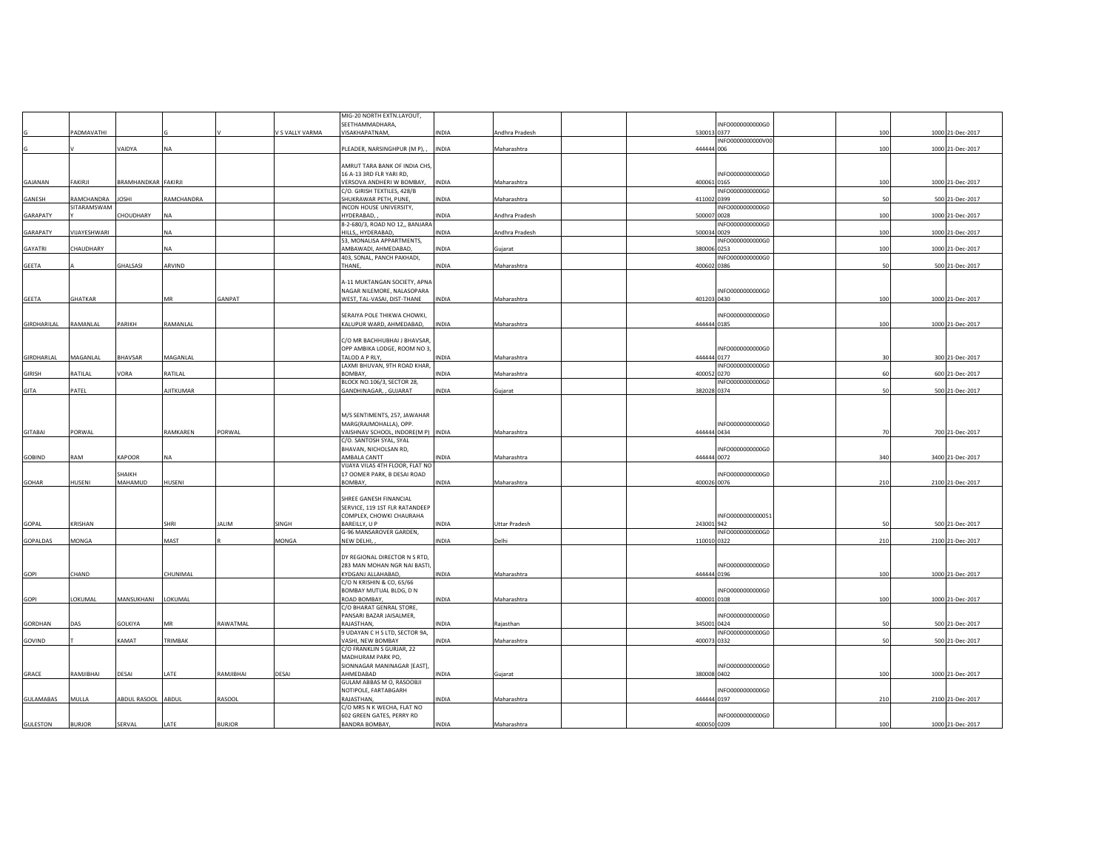|               |                           |                     |            |               |                 | MIG-20 NORTH EXTN.LAYOUT,                                  |              |                |                                 |     |                  |
|---------------|---------------------------|---------------------|------------|---------------|-----------------|------------------------------------------------------------|--------------|----------------|---------------------------------|-----|------------------|
|               |                           |                     |            |               |                 | SEETHAMMADHARA,                                            |              |                | INFO0000000000G0                |     |                  |
|               | <b>ADMAVATHI</b>          |                     |            |               | V S VALLY VARMA | VISAKHAPATNAM,                                             | INDIA        | Andhra Pradesh | 530013 0377                     | 100 | 1000 21-Dec-2017 |
|               |                           | VAIDYA              | <b>NA</b>  |               |                 | PLEADER, NARSINGHPUR (MP), ,                               | <b>INDIA</b> |                | INFO0000000000V00<br>444444 006 | 100 | 1000 21-Dec-2017 |
|               |                           |                     |            |               |                 |                                                            |              | Maharashtra    |                                 |     |                  |
|               |                           |                     |            |               |                 | AMRUT TARA BANK OF INDIA CHS,                              |              |                |                                 |     |                  |
|               |                           |                     |            |               |                 | 16 A-13 3RD FLR YARI RD,                                   |              |                | INFO0000000000G0                |     |                  |
| GAJANAN       | FAKIRJI                   | BRAMHANDKAR FAKIRJI |            |               |                 | VERSOVA ANDHERI W BOMBAY,                                  | <b>INDIA</b> | Maharashtra    | 400061 0165                     | 100 | 1000 21-Dec-2017 |
|               |                           |                     |            |               |                 | C/O. GIRISH TEXTILES, 428/B                                |              |                | INFO0000000000G0                |     |                  |
| GANESH        | RAMCHANDRA<br>SITARAMSWAM | <b>JOSHI</b>        | RAMCHANDRA |               |                 | SHUKRAWAR PETH, PUNE<br>INCON HOUSE UNIVERSITY,            | INDIA        | Maharashtra    | 411002 0399<br>INFO0000000000G0 | 50  | 500 21-Dec-2017  |
| GARAPATY      |                           | CHOUDHARY           | <b>NA</b>  |               |                 | HYDERABAD,                                                 | INDIA        | Andhra Pradesh | 500007 0028                     | 100 | 1000 21-Dec-2017 |
|               |                           |                     |            |               |                 | 8-2-680/3, ROAD NO 12,, BANJARA                            |              |                | INFO0000000000G0                |     |                  |
| GARAPATY      | VIJAYESHWARI              |                     | <b>NA</b>  |               |                 | HILLS,, HYDERABAD,                                         | INDIA        | Andhra Pradesh | 500034 0029                     | 100 | 1000 21-Dec-2017 |
|               |                           |                     |            |               |                 | 53, MONALISA APPARTMENTS,                                  |              |                | INFO0000000000G0                |     |                  |
| GAYATRI       | CHAUDHARY                 |                     | NA         |               |                 | AMBAWADI, AHMEDABAD,                                       | INDIA        | Gujarat        | 380006 0253                     | 100 | 1000 21-Dec-2017 |
|               |                           |                     | ARVIND     |               |                 | 403, SONAL, PANCH PAKHADI,                                 |              |                | INFO0000000000G0<br>400602 0386 |     |                  |
| GEETA         |                           | GHALSASI            |            |               |                 | THANE,                                                     | INDIA        | Maharashtra    |                                 | 50  | 500 21-Dec-2017  |
|               |                           |                     |            |               |                 | A-11 MUKTANGAN SOCIETY, APNA                               |              |                |                                 |     |                  |
|               |                           |                     |            |               |                 | NAGAR NILEMORE, NALASOPARA                                 |              |                | INFO0000000000G0                |     |                  |
| GEETA         | GHATKAR                   |                     | MR         | GANPAT        |                 | WEST, TAL-VASAI, DIST-THANE                                | <b>INDIA</b> | Maharashtra    | 401203 0430                     | 100 | 1000 21-Dec-2017 |
|               |                           |                     |            |               |                 |                                                            |              |                |                                 |     |                  |
|               |                           |                     |            |               |                 | SERAIYA POLE THIKWA CHOWKI,                                |              |                | INFO0000000000G0                |     |                  |
| GIRDHARILAL   | RAMANLAL                  | PARIKH              | RAMANLAL   |               |                 | KALUPUR WARD, AHMEDABAD,                                   | <b>INDIA</b> | Maharashtra    | 444444 0185                     | 100 | 1000 21-Dec-2017 |
|               |                           |                     |            |               |                 | C/O MR BACHHUBHAI J BHAVSAR,                               |              |                |                                 |     |                  |
|               |                           |                     |            |               |                 | OPP AMBIKA LODGE, ROOM NO 3                                |              |                | INFO0000000000G0                |     |                  |
| GIRDHARLAL    | MAGANLAL                  | BHAVSAR             | MAGANLAL   |               |                 | TALOD A P RLY,                                             | INDIA        | Maharashtra    | 444444 0177                     | 30  | 300 21-Dec-2017  |
|               |                           |                     |            |               |                 | LAXMI BHUVAN, 9TH ROAD KHAR,                               |              |                | INFO0000000000G0                |     |                  |
| <b>GIRISH</b> | RATILAL                   | VORA                | RATILAL    |               |                 | BOMBAY,                                                    | INDIA        | Maharashtra    | 400052 0270                     | 60  | 600 21-Dec-2017  |
|               |                           |                     |            |               |                 | BLOCK NO.106/3, SECTOR 28,                                 |              |                | INFO0000000000G0                | 50  |                  |
| GITA          | PATEL                     |                     | AJITKUMAR  |               |                 | GANDHINAGAR, , GUJARAT                                     | <b>INDIA</b> | Gujarat        | 382028 0374                     |     | 500 21-Dec-2017  |
|               |                           |                     |            |               |                 |                                                            |              |                |                                 |     |                  |
|               |                           |                     |            |               |                 | M/S SENTIMENTS, 257, JAWAHAR                               |              |                |                                 |     |                  |
|               |                           |                     |            |               |                 | MARG(RAJMOHALLA), OPP.                                     |              |                | INFO0000000000G0                |     |                  |
| GITABAI       | PORWAL                    |                     | RAMKAREN   | PORWAL        |                 | VAISHNAV SCHOOL, INDORE(M P) INDIA                         |              | Maharashtra    | 444444 0434                     | 70  | 700 21-Dec-2017  |
|               |                           |                     |            |               |                 | C/O. SANTOSH SYAL, SYAL                                    |              |                |                                 |     |                  |
| <b>GOBIND</b> | RAM                       | KAPOOR              | <b>NA</b>  |               |                 | BHAVAN, NICHOLSAN RD,<br>AMBALA CANTT                      | <b>INDIA</b> | Maharashtra    | INFO0000000000G0<br>444444 0072 | 340 | 3400 21-Dec-2017 |
|               |                           |                     |            |               |                 | VIJAYA VILAS 4TH FLOOR, FLAT NO                            |              |                |                                 |     |                  |
|               |                           | SHAIKH              |            |               |                 | 17 OOMER PARK, B DESAI ROAD                                |              |                | INFO0000000000G0                |     |                  |
| GOHAR         | HUSENI                    | MAHAMUD             | HUSENI     |               |                 | BOMBAY,                                                    | INDIA        | Maharashtra    | 400026 0076                     | 210 | 2100 21-Dec-2017 |
|               |                           |                     |            |               |                 |                                                            |              |                |                                 |     |                  |
|               |                           |                     |            |               |                 | SHREE GANESH FINANCIAL                                     |              |                |                                 |     |                  |
|               |                           |                     |            |               |                 | SERVICE, 119 1ST FLR RATANDEEP<br>COMPLEX, CHOWKI CHAURAHA |              |                | INFO0000000000051               |     |                  |
| GOPAL         | KRISHAN                   |                     | SHRI       | <b>JALIM</b>  | SINGH           | BAREILLY, U P                                              | INDIA        | Uttar Pradesh  | 243001 942                      | 50  | 500 21-Dec-2017  |
|               |                           |                     |            |               |                 | G-96 MANSAROVER GARDEN,                                    |              |                | INFO0000000000G0                |     |                  |
| GOPALDAS      | MONGA                     |                     | MAST       |               | MONGA           | NEW DELHI,                                                 | INDIA        | Delhi          | 110010 0322                     | 210 | 2100 21-Dec-2017 |
|               |                           |                     |            |               |                 |                                                            |              |                |                                 |     |                  |
|               |                           |                     |            |               |                 | DY REGIONAL DIRECTOR N S RTD,                              |              |                |                                 |     |                  |
| GOPI          | CHAND                     |                     | CHUNIMAL   |               |                 | 283 MAN MOHAN NGR NAI BASTI<br>KYDGANJ ALLAHABAD,          | INDIA        | Maharashtra    | INFO0000000000G0<br>444444 0196 | 100 | 1000 21-Dec-2017 |
|               |                           |                     |            |               |                 | C/O N KRISHIN & CO, 65/66                                  |              |                |                                 |     |                  |
|               |                           |                     |            |               |                 | BOMBAY MUTUAL BLDG, D N                                    |              |                | INFO0000000000G0                |     |                  |
| GOPI          | LOKUMAL                   | MANSUKHANI          | LOKUMAL    |               |                 | ROAD BOMBAY,                                               | INDIA        | Maharashtra    | 400001 0108                     | 100 | 1000 21-Dec-2017 |
|               |                           |                     |            |               |                 | C/O BHARAT GENRAL STORE,                                   |              |                |                                 |     |                  |
|               |                           |                     |            |               |                 | PANSARI BAZAR JAISALMER,                                   |              |                | INFO0000000000G0                |     |                  |
| GORDHAN       | DAS                       | GOLKIYA             | MR         | RAWATMAL      |                 | RAJASTHAN,<br>9 UDAYAN C H S LTD, SECTOR 9A,               | INDIA        | Rajasthan      | 345001 0424<br>INFO0000000000G0 | 50  | 500 21-Dec-2017  |
| GOVIND        |                           | KAMAT               | TRIMBAK    |               |                 | VASHI, NEW BOMBAY                                          | INDIA        | Maharashtra    | 400073 0332                     | 50  | 500 21-Dec-2017  |
|               |                           |                     |            |               |                 | C/O FRANKLIN S GURJAR, 22                                  |              |                |                                 |     |                  |
|               |                           |                     |            |               |                 | MADHURAM PARK PO,                                          |              |                |                                 |     |                  |
|               |                           |                     |            |               |                 | SIONNAGAR MANINAGAR [EAST],                                |              |                | INFO0000000000G0                |     |                  |
| GRACE         | RAMJIBHAI                 | DESAI               | LATE       | RAMJIBHAI     | DESAI           | AHMEDABAD                                                  | INDIA        | Gujarat        | 380008 0402                     | 100 | 1000 21-Dec-2017 |
|               |                           |                     |            |               |                 | GULAM ABBAS M O, RASOOBJI<br>NOTIPOLE, FARTABGARH          |              |                | INFO0000000000G0                |     |                  |
| GULAMABAS     | MULLA                     | ABDUL RASOOL ABDUL  |            | <b>RASOOL</b> |                 | RAJASTHAN,                                                 | INDIA        | Maharashtra    | 444444 0197                     | 210 | 2100 21-Dec-2017 |
|               |                           |                     |            |               |                 | C/O MRS N K WECHA, FLAT NO                                 |              |                |                                 |     |                  |
|               |                           |                     |            |               |                 | 602 GREEN GATES, PERRY RD                                  |              |                | INFO0000000000G0                |     |                  |
| GULESTON      | <b>BURJOR</b>             | SERVAL              | LATE       | <b>BURJOR</b> |                 | BANDRA BOMBAY,                                             | INDIA        | Maharashtra    | 400050 0209                     | 100 | 1000 21-Dec-2017 |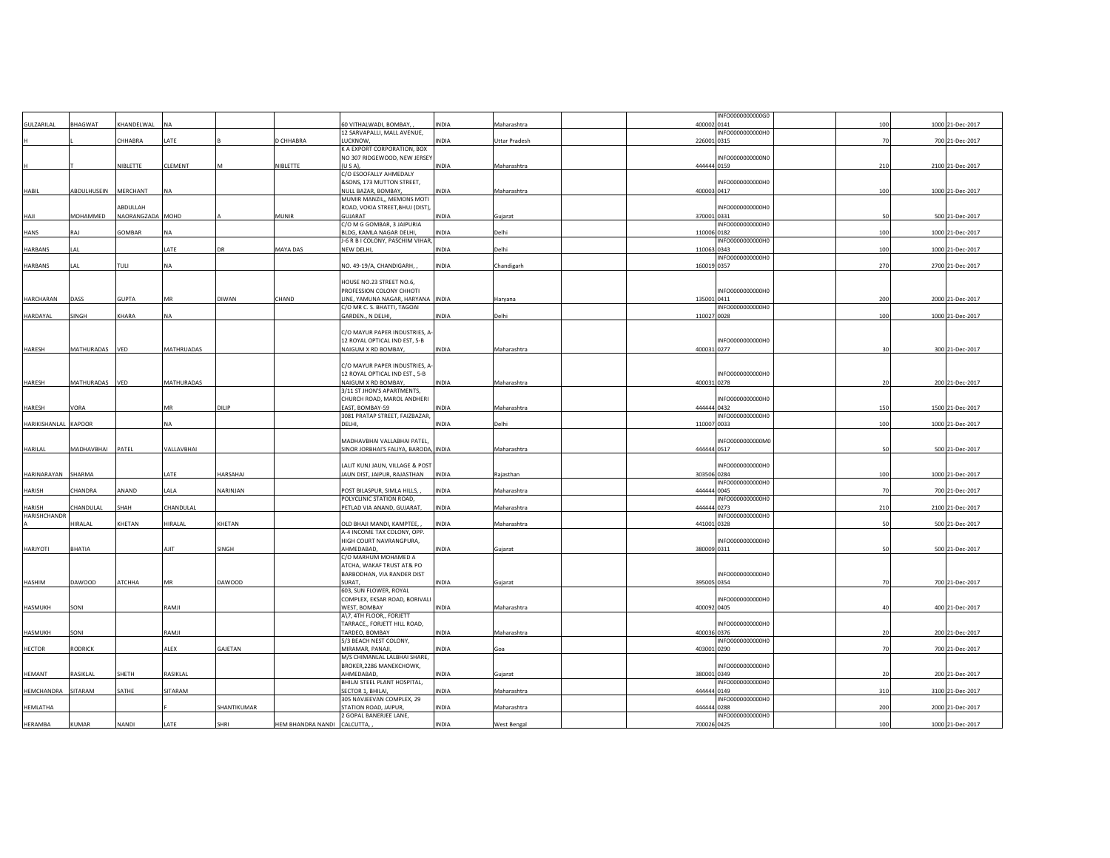|                      |                |                  |            |               |                   |                                                               |              |                      |             | INFO0000000000G0 |                |                  |
|----------------------|----------------|------------------|------------|---------------|-------------------|---------------------------------------------------------------|--------------|----------------------|-------------|------------------|----------------|------------------|
| GULZARILAL           | <b>BHAGWAT</b> | KHANDELWAL       | <b>NA</b>  |               |                   | 60 VITHALWADI, BOMBAY,                                        | <b>INDIA</b> | Maharashtra          | 400002 0141 |                  | 100            | 1000 21-Dec-2017 |
|                      |                |                  |            |               |                   | 12 SARVAPALLI, MALL AVENUE,                                   |              |                      |             | INFO0000000000H0 |                |                  |
|                      |                | CHHABRA          | LATE       |               | CHHABRA           | <b>LUCKNOW</b>                                                | INDIA        | <b>Uttar Pradesh</b> | 226001 0315 |                  | 7 <sup>c</sup> | 700 21-Dec-2017  |
|                      |                |                  |            |               |                   | K A EXPORT CORPORATION, BOX<br>NO 307 RIDGEWOOD, NEW JERSEY   |              |                      |             | INFO0000000000N0 |                |                  |
|                      |                | NIBLETTE         | CLEMENT    | M             | NIBLETTE          | $\{U S A\},\$                                                 | INDIA        | Maharashtra          | 444444 0159 |                  | 210            | 2100 21-Dec-2017 |
|                      |                |                  |            |               |                   | C/O ESOOFALLY AHMEDALY                                        |              |                      |             |                  |                |                  |
|                      |                |                  |            |               |                   | &SONS, 173 MUTTON STREET,                                     |              |                      |             | INFO0000000000H0 |                |                  |
| HABIL                | ABDULHUSEIN    | MERCHANT         | <b>NA</b>  |               |                   | NULL BAZAR, BOMBAY,                                           | INDIA        | Maharashtra          | 400003 0417 |                  | 100            | 1000 21-Dec-2017 |
|                      |                |                  |            |               |                   | MUMIR MANZIL,, MEMONS MOTI                                    |              |                      |             |                  |                |                  |
|                      |                | ABDULLAH         |            |               |                   | ROAD, VOKIA STREET, BHUJ (DIST),                              |              |                      |             | INFO0000000000H0 |                |                  |
| HAJI                 | MOHAMMED       | NAORANGZADA MOHD |            |               | <b>MUNIR</b>      | GUJARAT<br>C/O M G GOMBAR, 3 JAIPURIA                         | <b>INDIA</b> | Gujarat              | 370001 0331 | INFO0000000000H0 | 50             | 500 21-Dec-2017  |
| <b>HANS</b>          | RAJ            | GOMBAR           | <b>NA</b>  |               |                   | BLDG, KAMLA NAGAR DELHI,                                      | <b>INDIA</b> | Delhi                | 110006 0182 |                  | 100            | 1000 21-Dec-2017 |
|                      |                |                  |            |               |                   | J-6 R B I COLONY, PASCHIM VIHAR,                              |              |                      |             | INFO0000000000H0 |                |                  |
| <b>HARBANS</b>       | LAL            |                  | LATE       | <b>DR</b>     | MAYA DAS          | NEW DELHI,                                                    | <b>INDIA</b> | Delhi                | 110063 0343 |                  | 100            | 1000 21-Dec-2017 |
|                      |                |                  |            |               |                   |                                                               |              |                      |             | INFO0000000000H0 |                |                  |
| <b>HARBANS</b>       | I AI           | TULL             | <b>NA</b>  |               |                   | NO. 49-19/A, CHANDIGARH,                                      | <b>INDIA</b> | Chandigarh           | 160019 0357 |                  | 270            | 2700 21-Dec-2017 |
|                      |                |                  |            |               |                   |                                                               |              |                      |             |                  |                |                  |
|                      |                |                  |            |               |                   | HOUSE NO.23 STREET NO.6,                                      |              |                      |             | INFO0000000000H0 |                |                  |
| HARCHARAN            | DASS           | <b>GUPTA</b>     | MR         | <b>DIWAN</b>  | CHAND             | PROFESSION COLONY CHHOTI<br>LINE, YAMUNA NAGAR, HARYANA INDIA |              | Haryana              | 135001 0411 |                  | 200            | 2000 21-Dec-2017 |
|                      |                |                  |            |               |                   | C/O MR C. S. BHATTI, TAGOAI                                   |              |                      |             | INFO0000000000H0 |                |                  |
| HARDAYAL             | SINGH          | KHARA            | <b>NA</b>  |               |                   | GARDEN., N DELHI,                                             | INDIA        | Delhi                | 110027 0028 |                  | 100            | 1000 21-Dec-2017 |
|                      |                |                  |            |               |                   |                                                               |              |                      |             |                  |                |                  |
|                      |                |                  |            |               |                   | C/O MAYUR PAPER INDUSTRIES, A                                 |              |                      |             |                  |                |                  |
|                      |                |                  |            |               |                   | 12 ROYAL OPTICAL IND EST, 5-B                                 |              |                      |             | INFO0000000000H0 |                |                  |
| HARESH               | MATHURADAS     | VED              | MATHRUADAS |               |                   | NAIGUM X RD BOMBAY,                                           | INDIA        | Maharashtra          | 400031 0277 |                  | 30             | 300 21-Dec-2017  |
|                      |                |                  |            |               |                   | C/O MAYUR PAPER INDUSTRIES, A                                 |              |                      |             |                  |                |                  |
|                      |                |                  |            |               |                   | 12 ROYAL OPTICAL IND EST., 5-B                                |              |                      |             | INFO0000000000H0 |                |                  |
| HARESH               | MATHURADAS     | VED              | MATHURADAS |               |                   | NAIGUM X RD BOMBAY,                                           | INDIA        | Maharashtra          | 400031 0278 |                  | 20             | 200 21-Dec-2017  |
|                      |                |                  |            |               |                   | 3/11 ST JHON'S APARTMENTS,                                    |              |                      |             |                  |                |                  |
|                      |                |                  |            |               |                   | CHURCH ROAD, MAROL ANDHERI                                    |              |                      |             | INFO0000000000H0 |                |                  |
| HARESH               | VORA           |                  | MR         | DILIP         |                   | EAST, BOMBAY-59                                               | INDIA        | Maharashtra          | 444444 0432 |                  | 150            | 1500 21-Dec-2017 |
|                      |                |                  |            |               |                   | 3081 PRATAP STREET, FAIZBAZAR,                                |              |                      |             | INFO0000000000H0 |                |                  |
| HARIKISHANLAL KAPOOR |                |                  | <b>NA</b>  |               |                   | DELHI,                                                        | INDIA        | Delhi                | 110007 0033 |                  | 100            | 1000 21-Dec-2017 |
|                      |                |                  |            |               |                   | MADHAVBHAI VALLABHAI PATEL,                                   |              |                      |             | INFO0000000000M0 |                |                  |
| HARILAL              | MADHAVBHAI     | PATEL            | VALLAVBHAI |               |                   | SINOR JORBHAI'S FALIYA, BARODA, INDIA                         |              | Maharashtra          | 444444 0517 |                  | 50             | 500 21-Dec-2017  |
|                      |                |                  |            |               |                   |                                                               |              |                      |             |                  |                |                  |
|                      |                |                  |            |               |                   | LALIT KUNJ JAUN, VILLAGE & POST                               |              |                      |             | INFO0000000000H0 |                |                  |
| HARINARAYAN          | SHARMA         |                  | LATE       | HARSAHAI      |                   | JAUN DIST, JAIPUR, RAJASTHAN                                  | <b>INDIA</b> | Rajasthan            | 303506 0284 |                  | 100            | 1000 21-Dec-2017 |
|                      |                |                  |            |               |                   |                                                               |              |                      |             | INFO0000000000H0 |                |                  |
| <b>HARISH</b>        | CHANDRA        | ANAND            | LALA       | NARINJAN      |                   | POST BILASPUR, SIMLA HILLS,                                   | INDIA        | Maharashtra          | 444444 0045 |                  | 7 <sup>c</sup> | 700 21-Dec-2017  |
| <b>HARISH</b>        | CHANDULAL      | SHAH             | CHANDULAL  |               |                   | POLYCLINIC STATION ROAD,<br>PETLAD VIA ANAND, GUJARAT,        | INDIA        | Maharashtra          | 444444 0273 | INFO0000000000H0 | 210            | 2100 21-Dec-2017 |
| <b>HARISHCHANDR</b>  |                |                  |            |               |                   |                                                               |              |                      |             | INFO0000000000H0 |                |                  |
|                      | HIRALAL        | KHETAN           | HIRALAL    | KHETAN        |                   | OLD BHAJI MANDI, KAMPTEE,                                     | <b>INDIA</b> | Maharashtra          | 441001 0328 |                  | 50             | 500 21-Dec-2017  |
|                      |                |                  |            |               |                   | A-4 INCOME TAX COLONY, OPP.                                   |              |                      |             |                  |                |                  |
|                      |                |                  |            |               |                   | HIGH COURT NAVRANGPURA,                                       |              |                      |             | INFO0000000000H0 |                |                  |
| HARJYOTI             | BHATIA         |                  | AJIT       | SINGH         |                   | AHMEDABAD.                                                    | INDIA        | Gujarat              | 380009 0311 |                  | 50             | 500 21-Dec-2017  |
|                      |                |                  |            |               |                   | C/O MARHUM MOHAMED A                                          |              |                      |             |                  |                |                  |
|                      |                |                  |            |               |                   | ATCHA, WAKAF TRUST AT& PO<br>BARBODHAN, VIA RANDER DIST       |              |                      |             | INFO0000000000H0 |                |                  |
| HASHIM               | DAWOOD         | ATCHHA           | MR         | <b>DAWOOD</b> |                   | SURAT.                                                        | INDIA        | Gujarat              | 395005 0354 |                  | 70             | 700 21-Dec-2017  |
|                      |                |                  |            |               |                   | 603, SUN FLOWER, ROYAL                                        |              |                      |             |                  |                |                  |
|                      |                |                  |            |               |                   | COMPLEX, EKSAR ROAD, BORIVALI                                 |              |                      |             | INFO0000000000H0 |                |                  |
| HASMUKH              | SONI           |                  | RAMJI      |               |                   | WEST, BOMBAY                                                  | INDIA        | Maharashtra          | 400092 0405 |                  | $\Delta$ 0     | 400 21-Dec-2017  |
|                      |                |                  |            |               |                   | A\7, 4TH FLOOR,, FORJETT                                      |              |                      |             |                  |                |                  |
|                      |                |                  |            |               |                   | TARRACE,, FORJETT HILL ROAD,                                  |              |                      |             | INFO0000000000H0 |                |                  |
| HASMUKH              | SONI           |                  | RAMJI      |               |                   | TARDEO, BOMBAY<br>5/3 BEACH NEST COLONY,                      | INDIA        | Maharashtra          | 400036 0376 | INFO0000000000H0 |                | 200 21-Dec-2017  |
| <b>HECTOR</b>        | RODRICK        |                  | ALEX       | GAJETAN       |                   | MIRAMAR, PANAJI,                                              | INDIA        | Goa                  | 403001 0290 |                  | 7 <sup>c</sup> | 700 21-Dec-2017  |
|                      |                |                  |            |               |                   | M/S CHIMANLAL LALBHAI SHARE,                                  |              |                      |             |                  |                |                  |
|                      |                |                  |            |               |                   | BROKER, 2286 MANEKCHOWK,                                      |              |                      |             | INFO0000000000H0 |                |                  |
| HEMANT               | RASIKLAL       | SHETH            | RASIKLAL   |               |                   | AHMEDABAD,                                                    | INDIA        | Gujarat              | 380001 0349 |                  |                | 200 21-Dec-2017  |
|                      |                |                  |            |               |                   | BHILAI STEEL PLANT HOSPITAL,                                  |              |                      |             | INFO0000000000H0 |                |                  |
| HEMCHANDRA           | SITARAM        | SATHE            | SITARAM    |               |                   | SECTOR 1, BHILAI,<br>305 NAVJEEVAN COMPLEX, 29                | INDIA        | Maharashtra          | 444444 0149 | INFO0000000000H0 | 310            | 3100 21-Dec-2017 |
| HEMLATHA             |                |                  |            | SHANTIKUMAR   |                   | STATION ROAD, JAIPUR,                                         | INDIA        | Maharashtra          | 444444 0288 |                  | 200            | 2000 21-Dec-2017 |
|                      |                |                  |            |               |                   | 2 GOPAL BANERJEE LANE,                                        |              |                      |             | INFO0000000000H0 |                |                  |
| HERAMBA              | KUMAR          | NANDI            | LATE       | SHRI          | HEM BHANDRA NANDI | CALCUTTA,                                                     | <b>INDIA</b> | West Bengal          | 700026 0425 |                  | 100            | 1000 21-Dec-2017 |
|                      |                |                  |            |               |                   |                                                               |              |                      |             |                  |                |                  |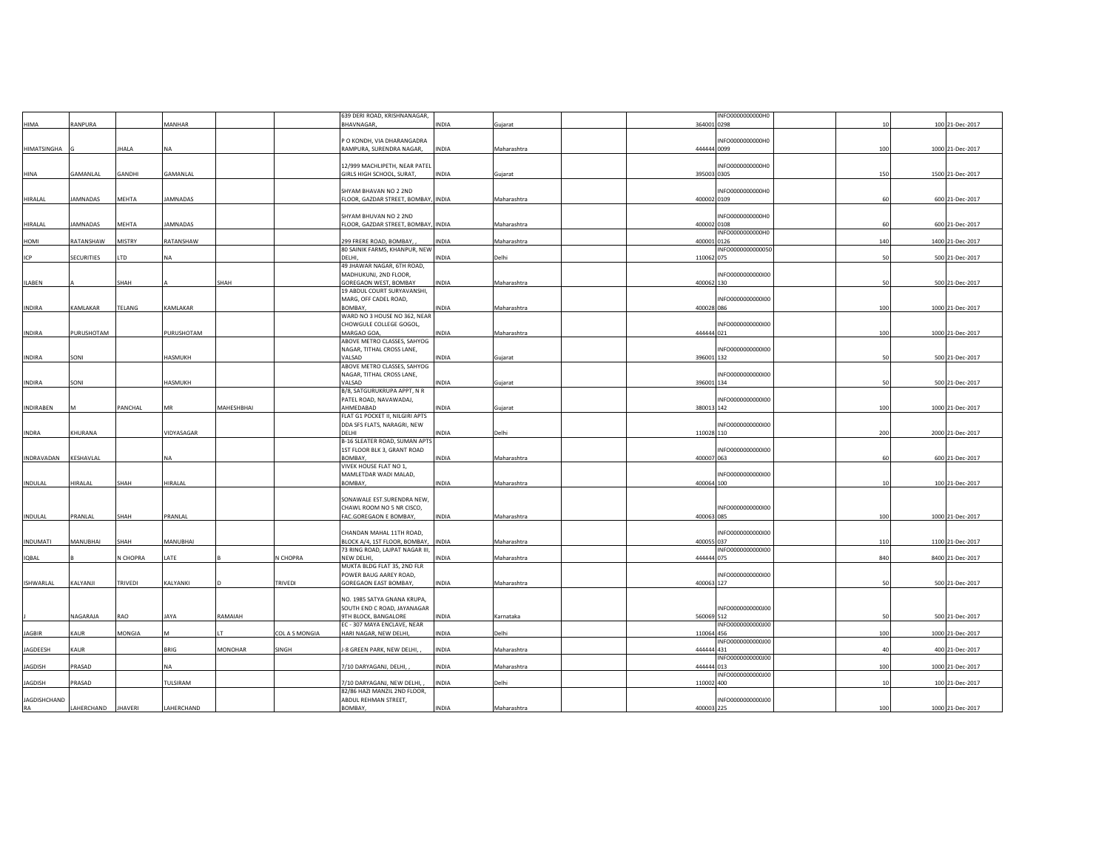|                  |                   |                 |                 |                |                 | 639 DERI ROAD, KRISHNANAGAR,                         |              |             |             | INFO0000000000H0  |     |                  |
|------------------|-------------------|-----------------|-----------------|----------------|-----------------|------------------------------------------------------|--------------|-------------|-------------|-------------------|-----|------------------|
| <b>HIMA</b>      | RANPURA           |                 | MANHAR          |                |                 | <b>BHAVNAGAR</b>                                     | INDIA        | Gujarat     | 364001 0298 |                   | 10  | 100 21-Dec-2017  |
|                  |                   |                 |                 |                |                 |                                                      |              |             |             |                   |     |                  |
|                  |                   |                 |                 |                |                 | P O KONDH, VIA DHARANGADRA                           |              |             |             | INFO0000000000H0  |     |                  |
| HIMATSINGHA      |                   | <b>JHALA</b>    | NA              |                |                 | RAMPURA, SURENDRA NAGAR,                             | INDIA        | Maharashtra | 444444 0099 |                   | 100 | 1000 21-Dec-2017 |
|                  |                   |                 |                 |                |                 |                                                      |              |             |             |                   |     |                  |
| <b>HINA</b>      | GAMANLAL          | GANDHI          | GAMANLAL        |                |                 | 12/999 MACHLIPETH, NEAR PATEL                        |              |             | 395003 0305 | INFO0000000000H0  | 150 | 1500 21-Dec-2017 |
|                  |                   |                 |                 |                |                 | GIRLS HIGH SCHOOL, SURAT,                            | <b>INDIA</b> | Gujarat     |             |                   |     |                  |
|                  |                   |                 |                 |                |                 |                                                      |              |             |             |                   |     |                  |
|                  |                   |                 |                 |                |                 | SHYAM BHAVAN NO 2 2ND                                |              |             |             | INFO0000000000H0  |     |                  |
| HIRALAL          | AMNADAS           | MEHTA           | <b>JAMNADAS</b> |                |                 | FLOOR, GAZDAR STREET, BOMBAY, INDIA                  |              | Maharashtra | 400002 0109 |                   | 60  | 600 21-Dec-2017  |
|                  |                   |                 |                 |                |                 |                                                      |              |             |             |                   |     |                  |
|                  |                   |                 |                 |                |                 | SHYAM BHUVAN NO 2 2ND                                |              |             |             | INFO0000000000H0  |     |                  |
| HIRALAL          | <b>AMNADAS</b>    | MEHTA           | <b>JAMNADAS</b> |                |                 | FLOOR, GAZDAR STREET, BOMBAY, INDIA                  |              | Maharashtra | 400002 0108 |                   | 60  | 600 21-Dec-2017  |
|                  |                   | MISTRY          | RATANSHAW       |                |                 |                                                      |              |             |             | INFO0000000000H0  |     |                  |
| HOMI             | RATANSHAW         |                 |                 |                |                 | 299 FRERE ROAD, BOMBAY,                              | INDIA        | Maharashtra | 400001 0126 |                   | 140 | 1400 21-Dec-2017 |
|                  | <b>SECURITIES</b> | LTD             | NA              |                |                 | 80 SAINIK FARMS, KHANPUR, NEW<br>DELHI,              | INDIA        | Delhi       | 110062 075  | INFO0000000000050 | 50  | 500 21-Dec-2017  |
| ICP              |                   |                 |                 |                |                 | 49 JHAWAR NAGAR, 6TH ROAD,                           |              |             |             |                   |     |                  |
|                  |                   |                 |                 |                |                 | MADHUKUNJ, 2ND FLOOR,                                |              |             |             | INFO0000000000100 |     |                  |
| <b>ILABEN</b>    |                   | SHAH            |                 | SHAH           |                 |                                                      | INDIA        | Maharashtra | 400062 130  |                   |     | 500 21-Dec-2017  |
|                  |                   |                 |                 |                |                 | GOREGAON WEST, BOMBAY<br>19 ABDUL COURT SURYAVANSHI, |              |             |             |                   |     |                  |
|                  |                   |                 |                 |                |                 | MARG, OFF CADEL ROAD,                                |              |             |             | INFO0000000000100 |     |                  |
| <b>INDIRA</b>    | KAMLAKAR          | TELANG          | KAMLAKAR        |                |                 | BOMBAY,                                              | <b>INDIA</b> | Maharashtra | 400028 086  |                   | 100 | 1000 21-Dec-2017 |
|                  |                   |                 |                 |                |                 | WARD NO 3 HOUSE NO 362, NEAR                         |              |             |             |                   |     |                  |
|                  |                   |                 |                 |                |                 | CHOWGULE COLLEGE GOGOL,                              |              |             |             | INFO0000000000100 |     |                  |
| <b>INDIRA</b>    | PURUSHOTAM        |                 | PURUSHOTAM      |                |                 | MARGAO GOA                                           | INDIA        | Maharashtra | 444444 021  |                   | 100 | 1000 21-Dec-2017 |
|                  |                   |                 |                 |                |                 | ABOVE METRO CLASSES, SAHYOG                          |              |             |             |                   |     |                  |
|                  |                   |                 |                 |                |                 | NAGAR, TITHAL CROSS LANE,                            |              |             |             | INFO0000000000100 |     |                  |
| <b>INDIRA</b>    | SONI              |                 | <b>HASMUKH</b>  |                |                 | VALSAD                                               | INDIA        | Gujarat     | 396001 132  |                   | 50  | 500 21-Dec-2017  |
|                  |                   |                 |                 |                |                 | ABOVE METRO CLASSES, SAHYOG                          |              |             |             |                   |     |                  |
|                  |                   |                 |                 |                |                 | NAGAR, TITHAL CROSS LANE,                            |              |             |             | INFO0000000000100 |     |                  |
| <b>INDIRA</b>    | SONI              |                 | <b>HASMUKH</b>  |                |                 | VALSAD                                               | <b>INDIA</b> | Gujarat     | 396001 134  |                   | 50  | 500 21-Dec-2017  |
|                  |                   |                 |                 |                |                 | B/8, SATGURUKRUPA APPT, N R                          |              |             |             |                   |     |                  |
|                  |                   |                 |                 |                |                 | PATEL ROAD, NAVAWADAJ,                               |              |             |             | INFO0000000000100 |     |                  |
| <b>INDIRABEN</b> | M                 | PANCHAL         | MR              | MAHESHBHAI     |                 | AHMEDABAD                                            | INDIA        | Gujarat     | 380013 142  |                   | 100 | 1000 21-Dec-2017 |
|                  |                   |                 |                 |                |                 | FLAT G1 POCKET II, NILGIRI APTS                      |              |             |             |                   |     |                  |
|                  |                   |                 |                 |                |                 | DDA SFS FLATS, NARAGRI, NEW                          |              |             |             | INFO0000000000100 |     |                  |
| <b>INDRA</b>     | KHURANA           |                 | VIDYASAGAR      |                |                 | DELHI                                                | INDIA        | Delhi       | 110028 110  |                   | 200 | 2000 21-Dec-2017 |
|                  |                   |                 |                 |                |                 | B-16 SLEATER ROAD, SUMAN APTS                        |              |             |             |                   |     |                  |
|                  |                   |                 |                 |                |                 | 1ST FLOOR BLK 3, GRANT ROAD                          |              |             |             | INFO0000000000100 |     |                  |
| INDRAVADAN       | KESHAVLAL         |                 | NA              |                |                 | BOMBAY.                                              | INDIA        | Maharashtra | 400007 063  |                   | 60  | 600 21-Dec-2017  |
|                  |                   |                 |                 |                |                 | VIVEK HOUSE FLAT NO 1,                               |              |             |             |                   |     |                  |
|                  |                   |                 |                 |                |                 | MAMLETDAR WADI MALAD,                                |              |             |             | INFO0000000000100 |     |                  |
| INDULAL          | HIRALAL           | SHAH            | HIRALAL         |                |                 | <b>BOMBAY</b>                                        | INDIA        | Maharashtra | 400064 100  |                   | 10  | 100 21-Dec-2017  |
|                  |                   |                 |                 |                |                 |                                                      |              |             |             |                   |     |                  |
|                  |                   |                 |                 |                |                 | SONAWALE EST.SURENDRA NEW,                           |              |             |             |                   |     |                  |
|                  |                   |                 |                 |                |                 | CHAWL ROOM NO 5 NR CISCO,                            |              |             |             | INFO0000000000100 |     |                  |
| INDULAL          | PRANLAL           | SHAH            | PRANLAL         |                |                 | FAC.GOREGAON E BOMBAY,                               | INDIA        | Maharashtra | 400063 085  |                   | 100 | 1000 21-Dec-2017 |
|                  |                   |                 |                 |                |                 |                                                      |              |             |             |                   |     |                  |
|                  |                   |                 |                 |                |                 | CHANDAN MAHAL 11TH ROAD,                             |              |             |             | INFO0000000000100 |     |                  |
| <b>INDUMATI</b>  | MANUBHAI          | SHAH            | MANUBHAI        |                |                 | BLOCK A/4, 1ST FLOOR, BOMBAY,                        | <b>INDIA</b> | Maharashtra | 400055 037  |                   | 110 | 1100 21-Dec-2017 |
|                  |                   |                 |                 |                |                 | 73 RING ROAD, LAJPAT NAGAR III,                      |              |             |             | INFO0000000000100 |     |                  |
| <b>IQBAL</b>     |                   | <b>N CHOPRA</b> | LATE            |                | <b>V CHOPRA</b> | NEW DELHI                                            | INDIA        | Maharashtra | 444444 075  |                   | 840 | 8400 21-Dec-2017 |
|                  |                   |                 |                 |                |                 | MUKTA BLDG FLAT 35, 2ND FLR                          |              |             |             |                   |     |                  |
|                  |                   |                 |                 |                |                 | POWER BAUG AAREY ROAD,                               |              |             |             | INFO0000000000100 |     |                  |
| ISHWARLAL        | KALYANJI          | TRIVEDI         | KALYANKI        |                | TRIVEDI         | GOREGAON EAST BOMBAY,                                | <b>INDIA</b> | Maharashtra | 400063 127  |                   | 50  | 500 21-Dec-2017  |
|                  |                   |                 |                 |                |                 |                                                      |              |             |             |                   |     |                  |
|                  |                   |                 |                 |                |                 | NO. 1985 SATYA GNANA KRUPA,                          |              |             |             |                   |     |                  |
|                  |                   |                 |                 |                |                 | SOUTH END C ROAD, JAYANAGAR                          |              |             |             | INFO000000000000  |     |                  |
|                  | NAGARAJA          | RAO             | JAYA            | RAMAIAH        |                 | 9TH BLOCK, BANGALORE                                 | INDIA        | Karnataka   | 560069 512  |                   | 50  | 500 21-Dec-2017  |
|                  |                   |                 |                 |                |                 | EC - 307 MAYA ENCLAVE, NEAR                          |              |             |             | INFO000000000000  |     |                  |
| JAGBIR           | KAUR              | MONGIA          | м               | IT             | COL A S MONGIA  | HARI NAGAR, NEW DELHI,                               | INDIA        | Delhi       | 110064 456  |                   | 100 | 1000 21-Dec-2017 |
|                  |                   |                 |                 |                |                 |                                                      |              |             |             | INFO000000000000  |     |                  |
| JAGDEESH         | KAUR              |                 | BRIG            | <b>MONOHAR</b> | SINGH           | J-8 GREEN PARK, NEW DELHI,                           | INDIA        | Maharashtra | 444444 431  |                   | 40  | 400 21-Dec-2017  |
|                  |                   |                 |                 |                |                 |                                                      |              |             |             | INFO000000000000  |     |                  |
| <b>JAGDISH</b>   | PRASAD            |                 | NA              |                |                 | 7/10 DARYAGANJ, DELHI,                               | INDIA        | Maharashtra | 444444 013  |                   | 100 | 1000 21-Dec-2017 |
|                  |                   |                 |                 |                |                 |                                                      |              |             |             | INFO000000000000  |     |                  |
| JAGDISH          | PRASAD            |                 | TULSIRAM        |                |                 | 7/10 DARYAGANJ, NEW DELHI,                           | INDIA        | Delhi       | 110002 400  |                   | 10  | 100 21-Dec-2017  |
|                  |                   |                 |                 |                |                 | 82/86 HAZI MANZIL 2ND FLOOR,                         |              |             |             |                   |     |                  |
| JAGDISHCHAND     |                   |                 |                 |                |                 | ABDUL REHMAN STREET,                                 |              |             |             | INFO0000000000100 |     |                  |
| RA               | LAHERCHAND        | <b>JHAVERI</b>  | LAHERCHAND      |                |                 | BOMBAY,                                              | INDIA        | Maharashtra | 400003 225  |                   | 100 | 1000 21-Dec-2017 |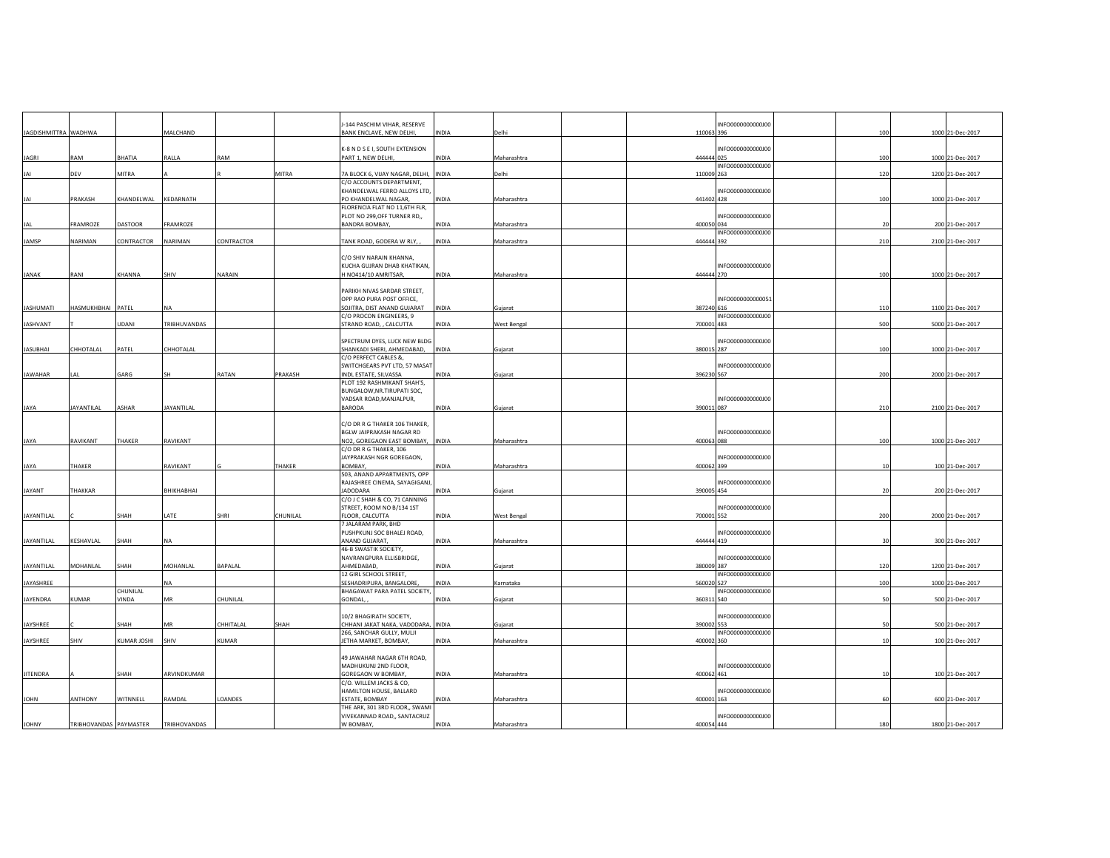|                      |                        |             |                   |              |          | J-144 PASCHIM VIHAR, RESERVE                             |              |                    | INFO000000000000               |     |                  |
|----------------------|------------------------|-------------|-------------------|--------------|----------|----------------------------------------------------------|--------------|--------------------|--------------------------------|-----|------------------|
| JAGDISHMITTRA WADHWA |                        |             | MALCHAND          |              |          | BANK ENCLAVE, NEW DELHI,                                 | INDIA        | Delhi              | 110063 396                     | 100 | 1000 21-Dec-2017 |
|                      |                        |             |                   |              |          |                                                          |              |                    |                                |     |                  |
|                      |                        |             |                   |              |          | K-8 N D S E I, SOUTH EXTENSION                           |              |                    | INFO000000000000               |     |                  |
| <b>JAGRI</b>         | RAM                    | BHATIA      | RALLA             | RAM          |          | PART 1, NEW DELHI,                                       | INDIA        | Maharashtra        | 444444 025                     | 100 | 1000 21-Dec-2017 |
| <b>JAI</b>           | DEV                    | MITRA       |                   |              | MITRA    | 7A BLOCK 6, VIJAY NAGAR, DELHI, INDIA                    |              | Delhi              | INFO000000000000<br>110009 263 | 120 | 1200 21-Dec-2017 |
|                      |                        |             |                   |              |          | C/O ACCOUNTS DEPARTMENT,                                 |              |                    |                                |     |                  |
|                      |                        |             |                   |              |          | KHANDELWAL FERRO ALLOYS LTD,                             |              |                    | INFO000000000000               |     |                  |
| JAI                  | PRAKASH                | KHANDELWAL  | KEDARNATH         |              |          | PO KHANDELWAL NAGAR,                                     | INDIA        | Maharashtra        | 441402 428                     | 100 | 1000 21-Dec-2017 |
|                      |                        |             |                   |              |          | FLORENCIA FLAT NO 11,6TH FLR,                            |              |                    |                                |     |                  |
|                      |                        |             |                   |              |          | PLOT NO 299, OFF TURNER RD,,                             |              |                    | INFO000000000000               |     |                  |
| <b>JAL</b>           | FRAMROZE               | DASTOOR     | FRAMROZE          |              |          | <b>BANDRA BOMBAY,</b>                                    | INDIA        | Maharashtra        | 400050 034                     | 20  | 200 21-Dec-2017  |
|                      |                        |             |                   |              |          |                                                          |              |                    | INFO000000000000               |     |                  |
| JAMSP                | <b>NARIMAN</b>         | CONTRACTOR  | NARIMAN           | CONTRACTOR   |          | TANK ROAD, GODERA W RLY,                                 | <b>INDIA</b> | Maharashtra        | 444444 392                     | 210 | 2100 21-Dec-2017 |
|                      |                        |             |                   |              |          |                                                          |              |                    |                                |     |                  |
|                      |                        |             |                   |              |          | C/O SHIV NARAIN KHANNA,                                  |              |                    |                                |     |                  |
|                      |                        |             |                   |              |          | KUCHA GUJRAN DHAB KHATIKAN,                              |              |                    | INFO000000000000               |     |                  |
| <b>JANAK</b>         | RANI                   | KHANNA      | SHIV              | NARAIN       |          | H NO414/10 AMRITSAR,                                     | INDIA        | Maharashtra        | 444444 270                     | 100 | 1000 21-Dec-2017 |
|                      |                        |             |                   |              |          |                                                          |              |                    |                                |     |                  |
|                      |                        |             |                   |              |          | PARIKH NIVAS SARDAR STREET,                              |              |                    |                                |     |                  |
|                      |                        |             |                   |              |          | OPP RAO PURA POST OFFICE,                                |              |                    | INFO000000000051               |     |                  |
| <b>JASHUMATI</b>     | HASMUKHBHAI            | PATEL       | <b>NA</b>         |              |          | SOJITRA, DIST ANAND GUJARAT<br>C/O PROCON ENGINEERS, 9   | <b>INDIA</b> | Gujarat            | 387240 616<br>INFO000000000000 | 110 | 1100 21-Dec-2017 |
| <b>JASHVANT</b>      |                        | UDANI       | TRIBHUVANDAS      |              |          | STRAND ROAD, , CALCUTTA                                  | <b>INDIA</b> | <b>West Bengal</b> | 700001 483                     | 500 | 5000 21-Dec-2017 |
|                      |                        |             |                   |              |          |                                                          |              |                    |                                |     |                  |
|                      |                        |             |                   |              |          | SPECTRUM DYES, LUCK NEW BLDG                             |              |                    | INFO000000000000               |     |                  |
| <b>JASUBHAI</b>      | CHHOTALAL              | PATEL       | CHHOTALAL         |              |          | SHANKADI SHERI, AHMEDABAD,                               | <b>INDIA</b> | Gujarat            | 380015 287                     | 100 | 1000 21-Dec-2017 |
|                      |                        |             |                   |              |          | C/O PERFECT CABLES &,                                    |              |                    |                                |     |                  |
|                      |                        |             |                   |              |          | SWITCHGEARS PVT LTD, 57 MASAT                            |              |                    | INFO000000000000               |     |                  |
| <b>JAWAHAR</b>       | LAL                    | GARG        |                   | RATAN        | PRAKASH  | NDL ESTATE, SILVASSA                                     | <b>INDIA</b> | Gujarat            | 396230 567                     | 200 | 2000 21-Dec-2017 |
|                      |                        |             |                   |              |          | PLOT 192 RASHMIKANT SHAH'S,                              |              |                    |                                |     |                  |
|                      |                        |             |                   |              |          | BUNGALOW, NR. TIRUPATI SOC,                              |              |                    |                                |     |                  |
|                      |                        |             |                   |              |          | VADSAR ROAD, MANJALPUR,                                  |              |                    | INFO000000000000               |     |                  |
| JAYA                 | <b>JAYANTILAL</b>      | ASHAR       | <b>JAYANTILAL</b> |              |          | BARODA                                                   | INDIA        | Gujarat            | 390011 087                     | 210 | 2100 21-Dec-2017 |
|                      |                        |             |                   |              |          |                                                          |              |                    |                                |     |                  |
|                      |                        |             |                   |              |          | C/O DR R G THAKER 106 THAKER,                            |              |                    |                                |     |                  |
|                      |                        |             |                   |              |          | BGLW JAIPRAKASH NAGAR RD                                 |              |                    | INFO000000000000               |     |                  |
| <b>JAYA</b>          | RAVIKANT               | THAKER      | RAVIKANT          |              |          | NO2, GOREGAON EAST BOMBAY, INDIA                         |              | Maharashtra        | 400063 088                     | 100 | 1000 21-Dec-2017 |
|                      |                        |             |                   |              |          | C/O DR R G THAKER, 106<br>JAYPRAKASH NGR GOREGAON,       |              |                    | INFO000000000000               |     |                  |
| JAYA                 | THAKER                 |             | RAVIKANT          |              | THAKER   | <b>BOMBAY</b>                                            | <b>INDIA</b> | Maharashtra        | 400062 399                     | 10  | 100 21-Dec-2017  |
|                      |                        |             |                   |              |          | 503, ANAND APPARTMENTS, OPP                              |              |                    |                                |     |                  |
|                      |                        |             |                   |              |          | RAJASHREE CINEMA, SAYAGIGANJ                             |              |                    | INFO000000000000               |     |                  |
| JAYANT               | THAKKAR                |             | BHIKHABHAI        |              |          | <b>JADODARA</b>                                          | INDIA        | Gujarat            | 390005 454                     | 20  | 200 21-Dec-2017  |
|                      |                        |             |                   |              |          | C/O J C SHAH & CO, 71 CANNING                            |              |                    |                                |     |                  |
|                      |                        |             |                   |              |          | STREET, ROOM NO B/134 1ST                                |              |                    | INFO000000000000               |     |                  |
| JAYANTILAL           |                        | SHAH        | LATE              | SHRI         | CHUNILAL | FLOOR, CALCUTTA                                          | INDIA        | West Bengal        | 700001 552                     | 200 | 2000 21-Dec-2017 |
|                      |                        |             |                   |              |          | 7 JALARAM PARK, BHD                                      |              |                    |                                |     |                  |
|                      |                        |             |                   |              |          | PUSHPKUNJ SOC BHALEJ ROAD,                               |              |                    | INFO000000000000               |     |                  |
| JAYANTILAL           | KESHAVLAL              | SHAH        | <b>NA</b>         |              |          | ANAND GUJARAT,                                           | INDIA        | Maharashtra        | 444444 419                     | 30  | 300 21-Dec-2017  |
|                      |                        |             |                   |              |          | 46-B SWASTIK SOCIETY,                                    |              |                    |                                |     |                  |
|                      |                        |             |                   |              |          | NAVRANGPURA ELLISBRIDGE,                                 |              |                    | INFO000000000000               |     |                  |
| JAYANTILAL           | MOHANLAL               | SHAH        | MOHANLAL          | BAPALAL      |          | AHMEDABAD,                                               | INDIA        | Gujarat            | 380009 387                     | 120 | 1200 21-Dec-2017 |
|                      |                        |             |                   |              |          | 12 GIRL SCHOOL STREET,                                   |              |                    | INFO000000000000               |     |                  |
| JAYASHREE            |                        | CHUNILAL    | <b>NA</b>         |              |          | SESHADRIPURA, BANGALORE,<br>BHAGAWAT PARA PATEL SOCIETY, | INDIA        | Karnataka          | 560020 527<br>INFO000000000000 | 100 | 1000 21-Dec-2017 |
| JAYENDRA             | KUMAR                  | VINDA       | MR                | CHUNILAL     |          | GONDAL,                                                  | INDIA        | Gujarat            | 360311 540                     | 50  | 500 21-Dec-2017  |
|                      |                        |             |                   |              |          |                                                          |              |                    |                                |     |                  |
|                      |                        |             |                   |              |          | 10/2 BHAGIRATH SOCIETY,                                  |              |                    | INFO0000000000100              |     |                  |
| JAYSHREE             |                        | SHAH        | MR                | CHHITALAL    | SHAH     | CHHANI JAKAT NAKA, VADODARA, INDIA                       |              | Gujarat            | 390002 553                     | 50  | 500 21-Dec-2017  |
|                      |                        |             |                   |              |          | 266, SANCHAR GULLY, MULJI                                |              |                    | INFO000000000000               |     |                  |
| JAYSHREE             | SHIV                   | KUMAR JOSHI | SHIV              | <b>KUMAR</b> |          | JETHA MARKET, BOMBAY,                                    | INDIA        | Maharashtra        | 400002 360                     | 10  | 100 21-Dec-2017  |
|                      |                        |             |                   |              |          |                                                          |              |                    |                                |     |                  |
|                      |                        |             |                   |              |          | 49 JAWAHAR NAGAR 6TH ROAD,                               |              |                    |                                |     |                  |
|                      |                        |             |                   |              |          | MADHUKUNJ 2ND FLOOR,                                     |              |                    | INFO0000000000100              |     |                  |
| <b>JITENDRA</b>      |                        | SHAH        | ARVINDKUMAR       |              |          | GOREGAON W BOMBAY,                                       | INDIA        | Maharashtra        | 400062 461                     | 10  | 100 21-Dec-2017  |
|                      |                        |             |                   |              |          | C/O. WILLEM JACKS & CO,                                  |              |                    |                                |     |                  |
|                      |                        |             |                   |              |          | HAMILTON HOUSE, BALLARD                                  |              |                    | INFO000000000000               |     |                  |
| <b>JOHN</b>          | ANTHONY                | WITNNELL    | RAMDAL            | LOANDES      |          | ESTATE, BOMBAY                                           | INDIA        | Maharashtra        | 400001 163                     | 60  | 600 21-Dec-2017  |
|                      |                        |             |                   |              |          | THE ARK, 301 3RD FLOOR,, SWAMI                           |              |                    |                                |     |                  |
| <b>JOHNY</b>         | TRIBHOVANDAS PAYMASTER |             | TRIBHOVANDAS      |              |          | VIVEKANNAD ROAD,, SANTACRUZ<br>W BOMBAY,                 | INDIA        | Maharashtra        | INFO000000000000<br>400054 444 | 180 | 1800 21-Dec-2017 |
|                      |                        |             |                   |              |          |                                                          |              |                    |                                |     |                  |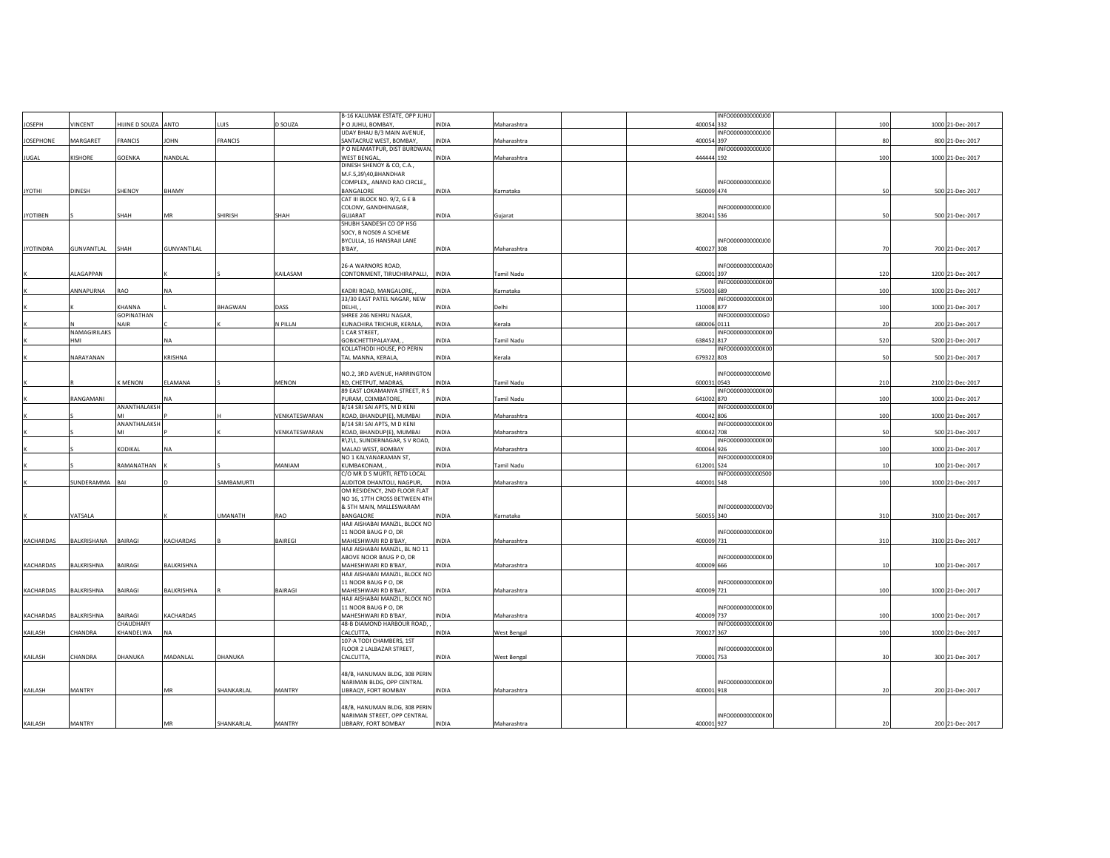|                  |               |                     |             |                |               | B-16 KALUMAK ESTATE, OPP JUHU                     |              |                    |             | INFO000000000000  |     |                  |
|------------------|---------------|---------------------|-------------|----------------|---------------|---------------------------------------------------|--------------|--------------------|-------------|-------------------|-----|------------------|
| <b>JOSEPH</b>    | VINCENT       | HIJINE D SOUZA ANTO |             | LUIS           | D SOUZA       | P O JUHU, BOMBAY,                                 | INDIA        | Maharashtra        | 400054 332  |                   | 100 | 1000 21-Dec-2017 |
|                  |               |                     |             |                |               | UDAY BHAU B/3 MAIN AVENUE,                        |              |                    |             | INFO000000000000  |     |                  |
| <b>JOSEPHONE</b> | MARGARET      | FRANCIS             | <b>JOHN</b> | <b>FRANCIS</b> |               | SANTACRUZ WEST, BOMBAY,                           | <b>INDIA</b> | Maharashtra        | 400054 397  |                   |     | 800 21-Dec-2017  |
|                  |               |                     |             |                |               | P O NEAMATPUR, DIST BURDWAN,                      |              |                    |             | INFO000000000000  |     |                  |
| JUGAL            | KISHORE       | GOENKA              | NANDLAL     |                |               | WEST BENGAL,                                      | <b>INDIA</b> | Maharashtra        | 444444 192  |                   | 100 | 1000 21-Dec-2017 |
|                  |               |                     |             |                |               | DINESH SHENOY & CO, C.A.,<br>M.F.5,39\40,BHANDHAR |              |                    |             |                   |     |                  |
|                  |               |                     |             |                |               | COMPLEX,, ANAND RAO CIRCLE,,                      |              |                    |             | INFO0000000000100 |     |                  |
| <b>IHTOYL</b>    | DINESH        | SHENOY              | BHAMY       |                |               | BANGALORE                                         | <b>INDIA</b> | Karnataka          | 560009 474  |                   |     | 500 21-Dec-2017  |
|                  |               |                     |             |                |               | CAT III BLOCK NO. 9/2, G E B                      |              |                    |             |                   |     |                  |
|                  |               |                     |             |                |               | COLONY, GANDHINAGAR,                              |              |                    |             | INFO000000000000  |     |                  |
| <b>JYOTIBEN</b>  |               | SHAH                | <b>MR</b>   | SHIRISH        | SHAH          | GUJARAT                                           | <b>INDIA</b> | Gujarat            | 382041 536  |                   | 50  | 500 21-Dec-2017  |
|                  |               |                     |             |                |               | SHUBH SANDESH CO OP HSG                           |              |                    |             |                   |     |                  |
|                  |               |                     |             |                |               | SOCY, B NO509 A SCHEME                            |              |                    |             |                   |     |                  |
|                  |               |                     |             |                |               | BYCULLA, 16 HANSRAJI LANE                         |              |                    |             | INFO000000000000  |     |                  |
| <b>JYOTINDRA</b> | GUNVANTLAL    | SHAH                | GUNVANTILAL |                |               | B'BAY,                                            | INDIA        | Maharashtra        | 400027 308  |                   | 70  | 700 21-Dec-2017  |
|                  |               |                     |             |                |               |                                                   |              |                    |             |                   |     |                  |
|                  |               |                     |             |                |               | 26-A WARNORS ROAD,                                |              |                    |             | INFO000000000A00  |     |                  |
|                  | ALAGAPPAN     |                     |             |                | KAILASAM      | CONTONMENT, TIRUCHIRAPALLI,                       | <b>INDIA</b> | Tamil Nadu         | 620001 397  |                   | 120 | 1200 21-Dec-2017 |
|                  |               |                     |             |                |               |                                                   |              |                    |             | INFO0000000000K00 |     |                  |
|                  | ANNAPURNA     | RAO                 | NA          |                |               | KADRI ROAD, MANGALORE,                            | INDIA        | Karnataka          | 575003 689  |                   | 100 | 1000 21-Dec-2017 |
|                  |               |                     |             |                |               | 33/30 EAST PATEL NAGAR, NEW                       |              |                    |             | INFO0000000000K00 |     |                  |
|                  |               | KHANNA              |             | BHAGWAN        | DASS          | DELHI,                                            | INDIA        | Delhi              | 110008 877  |                   | 100 | 1000 21-Dec-2017 |
|                  |               | GOPINATHAN          |             |                |               | SHREE 246 NEHRU NAGAR,                            |              |                    |             | INFO0000000000G0  |     |                  |
|                  |               | NAIR                |             |                | N PILLAI      | KUNACHIRA TRICHUR, KERALA,                        | INDIA        | Kerala             | 680006 0111 |                   | 20  | 200 21-Dec-2017  |
|                  | NAMAGIRILAKS  |                     |             |                |               | 1 CAR STREET,                                     |              |                    |             | INFO0000000000K00 |     |                  |
|                  | HMI           |                     | NA          |                |               | GOBICHETTIPALAYAM,                                | INDIA        | Tamil Nadu         | 638452 817  |                   | 520 | 5200 21-Dec-2017 |
|                  | NARAYANAN     |                     | KRISHNA     |                |               | KOLLATHODI HOUSE, PO PERIN<br>TAL MANNA, KERALA,  | INDIA        |                    | 679322 803  | INFO0000000000K00 | 50  | 500 21-Dec-2017  |
|                  |               |                     |             |                |               |                                                   |              | Kerala             |             |                   |     |                  |
|                  |               |                     |             |                |               | NO.2, 3RD AVENUE, HARRINGTON                      |              |                    |             | INFO0000000000M0  |     |                  |
|                  |               | <b>KMENON</b>       | ELAMANA     |                | MENON         | RD, CHETPUT, MADRAS,                              | INDIA        | Tamil Nadu         | 600031 0543 |                   | 210 | 2100 21-Dec-2017 |
|                  |               |                     |             |                |               | 89 EAST LOKAMANYA STREET, R S                     |              |                    |             | INFO0000000000K00 |     |                  |
|                  | RANGAMANI     |                     | NA          |                |               | PURAM, COIMBATORE,                                | INDIA        | Tamil Nadu         | 641002 870  |                   | 100 | 1000 21-Dec-2017 |
|                  |               | ANANTHALAKSH        |             |                |               | B/14 SRI SAI APTS, M D KENI                       |              |                    |             | INFO0000000000K00 |     |                  |
|                  |               |                     |             |                | VENKATESWARAN | ROAD, BHANDUP(E), MUMBAI                          | <b>INDIA</b> | Maharashtra        | 400042 806  |                   | 100 | 1000 21-Dec-2017 |
|                  |               | ANANTHALAKSH        |             |                |               | B/14 SRI SAI APTS, M D KENI                       |              |                    |             | INFO0000000000K00 |     |                  |
|                  |               |                     |             |                | VENKATESWARAN | ROAD, BHANDUP(E), MUMBAI                          | <b>INDIA</b> | Maharashtra        | 400042 708  |                   | 50  | 500 21-Dec-2017  |
|                  |               |                     |             |                |               | R\2\1, SUNDERNAGAR, S V ROAD,                     |              |                    |             | INFO0000000000K00 |     |                  |
|                  |               | KODIKAL             | NA          |                |               | MALAD WEST, BOMBAY                                | INDIA        | Maharashtra        | 400064 926  |                   | 100 | 1000 21-Dec-2017 |
|                  |               |                     |             |                |               | NO 1 KALYANARAMAN ST,                             |              |                    |             | INFO0000000000R00 |     |                  |
|                  |               | RAMANATHAN          |             |                | MANIAM        | KUMBAKONAM,                                       | INDIA        | Tamil Nadu         | 612001 524  |                   | 10  | 100 21-Dec-2017  |
|                  |               |                     |             |                |               | C/O MR D S MURTI, RETD LOCAL                      |              |                    |             | INFO0000000000500 |     |                  |
|                  | SUNDERAMMA    | BAI                 |             | SAMBAMURTI     |               | AUDITOR DHANTOLI, NAGPUR,                         | <b>INDIA</b> | Maharashtra        | 440001 548  |                   | 100 | 1000 21-Dec-2017 |
|                  |               |                     |             |                |               | OM RESIDENCY, 2ND FLOOR FLAT                      |              |                    |             |                   |     |                  |
|                  |               |                     |             |                |               | NO 16, 17TH CROSS BETWEEN 4TH                     |              |                    |             |                   |     |                  |
|                  |               |                     |             |                |               | & 5TH MAIN, MALLESWARAM                           |              |                    |             | INFO0000000000V00 |     |                  |
|                  | VATSALA       |                     |             | <b>UMANATH</b> | RAO           | BANGALORE                                         | INDIA        | Karnataka          | 560055 340  |                   | 310 | 3100 21-Dec-2017 |
|                  |               |                     |             |                |               | HAJI AISHABAI MANZIL, BLOCK NO                    |              |                    |             |                   |     |                  |
| KACHARDAS        | BALKRISHANA   | BAIRAGI             | KACHARDAS   |                | BAIREGI       | 11 NOOR BAUG P O, DR<br>MAHESHWARI RD B'BAY,      | INDIA        | Maharashtra        | 400009 731  | INFO0000000000K00 | 310 | 3100 21-Dec-2017 |
|                  |               |                     |             |                |               | HAJI AISHABAI MANZIL, BL NO 11                    |              |                    |             |                   |     |                  |
|                  |               |                     |             |                |               | ABOVE NOOR BAUG P O, DR                           |              |                    |             | INFO0000000000K00 |     |                  |
| KACHARDAS        | BALKRISHNA    | BAIRAGI             | BALKRISHNA  |                |               | MAHESHWARI RD B'BAY,                              | INDIA        | Maharashtra        | 400009 666  |                   |     | 100 21-Dec-2017  |
|                  |               |                     |             |                |               | HAJI AISHABAI MANZIL, BLOCK NO                    |              |                    |             |                   |     |                  |
|                  |               |                     |             |                |               | 11 NOOR BAUG P O, DR                              |              |                    |             | INFO0000000000K00 |     |                  |
| KACHARDAS        | BALKRISHNA    | BAIRAGI             | BALKRISHNA  |                | BAIRAGI       | MAHESHWARI RD B'BAY,                              | INDIA        | Maharashtra        | 400009 721  |                   | 100 | 1000 21-Dec-2017 |
|                  |               |                     |             |                |               | HAJI AISHABAI MANZIL, BLOCK NO                    |              |                    |             |                   |     |                  |
|                  |               |                     |             |                |               | 11 NOOR BAUG P O, DR                              |              |                    |             | INFO0000000000K00 |     |                  |
| KACHARDAS        | BALKRISHNA    | BAIRAGI             | KACHARDAS   |                |               | MAHESHWARI RD B'BAY,                              | <b>INDIA</b> | Maharashtra        | 400009 737  |                   | 100 | 1000 21-Dec-2017 |
|                  |               | CHAUDHARY           |             |                |               | 48-B DIAMOND HARBOUR ROAD,                        |              |                    |             | INFO0000000000K00 |     |                  |
| KAILASH          | CHANDRA       | KHANDELWA           | <b>NA</b>   |                |               | CALCUTTA,                                         | <b>INDIA</b> | West Bengal        | 700027 367  |                   | 100 | 1000 21-Dec-2017 |
|                  |               |                     |             |                |               | 107-A TODI CHAMBERS, 1ST                          |              |                    |             |                   |     |                  |
|                  |               |                     |             |                |               | FLOOR 2 LALBAZAR STREET,                          |              |                    |             | INFO0000000000K00 |     |                  |
| KAILASH          | CHANDRA       | DHANUKA             | MADANLAL    | DHANUKA        |               | CALCUTTA,                                         | INDIA        | <b>West Bengal</b> | 700001 753  |                   | 30  | 300 21-Dec-2017  |
|                  |               |                     |             |                |               |                                                   |              |                    |             |                   |     |                  |
|                  |               |                     |             |                |               | 48/B, HANUMAN BLDG, 308 PERIN                     |              |                    |             |                   |     |                  |
|                  |               |                     |             |                |               | NARIMAN BLDG, OPP CENTRAL                         |              |                    |             | INFO0000000000K00 |     |                  |
| KAILASH          | MANTRY        |                     | MR          | SHANKARLAL     | MANTRY        | LIBRAQY, FORT BOMBAY                              | <b>INDIA</b> | Maharashtra        | 400001 918  |                   | 20  | 200 21-Dec-2017  |
|                  |               |                     |             |                |               | 48/B, HANUMAN BLDG, 308 PERIN                     |              |                    |             |                   |     |                  |
|                  |               |                     |             |                |               | NARIMAN STREET, OPP CENTRAL                       |              |                    |             | INFO0000000000K00 |     |                  |
| KAILASH          | <b>MANTRY</b> |                     | MR          | SHANKARLAL     | MANTRY        | LIBRARY, FORT BOMBAY                              | INDIA        | Maharashtra        | 400001 927  |                   |     | 200 21-Dec-2017  |
|                  |               |                     |             |                |               |                                                   |              |                    |             |                   |     |                  |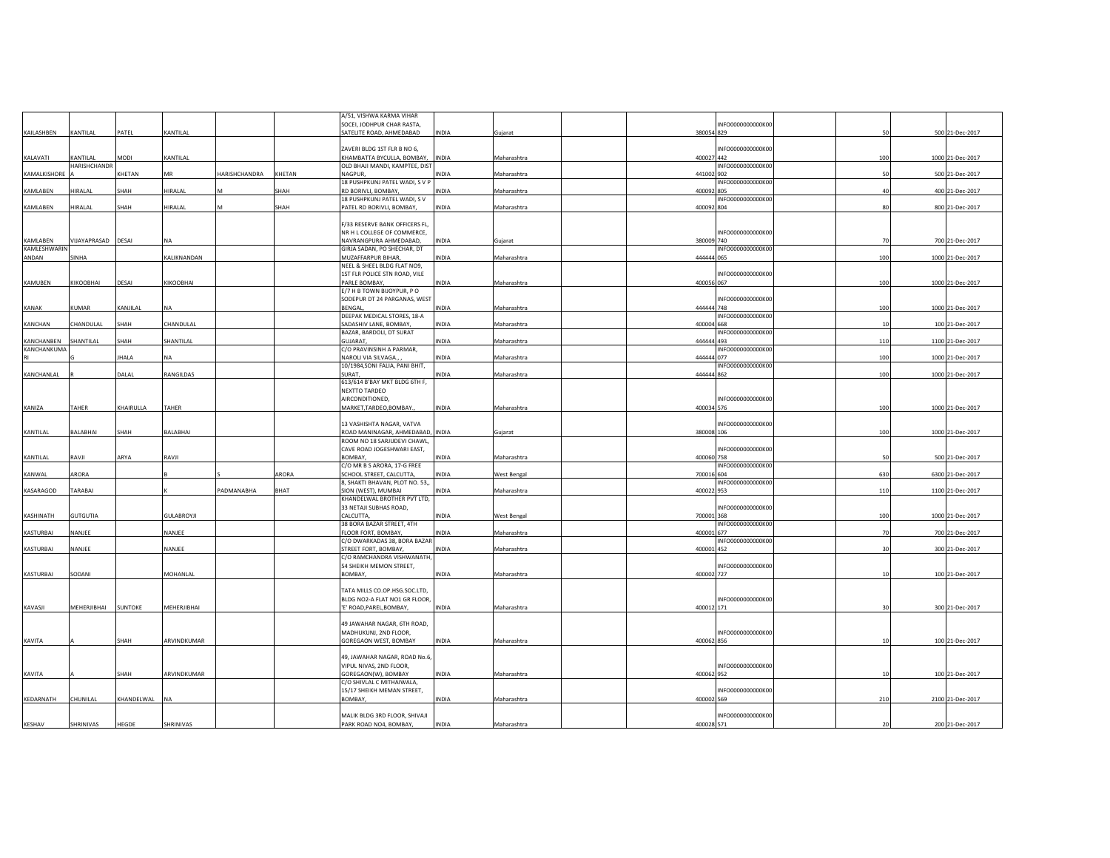|                |                 |              |                   |               |        | A/51, VISHWA KARMA VIHAR         |              |             |            |                   |     |                  |
|----------------|-----------------|--------------|-------------------|---------------|--------|----------------------------------|--------------|-------------|------------|-------------------|-----|------------------|
|                |                 |              |                   |               |        | SOCEI, JODHPUR CHAR RASTA,       |              |             |            | INFO0000000000K00 |     |                  |
| KAILASHBEN     | KANTILAL        | PATEL        | KANTILAL          |               |        | SATELITE ROAD, AHMEDABAD         | INDIA        | Gujarat     | 380054 829 |                   | 50  | 500 21-Dec-2017  |
|                |                 |              |                   |               |        |                                  |              |             |            |                   |     |                  |
|                |                 |              |                   |               |        |                                  |              |             |            | INFO0000000000K00 |     |                  |
|                |                 |              |                   |               |        | ZAVERI BLDG 1ST FLR B NO 6,      |              |             |            |                   |     |                  |
| KALAVATI       | KANTILAL        | MODI         | KANTILAL          |               |        | KHAMBATTA BYCULLA, BOMBAY,       | <b>INDIA</b> | Maharashtra | 400027 442 |                   | 100 | 1000 21-Dec-2017 |
|                | HARISHCHANDR    |              |                   |               |        | OLD BHAJI MANDI, KAMPTEE, DIST   |              |             |            | INFO0000000000K00 |     |                  |
| KAMALKISHORE   |                 | KHETAN       | MR                | HARISHCHANDRA | KHETAN | NAGPUR.                          | INDIA        | Maharashtra | 441002 902 |                   | 50  | 500 21-Dec-2017  |
|                |                 |              |                   |               |        | 18 PUSHPKUNJ PATEL WADI, S V P   |              |             |            | INFO0000000000K00 |     |                  |
| KAMLABEN       | HIRALAL         | SHAH         | HIRALAL           | M             | SHAH   | RD BORIVLI, BOMBAY,              | INDIA        | Maharashtra | 400092 805 |                   | 40  | 400 21-Dec-2017  |
|                |                 |              |                   |               |        |                                  |              |             |            |                   |     |                  |
|                |                 |              |                   |               |        | 18 PUSHPKUNJ PATEL WADI, S V     |              |             |            | INFO0000000000K00 |     |                  |
| KAMLABEN       | HIRALAL         | SHAH         | HIRALAL           |               | SHAH   | PATEL RD BORIVLI, BOMBAY,        | INDIA        | Maharashtra | 400092 804 |                   | 80  | 800 21-Dec-2017  |
|                |                 |              |                   |               |        |                                  |              |             |            |                   |     |                  |
|                |                 |              |                   |               |        | F/33 RESERVE BANK OFFICERS FL,   |              |             |            |                   |     |                  |
|                |                 |              |                   |               |        | NR H L COLLEGE OF COMMERCE,      |              |             |            | INFO0000000000K00 |     |                  |
|                |                 |              |                   |               |        |                                  |              |             |            |                   |     |                  |
| KAMLABEN       | VIJAYAPRASAD    | DESAI        | <b>NA</b>         |               |        | NAVRANGPURA AHMEDABAD,           | <b>INDIA</b> | Gujarat     | 380009 740 |                   | 70  | 700 21-Dec-2017  |
| KAMLESHWARIN   |                 |              |                   |               |        | GIRJA SADAN, PO SHECHAR, DT      |              |             |            | INFO0000000000K00 |     |                  |
| ANDAN          | SINHA           |              | KALIKNANDAN       |               |        | MUZAFFARPUR BIHAR,               | INDIA        | Maharashtra | 444444 065 |                   | 100 | 1000 21-Dec-2017 |
|                |                 |              |                   |               |        | NEEL & SHEEL BLDG FLAT NO9,      |              |             |            |                   |     |                  |
|                |                 |              |                   |               |        | 1ST FLR POLICE STN ROAD, VILE    |              |             |            | INFO0000000000K00 |     |                  |
|                |                 |              |                   |               |        |                                  |              |             |            |                   |     |                  |
| KAMUBEN        | KIKOOBHAI       | DESAI        | KIKOOBHAI         |               |        | PARLE BOMBAY,                    | INDIA        | Maharashtra | 400056 067 |                   | 100 | 1000 21-Dec-2017 |
|                |                 |              |                   |               |        | E/7 H B TOWN BIJOYPUR, P O       |              |             |            |                   |     |                  |
|                |                 |              |                   |               |        | SODEPUR DT 24 PARGANAS, WEST     |              |             |            | INFO0000000000K00 |     |                  |
| KANAK          | <b>UMAR</b>     | KANJILAL     | <b>NA</b>         |               |        | BENGAL,                          | <b>NDIA</b>  | Maharashtra | 444444 748 |                   | 100 | 1000 21-Dec-2017 |
|                |                 |              |                   |               |        | DEEPAK MEDICAL STORES, 18-A      |              |             |            | INFO0000000000K00 |     |                  |
|                |                 |              |                   |               |        |                                  |              |             |            |                   |     |                  |
| <b>KANCHAN</b> | CHANDULAL       | SHAH         | CHANDULAL         |               |        | SADASHIV LANE, BOMBAY,           | <b>INDIA</b> | Maharashtra | 400004 668 |                   | 10  | 100 21-Dec-2017  |
|                |                 |              |                   |               |        | BAZAR, BARDOLI, DT SURAT         |              |             |            | INFO0000000000K00 |     |                  |
| KANCHANBEN     | SHANTILAL       | SHAH         | SHANTILAL         |               |        | GUJARAT,                         | INDIA        | Maharashtra | 444444 493 |                   | 110 | 1100 21-Dec-2017 |
| KANCHANKUMA    |                 |              |                   |               |        | C/O PRAVINSINH A PARMAR,         |              |             |            | INFO0000000000K00 |     |                  |
|                |                 | <b>IHALA</b> | NA                |               |        | NAROLI VIA SILVAGA.              | <b>INDIA</b> | Maharashtra | 444444 077 |                   | 100 | 1000 21-Dec-2017 |
|                |                 |              |                   |               |        | 10/1984, SONI FALIA, PANI BHIT,  |              |             |            | INFO0000000000K00 |     |                  |
|                |                 |              |                   |               |        |                                  |              |             |            |                   |     |                  |
| KANCHANLAL     |                 | DALAL        | RANGILDAS         |               |        | SURAT.                           | <b>INDIA</b> | Maharashtra | 444444 862 |                   | 100 | 1000 21-Dec-2017 |
|                |                 |              |                   |               |        | 613/614 B'BAY MKT BLDG 6TH F,    |              |             |            |                   |     |                  |
|                |                 |              |                   |               |        | NEXTTO TARDEO                    |              |             |            |                   |     |                  |
|                |                 |              |                   |               |        | AIRCONDITIONED,                  |              |             |            | INFO0000000000K00 |     |                  |
| KANIZA         | TAHER           | KHAIRULLA    | TAHER             |               |        | MARKET, TARDEO, BOMBAY.,         | <b>INDIA</b> | Maharashtra | 400034 576 |                   | 100 | 1000 21-Dec-2017 |
|                |                 |              |                   |               |        |                                  |              |             |            |                   |     |                  |
|                |                 |              |                   |               |        |                                  |              |             |            |                   |     |                  |
|                |                 |              |                   |               |        | 13 VASHISHTA NAGAR, VATVA        |              |             |            | INFO0000000000K00 |     |                  |
| KANTILAL       | BALABHAI        | SHAH         | BALABHAI          |               |        | ROAD MANINAGAR, AHMEDABAD, INDIA |              | Gujarat     | 380008 106 |                   | 100 | 1000 21-Dec-2017 |
|                |                 |              |                   |               |        | ROOM NO 18 SARJUDEVI CHAWL,      |              |             |            |                   |     |                  |
|                |                 |              |                   |               |        | CAVE ROAD JOGESHWARI EAST,       |              |             |            | INFO0000000000K00 |     |                  |
|                |                 |              |                   |               |        |                                  |              |             |            |                   |     |                  |
| KANTILAL       | RAVJI           | ARYA         | RAVJI             |               |        | BOMBAY,                          | INDIA        | Maharashtra | 400060 758 |                   | 50  | 500 21-Dec-2017  |
|                |                 |              |                   |               |        | C/O MR B S ARORA, 17-G FREE      |              |             |            | INFO0000000000K00 |     |                  |
| KANWAL         | ARORA           |              |                   |               | ARORA  | SCHOOL STREET, CALCUTTA,         | INDIA        | West Bengal | 700016 604 |                   | 630 | 6300 21-Dec-2017 |
|                |                 |              |                   |               |        | 8, SHAKTI BHAVAN, PLOT NO. 53,,  |              |             |            | INFO0000000000K00 |     |                  |
|                | TARABAI         |              |                   | PADMANABHA    | BHAT   |                                  |              |             | 400022 953 |                   | 110 |                  |
| KASARAGOD      |                 |              |                   |               |        | SION (WEST), MUMBAI              | INDIA        | Maharashtra |            |                   |     | 1100 21-Dec-2017 |
|                |                 |              |                   |               |        | KHANDELWAL BROTHER PVT LTD,      |              |             |            |                   |     |                  |
|                |                 |              |                   |               |        | 33 NETAJI SUBHAS ROAD,           |              |             |            | INFO0000000000K00 |     |                  |
| KASHINATH      | <b>GUTGUTIA</b> |              | <b>GULABROYJI</b> |               |        | CALCUTTA,                        | INDIA        | West Bengal | 700001 368 |                   | 100 | 1000 21-Dec-2017 |
|                |                 |              |                   |               |        | 38 BORA BAZAR STREET, 4TH        |              |             |            | INFO0000000000K00 |     |                  |
| KASTURBAI      | NANJEE          |              | NANJEE            |               |        | FLOOR FORT, BOMBAY,              | INDIA        | Maharashtra | 400001 677 |                   | 70  | 700 21-Dec-2017  |
|                |                 |              |                   |               |        |                                  |              |             |            |                   |     |                  |
|                |                 |              |                   |               |        | C/O DWARKADAS 38, BORA BAZAR     |              |             |            | INFO0000000000K00 |     |                  |
| KASTURBAI      | NANJEE          |              | NANJEE            |               |        | STREET FORT, BOMBAY,             | INDIA        | Maharashtra | 400001 452 |                   |     | 300 21-Dec-2017  |
|                |                 |              |                   |               |        | C/O RAMCHANDRA VISHWANATH,       |              |             |            |                   |     |                  |
|                |                 |              |                   |               |        | 54 SHEIKH MEMON STREET,          |              |             |            | INFO0000000000K00 |     |                  |
| KASTURBAI      | SODANI          |              | MOHANLAL          |               |        | BOMBAY,                          | INDIA        | Maharashtra | 400002 727 |                   | 10  | 100 21-Dec-2017  |
|                |                 |              |                   |               |        |                                  |              |             |            |                   |     |                  |
|                |                 |              |                   |               |        |                                  |              |             |            |                   |     |                  |
|                |                 |              |                   |               |        | TATA MILLS CO.OP.HSG.SOC.LTD,    |              |             |            |                   |     |                  |
|                |                 |              |                   |               |        | BLDG NO2-A FLAT NO1 GR FLOOR,    |              |             |            | INFO0000000000K00 |     |                  |
| KAVASJI        | MEHERJIBHAI     | SUNTOKE      | MEHERJIBHAI       |               |        | 'E' ROAD, PAREL, BOMBAY,         | <b>INDIA</b> | Maharashtra | 400012 171 |                   | 30  | 300 21-Dec-2017  |
|                |                 |              |                   |               |        |                                  |              |             |            |                   |     |                  |
|                |                 |              |                   |               |        | 49 JAWAHAR NAGAR, 6TH ROAD,      |              |             |            |                   |     |                  |
|                |                 |              |                   |               |        | MADHUKUNJ, 2ND FLOOR,            |              |             |            | INFO0000000000K00 |     |                  |
|                |                 |              |                   |               |        |                                  |              |             |            |                   |     |                  |
| KAVITA         |                 | SHAH         | ARVINDKUMAR       |               |        | GOREGAON WEST, BOMBAY            | <b>INDIA</b> | Maharashtra | 400062 856 |                   | 10  | 100 21-Dec-2017  |
|                |                 |              |                   |               |        |                                  |              |             |            |                   |     |                  |
|                |                 |              |                   |               |        | 49, JAWAHAR NAGAR, ROAD No.6,    |              |             |            |                   |     |                  |
|                |                 |              |                   |               |        | VIPUL NIVAS, 2ND FLOOR,          |              |             |            | INFO0000000000K00 |     |                  |
| KAVITA         |                 | SHAH         | ARVINDKUMAR       |               |        | GOREGAON(W), BOMBAY              | INDIA        | Maharashtra | 400062 952 |                   | 10  | 100 21-Dec-2017  |
|                |                 |              |                   |               |        |                                  |              |             |            |                   |     |                  |
|                |                 |              |                   |               |        | C/O SHIVLAL C MITHAIWALA,        |              |             |            |                   |     |                  |
|                |                 |              |                   |               |        | 15/17 SHEIKH MEMAN STREET,       |              |             |            | INFO0000000000K00 |     |                  |
| KEDARNATH      | CHUNILAL        | KHANDELWAL   | <b>NA</b>         |               |        | <b>ROMRAY</b>                    | INDIA        | Maharashtra | 400002 569 |                   | 210 | 2100 21-Dec-2017 |
|                |                 |              |                   |               |        |                                  |              |             |            |                   |     |                  |
|                |                 |              |                   |               |        | MALIK BLDG 3RD FLOOR, SHIVAJI    |              |             |            | INFO0000000000K00 |     |                  |
| KESHAV         | SHRINIVAS       | HEGDE        | SHRINIVAS         |               |        | PARK ROAD NO4, BOMBAY,           | INDIA        |             | 400028 571 |                   | 20  | 200 21-Dec-2017  |
|                |                 |              |                   |               |        |                                  |              | Maharashtra |            |                   |     |                  |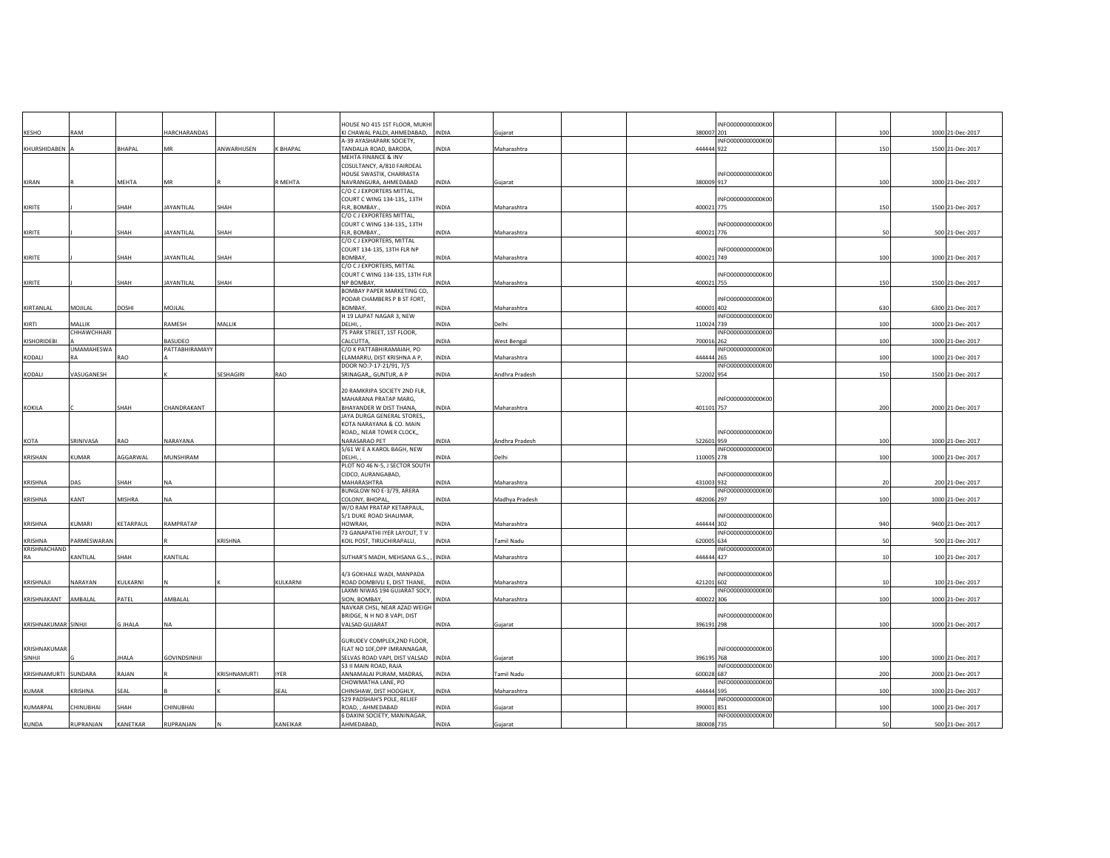|                     | RAM                   |               | HARCHARANDAS        |              |          | HOUSE NO 415 1ST FLOOR, MUKHI                                 |              |                |            | INFO0000000000K00 | 100 |                  |
|---------------------|-----------------------|---------------|---------------------|--------------|----------|---------------------------------------------------------------|--------------|----------------|------------|-------------------|-----|------------------|
| KESHO               |                       |               |                     |              |          | KI CHAWAL PALDI, AHMEDABAD, INDIA<br>A-39 AYASHAPARK SOCIETY, |              | Gujarat        | 380007 201 | INFO0000000000K00 |     | 1000 21-Dec-2017 |
| KHURSHIDABEN A      |                       | BHAPAL        | MR                  | ANWARHUSEN   | K BHAPAL | TANDALIA ROAD, BARODA,                                        | <b>INDIA</b> | Maharashtra    | 444444 922 |                   | 150 | 1500 21-Dec-2017 |
|                     |                       |               |                     |              |          | MEHTA FINANCE & INV                                           |              |                |            |                   |     |                  |
|                     |                       |               |                     |              |          | COSULTANCY, A/810 FAIRDEAL<br>HOUSE SWASTIK, CHARRASTA        |              |                |            | INFO0000000000K00 |     |                  |
| KIRAN               |                       | MEHTA         | MR                  |              | R MEHTA  | NAVRANGURA, AHMEDABAD                                         | <b>INDIA</b> | Gujarat        | 380009 917 |                   | 100 | 1000 21-Dec-2017 |
|                     |                       |               |                     |              |          | C/O C J EXPORTERS MITTAL,                                     |              |                |            |                   |     |                  |
|                     |                       |               |                     |              |          | COURT C WING 134-135,, 13TH                                   |              |                |            | INFO0000000000K00 |     |                  |
| KIRITE              |                       | SHAH          | <b>JAYANTILAL</b>   | SHAH         |          | FLR. BOMBAY.<br>C/O C J EXPORTERS MITTAL,                     | <b>INDIA</b> | Maharashtra    | 400021 775 |                   | 150 | 1500 21-Dec-2017 |
|                     |                       |               |                     |              |          | COURT C WING 134-135,, 13TH                                   |              |                |            | INFO0000000000K00 |     |                  |
| KIRITE              |                       | SHAH          | <b>JAYANTILAL</b>   | SHAH         |          | FLR. BOMBAY.                                                  | <b>INDIA</b> | Maharashtra    | 400021 776 |                   | 50  | 500 21-Dec-2017  |
|                     |                       |               |                     |              |          | C/O C J EXPORTERS, MITTAL                                     |              |                |            |                   |     |                  |
| KIRITE              |                       | SHAH          | <b>JAYANTILAL</b>   | SHAH         |          | COURT 134-135, 13TH FLR NP<br>BOMBAY.                         | INDIA        | Maharashtra    | 400021 749 | INFO0000000000K00 | 100 | 1000 21-Dec-2017 |
|                     |                       |               |                     |              |          | C/O C J EXPORTERS, MITTAL                                     |              |                |            |                   |     |                  |
|                     |                       |               |                     |              |          | COURT C WING 134-135, 13TH FLR                                |              |                |            | INFO0000000000K00 |     |                  |
| KIRITE              |                       | SHAH          | JAYANTILAL          | SHAH         |          | <b>NP BOMBAY</b><br>BOMBAY PAPER MARKETING CO,                | INDIA        | Maharashtra    | 400021 755 |                   | 150 | 1500 21-Dec-2017 |
|                     |                       |               |                     |              |          | PODAR CHAMBERS P B ST FORT,                                   |              |                |            | INFO0000000000K00 |     |                  |
| KIRTANLAL           | MOJILAL               | DOSHI         | MOJLAL              |              |          | BOMBAY,                                                       | INDIA        | Maharashtra    | 400001 402 |                   | 630 | 6300 21-Dec-2017 |
|                     |                       |               |                     |              |          | H 19 LAJPAT NAGAR 3, NEW                                      |              |                |            | INFO0000000000K00 |     |                  |
| KIRTI               | MALLIK<br>CHHAWCHHARI |               | RAMESH              | MALLIK       |          | DELHI,                                                        | INDIA        | Delhi          | 110024 739 | INFO0000000000K00 | 100 | 1000 21-Dec-2017 |
| KISHORIDEBI         |                       |               | <b>BASUDEO</b>      |              |          | 75 PARK STREET, 1ST FLOOR,<br>CALCUTTA,                       | INDIA        | West Bengal    | 700016 262 |                   | 100 | 1000 21-Dec-2017 |
|                     | <b>UMAMAHESWA</b>     |               | PATTABHIRAMAYY      |              |          | C/O K PATTABHIRAMAIAH, PO                                     |              |                |            | INFO0000000000K00 |     |                  |
| KODALI              | RΔ                    | RAO           |                     |              |          | ELAMARRU, DIST KRISHNA A P,                                   | <b>INDIA</b> | Maharashtra    | 444444 265 |                   | 100 | 1000 21-Dec-2017 |
| KODALI              | VASUGANESH            |               |                     | SESHAGIRI    | RAO      | DOOR NO:7-17-21/91, 7/5<br>SRINAGAR,, GUNTUR, A P             | INDIA        | Andhra Pradesh | 522002 954 | INFO0000000000K00 | 150 | 1500 21-Dec-2017 |
|                     |                       |               |                     |              |          |                                                               |              |                |            |                   |     |                  |
|                     |                       |               |                     |              |          | 20 RAMKRIPA SOCIETY 2ND FLR,                                  |              |                |            |                   |     |                  |
|                     |                       |               |                     |              |          | MAHARANA PRATAP MARG,                                         |              |                |            | INFO0000000000K00 |     |                  |
| KOKILA              |                       | SHAH          | CHANDRAKANT         |              |          | BHAYANDER W DIST THANA,<br>JAYA DURGA GENERAL STORES,,        | INDIA        | Maharashtra    | 401101 757 |                   | 200 | 2000 21-Dec-2017 |
|                     |                       |               |                     |              |          | KOTA NARAYANA & CO. MAIN                                      |              |                |            |                   |     |                  |
|                     |                       |               |                     |              |          | ROAD,, NEAR TOWER CLOCK,,                                     |              |                |            | INFO0000000000K00 |     |                  |
| KOTA                | SRINIVASA             | RAO           | NARAYANA            |              |          | NARASARAO PET                                                 | INDIA        | Andhra Pradesh | 522601 959 |                   | 100 | 1000 21-Dec-2017 |
| KRISHAN             | <b>UMAR</b>           | AGGARWAL      | MUNSHIRAM           |              |          | 5/61 W E A KAROL BAGH, NEW<br>DELHI,                          | INDIA        | Delhi          | 110005 278 | INFO0000000000K00 | 100 | 1000 21-Dec-2017 |
|                     |                       |               |                     |              |          | PLOT NO 46 N-5, J SECTOR SOUTH                                |              |                |            |                   |     |                  |
|                     |                       |               |                     |              |          | CIDCO, AURANGABAD,                                            |              |                |            | INFO0000000000K00 |     |                  |
| <b>KRISHNA</b>      | DAS                   | SHAH          | <b>NA</b>           |              |          | MAHARASHTRA                                                   | <b>INDIA</b> | Maharashtra    | 431003 932 |                   | 20  | 200 21-Dec-2017  |
| KRISHNA             | KANT                  | <b>MISHRA</b> | NA                  |              |          | BUNGLOW NO E-3/79, ARERA<br>COLONY, BHOPAL                    | <b>INDIA</b> | Madhya Pradesh | 482006 297 | INFO0000000000K00 | 100 | 1000 21-Dec-2017 |
|                     |                       |               |                     |              |          | W/O RAM PRATAP KETARPAUL,                                     |              |                |            |                   |     |                  |
|                     |                       |               |                     |              |          | 5/1 DUKE ROAD SHALIMAR.                                       |              |                |            | INFO0000000000K00 |     |                  |
| KRISHNA             | KUMARI                | KETARPAUL     | RAMPRATAP           |              |          | HOWRAH.<br>73 GANAPATHI IYER LAYOUT, TV                       | <b>INDIA</b> | Maharashtra    | 444444 302 | INFO0000000000K00 | 940 | 9400 21-Dec-2017 |
| <b>KRISHNA</b>      | PARMESWARAN           |               |                     | KRISHNA      |          | KOIL POST, TIRUCHIRAPALLI,                                    | INDIA        | Tamil Nadu     | 620005 634 |                   | 50  | 500 21-Dec-2017  |
| KRISHNACHAND        |                       |               |                     |              |          |                                                               |              |                |            | INFO0000000000K00 |     |                  |
| RA                  | KANTILAL              | SHAH          | KANTILAL            |              |          | SUTHAR'S MADH, MEHSANA G.S., , INDIA                          |              | Maharashtra    | 444444 427 |                   | 10  | 100 21-Dec-2017  |
|                     |                       |               |                     |              |          | 4/3 GOKHALE WADI, MANPADA                                     |              |                |            | INFO0000000000K00 |     |                  |
| KRISHNAJI           | NARAYAN               | KULKARNI      |                     |              | KULKARNI | ROAD DOMBIVLI E, DIST THANE,                                  | INDIA        | Maharashtra    | 421201 602 |                   | 10  | 100 21-Dec-2017  |
|                     |                       |               |                     |              |          | LAXMI NIWAS 194 GUJARAT SOCY,                                 |              |                |            | INFO0000000000K00 |     |                  |
| KRISHNAKANT         | AMBALAL               | PATEL         | AMBALAL             |              |          | SION, BOMBAY,                                                 | INDIA        | Maharashtra    | 400022 306 |                   | 100 | 1000 21-Dec-2017 |
|                     |                       |               |                     |              |          | NAVKAR CHSL, NEAR AZAD WEIGH<br>BRIDGE, N H NO 8 VAPI, DIST   |              |                |            | INFO0000000000K00 |     |                  |
| KRISHNAKUMAR SINHJI |                       | G JHALA       | <b>NA</b>           |              |          | VALSAD GUJARAT                                                | <b>INDIA</b> | Gujarat        | 396191 298 |                   | 100 | 1000 21-Dec-2017 |
|                     |                       |               |                     |              |          |                                                               |              |                |            |                   |     |                  |
| KRISHNAKUMAR        |                       |               |                     |              |          | GURUDEV COMPLEX, 2ND FLOOR,<br>FLAT NO 10F, OPP IMRANNAGAR,   |              |                |            | INFO0000000000K00 |     |                  |
| SINHJI              |                       | <b>JHALA</b>  | <b>GOVINDSINHJI</b> |              |          | SELVAS ROAD VAPI, DIST VALSAD INDIA                           |              | Gujarat        | 396195 768 |                   | 100 | 1000 21-Dec-2017 |
|                     |                       |               |                     |              |          | 53 II MAIN ROAD, RAJA                                         |              |                |            | INFO0000000000K00 |     |                  |
| KRISHNAMURTI        | SUNDARA               | RAJAN         |                     | KRISHNAMURTI | IYER     | ANNAMALAI PURAM, MADRAS,                                      | INDIA        | Tamil Nadu     | 600028 687 |                   | 200 | 2000 21-Dec-2017 |
| KUMAR               | KRISHNA               | SEAL          |                     |              | SEAL     | CHOWMATHA LANE, PO<br>CHINSHAW, DIST HOOGHLY,                 | INDIA        | Maharashtra    | 444444 595 | INFO0000000000K00 | 100 | 1000 21-Dec-2017 |
|                     |                       |               |                     |              |          | 529 PADSHAH'S POLE, RELIEF                                    |              |                |            | INFO0000000000K00 |     |                  |
| KUMARPAL            | CHINUBHAI             | SHAH          | CHINUBHAI           |              |          | ROAD, , AHMEDABAD                                             | INDIA        | Gujarat        | 390001 851 |                   | 100 | 1000 21-Dec-2017 |
|                     |                       |               |                     |              |          | 6 DAXINI SOCIETY, MANINAGAR,                                  |              |                |            | INFO0000000000K00 |     |                  |
| KUNDA               | RUPRANJAN             | KANETKAR      | RUPRANJAN           |              | KANEIKAR | AHMEDABAD,                                                    | <b>INDIA</b> | Gujarat        | 380008 735 |                   | 50  | 500 21-Dec-2017  |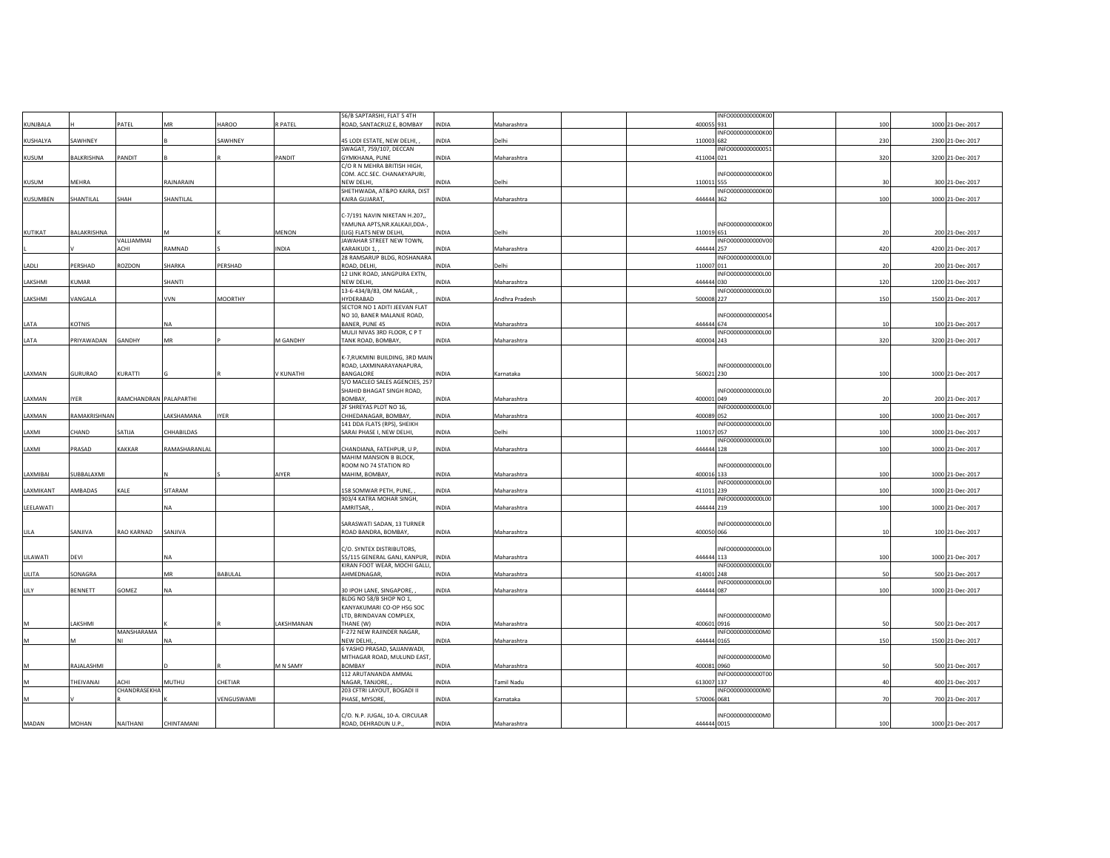|                 |              |                        |               |                |            | 56/B SAPTARSHI, FLAT 5 4TH      |              |                | INFO0000000000K00 |     |                  |
|-----------------|--------------|------------------------|---------------|----------------|------------|---------------------------------|--------------|----------------|-------------------|-----|------------------|
| KUNJBALA        |              | PATEL                  | MR            | HAROO          | R PATEL    | ROAD, SANTACRUZ E, BOMBAY       | INDIA        | Maharashtra    | 400055 931        | 100 | 1000 21-Dec-2017 |
|                 |              |                        |               |                |            |                                 |              |                | INFO0000000000K00 |     |                  |
| KUSHALYA        | SAWHNEY      |                        |               | SAWHNEY        |            | 45 LODI ESTATE, NEW DELHI,      | <b>INDIA</b> | Delhi          | 110003 682        | 230 | 2300 21-Dec-2017 |
|                 |              |                        |               |                |            | SWAGAT, 759/107, DECCAN         |              |                | INFO0000000000051 |     |                  |
| KUSUM           | BALKRISHNA   | PANDIT                 |               |                | PANDIT     | GYMKHANA, PUNE                  | INDIA        | Maharashtra    | 411004 021        | 320 | 3200 21-Dec-2017 |
|                 |              |                        |               |                |            | C/O R N MEHRA BRITISH HIGH,     |              |                |                   |     |                  |
|                 |              |                        |               |                |            | COM. ACC.SEC. CHANAKYAPURI,     |              |                | INFO0000000000K00 |     |                  |
| KUSUM           | MEHRA        |                        | RAJNARAIN     |                |            | NEW DELHI,                      | INDIA        | Delhi          | 110011 555        | 30  | 300 21-Dec-2017  |
|                 |              |                        |               |                |            | SHETHWADA, AT&PO KAIRA, DIST    |              |                | INFO0000000000K00 |     |                  |
| <b>KUSUMBEN</b> | SHANTILAL    | SHAH                   | SHANTILAL     |                |            | KAIRA GUJARAT,                  | INDIA        | Maharashtra    | 444444 362        | 100 | 1000 21-Dec-2017 |
|                 |              |                        |               |                |            |                                 |              |                |                   |     |                  |
|                 |              |                        |               |                |            | C-7/191 NAVIN NIKETAN H.207,,   |              |                |                   |     |                  |
|                 |              |                        |               |                |            | YAMUNA APTS, NR. KALKAJI, DDA-, |              |                | INFO0000000000K00 |     |                  |
| KUTIKAT         | BALAKRISHNA  |                        | м             |                | MENON      | (LIG) FLATS NEW DELHI,          | <b>INDIA</b> | Delhi          | 110019 651        | 20  | 200 21-Dec-2017  |
|                 |              | VALLIAMMAI             |               |                |            | JAWAHAR STREET NEW TOWN,        |              |                | INFO0000000000V00 |     |                  |
|                 |              | ACHI                   | RAMNAD        |                | INDIA      | <b>KARAIKUDI 1</b>              | INDIA        | Maharashtra    | 444444 257        | 420 | 4200 21-Dec-2017 |
|                 |              |                        |               |                |            | 28 RAMSARUP BLDG, ROSHANARA     |              |                | INFO0000000000L00 |     |                  |
| LADLI           | PERSHAD      | ROZDON                 | SHARKA        | PERSHAD        |            | ROAD, DELHI,                    | INDIA        | Delhi          | 110007 011        | 20  | 200 21-Dec-2017  |
|                 |              |                        |               |                |            | 12 LINK ROAD, JANGPURA EXTN,    |              |                | INFO0000000000L00 |     |                  |
| LAKSHMI         | KUMAR        |                        | SHANTI        |                |            | NEW DELHI,                      | INDIA        | Maharashtra    | 444444 030        | 120 | 1200 21-Dec-2017 |
|                 |              |                        |               |                |            | 13-6-434/B/83, OM NAGAR, ,      |              |                | INFO0000000000L00 |     |                  |
| LAKSHMI         | VANGALA      |                        | <b>VVN</b>    | <b>MOORTHY</b> |            | HYDERABAD                       | INDIA        | Andhra Pradesh | 500008 227        | 150 | 1500 21-Dec-2017 |
|                 |              |                        |               |                |            | SECTOR NO 1 ADITI JEEVAN FLAT   |              |                |                   |     |                  |
|                 |              |                        |               |                |            | NO 10, BANER MALANJE ROAD,      |              |                | INFO000000000054  |     |                  |
| LATA            | KOTNIS       |                        | <b>NA</b>     |                |            | BANER, PUNE 45                  | INDIA        | Maharashtra    | 444444 674        | 10  | 100 21-Dec-2017  |
|                 |              |                        |               |                |            | MULJI NIVAS 3RD FLOOR, C P T    |              |                | INFO0000000000L00 |     |                  |
| LATA            | PRIYAWADAN   | GANDHY                 | MR            |                | M GANDHY   | TANK ROAD, BOMBAY,              | <b>INDIA</b> | Maharashtra    | 400004 243        | 320 | 3200 21-Dec-2017 |
|                 |              |                        |               |                |            |                                 |              |                |                   |     |                  |
|                 |              |                        |               |                |            | K-7, RUKMINI BUILDING, 3RD MAIN |              |                |                   |     |                  |
|                 |              |                        |               |                |            | ROAD, LAXMINARAYANAPURA,        |              |                | INFO0000000000L00 |     |                  |
| LAXMAN          | GURURAO      | KURATTI                |               |                | V KUNATHI  | BANGALORE                       | INDIA        | Karnataka      | 560021 230        | 100 | 1000 21-Dec-2017 |
|                 |              |                        |               |                |            | S/O MACLEO SALES AGENCIES, 257  |              |                |                   |     |                  |
|                 |              |                        |               |                |            | SHAHID BHAGAT SINGH ROAD,       |              |                | INFO0000000000L00 |     |                  |
| LAXMAN          | <b>IYER</b>  | RAMCHANDRAN PALAPARTHI |               |                |            | BOMBAY,                         | <b>INDIA</b> | Maharashtra    | 400001 049        | 20  | 200 21-Dec-2017  |
|                 |              |                        |               |                |            | 2F SHREYAS PLOT NO 16,          |              |                | INFO0000000000L00 |     |                  |
| <b>AXMAN</b>    | RAMAKRISHNAN |                        | LAKSHAMANA    | <b>IYER</b>    |            | CHHEDANAGAR, BOMBAY,            | <b>INDIA</b> | Maharashtra    | 400089 052        | 100 | 1000 21-Dec-2017 |
|                 |              |                        |               |                |            | 141 DDA FLATS (RPS), SHEIKH     |              |                | INFO0000000000L00 |     |                  |
| LAXMI           | CHAND        | SATIJA                 | CHHABILDAS    |                |            | SARAI PHASE I. NEW DELHI.       | <b>INDIA</b> | Delhi          | 110017 057        | 100 | 1000 21-Dec-2017 |
|                 |              |                        |               |                |            |                                 |              |                | INFO0000000000L00 |     |                  |
| LAXMI           | PRASAD       | KAKKAR                 | RAMASHARANLAL |                |            | CHANDIANA, FATEHPUR, U P,       | <b>INDIA</b> | Maharashtra    | 444444 128        | 100 | 1000 21-Dec-2017 |
|                 |              |                        |               |                |            | MAHIM MANSION B BLOCK,          |              |                |                   |     |                  |
|                 |              |                        |               |                |            | ROOM NO 74 STATION RD           |              |                | INFO0000000000L00 |     |                  |
| LAXMIBAI        | SUBBALAXMI   |                        |               |                | AIYER      | MAHIM, BOMBAY,                  | INDIA        |                | 400016 133        | 100 | 1000 21-Dec-2017 |
|                 |              |                        |               |                |            |                                 |              | Maharashtra    | INFO0000000000L00 |     |                  |
| LAXMIKANT       | AMBADAS      | KALE                   | SITARAM       |                |            | 158 SOMWAR PETH, PUNE,          | INDIA        | Maharashtra    | 411011 239        | 100 | 1000 21-Dec-2017 |
|                 |              |                        |               |                |            | 903/4 KATRA MOHAR SINGH,        |              |                | INFO0000000000L00 |     |                  |
|                 |              |                        |               |                |            |                                 |              |                |                   |     |                  |
| LEELAWATI       |              |                        | <b>NA</b>     |                |            | AMRITSAR,                       | INDIA        | Maharashtra    | 444444 219        | 100 | 1000 21-Dec-2017 |
|                 |              |                        |               |                |            |                                 |              |                |                   |     |                  |
|                 |              |                        |               |                |            | SARASWATI SADAN, 13 TURNER      |              |                | INFO0000000000L00 |     |                  |
| LILA            | SANJIVA      | RAO KARNAD             | SANJIVA       |                |            | ROAD BANDRA, BOMBAY,            | INDIA        | Maharashtra    | 400050 066        | 10  | 100 21-Dec-2017  |
|                 |              |                        |               |                |            |                                 |              |                |                   |     |                  |
|                 |              |                        |               |                |            | C/O. SYNTEX DISTRIBUTORS,       |              |                | INFO0000000000L00 |     |                  |
| LILAWATI        | DEVI         |                        | <b>NA</b>     |                |            | 55/115 GENERAL GANJ, KANPUR,    | <b>INDIA</b> | Maharashtra    | 444444 113        | 100 | 1000 21-Dec-2017 |
|                 |              |                        |               |                |            | KIRAN FOOT WEAR, MOCHI GALLI,   |              |                | INFO0000000000L00 |     |                  |
| LILITA          | SONAGRA      |                        | <b>MR</b>     | BABULAL        |            | AHMEDNAGAR,                     | <b>INDIA</b> | Maharashtra    | 414001 248        | 50  | 500 21-Dec-2017  |
|                 |              |                        |               |                |            |                                 |              |                | INFO0000000000L00 |     |                  |
| LILY            | BENNETT      | GOMEZ                  | <b>NA</b>     |                |            | 30 IPOH LANE, SINGAPORE,        | INDIA        | Maharashtra    | 444444 087        | 100 | 1000 21-Dec-2017 |
|                 |              |                        |               |                |            | BLDG NO 58/B SHOP NO 1,         |              |                |                   |     |                  |
|                 |              |                        |               |                |            | KANYAKUMARI CO-OP HSG SOC       |              |                |                   |     |                  |
|                 |              |                        |               |                |            | LTD, BRINDAVAN COMPLEX,         |              |                | INFO0000000000M0  |     |                  |
| M               | LAKSHMI      |                        |               |                | LAKSHMANAN | THANE (W)                       | <b>INDIA</b> | Maharashtra    | 400601 0916       | 50  | 500 21-Dec-2017  |
|                 |              | MANSHARAMA             |               |                |            | F-272 NEW RAJINDER NAGAR,       |              |                | INFO0000000000M0  |     |                  |
| M               |              |                        | <b>NA</b>     |                |            | NEW DELHI,                      | INDIA        | Maharashtra    | 444444 0165       | 150 | 1500 21-Dec-2017 |
|                 |              |                        |               |                |            | 6 YASHO PRASAD, SAJJANWADI,     |              |                |                   |     |                  |
|                 |              |                        |               |                |            | MITHAGAR ROAD, MULUND EAST,     |              |                | INFO0000000000M0  |     |                  |
| M               | RAJALASHMI   |                        |               |                | M N SAMY   | <b>BOMBAY</b>                   | INDIA        | Maharashtra    | 400081 0960       | 50  | 500 21-Dec-2017  |
|                 |              |                        |               |                |            | 112 ARUTANANDA AMMAL            |              |                | INFO0000000000T00 |     |                  |
| M               | THEIVANAI    | ACHI                   | MUTHU         | CHETIAR        |            | NAGAR, TANJORE,                 | INDIA        | Tamil Nadu     | 613007 137        | 40  | 400 21-Dec-2017  |
|                 |              | CHANDRASEKHA           |               |                |            | 203 CFTRI LAYOUT, BOGADI II     |              |                | INFO0000000000M0  |     |                  |
| M               |              |                        |               | VENGUSWAMI     |            | PHASE, MYSORE,                  | INDIA        | Karnataka      | 570006 0681       | 70  | 700 21-Dec-2017  |
|                 |              |                        |               |                |            |                                 |              |                |                   |     |                  |
|                 |              |                        |               |                |            | C/O. N.P. JUGAL, 10-A. CIRCULAR |              |                | INFO0000000000M0  |     |                  |
| MADAN           | MOHAN        | NAITHANI               | CHINTAMANI    |                |            | ROAD, DEHRADUN U.P.,            | INDIA        | Maharashtra    | 444444 0015       | 100 | 1000 21-Dec-2017 |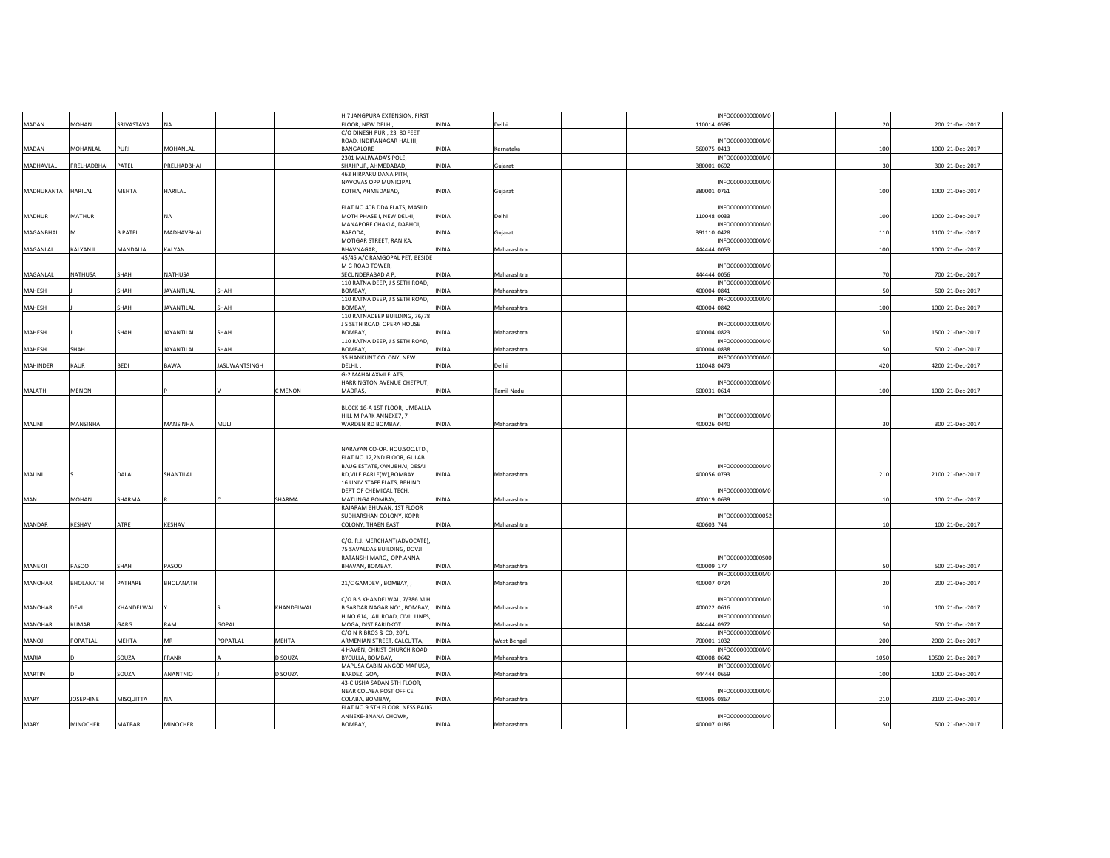|                |                 |                |                   |                      |            | H 7 JANGPURA EXTENSION, FIRST                            |              |             |             | INFO0000000000M0  |      |                   |
|----------------|-----------------|----------------|-------------------|----------------------|------------|----------------------------------------------------------|--------------|-------------|-------------|-------------------|------|-------------------|
| MADAN          | MOHAN           | SRIVASTAVA     | NA                |                      |            | FLOOR, NEW DELHI,                                        | INDIA        | Delhi       | 110014 0596 |                   | 20   | 200 21-Dec-2017   |
|                |                 |                |                   |                      |            | C/O DINESH PURI, 23, 80 FEET                             |              |             |             |                   |      |                   |
|                |                 |                |                   |                      |            | ROAD, INDIRANAGAR HAL III,                               |              |             |             | INFO0000000000M0  |      |                   |
| MADAN          | MOHANLAL        | PURI           | MOHANLAL          |                      |            | BANGALORE<br>2301 MALIWADA'S POLE,                       | INDIA        | Karnataka   | 560075 0413 | INFO0000000000M0  | 100  | 1000 21-Dec-2017  |
| MADHAVLAL      | PRELHADBHAI     | PATEL          | PRELHADBHAI       |                      |            | SHAHPUR, AHMEDABAD,                                      | INDIA        | Gujarat     | 380001 0692 |                   | 30   | 300 21-Dec-2017   |
|                |                 |                |                   |                      |            | 463 HIRPARU DANA PITH,                                   |              |             |             |                   |      |                   |
|                |                 |                |                   |                      |            | NAVOVAS OPP MUNICIPAL                                    |              |             |             | INFO0000000000M0  |      |                   |
| MADHUKANTA     | HARILAL         | MEHTA          | HARILAL           |                      |            | KOTHA, AHMEDABAD,                                        | <b>INDIA</b> | Gujarat     | 380001 0761 |                   | 100  | 1000 21-Dec-2017  |
|                |                 |                |                   |                      |            |                                                          |              |             |             |                   |      |                   |
|                |                 |                |                   |                      |            | FLAT NO 40B DDA FLATS, MASJID                            |              |             |             | INFO0000000000M0  |      |                   |
| MADHUR         | <b>MATHUR</b>   |                | <b>NA</b>         |                      |            | MOTH PHASE I, NEW DELHI,                                 | INDIA        | Delhi       | 110048 0033 |                   | 100  | 1000 21-Dec-2017  |
|                |                 |                |                   |                      |            | MANAPORE CHAKLA, DABHOI,                                 |              |             |             | INFO0000000000M0  |      |                   |
| MAGANBHAI      |                 | <b>B PATEL</b> | MADHAVBHAI        |                      |            | BARODA,                                                  | INDIA        | Gujarat     | 391110 0428 |                   | 110  | 1100 21-Dec-2017  |
| MAGANLAL       | KALYANJI        | MANDALIA       | KALYAN            |                      |            | MOTIGAR STREET, RANIKA.<br><b>BHAVNAGAR</b>              | <b>INDIA</b> | Maharashtra | 444444 0053 | INFO0000000000M0  | 100  | 1000 21-Dec-2017  |
|                |                 |                |                   |                      |            | 45/45 A/C RAMGOPAL PET, BESIDE                           |              |             |             |                   |      |                   |
|                |                 |                |                   |                      |            | M G ROAD TOWER,                                          |              |             |             | INFO0000000000M0  |      |                   |
| MAGANLAL       | NATHUSA         | SHAH           | NATHUSA           |                      |            | SECUNDERABAD A P                                         | INDIA        | Maharashtra | 444444 0056 |                   | 70   | 700 21-Dec-2017   |
|                |                 |                |                   |                      |            | 110 RATNA DEEP, J S SETH ROAD,                           |              |             |             | INFO0000000000M0  |      |                   |
| MAHESH         |                 | SHAH           | <b>JAYANTILAL</b> | SHAH                 |            | BOMBAY.                                                  | <b>INDIA</b> | Maharashtra | 400004 0841 |                   | 50   | 500 21-Dec-2017   |
|                |                 |                |                   |                      |            | 110 RATNA DEEP, J S SETH ROAD,                           |              |             |             | INFO0000000000M0  |      |                   |
| MAHESH         |                 | SHAH           | JAYANTILAL        | SHAH                 |            | BOMBAY,                                                  | INDIA        | Maharashtra | 400004 0842 |                   | 100  | 1000 21-Dec-2017  |
|                |                 |                |                   |                      |            | 110 RATNADEEP BUILDING, 76/78                            |              |             |             |                   |      |                   |
|                |                 |                |                   |                      |            | J S SETH ROAD, OPERA HOUSE                               |              |             |             | INFO0000000000M0  |      |                   |
| MAHESH         |                 | SHAH           | JAYANTILAL        | SHAH                 |            | <b>BOMBAY</b>                                            | INDIA        | Maharashtra | 400004 0823 |                   | 150  | 1500 21-Dec-2017  |
|                |                 |                |                   |                      |            | 110 RATNA DEEP, J S SETH ROAD,                           |              |             |             | INFO0000000000M0  |      |                   |
| MAHESH         | SHAH            |                | <b>JAYANTILAL</b> | SHAH                 |            | BOMBAY,                                                  | INDIA        | Maharashtra | 400004 0838 |                   | 50   | 500 21-Dec-2017   |
|                |                 | BEDI           | BAWA              |                      |            | 35 HANKUNT COLONY, NEW<br>DELHI.                         |              |             |             | INFO0000000000M0  |      |                   |
| MAHINDER       | KAUR            |                |                   | <b>IASUWANTSINGH</b> |            | G-2 MAHALAXMI FLATS,                                     | INDIA        | Delhi       | 110048 0473 |                   | 420  | 4200 21-Dec-2017  |
|                |                 |                |                   |                      |            | HARRINGTON AVENUE CHETPUT,                               |              |             |             | INFO0000000000M0  |      |                   |
| MALATHI        | MENON           |                |                   |                      | C MENON    | MADRAS,                                                  | INDIA        | Tamil Nadu  | 600031 0614 |                   | 100  | 1000 21-Dec-2017  |
|                |                 |                |                   |                      |            |                                                          |              |             |             |                   |      |                   |
|                |                 |                |                   |                      |            | BLOCK 16-A 1ST FLOOR, UMBALLA                            |              |             |             |                   |      |                   |
|                |                 |                |                   |                      |            | HILL M PARK ANNEXE7, 7                                   |              |             |             | INFO0000000000M0  |      |                   |
| MALINI         | MANSINHA        |                | MANSINHA          | MULI                 |            | WARDEN RD BOMBAY,                                        | <b>INDIA</b> | Maharashtra | 400026 0440 |                   | 30   | 300 21-Dec-2017   |
|                |                 |                |                   |                      |            |                                                          |              |             |             |                   |      |                   |
|                |                 |                |                   |                      |            |                                                          |              |             |             |                   |      |                   |
|                |                 |                |                   |                      |            | NARAYAN CO-OP. HOU.SOC.LTD.,                             |              |             |             |                   |      |                   |
|                |                 |                |                   |                      |            | FLAT NO.12,2ND FLOOR, GULAB                              |              |             |             |                   |      |                   |
|                |                 |                |                   |                      |            | BAUG ESTATE, KANUBHAI, DESAI                             |              |             |             | INFO0000000000M0  |      |                   |
| MALINI         |                 | DALAL          | SHANTILAL         |                      |            | RD, VILE PARLE(W), BOMBAY                                | INDIA        | Maharashtra | 400056 0793 |                   | 210  | 2100 21-Dec-2017  |
|                |                 |                |                   |                      |            | 16 UNIV STAFF FLATS, BEHIND                              |              |             |             |                   |      |                   |
|                |                 |                |                   |                      |            | DEPT OF CHEMICAL TECH,                                   |              |             |             | INFO0000000000M0  |      |                   |
| MAN            | MOHAN           | SHARMA         |                   |                      | SHARMA     | MATUNGA BOMBAY,                                          | INDIA        | Maharashtra | 400019 0639 |                   | 10   | 100 21-Dec-2017   |
|                |                 |                |                   |                      |            | RAJARAM BHUVAN, 1ST FLOOR<br>SUDHARSHAN COLONY, KOPRI    |              |             |             | INFO0000000000052 |      |                   |
| MANDAR         | KESHAV          | ATRE           | KESHAV            |                      |            | COLONY, THAEN EAST                                       | INDIA        | Maharashtra | 400603 744  |                   |      | 100 21-Dec-2017   |
|                |                 |                |                   |                      |            |                                                          |              |             |             |                   |      |                   |
|                |                 |                |                   |                      |            | C/O. R.J. MERCHANT(ADVOCATE),                            |              |             |             |                   |      |                   |
|                |                 |                |                   |                      |            | 75 SAVALDAS BUILDING, DOVJI                              |              |             |             |                   |      |                   |
|                |                 |                |                   |                      |            | RATANSHI MARG,, OPP.ANNA                                 |              |             |             | INFO0000000000500 |      |                   |
| MANEKJI        | PASOO           | SHAH           | PASOO             |                      |            | BHAVAN, BOMBAY.                                          | <b>INDIA</b> | Maharashtra | 400009 177  |                   | 50   | 500 21-Dec-2017   |
|                |                 |                |                   |                      |            |                                                          |              |             |             | INFO0000000000M0  |      |                   |
| <b>MANOHAR</b> | BHOLANATH       | PATHARE        | BHOLANATH         |                      |            | 21/C GAMDEVI, BOMBAY,                                    | INDIA        | Maharashtra | 400007 0724 |                   | 20   | 200 21-Dec-2017   |
|                |                 |                |                   |                      |            |                                                          |              |             |             |                   |      |                   |
|                |                 |                |                   |                      |            | C/O B S KHANDELWAL, 7/386 M H                            |              |             |             | INFO0000000000M0  |      |                   |
| MANOHAR        | DEVI            | KHANDELWAL     |                   |                      | KHANDELWAL | B SARDAR NAGAR NO1, BOMBAY,                              | <b>INDIA</b> | Maharashtra | 400022 0616 |                   | 10   | 100 21-Dec-2017   |
| MANOHAR        | KUMAR           | GARG           | RAM               | GOPAL                |            | H.NO.614, JAIL ROAD, CIVIL LINES,<br>MOGA, DIST FARIDKOT | INDIA        | Maharashtra | 444444 0972 | INFO0000000000M0  | 50   |                   |
|                |                 |                |                   |                      |            |                                                          |              |             |             | INFO0000000000M0  |      | 500 21-Dec-2017   |
| <b>LONAM</b>   | POPATLAL        | MEHTA          | <b>MR</b>         | POPATLAL             | MEHTA      | C/O N R BROS & CO, 20/1,<br>ARMENIAN STREET, CALCUTTA,   | INDIA        | West Bengal | 700001 1032 |                   | 200  | 2000 21-Dec-2017  |
|                |                 |                |                   |                      |            | 4 HAVEN, CHRIST CHURCH ROAD                              |              |             |             | INFO0000000000M0  |      |                   |
| MARIA          |                 | SOUZA          | FRANK             |                      | D SOUZA    | BYCULLA, BOMBAY,                                         | INDIA        | Maharashtra | 400008      | 0642              | 1050 | 10500 21-Dec-2017 |
|                |                 |                |                   |                      |            | MAPUSA CABIN ANGOD MAPUSA,                               |              |             |             | INFO0000000000M0  |      |                   |
| MARTIN         |                 | SOUZA          | ANANTNIO          |                      | D SOUZA    | BARDEZ, GOA                                              | INDIA        | Maharashtra | 444444 0659 |                   | 100  | 1000 21-Dec-2017  |
|                |                 |                |                   |                      |            | 43-C USHA SADAN 5TH FLOOR,                               |              |             |             |                   |      |                   |
|                |                 |                |                   |                      |            | NEAR COLABA POST OFFICE                                  |              |             |             | INFO0000000000M0  |      |                   |
| MARY           | <b>OSEPHINE</b> | MISQUITTA      | <b>NA</b>         |                      |            | COLABA, BOMBAY,                                          | INDIA        | Maharashtra | 400005 0867 |                   | 210  | 2100 21-Dec-2017  |
|                |                 |                |                   |                      |            | FLAT NO 9 5TH FLOOR, NESS BAUG                           |              |             |             |                   |      |                   |
|                |                 |                |                   |                      |            | ANNEXE-3NANA CHOWK,                                      |              |             |             |                   |      |                   |
| MARY           | <b>MINOCHER</b> | MATBAR         | MINOCHER          |                      |            | BOMBAY,                                                  | INDIA        | Maharashtra | 400007 0186 | INFO0000000000M0  | 50   | 500 21-Dec-2017   |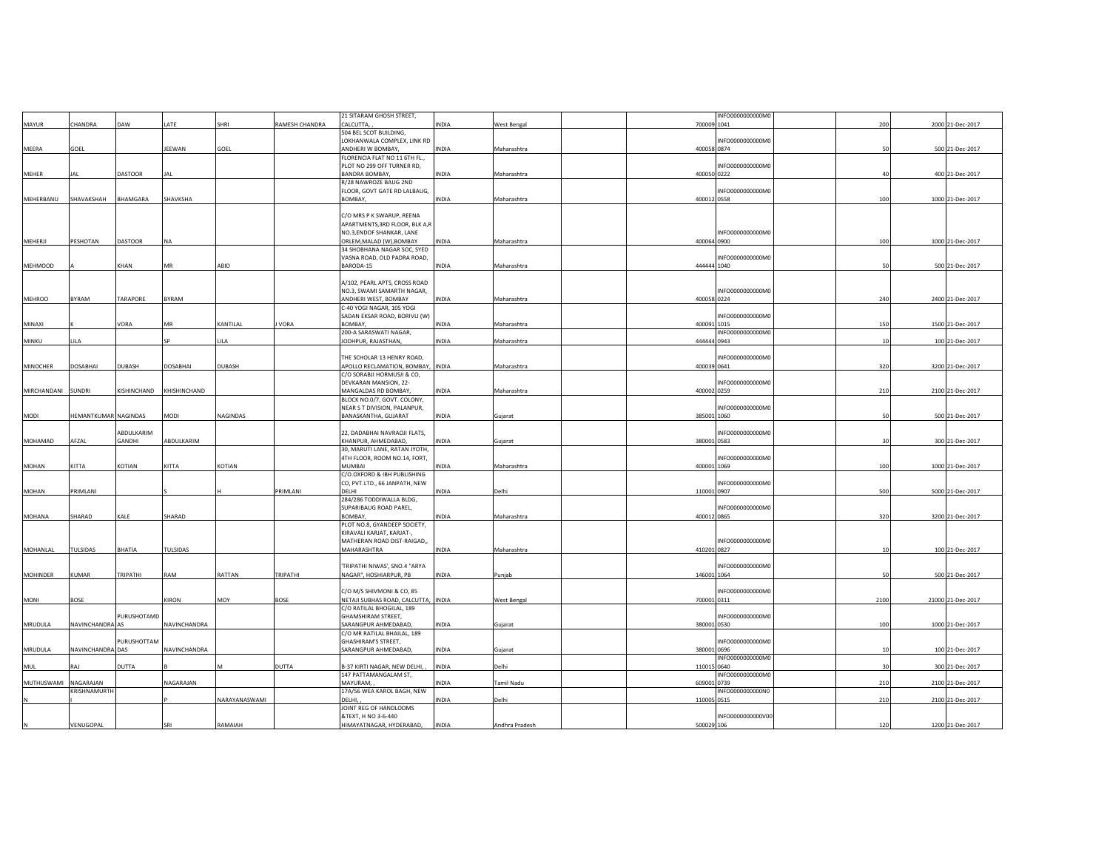|                 |                      |                |                 |               |                | 21 SITARAM GHOSH STREET,                                         |              |                |             | INFO0000000000M0  |            |                   |
|-----------------|----------------------|----------------|-----------------|---------------|----------------|------------------------------------------------------------------|--------------|----------------|-------------|-------------------|------------|-------------------|
| MAYUR           | CHANDRA              | DAW            | LATE            | SHRI          | RAMESH CHANDRA | CALCUTTA,                                                        | INDIA        | West Bengal    | 700009 1041 |                   | 200        | 2000 21-Dec-2017  |
|                 |                      |                |                 |               |                | 504 BEL SCOT BUILDING,                                           |              |                |             |                   |            |                   |
|                 |                      |                |                 |               |                | LOKHANWALA COMPLEX, LINK RD                                      |              |                |             | INFO0000000000M0  |            |                   |
| MEERA           | GOEL                 |                | JEEWAN          | GOEL          |                | ANDHERI W BOMBAY.<br>FLORENCIA FLAT NO 11 6TH FL.,               | <b>INDIA</b> | Maharashtra    | 400058 0874 |                   | 50         | 500 21-Dec-2017   |
|                 |                      |                |                 |               |                | PLOT NO 299 OFF TURNER RD,                                       |              |                |             | INFO0000000000M0  |            |                   |
| <b>MEHER</b>    | IAI                  | <b>DASTOOR</b> | JAL             |               |                | <b>BANDRA BOMBAY.</b>                                            | <b>INDIA</b> | Maharashtra    | 400050 0222 |                   | $\Delta$ 0 | 400 21-Dec-2017   |
|                 |                      |                |                 |               |                | R/28 NAWROZE BAUG 2ND                                            |              |                |             |                   |            |                   |
|                 |                      |                |                 |               |                | FLOOR, GOVT GATE RD LALBAUG,                                     |              |                |             | INFO0000000000M0  |            |                   |
| MEHERBANU       | SHAVAKSHAH           | BHAMGARA       | SHAVKSHA        |               |                | BOMBAY,                                                          | INDIA        | Maharashtra    | 400012 0558 |                   | 100        | 1000 21-Dec-2017  |
|                 |                      |                |                 |               |                |                                                                  |              |                |             |                   |            |                   |
|                 |                      |                |                 |               |                | C/O MRS P K SWARUP, REENA<br>APARTMENTS, 3RD FLOOR, BLK A,R      |              |                |             |                   |            |                   |
|                 |                      |                |                 |               |                | NO.3.ENDOF SHANKAR, LANE                                         |              |                |             | INFO0000000000M0  |            |                   |
| MEHERJI         | PESHOTAN             | <b>DASTOOR</b> | <b>NA</b>       |               |                | ORLEM, MALAD (W), BOMBAY                                         | <b>INDIA</b> | Maharashtra    | 400064 0900 |                   | 100        | 1000 21-Dec-2017  |
|                 |                      |                |                 |               |                | 34 SHOBHANA NAGAR SOC, SYED                                      |              |                |             |                   |            |                   |
|                 |                      |                |                 |               |                | VASNA ROAD, OLD PADRA ROAD,                                      |              |                |             | INFO0000000000M0  |            |                   |
| <b>MEHMOOD</b>  |                      | KHAN           | MR              | ABID          |                | BARODA-15                                                        | INDIA        | Maharashtra    | 444444 1040 |                   | 50         | 500 21-Dec-2017   |
|                 |                      |                |                 |               |                |                                                                  |              |                |             |                   |            |                   |
|                 |                      |                |                 |               |                | A/102, PEARL APTS, CROSS ROAD                                    |              |                |             |                   |            |                   |
|                 |                      |                |                 |               |                | NO.3, SWAMI SAMARTH NAGAR,                                       |              |                |             | INFO0000000000M0  |            |                   |
| <b>MEHROO</b>   | BYRAM                | TARAPORE       | BYRAM           |               |                | ANDHERI WEST, BOMBAY<br>C-40 YOGI NAGAR, 105 YOGI                | INDIA        | Maharashtra    | 400058 0224 |                   | 240        | 2400 21-Dec-2017  |
|                 |                      |                |                 |               |                | SADAN EKSAR ROAD, BORIVLI (W)                                    |              |                |             | INFO0000000000M0  |            |                   |
| MINAXI          |                      | VORA           | MR              | KANTILAL      | <b>VORA</b>    | BOMBAY.                                                          | <b>INDIA</b> | Maharashtra    | 400091 1015 |                   | 150        | 1500 21-Dec-2017  |
|                 |                      |                |                 |               |                | 200-A SARASWATI NAGAR,                                           |              |                |             | INFO0000000000M0  |            |                   |
| MINKU           | LILA                 |                |                 | LILA          |                | JODHPUR, RAJASTHAN,                                              | INDIA        | Maharashtra    | 444444 0943 |                   | 10         | 100 21-Dec-2017   |
|                 |                      |                |                 |               |                |                                                                  |              |                |             |                   |            |                   |
|                 |                      |                |                 |               |                | THE SCHOLAR 13 HENRY ROAD,                                       |              |                |             | INFO0000000000M0  |            |                   |
| <b>MINOCHER</b> | DOSABHAI             | DUBASH         | <b>DOSABHAI</b> | DUBASH        |                | APOLLO RECLAMATION, BOMBAY,                                      | <b>INDIA</b> | Maharashtra    | 400039 0641 |                   | 320        | 3200 21-Dec-2017  |
|                 |                      |                |                 |               |                | C/O SORABJI HORMUSJI & CO,                                       |              |                |             |                   |            |                   |
| MIRCHANDANI     | <b>SUNDRI</b>        | KISHINCHAND    | KHISHINCHAND    |               |                | DEVKARAN MANSION, 22-<br>MANGALDAS RD BOMBAY,                    | <b>INDIA</b> | Maharashtra    | 400002 0259 | INFO0000000000M0  | 210        | 2100 21-Dec-2017  |
|                 |                      |                |                 |               |                | BLOCK NO.0/7, GOVT. COLONY,                                      |              |                |             |                   |            |                   |
|                 |                      |                |                 |               |                | NEAR S T DIVISION, PALANPUR,                                     |              |                |             | INFO0000000000M0  |            |                   |
| MODI            | HEMANTKUMAR NAGINDAS |                | MODI            | NAGINDAS      |                | BANASKANTHA, GUJARAT                                             | INDIA        | Gujarat        | 385001 1060 |                   | 50         | 500 21-Dec-2017   |
|                 |                      |                |                 |               |                |                                                                  |              |                |             |                   |            |                   |
|                 |                      | ABDULKARIM     |                 |               |                | 22, DADABHAI NAVRAOJI FLATS,                                     |              |                |             | INFO0000000000M0  |            |                   |
| MOHAMAD         | AFZAL                | GANDHI         | ABDULKARIM      |               |                | KHANPUR, AHMEDABAD,                                              | INDIA        | Gujarat        | 380001 0583 |                   | 30         | 300 21-Dec-2017   |
|                 |                      |                |                 |               |                | 30, MARUTI LANE, RATAN JYOTH,                                    |              |                |             |                   |            |                   |
| MOHAN           | KITTA                | KOTIAN         | KITTA           | KOTIAN        |                | 4TH FLOOR, ROOM NO.14, FORT,<br>MUMBAI                           | INDIA        | Maharashtra    | 400001 1069 | INFO0000000000M0  | 100        | 1000 21-Dec-2017  |
|                 |                      |                |                 |               |                | C/O.OXFORD & IBH PUBLISHING                                      |              |                |             |                   |            |                   |
|                 |                      |                |                 |               |                | CO, PVT.LTD., 66 JANPATH, NEW                                    |              |                |             | INFO0000000000M0  |            |                   |
| MOHAN           | PRIMLANI             |                |                 |               | PRIMLANI       | DELHI                                                            | INDIA        | Delhi          | 110001 0907 |                   | 500        | 5000 21-Dec-2017  |
|                 |                      |                |                 |               |                | 284/286 TODDIWALLA BLDG,                                         |              |                |             |                   |            |                   |
|                 |                      |                |                 |               |                | SUPARIBAUG ROAD PAREL,                                           |              |                |             | INFO0000000000M0  |            |                   |
| MOHANA          | SHARAD               | KALE           | SHARAD          |               |                | BOMBAY,                                                          | INDIA        | Maharashtra    | 400012 0865 |                   | 320        | 3200 21-Dec-2017  |
|                 |                      |                |                 |               |                | PLOT NO.8, GYANDEEP SOCIETY,                                     |              |                |             |                   |            |                   |
|                 |                      |                |                 |               |                | KIRAVALI KARJAT, KARJAT-,<br>MATHERAN ROAD DIST-RAIGAD,,         |              |                |             | INFO0000000000M0  |            |                   |
| MOHANLAL        | TULSIDAS             | BHATIA         | TULSIDAS        |               |                | MAHARASHTRA                                                      | INDIA        | Maharashtra    | 410201 0827 |                   | 10         | 100 21-Dec-2017   |
|                 |                      |                |                 |               |                |                                                                  |              |                |             |                   |            |                   |
|                 |                      |                |                 |               |                | 'TRIPATHI NIWAS', SNO.4 "ARYA                                    |              |                |             | INFO0000000000M0  |            |                   |
| <b>MOHINDER</b> | KUMAR                | TRIPATHI       | RAM             | RATTAN        | TRIPATHI       | NAGAR", HOSHIARPUR, PB                                           | INDIA        | Punjab         | 146001 1064 |                   | 50         | 500 21-Dec-2017   |
|                 |                      |                |                 |               |                |                                                                  |              |                |             |                   |            |                   |
|                 |                      |                |                 |               |                | C/O M/S SHIVMONI & CO, 85                                        |              |                |             | INFO0000000000M0  |            |                   |
| MONI            | BOSE                 |                | KIRON           | MOY           | <b>BOSE</b>    | NETAJI SUBHAS ROAD, CALCUTTA, INDIA<br>C/O RATILAL BHOGILAL, 189 |              | West Bengal    | 700001 0311 |                   | 2100       | 21000 21-Dec-2017 |
|                 |                      | PURUSHOTAMD    |                 |               |                | <b>GHAMSHIRAM STREET,</b>                                        |              |                |             | INFO0000000000M0  |            |                   |
| MRUDULA         | NAVINCHANDRA AS      |                | NAVINCHANDRA    |               |                | SARANGPUR AHMEDABAD,                                             | <b>INDIA</b> | Gujarat        | 380001 0530 |                   | 100        | 1000 21-Dec-2017  |
|                 |                      |                |                 |               |                | C/O MR RATILAL BHAILAL, 189                                      |              |                |             |                   |            |                   |
|                 |                      | PURUSHOTTAM    |                 |               |                | <b>GHASHIRAM'S STREET.</b>                                       |              |                |             | INFO0000000000M0  |            |                   |
| MRUDULA         | NAVINCHANDRA DAS     |                | NAVINCHANDRA    |               |                | SARANGPUR AHMEDABAD,                                             | <b>INDIA</b> | Gujarat        | 380001 0696 |                   | 10         | 100 21-Dec-2017   |
|                 |                      |                |                 |               |                |                                                                  |              |                |             | INFO0000000000M0  |            |                   |
| <b>MUL</b>      | RAI                  | DUTTA          |                 | M             | DUTTA          | B-37 KIRTI NAGAR, NEW DELHI,                                     | <b>INDIA</b> | Delhi          | 110015 0640 |                   |            | 300 21-Dec-2017   |
| MUTHUSWAMI      | NAGARAJAN            |                | NAGARAJAN       |               |                | 147 PATTAMANGALAM ST,<br>MAYURAM,                                | INDIA        | Tamil Nadu     | 609001 0739 | INFO0000000000M0  | 210        | 2100 21-Dec-2017  |
|                 | KRISHNAMURTH         |                |                 |               |                | 17A/56 WEA KAROL BAGH, NEW                                       |              |                |             | INFO0000000000N0  |            |                   |
|                 |                      |                |                 | NARAYANASWAMI |                | DELHI,                                                           | INDIA        | Delhi          | 110005 0515 |                   | 210        | 2100 21-Dec-2017  |
|                 |                      |                |                 |               |                | JOINT REG OF HANDLOOMS                                           |              |                |             |                   |            |                   |
|                 |                      |                |                 |               |                | &TEXT, H NO 3-6-440                                              |              |                |             | INFO0000000000V00 |            |                   |
|                 | VENUGOPAL            |                | SRI             | RAMAIAH       |                | HIMAYATNAGAR, HYDERABAD,                                         | <b>INDIA</b> | Andhra Pradesh | 500029 106  |                   | 120        | 1200 21-Dec-2017  |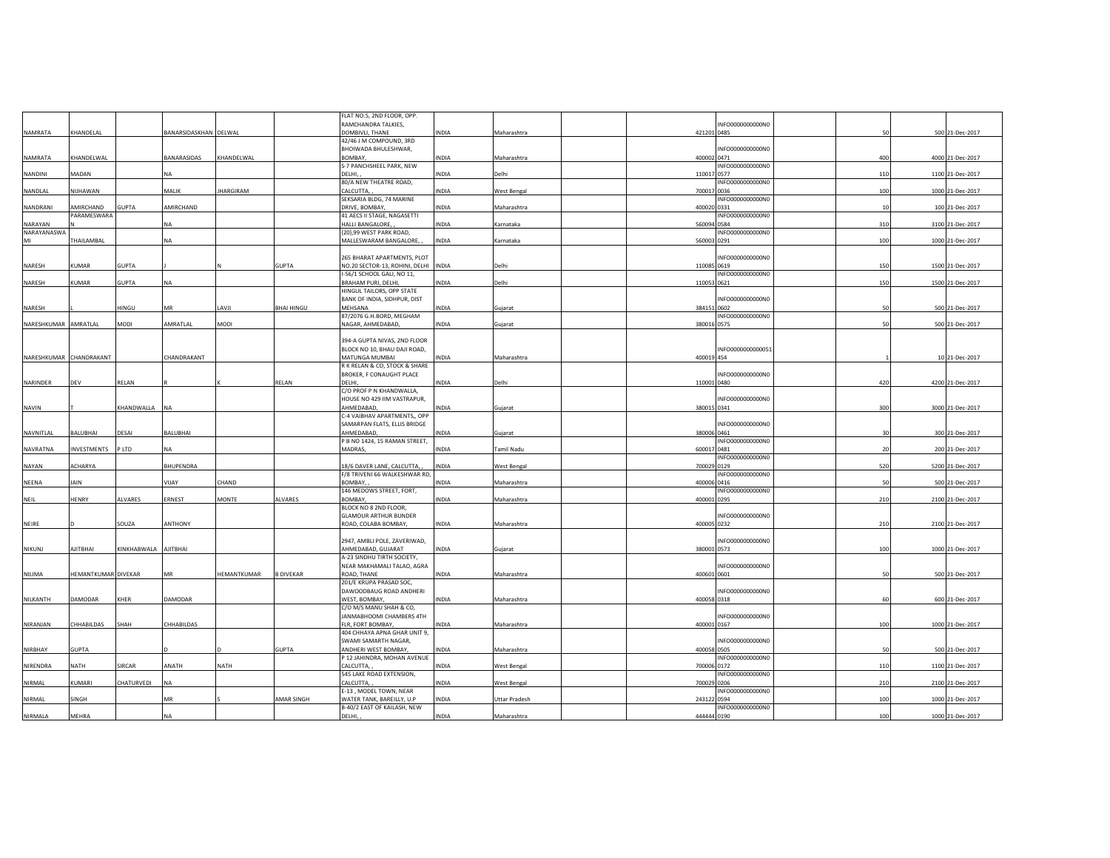|                         |                     |                      |                       |                  |                   | FLAT NO.5, 2ND FLOOR, OPP.         |              |                      |             |                   |     |                  |
|-------------------------|---------------------|----------------------|-----------------------|------------------|-------------------|------------------------------------|--------------|----------------------|-------------|-------------------|-----|------------------|
|                         |                     |                      |                       |                  |                   | RAMCHANDRA TALKIES,                |              |                      |             | INFO0000000000N0  |     |                  |
| NAMRATA                 | KHANDELAL           |                      | BANARSIDASKHAN DELWAL |                  |                   | DOMBIVLI, THANE                    | <b>INDIA</b> | Maharashtra          | 421201 0485 |                   | 50  | 500 21-Dec-2017  |
|                         |                     |                      |                       |                  |                   | 42/46 J M COMPOUND, 3RD            |              |                      |             |                   |     |                  |
|                         |                     |                      |                       |                  |                   | BHOIWADA BHULESHWAR,               |              |                      |             | INFO0000000000N0  |     |                  |
| NAMRATA                 | KHANDELWAL          |                      | BANARASIDAS           | KHANDELWAL       |                   | BOMBAY,                            | <b>INDIA</b> | Maharashtra          | 400002 0471 |                   | 400 | 4000 21-Dec-2017 |
|                         |                     |                      |                       |                  |                   | S-7 PANCHSHEEL PARK, NEW           |              |                      |             | INFO0000000000N0  |     |                  |
| NANDINI                 | MADAN               |                      | <b>NA</b>             |                  |                   | DELHI,                             | <b>INDIA</b> | Delhi                | 110017 0577 |                   | 110 | 1100 21-Dec-2017 |
|                         |                     |                      |                       |                  |                   | 80/A NEW THEATRE ROAD,             |              |                      |             | INFO0000000000N0  |     |                  |
| NANDLAL                 | NUHAWAN             |                      | MALIK                 | <b>JHARGIRAM</b> |                   | CALCUTTA,                          | <b>INDIA</b> | West Bengal          | 700017 0036 |                   | 100 | 1000 21-Dec-2017 |
|                         |                     |                      |                       |                  |                   | SEKSARIA BLDG, 74 MARINE           |              |                      |             | INFO0000000000N0  |     |                  |
| NANDRANI                | AMIRCHAND           | GUPTA                | AMIRCHAND             |                  |                   | DRIVE, BOMBAY,                     | INDIA        | Maharashtra          | 400020 0331 |                   | 10  | 100 21-Dec-2017  |
|                         | PARAMESWARA         |                      |                       |                  |                   | 41 AECS II STAGE, NAGASETTI        |              |                      |             | INFO0000000000N0  |     |                  |
| NARAYAN                 |                     |                      | <b>NA</b>             |                  |                   | HALLI BANGALORE,                   | INDIA        | Karnataka            | 560094 0584 |                   | 310 | 3100 21-Dec-2017 |
| NARAYANASWA             |                     |                      |                       |                  |                   | {20},99 WEST PARK ROAD,            |              |                      |             | INFO0000000000N0  |     |                  |
| MI                      | THAILAMBAL          |                      | <b>NA</b>             |                  |                   | MALLESWARAM BANGALORE,             | <b>INDIA</b> | Karnataka            | 560003 0291 |                   | 100 | 1000 21-Dec-2017 |
|                         |                     |                      |                       |                  |                   |                                    |              |                      |             |                   |     |                  |
|                         |                     |                      |                       |                  |                   | 265 BHARAT APARTMENTS, PLOT        |              |                      |             | INFO0000000000N0  |     |                  |
| NARESH                  | <b>KUMAR</b>        | <b>GUPTA</b>         |                       |                  | <b>GUPTA</b>      | NO.20 SECTOR-13, ROHINI, DELHI     | <b>INDIA</b> | Delhi                | 110085 0619 |                   | 150 | 1500 21-Dec-2017 |
|                         |                     |                      |                       |                  |                   | I-56/1 SCHOOL GALI, NO 11,         |              |                      |             | INFO0000000000N0  |     |                  |
| NARESH                  | KUMAR               | <b>GUPTA</b>         | <b>NA</b>             |                  |                   | <b>BRAHAM PURI, DELHI,</b>         | <b>INDIA</b> | Delhi                | 110053 0621 |                   | 150 | 1500 21-Dec-2017 |
|                         |                     |                      |                       |                  |                   | HINGUL TAILORS, OPP STATE          |              |                      |             |                   |     |                  |
|                         |                     |                      |                       |                  |                   | BANK OF INDIA, SIDHPUR, DIST       |              |                      |             | INFO0000000000NO  |     |                  |
| NARESH                  |                     | HINGU                | MR                    | LAVJI            | <b>BHAI HINGU</b> | MEHSANA                            | INDIA        | Gujarat              | 384151 0602 |                   | 50  | 500 21-Dec-2017  |
|                         |                     |                      |                       |                  |                   | 87/2076 G.H.BORD, MEGHAM           |              |                      |             | INFO0000000000N0  |     |                  |
| NARESHKUMAR AMRATLAL    |                     | MODI                 | AMRATLAL              | MODI             |                   | NAGAR, AHMEDABAD,                  | <b>INDIA</b> | Gujarat              | 380016 0575 |                   | 50  | 500 21-Dec-2017  |
|                         |                     |                      |                       |                  |                   |                                    |              |                      |             |                   |     |                  |
|                         |                     |                      |                       |                  |                   | 394-A GUPTA NIVAS, 2ND FLOOR       |              |                      |             |                   |     |                  |
|                         |                     |                      |                       |                  |                   | BLOCK NO 10, BHAU DAJI ROAD,       |              |                      |             | INFO0000000000051 |     |                  |
| NARESHKUMAR CHANDRAKANT |                     |                      | CHANDRAKANT           |                  |                   | MATUNGA MUMBAI                     | <b>INDIA</b> | Maharashtra          | 400019 454  |                   |     | 10 21-Dec-2017   |
|                         |                     |                      |                       |                  |                   | R K RELAN & CO, STOCK & SHARE      |              |                      |             |                   |     |                  |
|                         |                     |                      |                       |                  |                   | BROKER, F CONAUGHT PLACE           |              |                      |             | INFO0000000000N0  |     |                  |
| NARINDER                | DEV                 | RELAN                |                       |                  | RELAN             | DELHI.<br>C/O PROF P N KHANDWALLA, | <b>INDIA</b> | Delhi                | 110001 0480 |                   | 420 | 4200 21-Dec-2017 |
|                         |                     |                      |                       |                  |                   |                                    |              |                      |             |                   |     |                  |
|                         |                     |                      |                       |                  |                   | HOUSE NO 429 IIM VASTRAPUR,        |              |                      | 380015 0341 | INFO0000000000N0  |     |                  |
| NAVIN                   |                     | KHANDWALLA           | <b>INA</b>            |                  |                   | AHMEDABAD,                         | INDIA        | Gujarat              |             |                   | 300 | 3000 21-Dec-2017 |
|                         |                     |                      |                       |                  |                   | C-4 VAIBHAV APARTMENTS,, OPP       |              |                      |             |                   |     |                  |
|                         |                     |                      |                       |                  |                   | SAMARPAN FLATS, ELLIS BRIDGE       |              |                      |             | INFO0000000000N0  |     |                  |
| NAVNITLAL               | BALUBHAI            | DESAI                | <b>BALUBHAI</b>       |                  |                   | AHMEDABAD                          | INDIA        | Gujarat              | 380006 0461 |                   | 30  | 300 21-Dec-2017  |
|                         |                     |                      |                       |                  |                   | P B NO 1424, 15 RAMAN STREET,      |              |                      |             | INFO0000000000N0  |     |                  |
| NAVRATNA                | <b>INVESTMENTS</b>  | P LTD                | <b>NA</b>             |                  |                   | MADRAS.                            | <b>INDIA</b> | <b>Tamil Nadu</b>    | 600017 0481 |                   | 20  | 200 21-Dec-2017  |
|                         | ACHARYA             |                      | <b>BHUPENDRA</b>      |                  |                   | 18/6 DAVER LANE, CALCUTTA.         | <b>INDIA</b> |                      |             | INFO0000000000N0  | 520 | 5200 21-Dec-2017 |
| NAYAN                   |                     |                      |                       |                  |                   | F/8 TRIVENI 66 WALKESHWAR RD,      |              | <b>West Bengal</b>   | 700029 0129 | INFO0000000000N0  |     |                  |
|                         |                     |                      | VIJAY                 | CHAND            |                   |                                    |              |                      |             |                   |     |                  |
| NEENA                   | <b>JAIN</b>         |                      |                       |                  |                   | BOMBAY.                            | <b>INDIA</b> | Maharashtra          | 400006 0416 | INFO0000000000N0  | 50  | 500 21-Dec-2017  |
|                         |                     |                      |                       |                  |                   | 146 MEDOWS STREET, FORT,           |              |                      |             |                   |     |                  |
| NEIL                    | HENRY               | <b>ALVARES</b>       | ERNEST                | <b>MONTE</b>     | ALVARES           | BOMBAY.<br>BLOCK NO 8 2ND FLOOR,   | <b>INDIA</b> | Maharashtra          | 400001 0295 |                   | 210 | 2100 21-Dec-2017 |
|                         |                     |                      |                       |                  |                   | <b>GLAMOUR ARTHUR BUNDER</b>       |              |                      |             | NFO0000000000N0   |     |                  |
| NEIRE                   |                     | SOUZA                | <b>ANTHONY</b>        |                  |                   | ROAD, COLABA BOMBAY,               | <b>INDIA</b> | Maharashtra          | 400005 0232 |                   | 210 | 2100 21-Dec-2017 |
|                         |                     |                      |                       |                  |                   |                                    |              |                      |             |                   |     |                  |
|                         |                     |                      |                       |                  |                   | 2947, AMBLI POLE, ZAVERIWAD,       |              |                      |             | INFO0000000000N0  |     |                  |
| NIKUNJ                  | AJITBHAI            | KINKHABWALA AJITBHAI |                       |                  |                   | AHMEDABAD, GUJARAT                 | <b>INDIA</b> | Gujarat              | 380001 0573 |                   | 100 | 1000 21-Dec-2017 |
|                         |                     |                      |                       |                  |                   | A-23 SINDHU TIRTH SOCIETY,         |              |                      |             |                   |     |                  |
|                         |                     |                      |                       |                  |                   | NEAR MAKHAMALI TALAO, AGRA         |              |                      |             | INFO0000000000N0  |     |                  |
| NILIMA                  | HEMANTKUMAR DIVEKAR |                      | MR                    | HEMANTKUMAR      | <b>B DIVEKAR</b>  | ROAD, THANE                        | INDIA        | Maharashtra          | 400601 0601 |                   | 50  | 500 21-Dec-2017  |
|                         |                     |                      |                       |                  |                   | 201/E KRUPA PRASAD SOC,            |              |                      |             |                   |     |                  |
|                         |                     |                      |                       |                  |                   | DAWOODBAUG ROAD ANDHERI            |              |                      |             | INFO0000000000N0  |     |                  |
| NILKANTH                | DAMODAR             | KHER                 | DAMODAR               |                  |                   | WEST, BOMBAY,                      | INDIA        | Maharashtra          | 400058 0318 |                   | 60  | 600 21-Dec-2017  |
|                         |                     |                      |                       |                  |                   | C/O M/S MANU SHAH & CO,            |              |                      |             |                   |     |                  |
|                         |                     |                      |                       |                  |                   | JANMABHOOMI CHAMBERS 4TH           |              |                      |             | INFO0000000000N0  |     |                  |
| NIRANJAN                | CHHABILDAS          | SHAH                 | CHHABILDAS            |                  |                   | FLR, FORT BOMBAY,                  | INDIA        | Maharashtra          | 400001 0167 |                   | 100 | 1000 21-Dec-2017 |
|                         |                     |                      |                       |                  |                   | 404 CHHAYA APNA GHAR UNIT 9,       |              |                      |             |                   |     |                  |
|                         |                     |                      |                       |                  |                   | SWAMI SAMARTH NAGAR.               |              |                      |             | INFO0000000000N0  |     |                  |
| <b>NIRBHAY</b>          | <b>GUPTA</b>        |                      |                       |                  | <b>GUPTA</b>      | ANDHERI WEST BOMBAY,               | INDIA        | Maharashtra          | 400058 0505 |                   | 50  | 500 21-Dec-2017  |
|                         |                     |                      |                       |                  |                   | P 12 JAHINDRA, MOHAN AVENUE        |              |                      |             | INFO0000000000N0  |     |                  |
| NIRENDRA                | NATH                | SIRCAR               | ANATH                 | NATH             |                   | CALCUTTA,                          |              |                      |             |                   |     |                  |
|                         |                     |                      |                       |                  |                   | 545 LAKE ROAD EXTENSION,           | INDIA        | <b>West Bengal</b>   | 700006 0172 | INFO0000000000N0  | 110 | 1100 21-Dec-2017 |
| NIRMAL                  | KUMARI              | CHATURVEDI           | <b>NA</b>             |                  |                   | CALCUTTA,                          | INDIA        |                      | 700029 0206 |                   | 210 | 2100 21-Dec-2017 |
|                         |                     |                      |                       |                  |                   | E-13, MODEL TOWN, NEAR             |              | <b>West Bengal</b>   |             | INFO0000000000N0  |     |                  |
| NIRMAL                  | SINGH               |                      | MR                    |                  | AMAR SINGH        | WATER TANK, BAREILLY, U.P          | INDIA        | <b>Uttar Pradesh</b> | 243122 0594 |                   | 100 | 1000 21-Dec-2017 |
|                         |                     |                      |                       |                  |                   | B-40/2 EAST OF KAILASH, NEW        |              |                      |             | INFO0000000000N0  |     |                  |
| NIRMALA                 | MEHRA               |                      | <b>NA</b>             |                  |                   | DELHI,                             | INDIA        | Maharashtra          | 444444 0190 |                   | 100 | 1000 21-Dec-2017 |
|                         |                     |                      |                       |                  |                   |                                    |              |                      |             |                   |     |                  |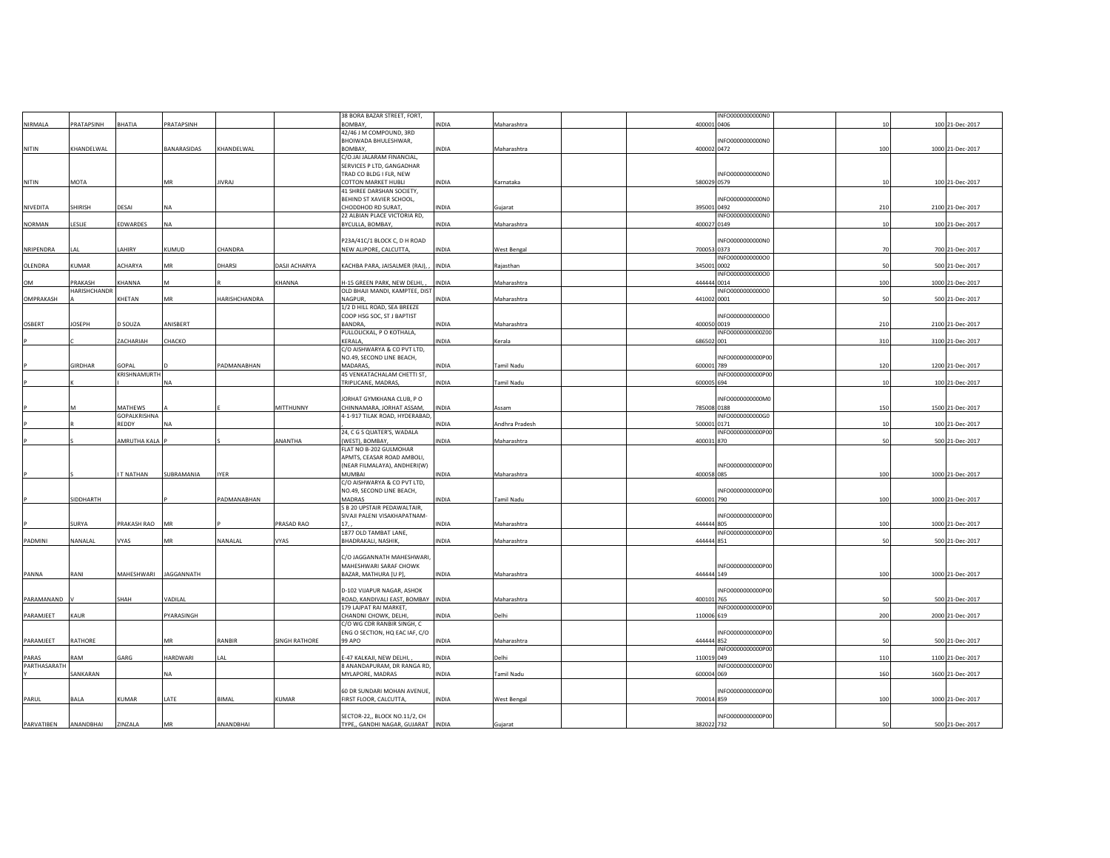|               |                |                       |              |               |                      | 38 BORA BAZAR STREET, FORT,                             |              |                    | INFO0000000000N0                |     |                  |
|---------------|----------------|-----------------------|--------------|---------------|----------------------|---------------------------------------------------------|--------------|--------------------|---------------------------------|-----|------------------|
| NIRMALA       | PRATAPSINH     | BHATIA                | PRATAPSINH   |               |                      | BOMBAY,                                                 | <b>INDIA</b> | Maharashtra        | 400001 0406                     | 10  | 100 21-Dec-2017  |
|               |                |                       |              |               |                      | 42/46 J M COMPOUND, 3RD                                 |              |                    |                                 |     |                  |
|               |                |                       |              |               |                      | BHOIWADA BHULESHWAR,                                    |              |                    | INFO0000000000N0                |     |                  |
| NITIN         | KHANDELWAL     |                       | BANARASIDAS  | KHANDELWAL    |                      | BOMBAY,                                                 | INDIA        | Maharashtra        | 400002 0472                     | 100 | 1000 21-Dec-2017 |
|               |                |                       |              |               |                      | C/O.JAI JALARAM FINANCIAL,<br>SERVICES P LTD, GANGADHAR |              |                    |                                 |     |                  |
|               |                |                       |              |               |                      | TRAD CO BLDG I FLR, NEW                                 |              |                    | INFO0000000000N0                |     |                  |
| NITIN         | MOTA           |                       | MR           | <b>JIVRAJ</b> |                      | <b>COTTON MARKET HUBLI</b>                              | INDIA        | Karnataka          | 580029 0579                     | 10  | 100 21-Dec-2017  |
|               |                |                       |              |               |                      | 41 SHREE DARSHAN SOCIETY,                               |              |                    |                                 |     |                  |
|               |                |                       |              |               |                      | BEHIND ST XAVIER SCHOOL,                                |              |                    | INFO0000000000N0                |     |                  |
| NIVEDITA      | SHIRISH        | DESAI                 | <b>NA</b>    |               |                      | CHODDHOD RD SURAT,                                      | INDIA        | Gujarat            | 395001 0492                     | 210 | 2100 21-Dec-2017 |
|               |                |                       |              |               |                      | 22 ALBIAN PLACE VICTORIA RD,                            |              |                    | INFO0000000000N0                |     |                  |
| <b>NORMAN</b> | LESLIE         | EDWARDES              | <b>NA</b>    |               |                      | BYCULLA, BOMBAY,                                        | INDIA        | Maharashtra        | 400027 0149                     | 10  | 100 21-Dec-2017  |
|               |                |                       |              |               |                      |                                                         |              |                    |                                 |     |                  |
|               |                |                       |              |               |                      | P23A/41C/1 BLOCK C, D H ROAD                            |              |                    | INFO0000000000N0                |     |                  |
| NRIPENDRA     | LAL            | LAHIRY                | <b>KUMUD</b> | CHANDRA       |                      | NEW ALIPORE, CALCUTTA,                                  | INDIA        | <b>West Bengal</b> | 700053 0373                     | 70  | 700 21-Dec-2017  |
| OLENDRA       | KUMAR          | ACHARYA               | MR           | DHARSI        | DASJI ACHARYA        | KACHBA PARA, JAISALMER (RAJ),                           | <b>INDIA</b> | Rajasthan          | INFO000000000000<br>345001 0002 | 50  | 500 21-Dec-2017  |
|               |                |                       |              |               |                      |                                                         |              |                    | INFO000000000000                |     |                  |
| OM            | PRAKASH        | KHANNA                | M            |               | KHANNA               | H-15 GREEN PARK, NEW DELHI,                             | INDIA        | Maharashtra        | 444444 0014                     | 100 | 1000 21-Dec-2017 |
|               | HARISHCHANDR   |                       |              |               |                      | OLD BHAJI MANDI, KAMPTEE, DIST                          |              |                    | INFO000000000000                |     |                  |
| OMPRAKASH     |                | KHETAN                | MR           | HARISHCHANDRA |                      | <b>NAGPUR</b>                                           | INDIA        | Maharashtra        | 441002 0001                     | 50  | 500 21-Dec-2017  |
|               |                |                       |              |               |                      | 1/2 D HILL ROAD, SEA BREEZE                             |              |                    |                                 |     |                  |
|               |                |                       |              |               |                      | COOP HSG SOC, ST J BAPTIST                              |              |                    | INFO000000000000                |     |                  |
| <b>OSBERT</b> | <b>JOSEPH</b>  | D SOUZA               | ANISBERT     |               |                      | BANDRA                                                  | INDIA        | Maharashtra        | 400050 0019                     | 210 | 2100 21-Dec-2017 |
|               |                |                       |              |               |                      | PULLOLICKAL, P O KOTHALA,                               |              |                    | INFO0000000000Z00               |     |                  |
|               |                | ZACHARIAH             | CHACKO       |               |                      | KERALA,                                                 | INDIA        | Kerala             | 686502 001                      | 310 | 3100 21-Dec-2017 |
|               |                |                       |              |               |                      | C/O AISHWARYA & CO PVT LTD,                             |              |                    |                                 |     |                  |
|               |                |                       |              |               |                      | NO.49, SECOND LINE BEACH,                               |              |                    | INFO0000000000P00               |     |                  |
|               | <b>GIRDHAR</b> | GOPAL<br>KRISHNAMURTH |              | PADMANABHAN   |                      | MADARAS,<br>45 VENKATACHALAM CHETTI ST,                 | <b>INDIA</b> | Tamil Nadu         | 600001 789                      | 120 | 1200 21-Dec-2017 |
|               |                |                       | NA           |               |                      | TRIPLICANE, MADRAS,                                     | INDIA        | Tamil Nadu         | INFO0000000000P00<br>600005 694 | 10  | 100 21-Dec-2017  |
|               |                |                       |              |               |                      |                                                         |              |                    |                                 |     |                  |
|               |                |                       |              |               |                      | JORHAT GYMKHANA CLUB, PO                                |              |                    | INFO0000000000M0                |     |                  |
|               |                | MATHEWS               |              |               | MITTHUNNY            | CHINNAMARA, JORHAT ASSAM,                               | <b>INDIA</b> | Assam              | 785008 0188                     | 150 | 1500 21-Dec-2017 |
|               |                | GOPALKRISHNA          |              |               |                      | 4-1-917 TILAK ROAD, HYDERABAD,                          |              |                    | INFO0000000000G0                |     |                  |
|               |                | REDDY                 | <b>NA</b>    |               |                      |                                                         | <b>INDIA</b> | Andhra Pradesh     | 500001 0171                     | 10  | 100 21-Dec-2017  |
|               |                |                       |              |               |                      | 24, C G S QUATER'S, WADALA                              |              |                    | INFO0000000000P00               |     |                  |
|               |                | AMRUTHA KALA F        |              |               | ANANTHA              | (WEST), BOMBAY,                                         | INDIA        | Maharashtra        | 400031 870                      | 50  | 500 21-Dec-2017  |
|               |                |                       |              |               |                      | FLAT NO B-202 GULMOHAR                                  |              |                    |                                 |     |                  |
|               |                |                       |              |               |                      | APMTS, CEASAR ROAD AMBOLI,                              |              |                    |                                 |     |                  |
|               |                |                       |              |               |                      | (NEAR FILMALAYA), ANDHERI(W)                            |              |                    | INFO0000000000P00               |     |                  |
|               |                | <b>T NATHAN</b>       | SUBRAMANIA   | <b>IYER</b>   |                      | MUMBAI                                                  | <b>INDIA</b> | Maharashtra        | 400058 085                      | 100 | 1000 21-Dec-2017 |
|               |                |                       |              |               |                      | C/O AISHWARYA & CO PVT LTD,                             |              |                    |                                 |     |                  |
|               |                |                       |              |               |                      | NO.49, SECOND LINE BEACH,                               |              |                    | INFO0000000000P00               |     |                  |
|               | SIDDHARTH      |                       |              | PADMANABHAN   |                      | MADRAS<br>S B 20 UPSTAIR PEDAWALTAIR,                   | INDIA        | Tamil Nadu         | 600001 790                      | 100 | 1000 21-Dec-2017 |
|               |                |                       |              |               |                      | SIVAJI PALENI VISAKHAPATNAM-                            |              |                    | INFO0000000000P00               |     |                  |
|               | SURYA          | PRAKASH RAO MR        |              |               | PRASAD RAO           | 17.                                                     | INDIA        | Maharashtra        | 444444 805                      | 100 | 1000 21-Dec-2017 |
|               |                |                       |              |               |                      | 1877 OLD TAMBAT LANE,                                   |              |                    | INFO0000000000P00               |     |                  |
| PADMINI       | NANALAL        | VYAS                  | MR           | NANALAL       | VYAS                 | BHADRAKALI, NASHIK,                                     | INDIA        | Maharashtra        | 444444 851                      | 50  | 500 21-Dec-2017  |
|               |                |                       |              |               |                      |                                                         |              |                    |                                 |     |                  |
|               |                |                       |              |               |                      | C/O JAGGANNATH MAHESHWARI,                              |              |                    |                                 |     |                  |
|               |                |                       |              |               |                      | MAHESHWARI SARAF CHOWK                                  |              |                    | INFO0000000000P00               |     |                  |
| PANNA         | RANI           | MAHESHWARI JAGGANNATH |              |               |                      | BAZAR, MATHURA [U P],                                   | INDIA        | Maharashtra        | 444444 149                      | 100 | 1000 21-Dec-2017 |
|               |                |                       |              |               |                      |                                                         |              |                    |                                 |     |                  |
|               |                |                       |              |               |                      | D-102 VIJAPUR NAGAR, ASHOK                              |              |                    | INFO0000000000P00               |     |                  |
| PARAMANAND    |                | SHAH                  | VADILAL      |               |                      | ROAD, KANDIVALI EAST, BOMBAY INDIA                      |              | Maharashtra        | 400101 765                      | 50  | 500 21-Dec-2017  |
|               |                |                       |              |               |                      | 179 LAJPAT RAI MARKET,                                  |              |                    | INFO0000000000P00               |     |                  |
| PARAMJEET     | <b>KAUR</b>    |                       | PYARASINGH   |               |                      | CHANDNI CHOWK, DELHI,                                   | INDIA        | Delhi              | 110006 619                      | 200 | 2000 21-Dec-2017 |
|               |                |                       |              |               |                      | C/O WG CDR RANBIR SINGH, C                              |              |                    |                                 |     |                  |
| PARAMJEET     | RATHORE        |                       | MR           | RANBIR        | <b>SINGH RATHORE</b> | ENG O SECTION, HQ EAC IAF, C/O<br>99 APO                |              |                    | INFO0000000000P00<br>444444 852 | 50  |                  |
|               |                |                       |              |               |                      |                                                         | INDIA        | Maharashtra        | INFO0000000000P00               |     | 500 21-Dec-2017  |
| PARAS         | RAM            | GARG                  | HARDWARI     | <b>IAI</b>    |                      | E-47 KALKAJI, NEW DELHI,                                | INDIA        | Delhi              | 110019 049                      | 110 | 1100 21-Dec-2017 |
| PARTHASARATH  |                |                       |              |               |                      | 8 ANANDAPURAM, DR RANGA RD                              |              |                    | INFO0000000000P00               |     |                  |
|               | SANKARAN       |                       | NA           |               |                      | MYLAPORE, MADRAS                                        | INDIA        | Tamil Nadu         | 600004 069                      | 160 | 1600 21-Dec-2017 |
|               |                |                       |              |               |                      |                                                         |              |                    |                                 |     |                  |
|               |                |                       |              |               |                      | 60 DR SUNDARI MOHAN AVENUE,                             |              |                    | INFO0000000000P00               |     |                  |
| PARUL         | BALA           | <b>KUMAR</b>          | LATE         | <b>BIMAI</b>  | KUMAR                | FIRST FLOOR, CALCUTTA,                                  | INDIA        | <b>West Bengal</b> | 700014 859                      | 100 | 1000 21-Dec-2017 |
|               |                |                       |              |               |                      |                                                         |              |                    |                                 |     |                  |
|               |                |                       |              |               |                      | SECTOR-22,, BLOCK NO.11/2, CH                           |              |                    | INFO0000000000P00               |     |                  |
| PARVATIBEN    | ANANDBHAI      | ZINZALA               | MR           | ANANDBHAI     |                      | TYPE,, GANDHI NAGAR, GUJARAT INDIA                      |              | Gujarat            | 382022 732                      | 50  | 500 21-Dec-2017  |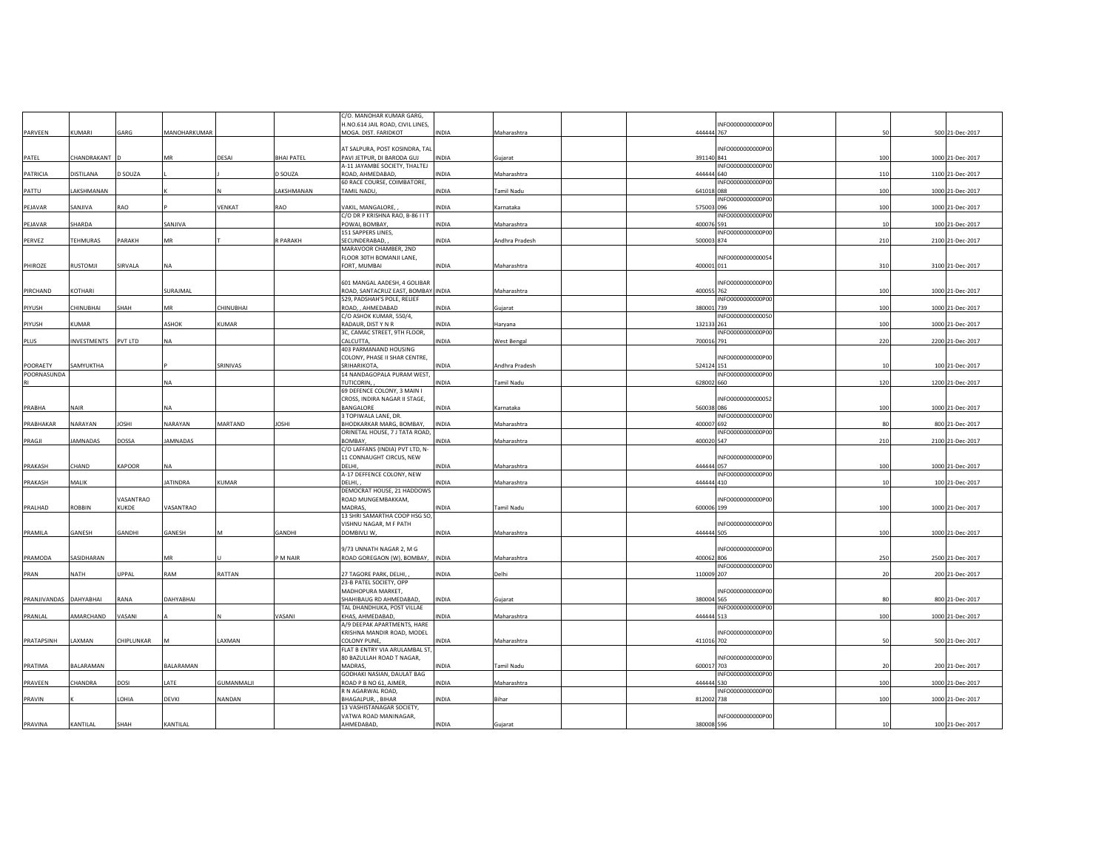|              |                 |               |                 |                   |                   | C/O. MANOHAR KUMAR GARG,                       |              |                |                                 |     |                  |
|--------------|-----------------|---------------|-----------------|-------------------|-------------------|------------------------------------------------|--------------|----------------|---------------------------------|-----|------------------|
|              |                 |               |                 |                   |                   | H.NO.614 JAIL ROAD, CIVIL LINES,               |              |                | INFO0000000000P00               |     |                  |
| PARVEEN      | KUMARI          | GARG          | MANOHARKUMAR    |                   |                   | MOGA. DIST. FARIDKOT                           | INDIA        | Maharashtra    | 444444 767                      | 50  | 500 21-Dec-2017  |
|              |                 |               |                 |                   |                   | AT SALPURA, POST KOSINDRA, TAL                 |              |                | INFO0000000000P00               |     |                  |
| PATEL        | CHANDRAKANT     |               | MR              | DESAI             | <b>BHAI PATEL</b> | PAVI JETPUR, DI BARODA GUJ                     | INDIA        | Gujarat        | 391140 841                      | 100 | 1000 21-Dec-2017 |
|              |                 |               |                 |                   |                   | A-11 JAYAMBE SOCIETY, THALTEJ                  |              |                | INFO0000000000P00               |     |                  |
| PATRICIA     | DISTILANA       | D SOUZA       |                 |                   | D SOUZA           | ROAD, AHMEDABAD,                               | <b>INDIA</b> | Maharashtra    | 444444 640                      | 110 | 1100 21-Dec-2017 |
|              |                 |               |                 |                   |                   | 60 RACE COURSE, COIMBATORE,                    |              |                | INFO0000000000P00               |     |                  |
| PATTU        | LAKSHMANAN      |               |                 |                   | LAKSHMANAN        | TAMIL NADU,                                    | <b>INDIA</b> | Tamil Nadu     | 641018 088                      | 100 | 1000 21-Dec-2017 |
|              | SANJIVA         | RAO           |                 | VENKAT            | <b>RAO</b>        | VAKIL, MANGALORE,                              |              |                | INFO000000000P00<br>575003 096  | 100 |                  |
| PEJAVAR      |                 |               |                 |                   |                   | C/O DR P KRISHNA RAO, B-86 I I T               | INDIA        | Karnataka      | INFO0000000000P00               |     | 1000 21-Dec-2017 |
| PEJAVAR      | SHARDA          |               | SANJIVA         |                   |                   | POWAI, BOMBAY                                  | INDIA        | Maharashtra    | 400076 591                      | 10  | 100 21-Dec-2017  |
|              |                 |               |                 |                   |                   | 151 SAPPERS LINES,                             |              |                | INFO0000000000P00               |     |                  |
| PERVEZ       | <b>TEHMURAS</b> | PARAKH        | MR              |                   | R PARAKH          | SECUNDERABAD.                                  | INDIA        | Andhra Pradesh | 500003 874                      | 210 | 2100 21-Dec-2017 |
|              |                 |               |                 |                   |                   | MARAVOOR CHAMBER, 2ND                          |              |                |                                 |     |                  |
|              |                 |               |                 |                   |                   | FLOOR 30TH BOMANJI LANE,                       |              |                | INFO0000000000054               |     |                  |
| PHIROZE      | RUSTOMJI        | SIRVALA       | <b>NA</b>       |                   |                   | FORT, MUMBAI                                   | INDIA        | Maharashtra    | 400001 011                      | 310 | 3100 21-Dec-2017 |
|              |                 |               |                 |                   |                   | 601 MANGAL AADESH, 4 GOLIBAR                   |              |                | INFO000000000P00                |     |                  |
| PIRCHAND     | KOTHARI         |               | SURAJMAL        |                   |                   | ROAD, SANTACRUZ EAST, BOMBAY INDIA             |              | Maharashtra    | 400055 762                      | 100 | 1000 21-Dec-2017 |
|              |                 |               |                 |                   |                   | 529, PADSHAH'S POLE, RELIEF                    |              |                | INFO0000000000P00               |     |                  |
| PIYUSH       | CHINUBHAI       | SHAH          | MR              | CHINUBHAI         |                   | ROAD, , AHMEDABAD                              | INDIA        | Gujarat        | 380001 739                      | 100 | 1000 21-Dec-2017 |
|              |                 |               |                 |                   |                   | C/O ASHOK KUMAR, 550/4,                        |              |                | INFO0000000000050               |     |                  |
| PIYUSH       | KUMAR           |               | ASHOK           | <b>KUMAR</b>      |                   | RADAUR, DIST Y N R                             | <b>INDIA</b> | Haryana        | 132133 261                      | 100 | 1000 21-Dec-2017 |
| PLUS         | INVESTMENTS     | PVT LTD       | <b>NA</b>       |                   |                   | 3C, CAMAC STREET, 9TH FLOOR,<br>CALCUTTA       | INDIA        | West Bengal    | INFO0000000000P00<br>700016 791 | 220 | 2200 21-Dec-2017 |
|              |                 |               |                 |                   |                   | 403 PARMANAND HOUSING                          |              |                |                                 |     |                  |
|              |                 |               |                 |                   |                   | COLONY, PHASE II SHAR CENTRE,                  |              |                | INFO0000000000P00               |     |                  |
| POORAETY     | SAMYUKTHA       |               |                 | SRINIVAS          |                   | SRIHARIKOTA                                    | <b>INDIA</b> | Andhra Pradesh | 524124 151                      | 10  | 100 21-Dec-2017  |
| POORNASUNDA  |                 |               |                 |                   |                   | 14 NANDAGOPALA PURAM WEST,                     |              |                | INFO0000000000P00               |     |                  |
|              |                 |               | <b>NA</b>       |                   |                   | TUTICORIN,                                     | <b>INDIA</b> | Tamil Nadu     | 628002 660                      | 120 | 1200 21-Dec-2017 |
|              |                 |               |                 |                   |                   | 69 DEFENCE COLONY, 3 MAIN I                    |              |                |                                 |     |                  |
| PRABHA       | NAIR            |               | <b>NA</b>       |                   |                   | CROSS, INDIRA NAGAR II STAGE,<br>BANGALORE     | <b>INDIA</b> | Karnataka      | INFO0000000000052<br>560038 086 | 100 | 1000 21-Dec-2017 |
|              |                 |               |                 |                   |                   | 3 TOPIWALA LANE, DR.                           |              |                | INFO000000000P00                |     |                  |
| PRABHAKAR    | NARAYAN         | <b>IHZOL</b>  | NARAYAN         | MARTAND           | <b>JOSHI</b>      | BHODKARKAR MARG, BOMBAY,                       | <b>INDIA</b> | Maharashtra    | 400007 692                      | 80  | 800 21-Dec-2017  |
|              |                 |               |                 |                   |                   | ORINETAL HOUSE, 7 J TATA ROAD,                 |              |                | INFO000000000P00                |     |                  |
|              |                 |               |                 |                   |                   |                                                |              |                |                                 |     |                  |
| PRAGJI       | <b>JAMNADAS</b> | DOSSA         | <b>JAMNADAS</b> |                   |                   | BOMBAY.                                        | NDIA         | Maharashtra    | 400020 547                      | 210 | 2100 21-Dec-2017 |
|              |                 |               |                 |                   |                   | C/O LAFFANS (INDIA) PVT LTD, N-                |              |                |                                 |     |                  |
|              |                 |               |                 |                   |                   | 11 CONNAUGHT CIRCUS, NEW                       |              |                | INFO0000000000P00               |     |                  |
| PRAKASH      | CHAND           | <b>KAPOOR</b> | <b>NA</b>       |                   |                   | DELHI.                                         | <b>INDIA</b> | Maharashtra    | 444444 057                      | 100 | 1000 21-Dec-2017 |
|              |                 |               |                 |                   |                   | A-17 DEFFENCE COLONY, NEW<br><b>DELHI</b>      | <b>AION</b>  |                | INFO0000000000P00<br>444444 410 |     |                  |
| PRAKASH      | MALIK           |               | <b>JATINDRA</b> | KUMAR             |                   | DEMOCRAT HOUSE, 21 HADDOWS                     |              | Maharashtra    |                                 | 10  | 100 21-Dec-2017  |
|              |                 | VASANTRAO     |                 |                   |                   | ROAD MUNGEMBAKKAM,                             |              |                | INFO0000000000P00               |     |                  |
| PRALHAD      | ROBBIN          | KUKDE         | VASANTRAO       |                   |                   | MADRAS,                                        | INDIA        | Tamil Nadu     | 600006 199                      | 100 | 1000 21-Dec-2017 |
|              |                 |               |                 |                   |                   | 13 SHRI SAMARTHA COOP HSG SO,                  |              |                |                                 |     |                  |
|              |                 |               |                 |                   |                   | VISHNU NAGAR, M F PATH                         |              |                | INFO0000000000P00               |     |                  |
| PRAMILA      | GANESH          | GANDHI        | GANESH          |                   | GANDHI            | DOMBIVLI W,                                    | INDIA        | Maharashtra    | 444444 505                      | 100 | 1000 21-Dec-2017 |
|              |                 |               |                 |                   |                   | 9/73 UNNATH NAGAR 2, M G                       |              |                | INFO0000000000P00               |     |                  |
| PRAMODA      | SASIDHARAN      |               | MR              |                   | P M NAIR          | ROAD GOREGAON (W), BOMBAY, INDIA               |              | Maharashtra    | 400062 806                      | 250 | 2500 21-Dec-2017 |
|              |                 |               |                 |                   |                   |                                                |              |                | INFO000000000P00                |     |                  |
| PRAN         | NATH            | UPPAL         | RAM             | RATTAN            |                   | 27 TAGORE PARK, DELHI,                         | INDIA        | Delhi          | 110009 207                      | 20  | 200 21-Dec-2017  |
|              |                 |               |                 |                   |                   | 23-B PATEL SOCIETY, OPP                        |              |                |                                 |     |                  |
|              |                 |               |                 |                   |                   | MADHOPURA MARKET,                              |              |                | INFO0000000000P00               |     |                  |
| PRANJIVANDAS | DAHYABHAI       | RANA          | DAHYABHAI       |                   |                   | SHAHIBAUG RD AHMEDABAD,                        | INDIA        | Gujarat        | 380004 565                      | 80  | 800 21-Dec-2017  |
| PRANLAL      | AMARCHAND       | VASANI        |                 |                   | VASANI            | TAL DHANDHUKA, POST VILLAE<br>KHAS, AHMEDABAD, | <b>INDIA</b> | Maharashtra    | INFO0000000000P00<br>444444 513 | 100 | 1000 21-Dec-2017 |
|              |                 |               |                 |                   |                   | A/9 DEEPAK APARTMENTS, HARE                    |              |                |                                 |     |                  |
|              |                 |               |                 |                   |                   | KRISHNA MANDIR ROAD, MODEL                     |              |                | INFO0000000000P00               |     |                  |
| PRATAPSINH   | LAXMAN          | CHIPLUNKAR    | M               | LAXMAN            |                   | <b>COLONY PUNE.</b>                            | <b>INDIA</b> | Maharashtra    | 411016 702                      | 50  | 500 21-Dec-2017  |
|              |                 |               |                 |                   |                   | FLAT B ENTRY VIA ARULAMBAL ST                  |              |                |                                 |     |                  |
| PRATIMA      | BALARAMAN       |               | BALARAMAN       |                   |                   | 80 BAZULLAH ROAD T NAGAR,<br>MADRAS,           |              |                | INFO0000000000P00               |     |                  |
|              |                 |               |                 |                   |                   | GODHAKI NASIAN, DAULAT BAG                     | INDIA        | Tamil Nadu     | 600017 703<br>INFO0000000000P00 |     | 200 21-Dec-2017  |
| PRAVEEN      | CHANDRA         | DOSI          | LATE            | <b>GUMANMALII</b> |                   | ROAD P B NO 61, AJMER,                         | <b>INDIA</b> | Maharashtra    | 444444 530                      | 100 | 1000 21-Dec-2017 |
|              |                 |               |                 |                   |                   | R N AGARWAL ROAD,                              |              |                | INFO0000000000P00               |     |                  |
| PRAVIN       |                 | <b>OHIA</b>   | DEVKI           | NANDAN            |                   | BHAGALPUR, , BIHAR                             | INDIA        | <b>Bihar</b>   | 812002 738                      | 100 | 1000 21-Dec-2017 |
|              |                 |               |                 |                   |                   | 13 VASHISTANAGAR SOCIETY,                      |              |                |                                 |     |                  |
| PRAVINA      | KANTILAL        | SHAH          | KANTILAL        |                   |                   | VATWA ROAD MANINAGAR,<br>AHMEDABAD,            | INDIA        | Gujarat        | INFO0000000000P00<br>380008 596 | 10  | 100 21-Dec-2017  |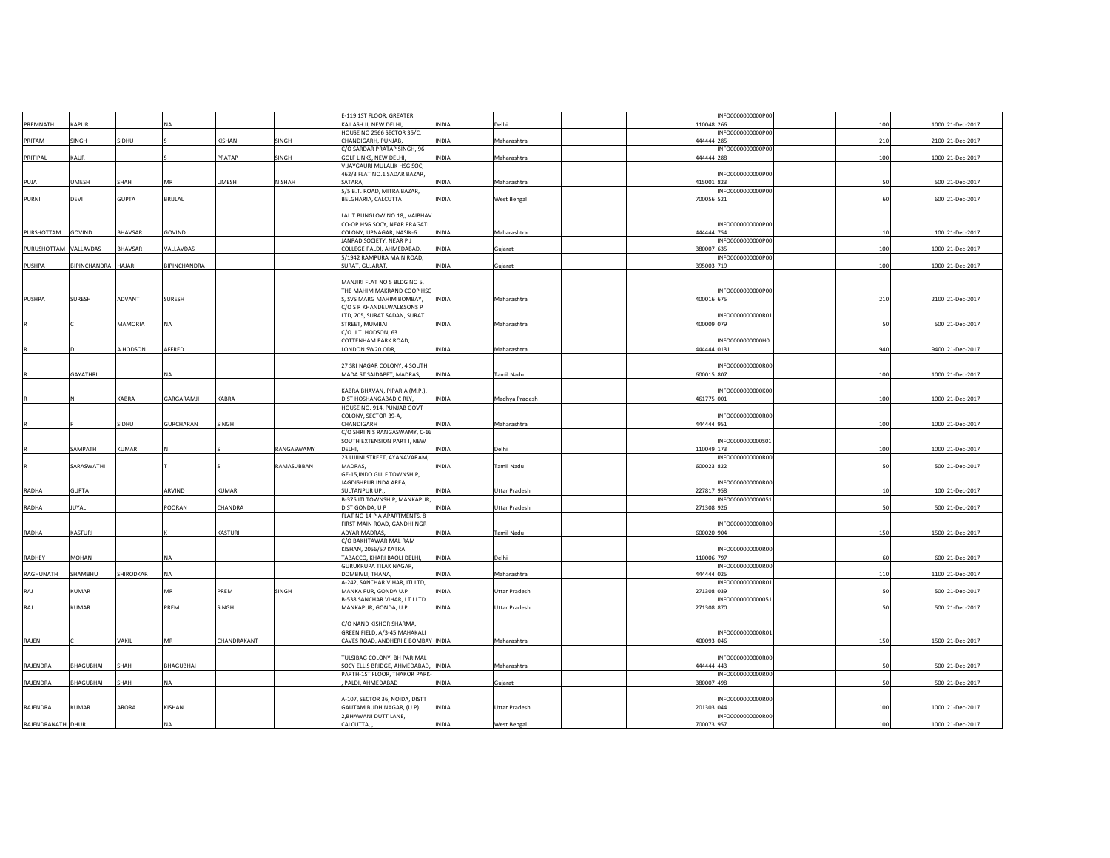|                       |                     |               |                  |             |            | E-119 1ST FLOOR, GREATER                                     |              |                      | INFO0000000000P00               |     |                  |
|-----------------------|---------------------|---------------|------------------|-------------|------------|--------------------------------------------------------------|--------------|----------------------|---------------------------------|-----|------------------|
| PREMNATH              | KAPUR               |               | <b>NA</b>        |             |            | KAILASH II, NEW DELHI,                                       | <b>INDIA</b> | Delhi                | 110048 266                      | 100 | 1000 21-Dec-2017 |
|                       |                     |               |                  |             |            | HOUSE NO 2566 SECTOR 35/C,                                   |              |                      | INFO0000000000P00               |     |                  |
| PRITAM                | SINGH               | SIDHU         |                  | KISHAN      | SINGH      | CHANDIGARH, PUNJAB,                                          | <b>INDIA</b> | Maharashtra          | 444444 285                      | 210 | 2100 21-Dec-2017 |
|                       |                     |               |                  |             |            | C/O SARDAR PRATAP SINGH, 96                                  |              |                      | INFO000000000P00                |     |                  |
| PRITIPAL              | KAUR                |               |                  | PRATAP      | SINGH      | GOLF LINKS, NEW DELHI,<br>VIJAYGAURI MULALIK HSG SOC,        | <b>INDIA</b> | Maharashtra          | 444444 288                      | 100 | 1000 21-Dec-2017 |
|                       |                     |               |                  |             |            | 462/3 FLAT NO.1 SADAR BAZAR,                                 |              |                      | INFO0000000000P00               |     |                  |
| PUJA                  | UMESH               | SHAH          | MR               | UMESH       | N SHAH     | SATARA,                                                      | <b>INDIA</b> | Maharashtra          | 415001 823                      | 50  | 500 21-Dec-2017  |
|                       |                     |               |                  |             |            | 5/5 B.T. ROAD, MITRA BAZAR,                                  |              |                      | INFO0000000000P00               |     |                  |
| PURNI                 | DEVI                | <b>GUPTA</b>  | BRIJLAL          |             |            | BELGHARIA, CALCUTTA                                          | INDIA        | <b>West Bengal</b>   | 700056 521                      | 60  | 600 21-Dec-2017  |
|                       |                     |               |                  |             |            |                                                              |              |                      |                                 |     |                  |
|                       |                     |               |                  |             |            | LALIT BUNGLOW NO.18,, VAIBHAV                                |              |                      |                                 |     |                  |
|                       |                     |               |                  |             |            | CO-OP.HSG.SOCY, NEAR PRAGATI                                 |              |                      | INFO0000000000P00               |     |                  |
| PURSHOTTAM            | GOVIND              | BHAVSAR       | GOVIND           |             |            | COLONY, UPNAGAR, NASIK-6.<br>JANPAD SOCIETY, NEAR P J        | <b>INDIA</b> | Maharashtra          | 444444 754<br>INFO0000000000P00 | 10  | 100 21-Dec-2017  |
| PURUSHOTTAM VALLAVDAS |                     | BHAVSAR       | VALLAVDAS        |             |            | COLLEGE PALDI, AHMEDABAD.                                    | <b>INDIA</b> | Gujarat              | 380007 635                      | 100 | 1000 21-Dec-2017 |
|                       |                     |               |                  |             |            | 5/1942 RAMPURA MAIN ROAD,                                    |              |                      | INFO0000000000P00               |     |                  |
| PUSHPA                | BIPINCHANDRA HAJARI |               | BIPINCHANDRA     |             |            | SURAT, GUJARAT,                                              | <b>INDIA</b> | Gujarat              | 395003 719                      | 100 | 1000 21-Dec-2017 |
|                       |                     |               |                  |             |            |                                                              |              |                      |                                 |     |                  |
|                       |                     |               |                  |             |            | MANJIRI FLAT NO 5 BLDG NO 5,                                 |              |                      |                                 |     |                  |
|                       |                     |               |                  |             |            | THE MAHIM MAKRAND COOP HSG                                   |              |                      | INFO0000000000P00               |     |                  |
| PUSHPA                | SURESH              | ADVANT        | SURESH           |             |            | S, SVS MARG MAHIM BOMBAY,                                    | <b>INDIA</b> | Maharashtra          | 400016 675                      | 210 | 2100 21-Dec-2017 |
|                       |                     |               |                  |             |            | C/O S R KHANDELWAL&SONS P<br>LTD, 205, SURAT SADAN, SURAT    |              |                      | INFO0000000000R01               |     |                  |
|                       |                     | MAMORIA       | <b>NA</b>        |             |            | STREET, MUMBAI                                               | <b>INDIA</b> | Maharashtra          | 400009 079                      | 50  | 500 21-Dec-2017  |
|                       |                     |               |                  |             |            | C/O. J.T. HODSON, 63                                         |              |                      |                                 |     |                  |
|                       |                     |               |                  |             |            | COTTENHAM PARK ROAD,                                         |              |                      | INFO0000000000H0                |     |                  |
|                       |                     | <b>HODSON</b> | AFFRED           |             |            | LONDON SW20 ODR,                                             | <b>INDIA</b> | Maharashtra          | 444444 0131                     | 940 | 9400 21-Dec-2017 |
|                       |                     |               |                  |             |            |                                                              |              |                      |                                 |     |                  |
|                       |                     |               |                  |             |            | 27 SRI NAGAR COLONY, 4 SOUTH                                 |              |                      | INFO0000000000R00               |     |                  |
|                       | GAYATHRI            |               | <b>NA</b>        |             |            | MADA ST SAIDAPET, MADRAS,                                    | <b>INDIA</b> | Tamil Nadu           | 600015 807                      | 100 | 1000 21-Dec-2017 |
|                       |                     |               |                  |             |            |                                                              |              |                      |                                 |     |                  |
|                       |                     |               |                  | KABRA       |            | KABRA BHAVAN, PIPARIA (M.P.),                                |              |                      | INFO0000000000K00               |     |                  |
|                       |                     | KABRA         | GARGARAMJI       |             |            | DIST HOSHANGABAD C RLY,<br>HOUSE NO. 914, PUNJAB GOVT        | INDIA        | Madhya Pradesh       | 461775 001                      | 100 | 1000 21-Dec-2017 |
|                       |                     |               |                  |             |            | COLONY, SECTOR 39-A,                                         |              |                      | INFO0000000000R00               |     |                  |
|                       |                     | SIDHU         | <b>GURCHARAN</b> | SINGH       |            | CHANDIGARH                                                   | <b>INDIA</b> | Maharashtra          | 444444 951                      | 100 | 1000 21-Dec-2017 |
|                       |                     |               |                  |             |            | C/O SHRI N S RANGASWAMY, C-16                                |              |                      |                                 |     |                  |
|                       |                     |               |                  |             |            | SOUTH EXTENSION PART I, NEW                                  |              |                      | INFO0000000000501               |     |                  |
|                       | SAMPATH             | KUMAR         |                  |             | RANGASWAMY | DELHI,                                                       | NDIA         | Delhi                | 110049 173                      | 100 | 1000 21-Dec-2017 |
|                       |                     |               |                  |             |            | 23 UJJINI STREET, AYANAVARAM,                                |              |                      | INFO0000000000R00               |     |                  |
|                       | SARASWATHI          |               |                  |             | RAMASUBBAN | MADRAS,                                                      | INDIA        | Tamil Nadu           | 600023 822                      | 50  | 500 21-Dec-2017  |
|                       |                     |               |                  |             |            | GE-15, INDO GULF TOWNSHIP,<br>JAGDISHPUR INDA AREA,          |              |                      | INFO0000000000R00               |     |                  |
| RADHA                 | <b>GUPTA</b>        |               | ARVIND           | KUMAR       |            | SULTANPUR UP.                                                | NDIA         | Uttar Pradesh        | 227817 958                      | 10  | 100 21-Dec-2017  |
|                       |                     |               |                  |             |            | B-375 ITI TOWNSHIP, MANKAPUR,                                |              |                      | INFO0000000000051               |     |                  |
| RADHA                 | <b>JUYAL</b>        |               | POORAN           | CHANDRA     |            | DIST GONDA, U P                                              | <b>NDIA</b>  | Uttar Pradesh        | 271308 926                      | 50  | 500 21-Dec-2017  |
|                       |                     |               |                  |             |            | FLAT NO 14 P A APARTMENTS, 8                                 |              |                      |                                 |     |                  |
|                       |                     |               |                  |             |            | FIRST MAIN ROAD, GANDHI NGR                                  |              |                      | INFO0000000000R00               |     |                  |
| RADHA                 | KASTURI             |               |                  | KASTURI     |            | ADYAR MADRAS.                                                | <b>INDIA</b> | Tamil Nadu           | 600020 904                      | 150 | 1500 21-Dec-2017 |
|                       |                     |               |                  |             |            | C/O BAKHTAWAR MAL RAM                                        |              |                      |                                 |     |                  |
|                       |                     |               |                  |             |            | <b>KISHAN, 2056/57 KATRA</b>                                 |              |                      | INFO0000000000R00               |     |                  |
| RADHEY                | MOHAN               |               | <b>NA</b>        |             |            | TABACCO, KHARI BAOLI DELHI,<br><b>GURUKRUPA TILAK NAGAR,</b> | <b>INDIA</b> | Delhi                | 110006 797<br>INFO0000000000R00 | 60  | 600 21-Dec-2017  |
| RAGHUNATH             | SHAMBHU             | SHIRODKAR     | NA               |             |            | DOMBIVLI, THANA,                                             | <b>INDIA</b> | Maharashtra          | 444444 025                      | 110 | 1100 21-Dec-2017 |
|                       |                     |               |                  |             |            | A-242, SANCHAR VIHAR, ITI LTD,                               |              |                      | INFO0000000000R01               |     |                  |
| RAJ                   | KUMAR               |               | MR               | PREM        | SINGH      | MANKA PUR, GONDA U.P                                         | <b>INDIA</b> | Uttar Pradesh        | 271308 039                      | 50  | 500 21-Dec-2017  |
|                       |                     |               |                  |             |            | B-538 SANCHAR VIHAR, I T I LTD                               |              |                      | INFO0000000000051               |     |                  |
| RAJ                   | KUMAR               |               | PREM             | SINGH       |            | MANKAPUR, GONDA, U P                                         | INDIA        | Uttar Pradesh        | 271308 870                      | 50  | 500 21-Dec-2017  |
|                       |                     |               |                  |             |            |                                                              |              |                      |                                 |     |                  |
|                       |                     |               |                  |             |            | C/O NAND KISHOR SHARMA,                                      |              |                      |                                 |     |                  |
|                       |                     |               |                  |             |            | GREEN FIELD, A/3-45 MAHAKALI                                 |              |                      | INFO0000000000R01               |     |                  |
| RAJEN                 |                     | VAKIL         | MR               | CHANDRAKANT |            | CAVES ROAD, ANDHERI E BOMBAY INDIA                           |              | Maharashtra          | 400093 046                      | 150 | 1500 21-Dec-2017 |
|                       |                     |               |                  |             |            | TULSIBAG COLONY, BH PARIMAL                                  |              |                      | INFO0000000000R00               |     |                  |
| RAJENDRA              | BHAGUBHAI           | SHAH          | <b>BHAGUBHAI</b> |             |            | SOCY ELLIS BRIDGE, AHMEDABAD, INDIA                          |              | Maharashtra          | 444444 443                      | 50  | 500 21-Dec-2017  |
|                       |                     |               |                  |             |            | PARTH-1ST FLOOR, THAKOR PARK-                                |              |                      | INFO0000000000R00               |     |                  |
| RAJENDRA              | BHAGUBHAI           | SHAH          | <b>NA</b>        |             |            | PALDI, AHMEDABAD                                             | <b>INDIA</b> | Gujarat              | 380007 498                      | 50  | 500 21-Dec-2017  |
|                       |                     |               |                  |             |            |                                                              |              |                      |                                 |     |                  |
|                       |                     |               |                  |             |            | A-107, SECTOR 36, NOIDA, DISTT                               |              |                      | INFO0000000000R00               |     |                  |
| RAJENDRA              | <b>KUMAR</b>        | ARORA         | KISHAN           |             |            | GAUTAM BUDH NAGAR, (U P)                                     | <b>INDIA</b> | <b>Uttar Pradesh</b> | 201303 044                      | 100 | 1000 21-Dec-2017 |
|                       |                     |               |                  |             |            | 2, BHAWANI DUTT LANE,                                        |              |                      | INFO0000000000R00               |     |                  |
| RAJENDRANATH DHUR     |                     |               | NA               |             |            | CALCUTTA,                                                    | INDIA        | West Bengal          | 700073 957                      | 100 | 1000 21-Dec-2017 |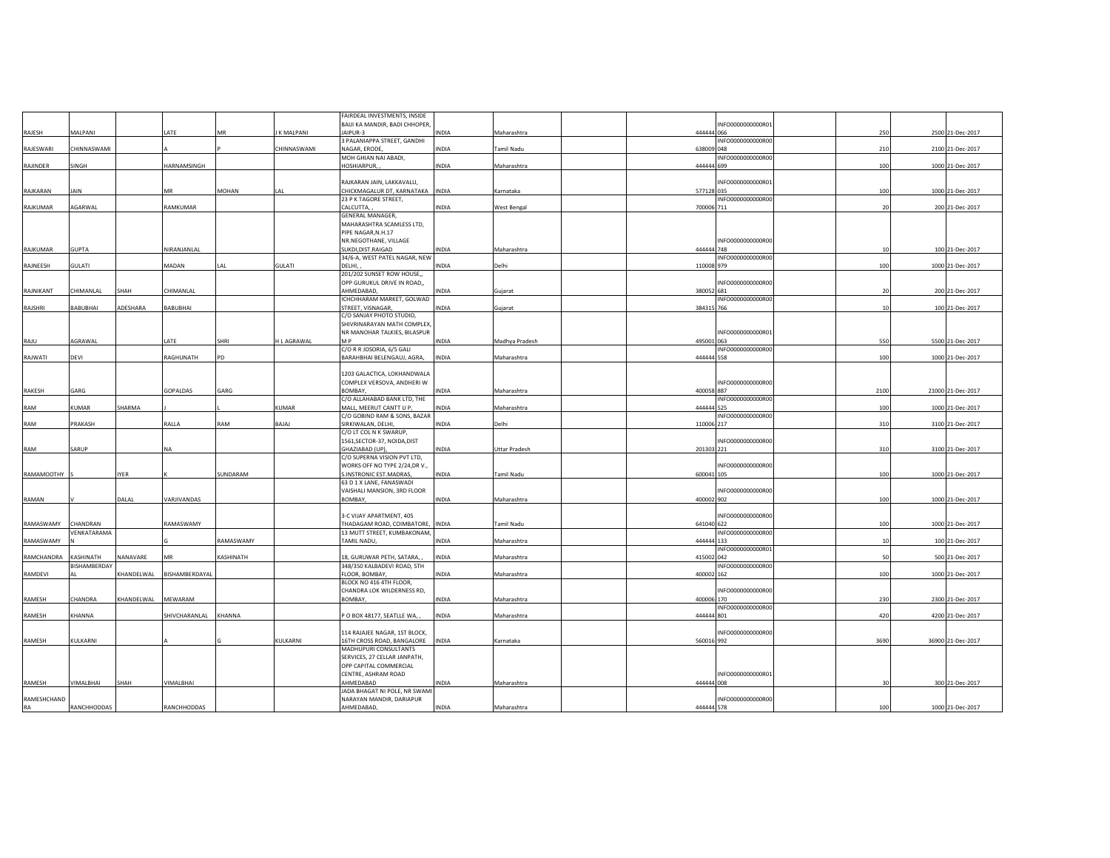|             |                    |             |                 |              |             | FAIRDEAL INVESTMENTS, INSIDE     |              |                      |                   |                          |                   |
|-------------|--------------------|-------------|-----------------|--------------|-------------|----------------------------------|--------------|----------------------|-------------------|--------------------------|-------------------|
|             |                    |             |                 |              |             | BAIJI KA MANDIR, BADI CHHOPER    |              |                      | INFO0000000000R01 |                          |                   |
| RAJESH      | MALPANI            |             | LATE            | MR           | K MALPANI   | JAIPUR-3                         | INDIA        | Maharashtra          | 444444 066        | 250                      | 2500 21-Dec-2017  |
|             |                    |             |                 |              |             | 3 PALANIAPPA STREET, GANDHI      |              |                      | INFO0000000000R00 |                          |                   |
| RAJESWARI   | CHINNASWAMI        |             |                 |              | CHINNASWAMI | NAGAR, ERODE                     | INDIA        | Tamil Nadu           | 638009 048        | 210                      | 2100 21-Dec-2017  |
|             |                    |             |                 |              |             | MOH GHIAN NAI ABADI,             |              |                      | INFO0000000000R00 |                          |                   |
| RAJINDER    | SINGH              |             | HARNAMSINGH     |              |             | HOSHIARPUR,                      | <b>INDIA</b> | Maharashtra          | 444444 699        | 100                      | 1000 21-Dec-2017  |
|             |                    |             |                 |              |             |                                  |              |                      |                   |                          |                   |
|             |                    |             |                 |              |             | RAJKARAN JAIN, LAKKAVALLI,       |              |                      | INFO0000000000R01 |                          |                   |
| RAJKARAN    | JAIN               |             | MR              | <b>MOHAN</b> | LAL         | CHICKMAGALUR DT, KARNATAKA INDIA |              | Karnataka            | 577128 035        | 100                      | 1000 21-Dec-2017  |
|             |                    |             |                 |              |             | 23 P K TAGORE STREET,            |              |                      | INFO0000000000R00 |                          |                   |
| RAJKUMAR    | AGARWAL            |             | RAMKUMAR        |              |             | CALCUTTA,                        | INDIA        |                      | 700006 711        | $\overline{\mathcal{U}}$ | 200 21-Dec-2017   |
|             |                    |             |                 |              |             | GENERAL MANAGER,                 |              | West Bengal          |                   |                          |                   |
|             |                    |             |                 |              |             |                                  |              |                      |                   |                          |                   |
|             |                    |             |                 |              |             | MAHARASHTRA SCAMLESS LTD,        |              |                      |                   |                          |                   |
|             |                    |             |                 |              |             | PIPE NAGAR, N.H.17               |              |                      |                   |                          |                   |
|             |                    |             |                 |              |             | NR.NEGOTHANE, VILLAGE            |              |                      | INFO0000000000R00 |                          |                   |
| RAJKUMAR    | <b>GUPTA</b>       |             | NIRANJANLAL     |              |             | SUKDI, DIST. RAIGAD              | <b>INDIA</b> | Maharashtra          | 444444 748        | 10                       | 100 21-Dec-2017   |
|             |                    |             |                 |              |             | 34/6-A, WEST PATEL NAGAR, NEW    |              |                      | INFO0000000000R00 |                          |                   |
| RAJNEESH    | GULATI             |             | MADAN           | I AI         | GULATI      | DELHI.                           | <b>NDIA</b>  | Delhi                | 110008 979        | 100                      | 1000 21-Dec-2017  |
|             |                    |             |                 |              |             | 201/202 SUNSET ROW HOUSE,,       |              |                      |                   |                          |                   |
|             |                    |             |                 |              |             | OPP GURUKUL DRIVE IN ROAD,,      |              |                      | INFO0000000000R00 |                          |                   |
| RAJNIKANT   | CHIMANLAL          | SHAH        | CHIMANLAL       |              |             | AHMEDABAD                        | INDIA        | Gujarat              | 380052 681        | 20                       | 200 21-Dec-2017   |
|             |                    |             |                 |              |             | ICHCHHARAM MARKET, GOLWAD        |              |                      | INFO0000000000R00 |                          |                   |
| RAJSHRI     | BABUBHAI           | ADESHARA    | <b>BABUBHAI</b> |              |             | STREET, VISNAGAR                 | INDIA        | Gujarat              | 384315 766        | 10                       | 100 21-Dec-2017   |
|             |                    |             |                 |              |             | C/O SANJAY PHOTO STUDIO,         |              |                      |                   |                          |                   |
|             |                    |             |                 |              |             | SHIVRINARAYAN MATH COMPLEX,      |              |                      |                   |                          |                   |
|             |                    |             |                 |              |             | NR MANOHAR TALKIES, BILASPUR     |              |                      | INFO0000000000R01 |                          |                   |
| RAJU        | AGRAWAL            |             | LATE            | SHRI         | H L AGRAWAL | M P                              | INDIA        | Madhya Pradesh       | 495001 063        | 550                      | 5500 21-Dec-2017  |
|             |                    |             |                 |              |             | C/O R R JOSORIA, 6/5 GALI        |              |                      | INFO0000000000R00 |                          |                   |
| RAJWATI     | DEVI               |             | RAGHUNATH       | PD           |             | BARAHBHAI BELENGAUJ, AGRA,       | <b>INDIA</b> | Maharashtra          | 444444 558        | 100                      | 1000 21-Dec-2017  |
|             |                    |             |                 |              |             |                                  |              |                      |                   |                          |                   |
|             |                    |             |                 |              |             | 1203 GALACTICA, LOKHANDWALA      |              |                      |                   |                          |                   |
|             |                    |             |                 |              |             | COMPLEX VERSOVA, ANDHERI W       |              |                      | INFO0000000000R00 |                          |                   |
| RAKESH      | GARG               |             | GOPALDAS        | GARG         |             | <b>BOMBAY</b>                    | <b>INDIA</b> | Maharashtra          | 400058 887        | 2100                     | 21000 21-Dec-2017 |
|             |                    |             |                 |              |             |                                  |              |                      | INFO0000000000R00 |                          |                   |
|             |                    |             |                 |              |             | C/O ALLAHABAD BANK LTD, THE      |              |                      |                   |                          |                   |
| RAM         | KUMAR              | SHARMA      |                 |              | KUMAR       | MALL, MEERUT CANTT U P,          | INDIA        | Maharashtra          | 444444 525        | 100                      | 1000 21-Dec-2017  |
|             |                    |             |                 |              |             | C/O GOBIND RAM & SONS, BAZAR     |              |                      | INFO0000000000R00 |                          |                   |
| RAM         | PRAKASH            |             | RALLA           | RAM          | BAJAJ       | SIRKIWALAN, DELHI,               | INDIA        | Delhi                | 110006 217        | 310                      | 3100 21-Dec-2017  |
|             |                    |             |                 |              |             | C/O LT COL N K SWARUP,           |              |                      |                   |                          |                   |
|             |                    |             |                 |              |             | 1561, SECTOR-37, NOIDA, DIST     |              |                      | INFO0000000000R00 |                          |                   |
| RAM         | SARUP              |             | <b>NA</b>       |              |             | GHAZIABAD (UP),                  | INDIA        | <b>Uttar Pradesh</b> | 201303 221        | 310                      | 3100 21-Dec-2017  |
|             |                    |             |                 |              |             | C/O SUPERNA VISION PVT LTD,      |              |                      |                   |                          |                   |
|             |                    |             |                 |              |             | WORKS OFF NO TYPE 2/24,DR V.,    |              |                      | INFO0000000000R00 |                          |                   |
| RAMAMOOTHY  |                    | <b>IYER</b> |                 | SUNDARAM     |             | S.INSTRONIC EST.MADRAS,          | <b>INDIA</b> | Tamil Nadu           | 600041 105        | 100                      | 1000 21-Dec-2017  |
|             |                    |             |                 |              |             | 63 D 1 X LANE, FANASWADI         |              |                      |                   |                          |                   |
|             |                    |             |                 |              |             | VAISHALI MANSION, 3RD FLOOR      |              |                      | INFO0000000000R00 |                          |                   |
| RAMAN       |                    | DALAL       | VARJIVANDAS     |              |             | BOMBAY,                          | INDIA        | Maharashtra          | 400002 902        | 100                      | 1000 21-Dec-2017  |
|             |                    |             |                 |              |             |                                  |              |                      |                   |                          |                   |
|             |                    |             |                 |              |             | 3-C VIJAY APARTMENT, 405         |              |                      | INFO0000000000R00 |                          |                   |
| RAMASWAMY   | CHANDRAN           |             | RAMASWAMY       |              |             | THADAGAM ROAD, COIMBATORE, INDIA |              | Tamil Nadu           | 641040 622        | 100                      | 1000 21-Dec-2017  |
|             | VENKATARAMA        |             |                 |              |             | 13 MUTT STREET, KUMBAKONAM,      |              |                      | INFO0000000000R00 |                          |                   |
| RAMASWAMY   |                    |             |                 | RAMASWAMY    |             | <b>TAMIL NADU</b>                | INDIA        | Maharashtra          | 444444 133        | 10                       | 100 21-Dec-2017   |
|             |                    |             |                 |              |             |                                  |              |                      | INFO0000000000R01 |                          |                   |
| RAMCHANDRA  | KASHINATH          | NANAVARE    | MR              | KASHINATH    |             | 18, GURUWAR PETH, SATARA,        | <b>INDIA</b> | Maharashtra          | 415002 042        | 50                       | 500 21-Dec-2017   |
|             | BISHAMBERDAY       |             |                 |              |             |                                  |              |                      | INFO0000000000R00 |                          |                   |
| RAMDEVI     |                    | KHANDELWAL  | BISHAMBERDAYAL  |              |             | 348/350 KALBADEVI ROAD, 5TH      | INDIA        |                      | 400002 162        | 100                      | 1000 21-Dec-2017  |
|             |                    |             |                 |              |             | FLOOR, BOMBAY                    |              | Maharashtra          |                   |                          |                   |
|             |                    |             |                 |              |             | BLOCK NO 416 4TH FLOOR,          |              |                      |                   |                          |                   |
|             |                    |             |                 |              |             | CHANDRA LOK WILDERNESS RD,       |              |                      | INFO0000000000R00 |                          |                   |
| RAMESH      | CHANDRA            | KHANDELWAL  | MEWARAM         |              |             | BOMBAY,                          | INDIA        | Maharashtra          | 400006 170        | 230                      | 2300 21-Dec-2017  |
|             |                    |             |                 |              |             |                                  |              |                      | INFO0000000000R00 |                          |                   |
| RAMESH      | KHANNA             |             | SHIVCHARANLAL   | KHANNA       |             | P O BOX 48177, SEATLLE WA,       | INDIA        | Maharashtra          | 444444 801        | 420                      | 4200 21-Dec-2017  |
|             |                    |             |                 |              |             |                                  |              |                      |                   |                          |                   |
|             |                    |             |                 |              |             | 114 RAJAJEE NAGAR, 1ST BLOCK,    |              |                      | INFO0000000000R00 |                          |                   |
| RAMESH      | KULKARNI           |             |                 |              | KULKARNI    | 16TH CROSS ROAD, BANGALORE       | <b>INDIA</b> | Karnataka            | 560016 992        | 3690                     | 36900 21-Dec-2017 |
|             |                    |             |                 |              |             | MADHUPURI CONSULTANTS            |              |                      |                   |                          |                   |
|             |                    |             |                 |              |             | SERVICES, 27 CELLAR JANPATH,     |              |                      |                   |                          |                   |
|             |                    |             |                 |              |             | OPP CAPITAL COMMERCIAL           |              |                      |                   |                          |                   |
|             |                    |             |                 |              |             | CENTRE, ASHRAM ROAD              |              |                      | INFO0000000000R01 |                          |                   |
| RAMESH      | VIMALBHAI          | SHAH        | VIMALBHAI       |              |             | AHMEDABAD                        | INDIA        | Maharashtra          | 444444 008        | 30                       | 300 21-Dec-2017   |
|             |                    |             |                 |              |             | JADA BHAGAT NI POLE, NR SWAMI    |              |                      |                   |                          |                   |
| RAMESHCHAND |                    |             |                 |              |             | NARAYAN MANDIR, DARIAPUR         |              |                      | INFO0000000000R00 |                          |                   |
| RA          | <b>RANCHHODDAS</b> |             | RANCHHODDAS     |              |             | AHMEDABAD,                       | INDIA        | Maharashtra          | 444444 578        | 100                      | 1000 21-Dec-2017  |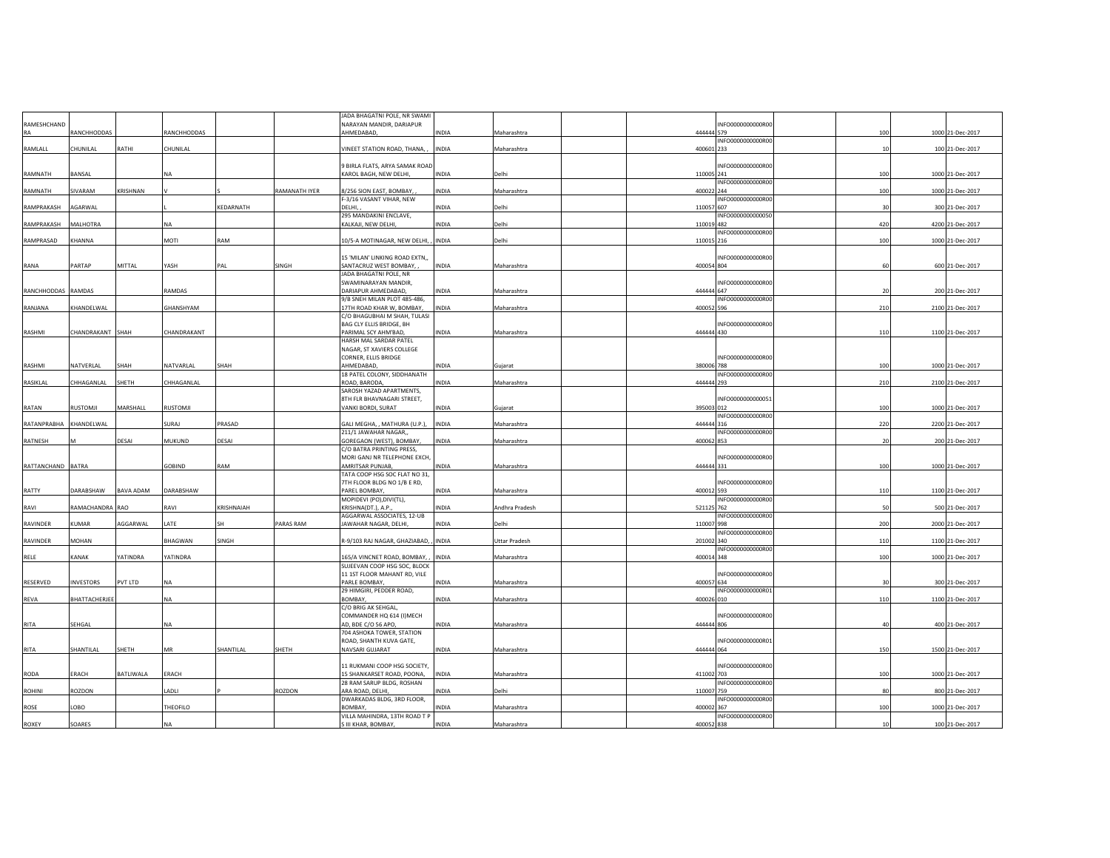|             |                  |           |               |            |               | JADA BHAGATNI POLE, NR SWAMI                              |              |                      |            |                   |     |                  |
|-------------|------------------|-----------|---------------|------------|---------------|-----------------------------------------------------------|--------------|----------------------|------------|-------------------|-----|------------------|
| RAMESHCHAND |                  |           |               |            |               | NARAYAN MANDIR, DARIAPUR                                  |              |                      |            | INFO0000000000R00 |     |                  |
| RA          | RANCHHODDAS      |           | RANCHHODDAS   |            |               | AHMEDABAD,                                                | INDIA        | Maharashtra          | 444444 579 |                   | 100 | 1000 21-Dec-2017 |
|             |                  |           |               |            |               |                                                           |              |                      |            | INFO0000000000R00 |     |                  |
| RAMLALL     | CHUNILAL         | RATHI     | CHUNILAL      |            |               | VINEET STATION ROAD, THANA,                               | <b>INDIA</b> | Maharashtra          | 400601 233 |                   | 10  | 100 21-Dec-2017  |
|             |                  |           |               |            |               |                                                           |              |                      |            |                   |     |                  |
| RAMNATH     | BANSAL           |           | NA            |            |               | 9 BIRLA FLATS, ARYA SAMAK ROAD<br>KAROL BAGH, NEW DELHI,  | <b>INDIA</b> | Delhi                | 110005 241 | INFO0000000000R00 | 100 | 1000 21-Dec-2017 |
|             |                  |           |               |            |               |                                                           |              |                      |            | INFO0000000000R00 |     |                  |
| RAMNATH     | SIVARAM          | KRISHNAN  |               |            | RAMANATH IYER | 8/256 SION EAST, BOMBAY,                                  | <b>INDIA</b> | Maharashtra          | 400022 244 |                   | 100 | 1000 21-Dec-2017 |
|             |                  |           |               |            |               | F-3/16 VASANT VIHAR, NEW                                  |              |                      |            | INFO0000000000R00 |     |                  |
| RAMPRAKASH  | <b>GARWAL</b>    |           |               | KEDARNATH  |               | DELHI.                                                    | <b>INDIA</b> | Delhi                | 110057 607 |                   | 30  | 300 21-Dec-2017  |
|             |                  |           |               |            |               | 295 MANDAKINI ENCLAVE,                                    |              |                      |            | INFO0000000000050 |     |                  |
| RAMPRAKASH  | MALHOTRA         |           | NA            |            |               | KALKAJI, NEW DELHI,                                       | <b>INDIA</b> | Delhi                | 110019 482 |                   | 420 | 4200 21-Dec-2017 |
|             |                  |           |               |            |               |                                                           |              |                      |            | INFO0000000000R00 |     |                  |
| RAMPRASAD   | KHANNA           |           | MOTI          | RAM        |               | 10/5-A MOTINAGAR, NEW DELHI, , INDIA                      |              | Delhi                | 110015 216 |                   | 100 | 1000 21-Dec-2017 |
|             |                  |           |               |            |               |                                                           |              |                      |            |                   |     |                  |
|             |                  |           |               |            |               | 15 'MILAN' LINKING ROAD EXTN,,                            |              |                      |            | INFO0000000000R00 |     |                  |
| RANA        | PARTAP           | MITTAL    | YASH          | PAI        | SINGH         | SANTACRUZ WEST BOMBAY,                                    | <b>INDIA</b> | Maharashtra          | 400054 804 |                   | 60  | 600 21-Dec-2017  |
|             |                  |           |               |            |               | JADA BHAGATNI POLE, NR                                    |              |                      |            |                   |     |                  |
|             |                  |           |               |            |               | SWAMINARAYAN MANDIR,                                      |              |                      | 444444 647 | INFO0000000000R00 |     |                  |
| RANCHHODDAS | RAMDAS           |           | RAMDAS        |            |               | DARIAPUR AHMEDABAD,                                       | <b>INDIA</b> | Maharashtra          |            |                   | 20  | 200 21-Dec-2017  |
| RANJANA     | KHANDELWAL       |           | GHANSHYAM     |            |               | 9/B SNEH MILAN PLOT 485-486,<br>17TH ROAD KHAR W, BOMBAY, | INDIA        | Maharashtra          | 400052 596 | INFO0000000000R00 | 210 | 2100 21-Dec-2017 |
|             |                  |           |               |            |               | C/O BHAGUBHAI M SHAH, TULASI                              |              |                      |            |                   |     |                  |
|             |                  |           |               |            |               | BAG CLY ELLIS BRIDGE, BH                                  |              |                      |            | INFO0000000000R00 |     |                  |
| RASHMI      | CHANDRAKANT SHAH |           | CHANDRAKANT   |            |               | PARIMAL SCY AHM'BAD,                                      | INDIA        | Maharashtra          | 444444 430 |                   | 110 | 1100 21-Dec-2017 |
|             |                  |           |               |            |               | HARSH MAL SARDAR PATEL                                    |              |                      |            |                   |     |                  |
|             |                  |           |               |            |               | NAGAR, ST XAVIERS COLLEGE                                 |              |                      |            |                   |     |                  |
|             |                  |           |               |            |               | CORNER, ELLIS BRIDGE                                      |              |                      |            | INFO0000000000R00 |     |                  |
| RASHMI      | NATVERLAL        | SHAH      | NATVARLAL     | SHAH       |               | AHMEDABAD,                                                | INDIA        | Gujarat              | 380006 788 |                   | 100 | 1000 21-Dec-2017 |
|             |                  |           |               |            |               | 18 PATEL COLONY, SIDDHANATH                               |              |                      |            | INFO0000000000R00 |     |                  |
| RASIKLAL    | <b>HHAGANLAL</b> | SHETH     | CHHAGANLAL    |            |               | ROAD, BARODA                                              | INDIA        | Maharashtra          | 444444 293 |                   | 210 | 2100 21-Dec-2017 |
|             |                  |           |               |            |               | SAROSH YAZAD APARTMENTS,                                  |              |                      |            |                   |     |                  |
|             |                  |           |               |            |               | 8TH FLR BHAVNAGARI STREET,                                |              |                      |            | INFO0000000000051 |     |                  |
| RATAN       | RUSTOMJI         | MARSHALL  | RUSTOMJI      |            |               | VANKI BORDI, SURAT                                        | INDIA        | Gujarat              | 395003 012 |                   | 100 | 1000 21-Dec-2017 |
|             |                  |           |               |            |               |                                                           |              |                      | 444444 316 | INFO0000000000R00 |     |                  |
| RATANPRABHA | KHANDELWAL       |           | SURAJ         | PRASAD     |               | GALI MEGHA, , MATHURA (U.P.),                             | <b>INDIA</b> | Maharashtra          |            | INFO0000000000R00 | 220 | 2200 21-Dec-2017 |
| RATNESH     |                  | DESAI     | <b>MUKUND</b> | DESAI      |               | 211/1 JAWAHAR NAGAR,,<br>GOREGAON (WEST), BOMBAY,         | INDIA        | Maharashtra          | 400062 853 |                   | 20  | 200 21-Dec-2017  |
|             |                  |           |               |            |               | C/O BATRA PRINTING PRESS,                                 |              |                      |            |                   |     |                  |
|             |                  |           |               |            |               | MORI GANJ NR TELEPHONE EXCH,                              |              |                      |            | INFO0000000000R00 |     |                  |
| RATTANCHAND | <b>BATRA</b>     |           | <b>GOBIND</b> | RAM        |               | AMRITSAR PUNJAB,                                          | <b>NDIA</b>  | Maharashtra          | 444444 331 |                   | 100 | 1000 21-Dec-2017 |
|             |                  |           |               |            |               | TATA COOP HSG SOC FLAT NO 31,                             |              |                      |            |                   |     |                  |
|             |                  |           |               |            |               | 7TH FLOOR BLDG NO 1/B E RD,                               |              |                      |            | INFO0000000000R00 |     |                  |
| RATTY       | DARABSHAW        | BAVA ADAM | DARABSHAW     |            |               | PAREL BOMBAY.                                             | <b>INDIA</b> | Maharashtra          | 400012 593 |                   | 110 | 1100 21-Dec-2017 |
|             |                  |           |               |            |               | MOPIDEVI (PO), DIVI(TL),                                  |              |                      |            | INFO0000000000R00 |     |                  |
| RAVI        | RAMACHANDRA RAO  |           | RAVI          | KRISHNAIAH |               | KRISHNA(DT.), A.P.                                        | INDIA        | Andhra Pradesh       | 521125 762 |                   | 50  | 500 21-Dec-2017  |
|             |                  |           |               |            |               | AGGARWAL ASSOCIATES, 12-UB                                |              |                      |            | INFO0000000000R00 |     |                  |
| RAVINDER    | <b>UMAR</b>      | AGGARWAL  | LATE          | <b>SH</b>  | PARAS RAM     | JAWAHAR NAGAR, DELHI                                      | <b>INDIA</b> | Delhi                | 110007 998 |                   | 200 | 2000 21-Dec-2017 |
|             |                  |           |               |            |               |                                                           |              |                      |            | INFO0000000000R00 |     |                  |
| RAVINDER    | MOHAN            |           | BHAGWAN       | SINGH      |               | R-9/103 RAJ NAGAR, GHAZIABAD, , INDIA                     |              | <b>Uttar Pradesh</b> | 201002 340 | INFO0000000000R00 | 110 | 1100 21-Dec-2017 |
| RELE        | KANAK            | YATINDRA  | YATINDRA      |            |               | 165/A VINCNET ROAD, BOMBAY,                               | INDIA        | Maharashtra          | 400014 348 |                   | 100 | 1000 21-Dec-2017 |
|             |                  |           |               |            |               | SUJEEVAN COOP HSG SOC, BLOCK                              |              |                      |            |                   |     |                  |
|             |                  |           |               |            |               | 11 1ST FLOOR MAHANT RD, VILE                              |              |                      |            | INFO0000000000R00 |     |                  |
| RESERVED    | <b>INVESTORS</b> | PVT LTD   | <b>NA</b>     |            |               | PARLE BOMBAY,                                             | INDIA        | Maharashtra          | 400057 634 |                   | 30  | 300 21-Dec-2017  |
|             |                  |           |               |            |               | 29 HIMGIRI, PEDDER ROAD,                                  |              |                      |            | INFO0000000000R01 |     |                  |
| REVA        | BHATTACHERJEI    |           | NA            |            |               | BOMBAY,                                                   | INDIA        | Maharashtra          | 400026 010 |                   | 110 | 1100 21-Dec-2017 |
|             |                  |           |               |            |               | C/O BRIG AK SEHGAL,                                       |              |                      |            |                   |     |                  |
|             |                  |           |               |            |               | COMMANDER HQ 614 (I) MECH                                 |              |                      |            | INFO0000000000R00 |     |                  |
| RITA        | SEHGAL           |           | <b>NA</b>     |            |               | AD, BDE C/O 56 APO,                                       | INDIA        | Maharashtra          | 444444 806 |                   | 40  | 400 21-Dec-2017  |
|             |                  |           |               |            |               | 704 ASHOKA TOWER, STATION                                 |              |                      |            |                   |     |                  |
| RITA        | SHANTILAL        | SHETH     | <b>MR</b>     | SHANTILAL  | SHETH         | ROAD, SHANTH KUVA GATE,<br>NAVSARI GUJARAT                | <b>INDIA</b> | Maharashtra          | 444444 064 | INFO0000000000R01 | 150 | 1500 21-Dec-2017 |
|             |                  |           |               |            |               |                                                           |              |                      |            |                   |     |                  |
|             |                  |           |               |            |               | 11 RUKMANI COOP HSG SOCIETY,                              |              |                      |            | INFO0000000000R00 |     |                  |
| RODA        | ERACH            | BATLIWALA | ERACH         |            |               | 15 SHANKARSET ROAD, POONA,                                | <b>INDIA</b> | Maharashtra          | 411002 703 |                   | 100 | 1000 21-Dec-2017 |
|             |                  |           |               |            |               | 28 RAM SARUP BLDG, ROSHAN                                 |              |                      |            | INFO0000000000R00 |     |                  |
| ROHINI      | ROZDON           |           | LADLI         |            | ROZDON        | ARA ROAD, DELHI,                                          | INDIA        | Delhi                | 110007 759 |                   | 80  | 800 21-Dec-2017  |
|             |                  |           |               |            |               | DWARKADAS BLDG, 3RD FLOOR,                                |              |                      |            | INFO0000000000R00 |     |                  |
| ROSE        | OBO.             |           | THEOFILO      |            |               | BOMBAY.                                                   | <b>INDIA</b> | Maharashtra          | 400002 367 |                   | 100 | 1000 21-Dec-2017 |
|             |                  |           |               |            |               | VILLA MAHINDRA, 13TH ROAD T P                             |              |                      |            | INFO0000000000R00 |     |                  |
| ROXEY       | SOARES           |           | NA            |            |               | S III KHAR, BOMBAY                                        | <b>INDIA</b> | Maharashtra          | 400052 838 |                   | 10  | 100 21-Dec-2017  |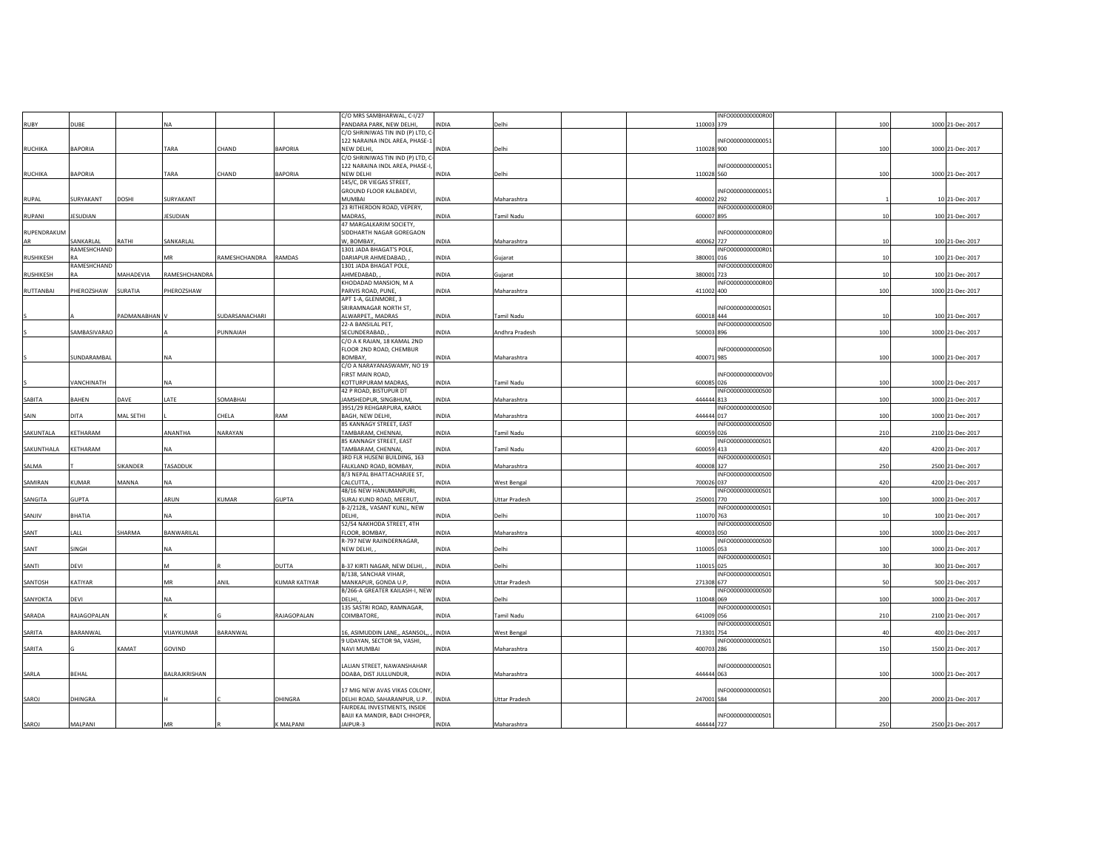|             |                    |                |               |                |                | C/O MRS SAMBHARWAL, C-I/27                                          |              |                      |            | INFO0000000000R00        |     |                  |
|-------------|--------------------|----------------|---------------|----------------|----------------|---------------------------------------------------------------------|--------------|----------------------|------------|--------------------------|-----|------------------|
| RUBY        | DUBE               |                | NA            |                |                | PANDARA PARK, NEW DELHI,                                            | INDIA        | Delhi                | 110003 379 |                          | 100 | 1000 21-Dec-2017 |
|             |                    |                |               |                |                | C/O SHRINIWAS TIN IND (P) LTD, C-<br>122 NARAINA INDL AREA, PHASE-1 |              |                      |            | INFO0000000000051        |     |                  |
| RUCHIKA     | BAPORIA            |                | TARA          | CHAND          | <b>BAPORIA</b> | NEW DELHI                                                           | INDIA        | Delhi                | 110028 900 |                          | 100 | 1000 21-Dec-2017 |
|             |                    |                |               |                |                | C/O SHRINIWAS TIN IND (P) LTD, C-                                   |              |                      |            |                          |     |                  |
|             |                    |                |               |                |                | 122 NARAINA INDL AREA, PHASE-I,                                     |              |                      |            | INFO0000000000051        |     |                  |
| RUCHIKA     | BAPORIA            |                | TARA          | CHAND          | BAPORIA        | NEW DELHI<br>145/C, DR VIEGAS STREET,                               | INDIA        | Delhi                | 110028 560 |                          | 100 | 1000 21-Dec-2017 |
|             |                    |                |               |                |                | GROUND FLOOR KALBADEVI,                                             |              |                      |            | INFO0000000000051        |     |                  |
| RUPAL       | SURYAKANT          | DOSHI          | SURYAKANT     |                |                | <b>MUMBAI</b>                                                       | INDIA        | Maharashtra          | 400002 292 |                          |     | 10 21-Dec-2017   |
|             |                    |                |               |                |                | 23 RITHERDON ROAD, VEPERY,                                          |              |                      |            | INFO0000000000R00        |     |                  |
| RUPANI      | ESUDIAN            |                | JESUDIAN      |                |                | <b>MADRAS</b>                                                       | INDIA        | Tamil Nadu           | 600007 895 |                          | 10  | 100 21-Dec-2017  |
| RUPENDRAKUM |                    |                |               |                |                | 47 MARGALKARIM SOCIETY,<br>SIDDHARTH NAGAR GOREGAON                 |              |                      |            | INFO0000000000R00        |     |                  |
| AR          | SANKARLAL          | RATHI          | SANKARLAL     |                |                | W, BOMBAY,                                                          | INDIA        | Maharashtra          | 400062 727 |                          | 10  | 100 21-Dec-2017  |
|             | RAMESHCHAND        |                |               |                |                | 1301 JADA BHAGAT'S POLE,                                            |              |                      |            | INFO0000000000R01        |     |                  |
| RUSHIKESH   |                    |                | MR            | RAMESHCHANDRA  | RAMDAS         | DARIAPUR AHMEDABAD,                                                 | INDIA        | Gujarat              | 380001 016 |                          | 10  | 100 21-Dec-2017  |
|             | RAMESHCHAND        |                |               |                |                | 1301 JADA BHAGAT POLE,                                              |              |                      |            | INFO0000000000R00        |     |                  |
| RUSHIKESH   |                    | MAHADEVIA      | RAMESHCHANDRA |                |                | AHMEDABAD,<br>KHODADAD MANSION, M A                                 | INDIA        | Gujarat              | 380001     | 723<br>INFO0000000000R00 | 10  | 100 21-Dec-2017  |
| RUTTANBAI   | PHEROZSHAW         | <b>SURATIA</b> | PHEROZSHAW    |                |                | PARVIS ROAD, PUNE                                                   | INDIA        | Maharashtra          | 411002 400 |                          | 100 | 1000 21-Dec-2017 |
|             |                    |                |               |                |                | APT 1-A, GLENMORE, 3                                                |              |                      |            |                          |     |                  |
|             |                    |                |               |                |                | SRIRAMNAGAR NORTH ST,                                               |              |                      |            | INFO0000000000501        |     |                  |
|             |                    | PADMANABHAN    |               | SUDARSANACHARI |                | ALWARPET,, MADRAS                                                   | INDIA        | Tamil Nadu           | 600018 444 |                          | 10  | 100 21-Dec-2017  |
|             | SAMBASIVARAO       |                |               | PUNNAIAH       |                | 22-A BANSILAL PET,<br>SECUNDERABAD,                                 | INDIA        | Andhra Pradesh       | 500003 896 | INFO0000000000S00        | 100 | 1000 21-Dec-2017 |
|             |                    |                |               |                |                | C/O A K RAJAN, 18 KAMAL 2ND                                         |              |                      |            |                          |     |                  |
|             |                    |                |               |                |                | FLOOR 2ND ROAD, CHEMBUR                                             |              |                      |            | INFO0000000000500        |     |                  |
|             | <b>JUNDARAMBAL</b> |                | NA            |                |                | BOMBAY,                                                             | INDIA        | Maharashtra          | 400071 985 |                          | 100 | 1000 21-Dec-2017 |
|             |                    |                |               |                |                | C/O A NARAYANASWAMY, NO 19                                          |              |                      |            |                          |     |                  |
|             | <b>/ANCHINATH</b>  |                | <b>NA</b>     |                |                | FIRST MAIN ROAD,<br>KOTTURPURAM MADRAS,                             | INDIA        | Tamil Nadu           | 600085 026 | INFO0000000000V00        | 100 | 1000 21-Dec-2017 |
|             |                    |                |               |                |                | 42 P ROAD, BISTUPUR DT                                              |              |                      |            | INFO0000000000S00        |     |                  |
| SABITA      | <b>BAHFN</b>       | DAVE           | LATE          | SOMABHAI       |                | JAMSHEDPUR, SINGBHUM,                                               | <b>INDIA</b> | Maharashtra          | 444444 813 |                          | 100 | 1000 21-Dec-2017 |
|             |                    |                |               |                |                | 3951/29 REHGARPURA, KAROL                                           |              |                      |            | INFO0000000000S00        |     |                  |
| SAIN        | DITA               | MAL SETHI      |               | CHELA          | RAM            | BAGH, NEW DELHI,                                                    | INDIA        | Maharashtra          | 444444 017 |                          | 100 | 1000 21-Dec-2017 |
| SAKUNTALA   | KETHARAM           |                | ANANTHA       | NARAYAN        |                | 85 KANNAGY STREET, EAST<br>TAMBARAM, CHENNAI,                       | INDIA        | Tamil Nadu           | 600059 026 | INFO0000000000500        | 210 | 2100 21-Dec-2017 |
|             |                    |                |               |                |                | 85 KANNAGY STREET, EAST                                             |              |                      |            | INFO0000000000S01        |     |                  |
| SAKUNTHALA  | KETHARAM           |                | NA            |                |                | TAMBARAM, CHENNAI,                                                  | INDIA        | Tamil Nadu           | 600059 413 |                          | 420 | 4200 21-Dec-2017 |
|             |                    |                |               |                |                | 3RD FLR HUSENI BUILDING, 163                                        |              |                      |            | INFO0000000000501        |     |                  |
| SALMA       |                    | SIKANDER       | TASADDUK      |                |                | FALKLAND ROAD, BOMBAY,                                              | INDIA        | Maharashtra          | 400008 327 |                          | 250 | 2500 21-Dec-2017 |
| SAMIRAN     | KUMAR              | MANNA          | <b>NA</b>     |                |                | 8/3 NEPAL BHATTACHARJEE ST,<br>CALCUTTA,                            | INDIA        | West Bengal          | 700026 037 | INFO0000000000S00        | 420 | 4200 21-Dec-2017 |
|             |                    |                |               |                |                | 48/16 NEW HANUMANPURI,                                              |              |                      |            | INFO0000000000S01        |     |                  |
| SANGITA     | GUPTA              |                | ARUN          | <b>KUMAR</b>   | GUPTA          | SURAJ KUND ROAD, MEERUT,                                            | INDIA        | Uttar Pradesh        | 250001 770 |                          | 100 | 1000 21-Dec-2017 |
|             |                    |                |               |                |                | B-2/2128,, VASANT KUNJ,, NEW                                        |              |                      |            | INFO0000000000501        |     |                  |
| SANJIV      | BHATIA             |                | <b>NA</b>     |                |                | DELHI                                                               | INDIA        | Delhi                | 110070 763 |                          | 10  | 100 21-Dec-2017  |
| SANT        | LALL               | SHARMA         | BANWARILAL    |                |                | 52/54 NAKHODA STREET, 4TH<br>FLOOR, BOMBAY,                         | INDIA        | Maharashtra          | 400003 050 | INFO0000000000S00        | 100 | 1000 21-Dec-2017 |
|             |                    |                |               |                |                | R-797 NEW RAJINDERNAGAR,                                            |              |                      |            | INFO0000000000S00        |     |                  |
| SANT        | SINGH              |                | NA            |                |                | NEW DELHI,                                                          | INDIA        | Delhi                | 110005 053 |                          | 100 | 1000 21-Dec-2017 |
|             |                    |                |               |                |                |                                                                     |              |                      |            | INFO0000000000501        |     |                  |
| SANTI       | DEVI               |                | м             |                | DUTTA          | B-37 KIRTI NAGAR, NEW DELHI, ,<br>B/138, SANCHAR VIHAR,             | <b>INDIA</b> | Delhi                | 110015 025 | INFO0000000000S01        | 30  | 300 21-Dec-2017  |
| SANTOSH     | KATIYAR            |                | MR            | ANIL           | KUMAR KATIYAR  | MANKAPUR, GONDA U.P,                                                | INDIA        | <b>Uttar Pradesh</b> | 271308 677 |                          |     | 500 21-Dec-2017  |
|             |                    |                |               |                |                | B/266-A GREATER KAILASH-I, NEW                                      |              |                      |            | INFO0000000000S00        |     |                  |
| SANYOKTA    | DEVI               |                | NA            |                |                | DELHI,                                                              | INDIA        | Delhi                | 110048 069 |                          | 100 | 1000 21-Dec-2017 |
|             |                    |                |               |                |                | 135 SASTRI ROAD, RAMNAGAR,                                          |              |                      |            | INFO0000000000S01        |     |                  |
| SARADA      | RAJAGOPALAN        |                |               |                | RAJAGOPALAN    | COIMBATORE                                                          | INDIA        | Tamil Nadu           | 641009 056 | INFO0000000000S01        | 210 | 2100 21-Dec-2017 |
| SARITA      | BARANWAL           |                | VIJAYKUMAR    | BARANWAL       |                | 16, ASIMUDDIN LANE,, ASANSOL,                                       | INDIA        | West Bengal          | 713301 754 |                          |     | 400 21-Dec-2017  |
|             |                    |                |               |                |                | 9 UDAYAN, SECTOR 9A, VASHI,                                         |              |                      |            | INFO0000000000501        |     |                  |
| SARITA      |                    | KAMAT          | GOVIND        |                |                | NAVI MUMBAI                                                         | INDIA        | Maharashtra          | 400703 286 |                          | 150 | 1500 21-Dec-2017 |
|             |                    |                |               |                |                |                                                                     |              |                      |            |                          |     |                  |
|             | BEHAL              |                | BALRAJKRISHAN |                |                | LALIAN STREET, NAWANSHAHAR<br>DOABA, DIST JULLUNDUR,                | INDIA        |                      | 444444 063 | INFO0000000000501        | 100 | 1000 21-Dec-2017 |
| SARLA       |                    |                |               |                |                |                                                                     |              | Maharashtra          |            |                          |     |                  |
|             |                    |                |               |                |                | 17 MIG NEW AVAS VIKAS COLONY,                                       |              |                      |            | INFO0000000000501        |     |                  |
| SAROJ       | DHINGRA            |                |               |                | DHINGRA        | DELHI ROAD, SAHARANPUR, U.P.                                        | <b>INDIA</b> | <b>Uttar Pradesh</b> | 247001 584 |                          | 200 | 2000 21-Dec-2017 |
|             |                    |                |               |                |                | FAIRDEAL INVESTMENTS, INSIDE                                        |              |                      |            | INFO0000000000501        |     |                  |
| SAROJ       | MALPANI            |                | MR            |                | K MALPANI      | BAIJI KA MANDIR, BADI CHHOPER,<br>JAIPUR-3                          | INDIA        | Maharashtra          | 444444 727 |                          | 250 | 2500 21-Dec-2017 |
|             |                    |                |               |                |                |                                                                     |              |                      |            |                          |     |                  |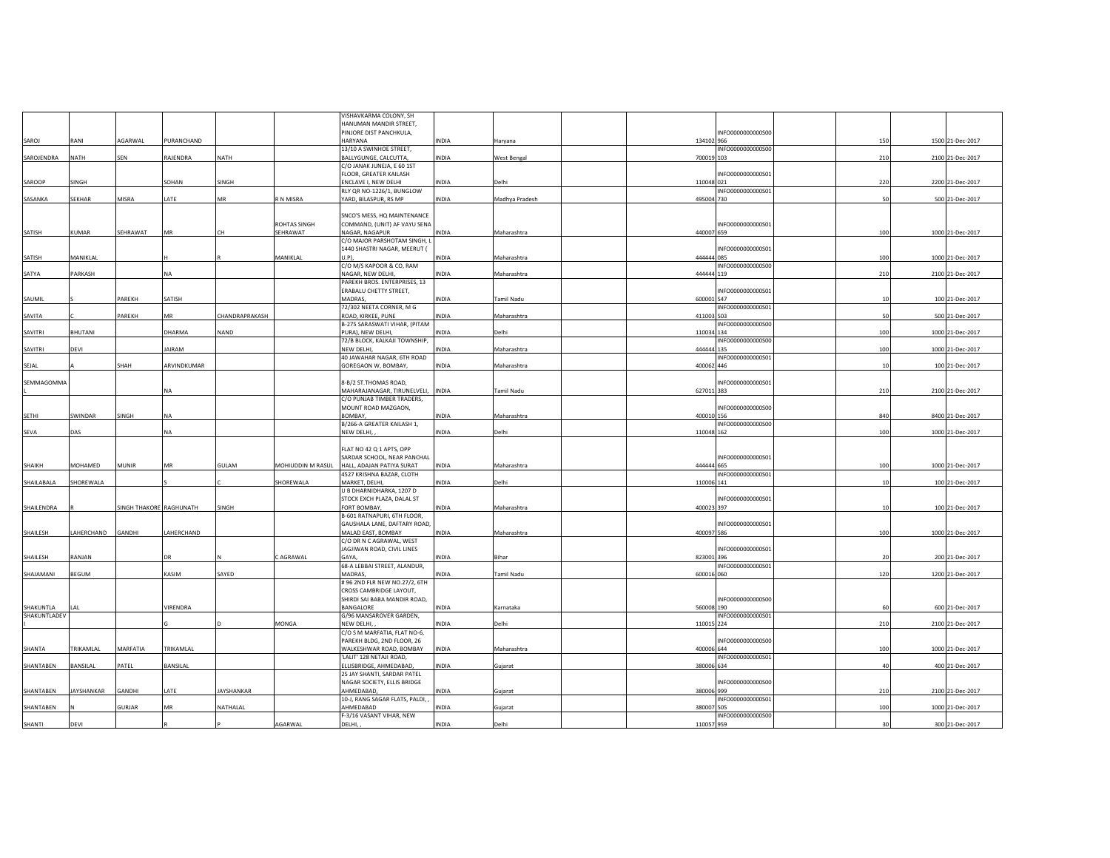|                           |                   |                         |               |                |                     | VISHAVKARMA COLONY, SH                                 |              |                |                                 |     |                  |
|---------------------------|-------------------|-------------------------|---------------|----------------|---------------------|--------------------------------------------------------|--------------|----------------|---------------------------------|-----|------------------|
|                           |                   |                         |               |                |                     | HANUMAN MANDIR STREET,                                 |              |                |                                 |     |                  |
|                           |                   |                         |               |                |                     | PINJORE DIST PANCHKULA,                                |              |                | INFO0000000000S00               |     |                  |
| SAROJ                     | RANI              | AGARWAL                 | PURANCHAND    |                |                     | <b>HARYANA</b>                                         | <b>INDIA</b> | Haryana        | 134102 966                      | 150 | 1500 21-Dec-2017 |
|                           |                   |                         |               |                |                     | 13/10 A SWINHOE STREET,                                |              |                | INFO0000000000S00               |     |                  |
| SAROJENDRA                | <b>NATH</b>       | SEN                     | RAJENDRA      | <b>NATH</b>    |                     | BALLYGUNGE, CALCUTTA,                                  | <b>INDIA</b> | West Bengal    | 700019 103                      | 210 | 2100 21-Dec-2017 |
|                           |                   |                         |               |                |                     | C/O JANAK JUNEJA, E 60 1ST                             |              |                |                                 |     |                  |
| SAROOP                    | SINGH             |                         | SOHAN         | SINGH          |                     | FLOOR, GREATER KAILASH<br>ENCLAVE I, NEW DELHI         | <b>INDIA</b> | Delhi          | INFO0000000000501<br>110048 021 | 220 | 2200 21-Dec-2017 |
|                           |                   |                         |               |                |                     | RLY QR NO-1226/1, BUNGLOW                              |              |                | INFO0000000000501               |     |                  |
| SASANKA                   | SEKHAR            | MISRA                   | LATE          | MR             | R N MISRA           | YARD, BILASPUR, RS MP                                  | INDIA        | Madhya Pradesh | 495004 730                      | 50  | 500 21-Dec-2017  |
|                           |                   |                         |               |                |                     |                                                        |              |                |                                 |     |                  |
|                           |                   |                         |               |                |                     | SNCO'S MESS, HQ MAINTENANCE                            |              |                |                                 |     |                  |
|                           |                   |                         |               |                | <b>ROHTAS SINGH</b> | COMMAND, (UNIT) AF VAYU SENA                           |              |                | INFO0000000000501               |     |                  |
| SATISH                    | <b>KUMAR</b>      | SEHRAWAT                | MR            | <b>CH</b>      | SEHRAWAT            | NAGAR, NAGAPUR                                         | INDIA        | Maharashtra    | 440007 659                      | 100 | 1000 21-Dec-2017 |
|                           |                   |                         |               |                |                     | C/O MAJOR PARSHOTAM SINGH, L                           |              |                |                                 |     |                  |
|                           |                   |                         |               |                |                     | 1440 SHASTRI NAGAR, MEERUT (                           |              |                | INFO0000000000501               |     |                  |
| SATISH                    | MANIKLAL          |                         |               |                | MANIKLAL            | U.P                                                    | <b>INDIA</b> | Maharashtra    | 444444 085                      | 100 | 1000 21-Dec-2017 |
|                           |                   |                         |               |                |                     | C/O M/S KAPOOR & CO, RAM                               |              |                | INFO0000000000500               |     |                  |
| SATYA                     | PARKASH           |                         | <b>NA</b>     |                |                     | NAGAR, NEW DELHI,                                      | INDIA        | Maharashtra    | 444444 119                      | 210 | 2100 21-Dec-2017 |
|                           |                   |                         |               |                |                     | PAREKH BROS. ENTERPRISES, 13                           |              |                |                                 |     |                  |
|                           |                   |                         |               |                |                     | ERABALU CHETTY STREET,                                 |              |                | INFO0000000000S01               |     |                  |
| SAUMIL                    |                   | PAREKH                  | SATISH        |                |                     | MADRAS,                                                | <b>INDIA</b> | Tamil Nadu     | 600001 547                      | 10  | 100 21-Dec-2017  |
|                           |                   | PAREKH                  | <b>MR</b>     | CHANDRAPRAKASH |                     | 72/302 NEETA CORNER, M G                               |              |                | INFO0000000000501<br>411003 503 | 50  |                  |
| SAVITA                    |                   |                         |               |                |                     | ROAD, KIRKEE, PUNE<br>B-275 SARASWATI VIHAR, (PITAM    | INDIA        | Maharashtra    | INFO0000000000S00               |     | 500 21-Dec-2017  |
| SAVITRI                   | BHUTANI           |                         | DHARMA        | NAND           |                     | PURA), NEW DELHI,                                      | <b>INDIA</b> | Delhi          | 110034 134                      | 100 | 1000 21-Dec-2017 |
|                           |                   |                         |               |                |                     | 72/B BLOCK, KALKAJI TOWNSHIP,                          |              |                | INFO0000000000S00               |     |                  |
| SAVITRI                   | DEVI              |                         | <b>JAIRAM</b> |                |                     | NEW DELHI,                                             | <b>INDIA</b> | Maharashtra    | 444444 135                      | 100 | 1000 21-Dec-2017 |
|                           |                   |                         |               |                |                     | 40 JAWAHAR NAGAR, 6TH ROAD                             |              |                | INFO0000000000501               |     |                  |
| SEJAL                     |                   | SHAH                    | ARVINDKUMAR   |                |                     | GOREGAON W, BOMBAY,                                    | <b>INDIA</b> | Maharashtra    | 400062 446                      | 10  | 100 21-Dec-2017  |
|                           |                   |                         |               |                |                     |                                                        |              |                |                                 |     |                  |
| SEMMAGOMMA                |                   |                         |               |                |                     | 8-B/2 ST. THOMAS ROAD,                                 |              |                | INFO0000000000501               |     |                  |
|                           |                   |                         | <b>NA</b>     |                |                     | MAHARAJANAGAR, TIRUNELVELI, INDIA                      |              | Tamil Nadu     | 627011 383                      | 210 | 2100 21-Dec-2017 |
|                           |                   |                         |               |                |                     | C/O PUNJAB TIMBER TRADERS,                             |              |                |                                 |     |                  |
|                           |                   |                         |               |                |                     | MOUNT ROAD MAZGAON,                                    |              |                | INFO0000000000500               |     |                  |
| SETHI                     | SWINDAR           | SINGH                   | <b>NA</b>     |                |                     | <b>BOMBAY</b>                                          | <b>INDIA</b> | Maharashtra    | 400010 156                      | 840 | 8400 21-Dec-2017 |
|                           |                   |                         |               |                |                     | B/266-A GREATER KAILASH 1,                             |              |                | INFO0000000000S00               |     |                  |
| SEVA                      | DAS               |                         | <b>NA</b>     |                |                     | NEW DELHI,                                             | <b>INDIA</b> | Delhi          | 110048 162                      | 100 | 1000 21-Dec-2017 |
|                           |                   |                         |               |                |                     |                                                        |              |                |                                 |     |                  |
|                           |                   |                         |               |                |                     | FLAT NO 42 Q 1 APTS, OPP                               |              |                |                                 |     |                  |
| SHAIKH                    | MOHAMED           |                         | MR            | <b>GULAM</b>   | MOHIUDDIN M RASUL   | SARDAR SCHOOL, NEAR PANCHAL                            | <b>INDIA</b> | Maharashtra    | INFO0000000000S01<br>444444 665 |     |                  |
|                           |                   | <b>MUNIR</b>            |               |                |                     | HALL, ADAJAN PATIYA SURAT<br>4527 KRISHNA BAZAR, CLOTH |              |                | INFO0000000000501               | 100 | 1000 21-Dec-2017 |
| SHAILABALA                | SHOREWALA         |                         |               |                | SHOREWALA           | MARKET, DELHI,                                         | <b>INDIA</b> | Delhi          | 110006 141                      | 10  | 100 21-Dec-2017  |
|                           |                   |                         |               |                |                     | U B DHARNIDHARKA, 1207 D                               |              |                |                                 |     |                  |
|                           |                   |                         |               |                |                     | STOCK EXCH PLAZA, DALAL ST                             |              |                | INFO0000000000S01               |     |                  |
| SHAILENDRA                |                   | SINGH THAKORE RAGHUNATH |               | SINGH          |                     | FORT BOMBAY,                                           | <b>INDIA</b> | Maharashtra    | 400023 397                      | 10  | 100 21-Dec-2017  |
|                           |                   |                         |               |                |                     | B-601 RATNAPURI, 6TH FLOOR,                            |              |                |                                 |     |                  |
|                           |                   |                         |               |                |                     | GAUSHALA LANE, DAFTARY ROAD,                           |              |                | INFO0000000000501               |     |                  |
| SHAILESH                  | LAHERCHAND        | GANDHI                  | LAHERCHAND    |                |                     | MALAD EAST, BOMBAY                                     | NDIA         | Maharashtra    | 400097 586                      | 100 | 1000 21-Dec-2017 |
|                           |                   |                         |               |                |                     | C/O DR N C AGRAWAL, WEST                               |              |                |                                 |     |                  |
|                           |                   |                         |               |                |                     | JAGJIWAN ROAD, CIVIL LINES                             |              |                | INFO0000000000S01               |     |                  |
| SHAILESH                  | RANJAN            |                         | DR            |                | C AGRAWAL           | GAYA,                                                  | INDIA        | Bihar          | 823001 396                      | 20  | 200 21-Dec-2017  |
|                           |                   |                         |               |                |                     | 68-A LEBBAI STREET, ALANDUR,                           |              |                | INFO0000000000501               |     |                  |
| SHAJAMANI                 | BEGUM             |                         | KASIM         | SAYED          |                     | <b>MADRAS</b>                                          | INDIA        | Tamil Nadu     | 600016 060                      | 120 | 1200 21-Dec-2017 |
|                           |                   |                         |               |                |                     | #96 2ND FLR NEW NO.27/2, 6TH                           |              |                |                                 |     |                  |
|                           |                   |                         |               |                |                     | CROSS CAMBRIDGE LAYOUT,                                |              |                |                                 |     |                  |
|                           |                   |                         |               |                |                     | SHIRDI SAI BABA MANDIR ROAD,                           |              |                | INFO0000000000500               |     |                  |
| SHAKUNTLA<br>SHAKUNTLADEV | LAL               |                         | VIRENDRA      |                |                     | BANGALORE<br>G/96 MANSAROVER GARDEN,                   | <b>INDIA</b> | Karnataka      | 560008 190<br>INFO0000000000501 | 60  | 600 21-Dec-2017  |
|                           |                   |                         |               |                | MONGA               | NEW DELHI,                                             | <b>INDIA</b> | Delhi          | 110015 224                      | 210 | 2100 21-Dec-2017 |
|                           |                   |                         |               |                |                     | C/O S M MARFATIA, FLAT NO-6,                           |              |                |                                 |     |                  |
|                           |                   |                         |               |                |                     | PAREKH BLDG, 2ND FLOOR, 26                             |              |                | INFO0000000000500               |     |                  |
| SHANTA                    | TRIKAMLAL         | MARFATIA                | TRIKAMLAL     |                |                     | WALKESHWAR ROAD, BOMBAY                                | <b>INDIA</b> | Maharashtra    | 400006 644                      | 100 | 1000 21-Dec-2017 |
|                           |                   |                         |               |                |                     | 'LALIT' 128 NETAJI ROAD,                               |              |                | INFO0000000000501               |     |                  |
| SHANTABEN                 | BANSILAL          | PATEL                   | BANSILAL      |                |                     | ELLISBRIDGE, AHMEDABAD,                                | <b>INDIA</b> | Gujarat        | 380006 634                      |     | 400 21-Dec-2017  |
|                           |                   |                         |               |                |                     | 25 JAY SHANTI, SARDAR PATEL                            |              |                |                                 |     |                  |
|                           |                   |                         |               |                |                     | NAGAR SOCIETY, ELLIS BRIDGE                            |              |                | INFO0000000000S00               |     |                  |
| SHANTABEN                 | <b>JAYSHANKAR</b> | GANDHI                  | LATE          | JAYSHANKAR     |                     | AHMEDABAD,                                             | <b>INDIA</b> | Gujarat        | 380006 999                      | 210 | 2100 21-Dec-2017 |
|                           |                   |                         |               |                |                     | 10-J, RANG SAGAR FLATS, PALDI,                         |              |                | INFO0000000000501               |     |                  |
| SHANTABEN                 |                   | <b>GURJAR</b>           | MR            | NATHALAL       |                     | AHMEDABAD                                              | <b>INDIA</b> | Gujarat        | 380007 505                      | 100 | 1000 21-Dec-2017 |
|                           |                   |                         |               |                |                     | F-3/16 VASANT VIHAR, NEW                               |              |                | INFO0000000000500               |     |                  |
| SHANTI                    | DEVI              |                         |               |                | AGARWAL             | DELHI,                                                 | <b>INDIA</b> | Delhi          | 110057 959                      |     | 300 21-Dec-2017  |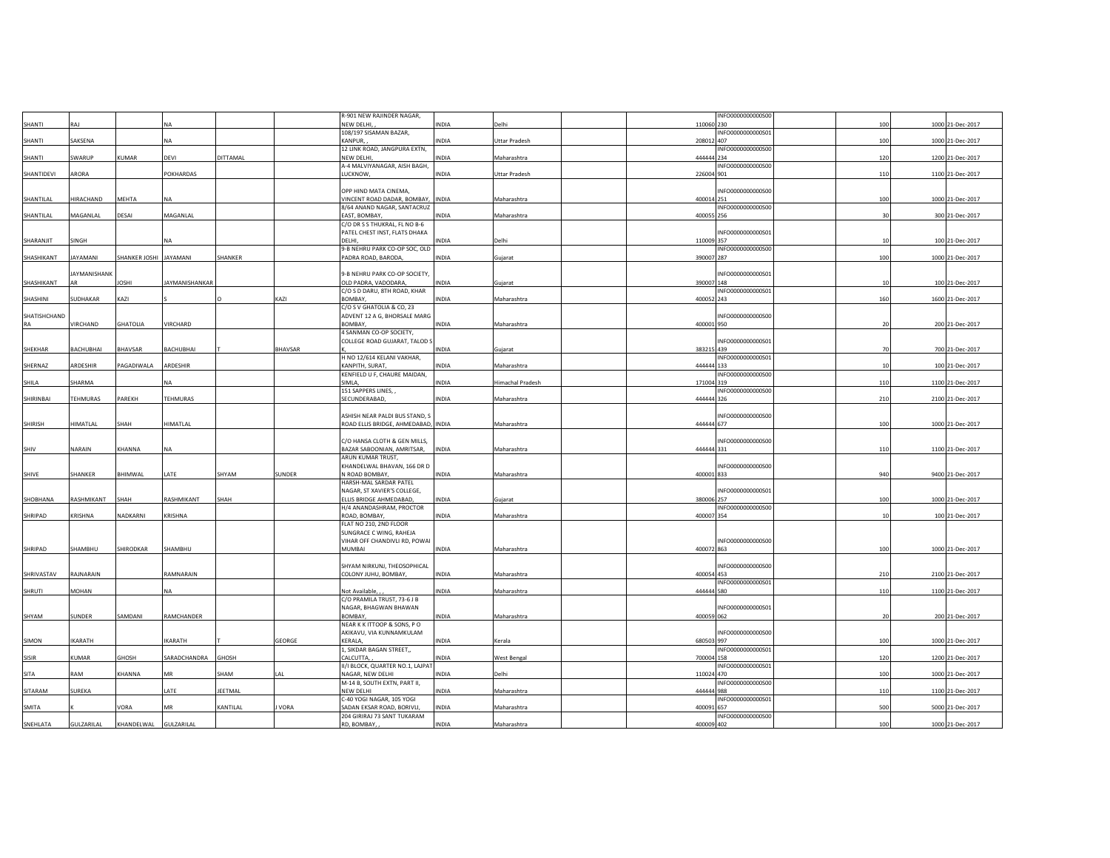|                    |                   |                        |                       |          |         | R-901 NEW RAJINDER NAGAR,                                        |              |                         |            | INFO0000000000500 |     |                  |
|--------------------|-------------------|------------------------|-----------------------|----------|---------|------------------------------------------------------------------|--------------|-------------------------|------------|-------------------|-----|------------------|
| SHANTI             | RAJ               |                        | <b>NA</b>             |          |         | NEW DELHI,<br>108/197 SISAMAN BAZAR,                             | INDIA        | Delhi                   | 110060 230 | INFO0000000000501 | 100 | 1000 21-Dec-2017 |
| SHANTI             | SAKSENA           |                        | <b>NA</b>             |          |         | KANPUR,                                                          | INDIA        | Uttar Pradesh           | 208012 407 |                   | 100 | 1000 21-Dec-2017 |
|                    |                   |                        |                       |          |         | 12 LINK ROAD, JANGPURA EXTN,                                     |              |                         |            | INFO0000000000500 |     |                  |
| SHANTI             | SWARUP            | KUMAR                  | DEVI                  | DITTAMAL |         | NEW DELHI<br>A-4 MALVIYANAGAR, AISH BAGH,                        | INDIA        | Maharashtra             | 444444 234 | INFO0000000000500 | 120 | 1200 21-Dec-2017 |
| SHANTIDEVI         | ARORA             |                        | POKHARDAS             |          |         | LUCKNOW                                                          | <b>INDIA</b> | <b>Uttar Pradesh</b>    | 226004 901 |                   | 110 | 1100 21-Dec-2017 |
|                    |                   |                        |                       |          |         |                                                                  |              |                         |            |                   |     |                  |
|                    |                   |                        |                       |          |         | OPP HIND MATA CINEMA,                                            |              |                         |            | INFO0000000000S00 |     |                  |
| SHANTILAL          | HIRACHAND         | MEHTA                  | <b>NA</b>             |          |         | VINCENT ROAD DADAR, BOMBAY, INDIA<br>8/64 ANAND NAGAR, SANTACRUZ |              | Maharashtra             | 400014 251 | INFO0000000000500 | 100 | 1000 21-Dec-2017 |
| SHANTILAL          | MAGANLAL          | DESAI                  | MAGANLAL              |          |         | EAST, BOMBAY                                                     | INDIA        | Maharashtra             | 400055 256 |                   | 30  | 300 21-Dec-2017  |
|                    |                   |                        |                       |          |         | C/O DR S S THUKRAL, FL NO B-6                                    |              |                         |            |                   |     |                  |
| SHARANJIT          | SINGH             |                        | <b>NA</b>             |          |         | PATEL CHEST INST, FLATS DHAKA<br><b>DELHI</b>                    | INDIA        | Delhi                   | 110009 357 | INFO0000000000S01 | 10  | 100 21-Dec-2017  |
|                    |                   |                        |                       |          |         | 9-B NEHRU PARK CO-OP SOC, OLD                                    |              |                         |            | INFO0000000000S00 |     |                  |
| SHASHIKANT         | AYAMANI           | SHANKER JOSHI JAYAMANI |                       | SHANKER  |         | PADRA ROAD, BARODA                                               | <b>INDIA</b> | Gujarat                 | 390007 287 |                   | 100 | 1000 21-Dec-2017 |
|                    |                   |                        |                       |          |         |                                                                  |              |                         |            |                   |     |                  |
| SHASHIKANT         | AYMANISHANK<br>AR | <b>IHZOL</b>           | <b>JAYMANISHANKAR</b> |          |         | 9-B NEHRU PARK CO-OP SOCIETY,<br>OLD PADRA, VADODARA,            | <b>INDIA</b> | Gujarat                 | 390007 148 | INFO0000000000S01 | 10  | 100 21-Dec-2017  |
|                    |                   |                        |                       |          |         | C/O S D DARU, 8TH ROAD, KHAR                                     |              |                         |            | INFO0000000000S01 |     |                  |
| SHASHINI           | SUDHAKAR          | KAZI                   |                       |          | KAZI    | BOMBAY.                                                          | <b>INDIA</b> | Maharashtra             | 400052 243 |                   | 160 | 1600 21-Dec-2017 |
|                    |                   |                        |                       |          |         | C/O S V GHATOLIA & CO, 23                                        |              |                         |            |                   |     |                  |
| SHATISHCHAND<br>RA | VIRCHAND          | GHATOLIA               | VIRCHARD              |          |         | ADVENT 12 A G, BHORSALE MARG<br>BOMBAY,                          | INDIA        | Maharashtra             | 400001 950 | INFO0000000000S00 | 20  | 200 21-Dec-2017  |
|                    |                   |                        |                       |          |         | 4 SANMAN CO-OP SOCIETY,                                          |              |                         |            |                   |     |                  |
|                    |                   |                        |                       |          |         | COLLEGE ROAD GUJARAT, TALOD S                                    |              |                         |            | INFO0000000000501 |     |                  |
| SHEKHAR            | BACHUBHAI         | BHAVSAR                | BACHUBHAI             |          | BHAVSAR |                                                                  | INDIA        | Gujarat                 | 383215 439 |                   | 70  | 700 21-Dec-2017  |
| SHERNAZ            | ARDESHIR          | PAGADIWALA             | ARDESHIR              |          |         | H NO 12/614 KELANI VAKHAR,<br>KANPITH, SURAT,                    | INDIA        | Maharashtra             | 444444 133 | INFO0000000000501 | 10  | 100 21-Dec-2017  |
|                    |                   |                        |                       |          |         | KENFIELD U F, CHAURE MAIDAN,                                     |              |                         |            | INFO0000000000500 |     |                  |
| SHILA              | SHARMA            |                        | NA                    |          |         | SIMLA,                                                           | INDIA        | <b>Himachal Pradesh</b> | 171004 319 |                   | 110 | 1100 21-Dec-2017 |
| SHIRINBAI          | TEHMURAS          | PAREKH                 | TEHMURAS              |          |         | 151 SAPPERS LINES,<br>SECUNDERABAD,                              | INDIA        | Maharashtra             |            | INFO0000000000S00 | 210 | 2100 21-Dec-2017 |
|                    |                   |                        |                       |          |         |                                                                  |              |                         | 444444 326 |                   |     |                  |
|                    |                   |                        |                       |          |         | ASHISH NEAR PALDI BUS STAND, S                                   |              |                         |            | INFO0000000000500 |     |                  |
| SHIRISH            | HIMATLAL          | SHAH                   | HIMATLAL              |          |         | ROAD ELLIS BRIDGE, AHMEDABAD, INDIA                              |              | Maharashtra             | 444444 677 |                   | 100 | 1000 21-Dec-2017 |
|                    |                   |                        |                       |          |         | C/O HANSA CLOTH & GEN MILLS,                                     |              |                         |            | INFO0000000000S00 |     |                  |
| SHIV               | NARAIN            | KHANNA                 | <b>NA</b>             |          |         | BAZAR SABOONIAN, AMRITSAR,                                       | <b>INDIA</b> | Maharashtra             | 444444 331 |                   | 110 | 1100 21-Dec-2017 |
|                    |                   |                        |                       |          |         | ARUN KUMAR TRUST,                                                |              |                         |            |                   |     |                  |
|                    |                   |                        |                       |          |         | KHANDELWAL BHAVAN, 166 DR D                                      |              |                         |            | INFO0000000000500 |     |                  |
| SHIVE              | SHANKER           | <b>BHIMWAL</b>         | LATE                  | SHYAM    | SUNDER  | N ROAD BOMBAY<br>HARSH-MAL SARDAR PATEL                          | INDIA        | Maharashtra             | 400001 833 |                   | 940 | 9400 21-Dec-2017 |
|                    |                   |                        |                       |          |         | NAGAR, ST XAVIER'S COLLEGE,                                      |              |                         |            | INFO0000000000S01 |     |                  |
| SHOBHANA           | RASHMIKANT        | SHAH                   | RASHMIKANT            | SHAH     |         | ELLIS BRIDGE AHMEDABAD,                                          | <b>INDIA</b> | Gujarat                 | 380006 257 |                   | 100 | 1000 21-Dec-2017 |
|                    |                   |                        |                       |          |         | H/4 ANANDASHRAM, PROCTOR                                         |              |                         |            | INFO0000000000S00 |     |                  |
| SHRIPAD            | KRISHNA           | NADKARNI               | KRISHNA               |          |         | ROAD, BOMBAY,<br>FLAT NO 210, 2ND FLOOR                          | INDIA        | Maharashtra             | 400007 354 |                   | 10  | 100 21-Dec-2017  |
|                    |                   |                        |                       |          |         | SUNGRACE C WING, RAHEJA                                          |              |                         |            |                   |     |                  |
|                    |                   |                        |                       |          |         | VIHAR OFF CHANDIVLI RD, POWAI                                    |              |                         |            | INFO0000000000S00 |     |                  |
| SHRIPAD            | SHAMBHU           | SHIRODKAR              | SHAMBHU               |          |         | MUMBAI                                                           | INDIA        | Maharashtra             | 400072 863 |                   | 100 | 1000 21-Dec-2017 |
|                    |                   |                        |                       |          |         | SHYAM NIRKUNJ, THEOSOPHICAL                                      |              |                         |            | INFO0000000000S00 |     |                  |
| SHRIVASTAV         | RAJNARAIN         |                        | RAMNARAIN             |          |         | COLONY JUHU, BOMBAY,                                             | INDIA        | Maharashtra             | 400054 453 |                   | 210 | 2100 21-Dec-2017 |
|                    |                   |                        |                       |          |         |                                                                  |              |                         |            | INFO0000000000S01 |     |                  |
| SHRUTI             | MOHAN             |                        | <b>NA</b>             |          |         | Not Available,<br>C/O PRAMILA TRUST, 73-6 J B                    | INDIA        | Maharashtra             | 444444 580 |                   | 110 | 1100 21-Dec-2017 |
|                    |                   |                        |                       |          |         | NAGAR, BHAGWAN BHAWAN                                            |              |                         |            | INFO0000000000S01 |     |                  |
| SHYAM              | SUNDER            | SAMDANI                | RAMCHANDER            |          |         | BOMBAY,                                                          | INDIA        | Maharashtra             | 400059 062 |                   | 20  | 200 21-Dec-2017  |
|                    |                   |                        |                       |          |         | NEAR K K ITTOOP & SONS, P O                                      |              |                         |            |                   |     |                  |
| SIMON              | <b>KARATH</b>     |                        | <b>IKARATH</b>        |          | GEORGE  | AKIKAVU, VIA KUNNAMKULAM<br>KERALA,                              | INDIA        | Kerala                  | 680503 997 | INFO0000000000500 | 100 | 1000 21-Dec-2017 |
|                    |                   |                        |                       |          |         | 1, SIKDAR BAGAN STREET,,                                         |              |                         |            | INFO0000000000S01 |     |                  |
| SISIR              | KUMAR             | GHOSH                  | SARADCHANDRA          | GHOSH    |         | CALCUTTA                                                         | INDIA        | <b>West Bengal</b>      | 700004 158 |                   | 120 | 1200 21-Dec-2017 |
| SITA               | RAM               | KHANNA                 | MR                    | SHAM     | I A I   | II/I BLOCK, QUARTER NO.1, LAJPAT<br>NAGAR, NEW DELHI             | INDIA        | Delhi                   | 110024 470 | INFO0000000000S01 | 100 | 1000 21-Dec-2017 |
|                    |                   |                        |                       |          |         | M-14 B, SOUTH EXTN, PART II,                                     |              |                         |            | INFO0000000000500 |     |                  |
| SITARAM            | SUREKA            |                        | LATE                  | JEETMAL  |         | NEW DELHI                                                        | INDIA        | Maharashtra             | 444444 988 |                   | 110 | 1100 21-Dec-2017 |
|                    |                   |                        |                       |          |         | C-40 YOGI NAGAR, 105 YOGI                                        |              |                         |            | INFO0000000000S01 |     |                  |
| SMITA              |                   | VORA                   | MR                    | KANTILAL | VORA    | SADAN EKSAR ROAD, BORIVLI,<br>204 GIRIRAJ 73 SANT TUKARAM        | INDIA        | Maharashtra             | 400091 657 | INFO0000000000S00 | 500 | 5000 21-Dec-2017 |
| SNEHLATA           | <b>GULZARILAL</b> | KHANDELWAL             | GULZARILAL            |          |         | RD, BOMBAY,                                                      | <b>INDIA</b> | Maharashtra             | 400009 402 |                   | 100 | 1000 21-Dec-2017 |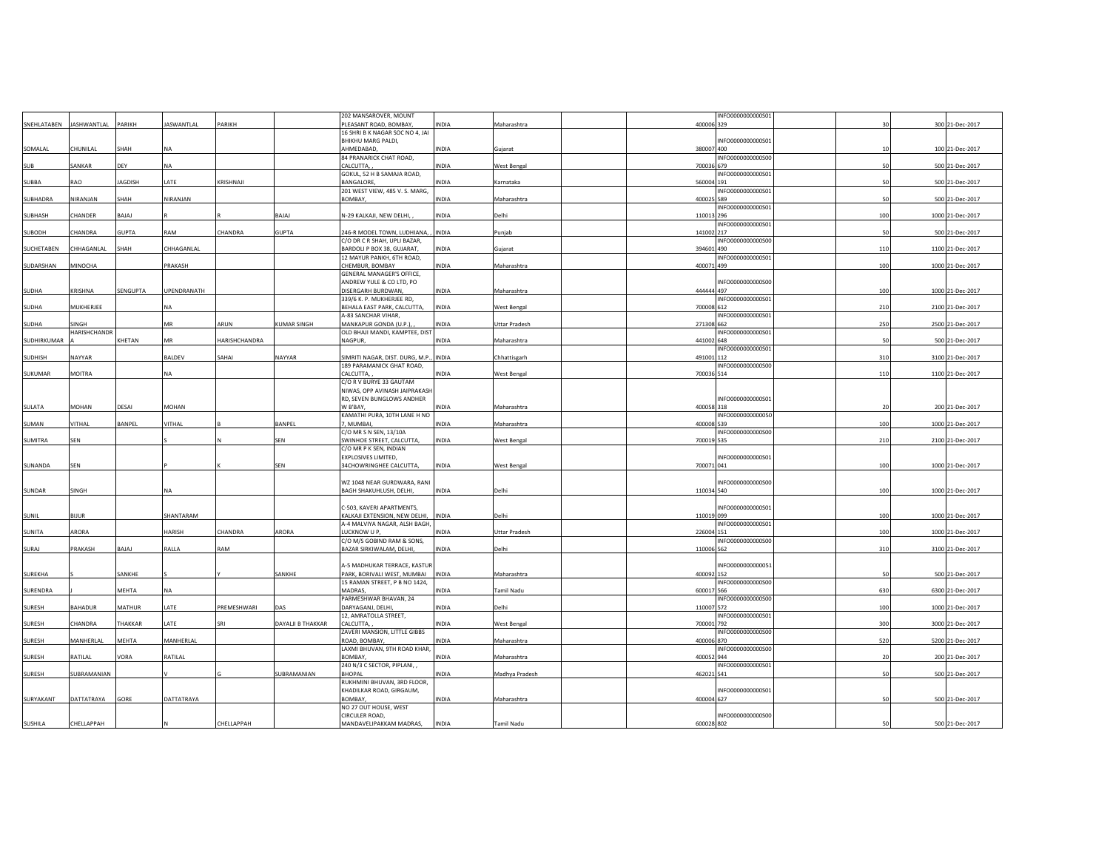|             |                                |                |                   |               |                   | 202 MANSAROVER, MOUNT                                 |              |                | INFO0000000000S01               |     |                  |
|-------------|--------------------------------|----------------|-------------------|---------------|-------------------|-------------------------------------------------------|--------------|----------------|---------------------------------|-----|------------------|
|             | SNEHLATABEN JASHWANTLAL PARIKH |                | <b>JASWANTLAL</b> | PARIKH        |                   | PLEASANT ROAD, BOMBAY,                                | INDIA        | Maharashtra    | 400006 329                      | 30  | 300 21-Dec-2017  |
|             |                                |                |                   |               |                   | 16 SHRI B K NAGAR SOC NO 4, JAI                       |              |                |                                 |     |                  |
| SOMALAL     | CHUNILAL                       | SHAH           | <b>NA</b>         |               |                   | BHIKHU MARG PALDI,<br>AHMEDABAD,                      | INDIA        | Gujarat        | INFO0000000000S01<br>380007 400 | 10  | 100 21-Dec-2017  |
|             |                                |                |                   |               |                   | 84 PRANARICK CHAT ROAD,                               |              |                | INFO0000000000500               |     |                  |
| <b>SUB</b>  | SANKAR                         | DEY            | NA                |               |                   | CALCUTTA,                                             | INDIA        | West Bengal    | 700036 679                      | 50  | 500 21-Dec-2017  |
|             |                                |                |                   |               |                   | GOKUL, 52 H B SAMAJA ROAD,                            |              |                | INFO0000000000S01               |     |                  |
| SUBBA       | RAO                            | <b>JAGDISH</b> | LATE              | KRISHNAJI     |                   | <b>BANGALORE</b>                                      | INDIA        | Karnataka      | 560004 191                      | 50  | 500 21-Dec-2017  |
|             |                                |                |                   |               |                   | 201 WEST VIEW, 485 V. S. MARG,                        |              |                | INFO0000000000S01               |     |                  |
| SUBHADRA    | NIRANJAN                       | SHAH           | NIRANJAN          |               |                   | BOMBAY,                                               | INDIA        | Maharashtra    | 400025 589                      | 50  | 500 21-Dec-2017  |
| SUBHASH     | CHANDER                        | BAJAJ          |                   |               | BAJAJ             | N-29 KALKAJI, NEW DELHI,                              | INDIA        | Delhi          | INFO0000000000S01<br>110013 296 | 100 | 1000 21-Dec-2017 |
|             |                                |                |                   |               |                   |                                                       |              |                | INFO0000000000S01               |     |                  |
| SUBODH      | CHANDRA                        | <b>GUPTA</b>   | RAM               | CHANDRA       | GUPTA             | 246-R MODEL TOWN, LUDHIANA,                           | <b>INDIA</b> | Punjab         | 141002 217                      | 50  | 500 21-Dec-2017  |
|             |                                |                |                   |               |                   | C/O DR C R SHAH, UPLI BAZAR,                          |              |                | INFO0000000000S00               |     |                  |
| SUCHETABEN  | CHHAGANLAL                     | SHAH           | CHHAGANLAL        |               |                   | BARDOLI P BOX 38, GUJARAT,                            | INDIA        | Gujarat        | 394601 490                      | 110 | 1100 21-Dec-2017 |
|             |                                |                |                   |               |                   | 12 MAYUR PANKH, 6TH ROAD,                             |              |                | INFO0000000000S01               |     |                  |
| SUDARSHAN   | MINOCHA                        |                | PRAKASH           |               |                   | CHEMBUR, BOMBAY                                       | INDIA        | Maharashtra    | 400071 499                      | 100 | 1000 21-Dec-2017 |
|             |                                |                |                   |               |                   | GENERAL MANAGER'S OFFICE,<br>ANDREW YULE & CO LTD, PO |              |                | INFO0000000000500               |     |                  |
| SUDHA       | KRISHNA                        | SENGUPTA       | UPENDRANATH       |               |                   | DISERGARH BURDWAN,                                    | INDIA        | Maharashtra    | 444444 497                      | 100 | 1000 21-Dec-2017 |
|             |                                |                |                   |               |                   | 339/6 K. P. MUKHERJEE RD,                             |              |                | INFO0000000000501               |     |                  |
| SUDHA       | MUKHERJEE                      |                | <b>NA</b>         |               |                   | BEHALA EAST PARK, CALCUTTA,                           | INDIA        | West Bengal    | 700008 612                      | 210 | 2100 21-Dec-2017 |
|             |                                |                |                   |               |                   | A-83 SANCHAR VIHAR,                                   |              |                | INFO0000000000501               |     |                  |
| SUDHA       | SINGH                          |                | MR                | ARUN          | KUMAR SINGH       | MANKAPUR GONDA (U.P.),                                | INDIA        | Uttar Pradesh  | 271308 662                      | 250 | 2500 21-Dec-2017 |
| SUDHIRKUMAR | HARISHCHANDR                   |                | MR                | HARISHCHANDRA |                   | OLD BHAJI MANDI, KAMPTEE, DIST<br>NAGPUR,             | INDIA        |                | INFO0000000000S01<br>441002 648 | 50  | 500 21-Dec-2017  |
|             |                                | KHETAN         |                   |               |                   |                                                       |              | Maharashtra    | INFO0000000000S01               |     |                  |
| SUDHISH     | NAYYAR                         |                | BALDEV            | SAHAI         | NAYYAR            | SIMRITI NAGAR, DIST. DURG, M.P., INDIA                |              | Chhattisgarh   | 491001 112                      | 310 | 3100 21-Dec-2017 |
|             |                                |                |                   |               |                   | 189 PARAMANICK GHAT ROAD,                             |              |                | INFO0000000000500               |     |                  |
| SUKUMAR     | <b>MOITRA</b>                  |                | <b>NA</b>         |               |                   | CALCUTTA,                                             | INDIA        | West Bengal    | 700036 514                      | 110 | 1100 21-Dec-2017 |
|             |                                |                |                   |               |                   | C/O R V BURYE 33 GAUTAM                               |              |                |                                 |     |                  |
|             |                                |                |                   |               |                   | NIWAS, OPP AVINASH JAIPRAKASH                         |              |                |                                 |     |                  |
|             |                                |                |                   |               |                   | RD, SEVEN BUNGLOWS ANDHER                             |              |                | INFO0000000000501               |     |                  |
| SULATA      | MOHAN                          | DESAI          | MOHAN             |               |                   | W B'BAY,<br>KAMATHI PURA, 10TH LANE H NO              | INDIA        | Maharashtra    | 400058 318<br>INFO0000000000050 | 20  | 200 21-Dec-2017  |
| SUMAN       | VITHAL                         | BANPEL         | VITHAL            |               | BANPEL            | , MUMBAI                                              | INDIA        | Maharashtra    | 400008 539                      | 100 | 1000 21-Dec-2017 |
|             |                                |                |                   |               |                   | C/O MR S N SEN, 13/10A                                |              |                | INFO0000000000500               |     |                  |
| SUMITRA     | SEN                            |                |                   |               | SEN               | SWINHOE STREET, CALCUTTA,                             | INDIA        | West Bengal    | 700019 535                      | 210 | 2100 21-Dec-2017 |
|             |                                |                |                   |               |                   | C/O MR P K SEN, INDIAN                                |              |                |                                 |     |                  |
|             |                                |                |                   |               |                   | EXPLOSIVES LIMITED,                                   |              |                | INFO0000000000S01               |     |                  |
| SUNANDA     | SEN                            |                |                   |               | SEN               | 34CHOWRINGHEE CALCUTTA,                               | INDIA        | West Bengal    | 700071 041                      | 100 | 1000 21-Dec-2017 |
|             |                                |                |                   |               |                   | WZ 1048 NEAR GURDWARA, RANI                           |              |                | INFO0000000000500               |     |                  |
| SUNDAR      | SINGH                          |                | <b>NA</b>         |               |                   | BAGH SHAKUHLUSH, DELHI,                               | <b>INDIA</b> | Delhi          | 110034 540                      | 100 | 1000 21-Dec-2017 |
|             |                                |                |                   |               |                   |                                                       |              |                |                                 |     |                  |
|             |                                |                |                   |               |                   | C-503, KAVERI APARTMENTS,                             |              |                | INFO0000000000S01               |     |                  |
| SUNIL       | <b>BIJUR</b>                   |                | SHANTARAM         |               |                   | KALKAJI EXTENSION, NEW DELHI,                         | <b>INDIA</b> | Delhi          | 110019 099                      | 100 | 1000 21-Dec-2017 |
|             |                                |                |                   |               |                   | A-4 MALVIYA NAGAR, ALSH BAGH,                         |              |                | INFO0000000000S01               |     |                  |
| SUNITA      | ARORA                          |                | HARISH            | CHANDRA       | ARORA             | LUCKNOW U P,<br>C/O M/S GOBIND RAM & SONS,            | INDIA        | Uttar Pradesh  | 226004 151<br>INFO0000000000500 | 100 | 1000 21-Dec-2017 |
| SURAJ       | PRAKASH                        | BAJAJ          | RALLA             | RAM           |                   | BAZAR SIRKIWALAM, DELHI,                              | <b>INDIA</b> | Delhi          | 110006 562                      | 310 | 3100 21-Dec-2017 |
|             |                                |                |                   |               |                   |                                                       |              |                |                                 |     |                  |
|             |                                |                |                   |               |                   | A-5 MADHUKAR TERRACE, KASTUR                          |              |                | INFO0000000000051               |     |                  |
| SUREKHA     |                                | SANKHE         |                   |               | SANKHE            | PARK, BORIVALI WEST, MUMBAI                           | INDIA        | Maharashtra    | 400092 152                      | 50  | 500 21-Dec-2017  |
|             |                                |                |                   |               |                   | 15 RAMAN STREET, P B NO 1424,                         |              |                | INFO0000000000500               |     |                  |
| SURENDRA    |                                | MEHTA          | <b>NA</b>         |               |                   | MADRAS,                                               | INDIA        | Tamil Nadu     | 600017 566                      | 630 | 6300 21-Dec-2017 |
| SURESH      | <b>BAHADUR</b>                 | <b>MATHUR</b>  | LATE              | PREMESHWARI   | DAS               | PARMESHWAR BHAVAN, 24<br>DARYAGANJ, DELHI,            | INDIA        | Delhi          | INFO0000000000500<br>110007 572 | 100 | 1000 21-Dec-2017 |
|             |                                |                |                   |               |                   | 12, AMRATOLLA STREET,                                 |              |                | INFO0000000000S01               |     |                  |
| SURESH      | CHANDRA                        | THAKKAR        | LATE              | SRI           | DAYALII B THAKKAR | CALCUTTA,                                             | INDIA        | West Bengal    | 700001 792                      | 300 | 3000 21-Dec-2017 |
|             |                                |                |                   |               |                   | ZAVERI MANSION, LITTLE GIBBS                          |              |                | INFO0000000000500               |     |                  |
| SURESH      | MANHERLAL                      | MEHTA          | MANHERLAL         |               |                   | ROAD, BOMBAY                                          | INDIA        | Maharashtra    | 400006 870                      | 520 | 5200 21-Dec-2017 |
|             |                                |                |                   |               |                   | LAXMI BHUVAN, 9TH ROAD KHAR,                          |              |                | INFO0000000000500               |     |                  |
| SURESH      | RATILAL                        | VORA           | RATILAL           |               |                   | <b>BOMBAY</b>                                         | INDIA        | Maharashtra    | 400052 944<br>INFO0000000000501 | 20  | 200 21-Dec-2017  |
| SURESH      | SUBRAMANIAN                    |                |                   |               | SUBRAMANIAN       | 240 N/3 C SECTOR, PIPLANI, ,<br>BHOPAL                | <b>INDIA</b> | Madhya Pradesh | 462021 541                      | 50  | 500 21-Dec-2017  |
|             |                                |                |                   |               |                   | RUKHMINI BHUVAN, 3RD FLOOR,                           |              |                |                                 |     |                  |
|             |                                |                |                   |               |                   | KHADILKAR ROAD, GIRGAUM,                              |              |                | INFO0000000000S01               |     |                  |
| SURYAKANT   |                                | GORE           | DATTATRAYA        |               |                   | <b>BOMBAY</b>                                         | INDIA        | Maharashtra    | 400004 627                      | 50  | 500 21-Dec-2017  |
|             | DATTATRAYA                     |                |                   |               |                   |                                                       |              |                |                                 |     |                  |
|             |                                |                |                   |               |                   | NO 27 OUT HOUSE, WEST                                 |              |                |                                 |     |                  |
| SUSHILA     | CHELLAPPAH                     |                |                   | CHELLAPPAH    |                   | CIRCULER ROAD,<br>MANDAVELIPAKKAM MADRAS,             | INDIA        | Tamil Nadu     | INFO0000000000S00<br>600028 802 | 50  | 500 21-Dec-2017  |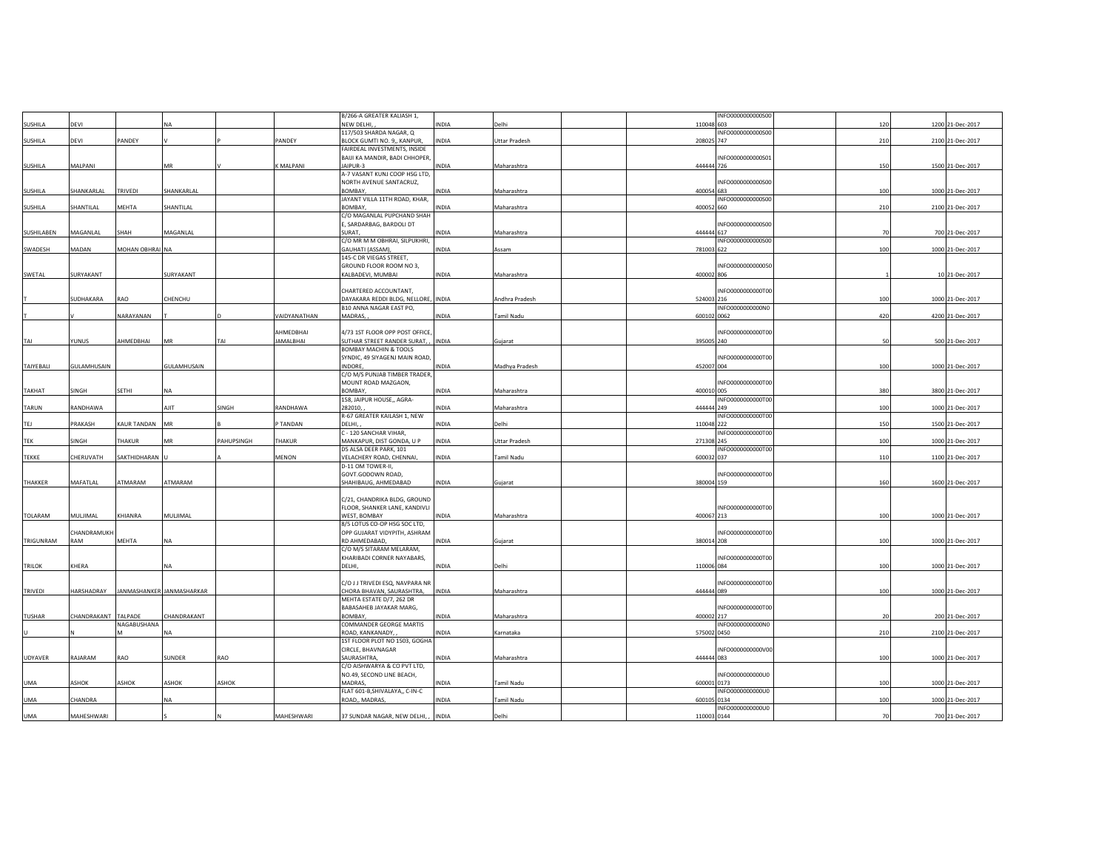|               |                    |                |                           |            |                  | B/266-A GREATER KALIASH 1,                     |              |                |             | INFO0000000000500 |     |                  |
|---------------|--------------------|----------------|---------------------------|------------|------------------|------------------------------------------------|--------------|----------------|-------------|-------------------|-----|------------------|
| SUSHILA       | DEVI               |                | <b>NA</b>                 |            |                  | NEW DELHI,                                     | INDIA        | Delhi          | 110048 603  |                   | 120 | 1200 21-Dec-2017 |
|               |                    |                |                           |            |                  | 117/503 SHARDA NAGAR, Q                        |              |                |             | INFO0000000000S00 |     |                  |
| SUSHILA       | DEVI               | PANDEY         |                           |            | PANDEY           | BLOCK GUMTI NO. 9,, KANPUR,                    | <b>INDIA</b> | Uttar Pradesh  | 208025 747  |                   | 210 | 2100 21-Dec-2017 |
|               |                    |                |                           |            |                  | FAIRDEAL INVESTMENTS, INSIDE                   |              |                |             |                   |     |                  |
|               |                    |                |                           |            |                  | BAIJI KA MANDIR, BADI CHHOPER,                 |              |                |             | INFO0000000000S01 |     |                  |
| SUSHILA       | MALPANI            |                | MR                        |            | K MALPANI        | JAIPUR-3                                       | INDIA        | Maharashtra    | 444444 726  |                   | 150 | 1500 21-Dec-2017 |
|               |                    |                |                           |            |                  | A-7 VASANT KUNJ COOP HSG LTD,                  |              |                |             |                   |     |                  |
|               |                    |                |                           |            |                  | NORTH AVENUE SANTACRUZ,                        |              |                |             | INFO0000000000500 |     |                  |
| SUSHILA       | SHANKARLAL         | TRIVEDI        | SHANKARLAL                |            |                  | BOMBAY,                                        | INDIA        | Maharashtra    | 400054 683  |                   | 100 | 1000 21-Dec-2017 |
|               |                    |                |                           |            |                  |                                                |              |                |             | INFO0000000000500 |     |                  |
|               | SHANTILAL          | MEHTA          |                           |            |                  | JAYANT VILLA 11TH ROAD, KHAR,<br><b>BOMBAY</b> | INDIA        |                | 400052 660  |                   |     |                  |
| SUSHILA       |                    |                | SHANTILAL                 |            |                  |                                                |              | Maharashtra    |             |                   | 210 | 2100 21-Dec-2017 |
|               |                    |                |                           |            |                  | C/O MAGANLAL PUPCHAND SHAH                     |              |                |             |                   |     |                  |
|               |                    | SHAH           |                           |            |                  | E, SARDARBAG, BARDOLI DT<br>SURAT.             |              |                | 444444 617  | INFO0000000000500 | 70  |                  |
| SUSHILABEN    | MAGANLAL           |                | MAGANLAL                  |            |                  |                                                | INDIA        | Maharashtra    |             |                   |     | 700 21-Dec-2017  |
|               |                    |                |                           |            |                  | C/O MR M M OBHRAI, SILPUKHRI,                  |              |                |             | INFO0000000000S00 |     |                  |
| SWADESH       | MADAN              | MOHAN OBHRAINA |                           |            |                  | GAUHATI (ASSAM),                               | <b>INDIA</b> | Assam          | 781003 622  |                   | 100 | 1000 21-Dec-2017 |
|               |                    |                |                           |            |                  | 145-C DR VIEGAS STREET,                        |              |                |             |                   |     |                  |
|               |                    |                |                           |            |                  | GROUND FLOOR ROOM NO 3,                        |              |                |             | INFO0000000000050 |     |                  |
| SWETAL        | SURYAKANT          |                | SURYAKANT                 |            |                  | KALBADEVI, MUMBAI                              | INDIA        | Maharashtra    | 400002 806  |                   |     | 10 21-Dec-2017   |
|               |                    |                |                           |            |                  |                                                |              |                |             |                   |     |                  |
|               |                    |                |                           |            |                  | CHARTERED ACCOUNTANT,                          |              |                |             | INFO0000000000T00 |     |                  |
|               | SUDHAKARA          | RAO            | CHENCHU                   |            |                  | DAYAKARA REDDI BLDG, NELLORE, INDIA            |              | Andhra Pradesh | 524003 216  |                   | 100 | 1000 21-Dec-2017 |
|               |                    |                |                           |            |                  | B10 ANNA NAGAR EAST PO,                        |              |                |             | INFO0000000000N0  |     |                  |
|               |                    | NARAYANAN      |                           |            | VAIDYANATHAN     | MADRAS,                                        | INDIA        | Tamil Nadu     | 600102 0062 |                   | 420 | 4200 21-Dec-2017 |
|               |                    |                |                           |            |                  |                                                |              |                |             |                   |     |                  |
|               |                    |                |                           |            | AHMEDBHAI        | 4/73 1ST FLOOR OPP POST OFFICE,                |              |                |             | INFO0000000000T00 |     |                  |
| TAI           | YUNUS              | AHMEDBHAI      | MR                        | TAI        | <b>JAMALBHAI</b> | SUTHAR STREET RANDER SURAT, INDIA              |              | Gujarat        | 395005 240  |                   | 50  | 500 21-Dec-2017  |
|               |                    |                |                           |            |                  | <b>BOMBAY MACHIN &amp; TOOLS</b>               |              |                |             |                   |     |                  |
|               |                    |                |                           |            |                  | SYNDIC, 49 SIYAGENJ MAIN ROAD,                 |              |                |             | INFO0000000000T00 |     |                  |
| TAIYEBALI     | <b>GULAMHUSAIN</b> |                | GULAMHUSAIN               |            |                  | INDORE,                                        | INDIA        | Madhya Pradesh | 452007 004  |                   | 100 | 1000 21-Dec-2017 |
|               |                    |                |                           |            |                  | C/O M/S PUNJAB TIMBER TRADER,                  |              |                |             |                   |     |                  |
|               |                    |                |                           |            |                  | MOUNT ROAD MAZGAON,                            |              |                |             | INFO0000000000T00 |     |                  |
| <b>TAKHAT</b> | SINGH              | SETHI          | <b>NA</b>                 |            |                  | BOMBAY,                                        | INDIA        | Maharashtra    | 400010 005  |                   | 380 | 3800 21-Dec-2017 |
|               |                    |                |                           |            |                  | 158, JAIPUR HOUSE,, AGRA-                      |              |                |             | INFO0000000000T00 |     |                  |
| TARUN         | RANDHAWA           |                | AJIT                      | SINGH      | RANDHAWA         | 282010,                                        | INDIA        | Maharashtra    | 444444 249  |                   | 100 | 1000 21-Dec-2017 |
|               |                    |                |                           |            |                  | R-67 GREATER KAILASH 1, NEW                    |              |                |             | INFO0000000000T00 |     |                  |
|               | PRAKASH            | KAUR TANDAN    | <b>MR</b>                 |            | TANDAN           | DELHI,                                         | INDIA        | Delhi          | 110048 222  |                   | 150 | 1500 21-Dec-2017 |
|               |                    |                |                           |            |                  |                                                |              |                |             |                   |     |                  |
| TEJ           |                    |                |                           |            |                  |                                                |              |                |             |                   |     |                  |
|               |                    |                |                           |            |                  | C - 120 SANCHAR VIHAR,                         |              |                |             | INFO0000000000T00 |     |                  |
| <b>TEK</b>    | SINGH              | THAKUR         | MR                        | PAHUPSINGH | THAKUR           | MANKAPUR, DIST GONDA, U P                      | <b>INDIA</b> | Uttar Pradesh  | 271308 245  |                   | 100 | 1000 21-Dec-2017 |
|               |                    |                |                           |            |                  | D5 ALSA DEER PARK, 101                         |              |                |             | INFO0000000000T00 |     |                  |
| <b>TEKKE</b>  | CHERUVATH          | SAKTHIDHARAN U |                           |            | MENON            | VELACHERY ROAD, CHENNAI,                       | <b>INDIA</b> | Tamil Nadu     | 600032 037  |                   | 110 | 1100 21-Dec-2017 |
|               |                    |                |                           |            |                  | D-11 OM TOWER-II,                              |              |                |             |                   |     |                  |
|               |                    |                |                           |            |                  | GOVT.GODOWN ROAD,                              |              |                |             | INFO0000000000T00 |     |                  |
| THAKKER       | MAFATLAL           | ATMARAM        | ATMARAM                   |            |                  | SHAHIBAUG, AHMEDABAD                           | INDIA        | Gujarat        | 380004 159  |                   | 160 | 1600 21-Dec-2017 |
|               |                    |                |                           |            |                  |                                                |              |                |             |                   |     |                  |
|               |                    |                |                           |            |                  | C/21, CHANDRIKA BLDG, GROUND                   |              |                |             |                   |     |                  |
|               |                    |                |                           |            |                  | FLOOR, SHANKER LANE, KANDIVLI                  |              |                |             | INFO0000000000T00 |     |                  |
| TOLARAM       | MULJIMAL           | KHIANRA        | MULJIMAL                  |            |                  | WEST, BOMBAY                                   | INDIA        | Maharashtra    | 400067 213  |                   | 100 | 1000 21-Dec-2017 |
|               |                    |                |                           |            |                  | 8/5 LOTUS CO-OP HSG SOC LTD,                   |              |                |             |                   |     |                  |
|               | CHANDRAMUKH        |                |                           |            |                  | OPP GUJARAT VIDYPITH, ASHRAM                   |              |                |             | INFO0000000000T00 |     |                  |
| TRIGUNRAM     | RAM                | MEHTA          | <b>NA</b>                 |            |                  | RD AHMEDABAD,                                  | INDIA        | Gujarat        | 380014 208  |                   | 100 | 1000 21-Dec-2017 |
|               |                    |                |                           |            |                  | C/O M/S SITARAM MELARAM,                       |              |                |             |                   |     |                  |
|               |                    |                |                           |            |                  | KHARIBADI CORNER NAYABARS,                     |              |                |             | INFO0000000000T00 |     |                  |
| TRILOK        | KHERA              |                | <b>NA</b>                 |            |                  | DELHI,                                         | INDIA        | Delhi          | 110006 084  |                   | 100 | 1000 21-Dec-2017 |
|               |                    |                |                           |            |                  |                                                |              |                |             |                   |     |                  |
|               |                    |                |                           |            |                  |                                                |              |                |             |                   |     |                  |
|               |                    |                |                           |            |                  | C/O J J TRIVEDI ESQ, NAVPARA NR                |              |                |             | INFO0000000000T00 |     |                  |
| TRIVEDI       | HARSHADRAY         |                | JANMASHANKER JANMASHARKAR |            |                  | CHORA BHAVAN, SAURASHTRA,                      | <b>INDIA</b> | Maharashtra    | 444444 089  |                   | 100 | 1000 21-Dec-2017 |
|               |                    |                |                           |            |                  | MEHTA ESTATE D/7, 262 DR                       |              |                |             |                   |     |                  |
|               |                    |                |                           |            |                  | BABASAHEB JAYAKAR MARG,                        |              |                |             | INFO0000000000T00 |     |                  |
| <b>TUSHAR</b> | CHANDRAKANT        | <b>TALPADE</b> | CHANDRAKANT               |            |                  | <b>BOMBAY</b>                                  | INDIA        | Maharashtra    | 400002 217  |                   | 20  | 200 21-Dec-2017  |
|               |                    | NAGABUSHANA    |                           |            |                  | COMMANDER GEORGE MARTIS                        |              |                |             | INFO0000000000N0  |     |                  |
|               |                    |                | <b>NA</b>                 |            |                  | ROAD, KANKANADY,                               | <b>INDIA</b> | Karnataka      | 575002 0450 |                   | 210 | 2100 21-Dec-2017 |
|               |                    |                |                           |            |                  | 1ST FLOOR PLOT NO 1503, GOGHA                  |              |                |             |                   |     |                  |
|               |                    |                |                           |            |                  | CIRCLE, BHAVNAGAR                              |              |                |             | INFO0000000000V00 |     |                  |
| UDYAVER       | RAJARAM            | RAO            | SUNDER                    | RAO        |                  | SAURASHTRA,                                    | NDIA         | Maharashtra    | 444444 083  |                   | 100 | 1000 21-Dec-2017 |
|               |                    |                |                           |            |                  | C/O AISHWARYA & CO PVT LTD,                    |              |                |             |                   |     |                  |
|               |                    |                |                           |            |                  | NO.49, SECOND LINE BEACH,                      |              |                |             | INFO0000000000U0  |     |                  |
| <b>UMA</b>    | ASHOK              | ASHOK          | ASHOK                     | ASHOK      |                  | MADRAS,                                        | INDIA        | Tamil Nadu     | 600001 0173 |                   | 100 | 1000 21-Dec-2017 |
|               |                    |                |                           |            |                  | FLAT 601-B, SHIVALAYA,, C-IN-C                 |              |                |             | INFO0000000000U0  |     |                  |
| <b>UMA</b>    | CHANDRA            |                | NA                        |            |                  | ROAD,, MADRAS,                                 | INDIA        | Tamil Nadu     | 600105 0134 |                   | 100 | 1000 21-Dec-2017 |
| UMA           | MAHESHWARI         |                |                           |            | MAHESHWARI       | 37 SUNDAR NAGAR, NEW DELHI, , INDIA            |              | Delhi          | 110003 0144 | INFO0000000000U0  | 70  | 700 21-Dec-2017  |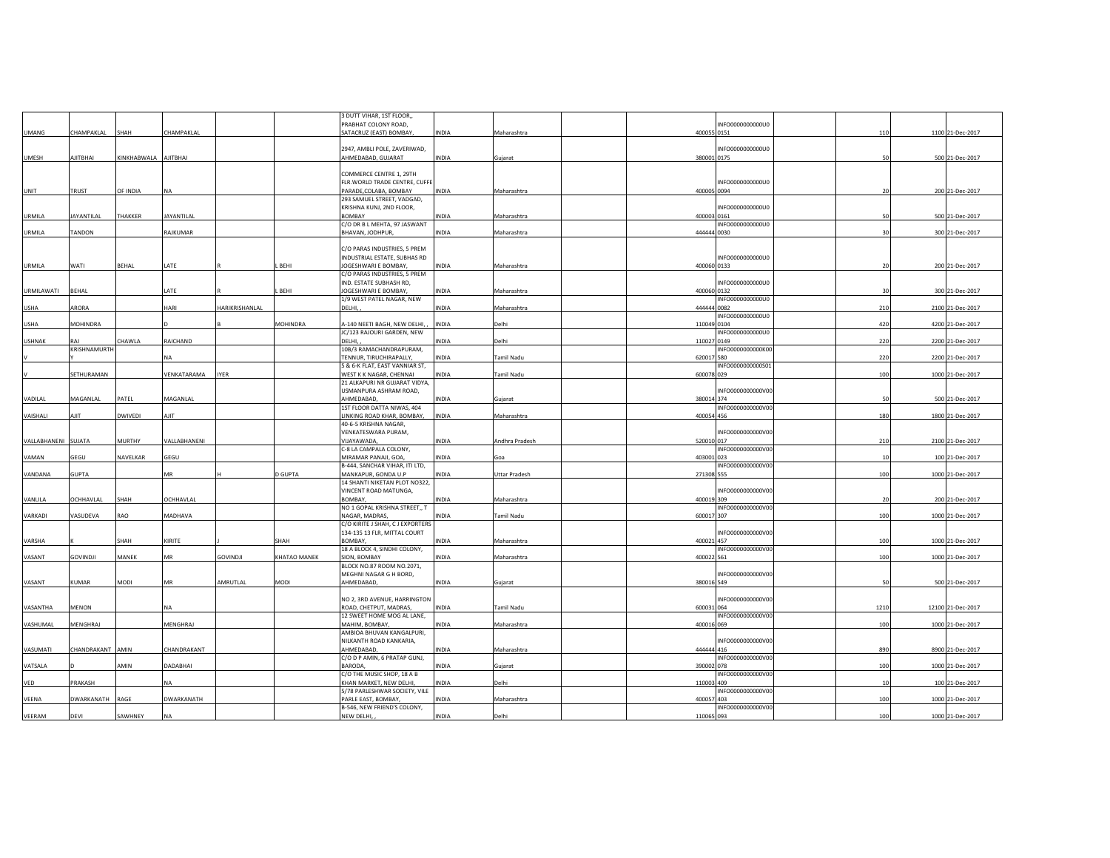|               |                   |                      |                 |                 |                     | 3 DUTT VIHAR, 1ST FLOOR,                             |              |                |                                 |      |                   |
|---------------|-------------------|----------------------|-----------------|-----------------|---------------------|------------------------------------------------------|--------------|----------------|---------------------------------|------|-------------------|
|               |                   |                      |                 |                 |                     | PRABHAT COLONY ROAD,                                 |              |                | INFO0000000000U0                |      |                   |
| <b>UMANG</b>  | CHAMPAKLAL        | SHAH                 | CHAMPAKLAL      |                 |                     | SATACRUZ (EAST) BOMBAY,                              | INDIA        | Maharashtra    | 400055 0151                     | 110  | 1100 21-Dec-2017  |
|               |                   |                      |                 |                 |                     |                                                      |              |                |                                 |      |                   |
| <b>UMESH</b>  | AJITBHAI          | KINKHABWALA AJITBHAI |                 |                 |                     | 2947, AMBLI POLE, ZAVERIWAD,<br>AHMEDABAD, GUJARAT   | INDIA        | Gujarat        | INFO0000000000U0<br>380001 0175 | 50   | 500 21-Dec-2017   |
|               |                   |                      |                 |                 |                     |                                                      |              |                |                                 |      |                   |
|               |                   |                      |                 |                 |                     | COMMERCE CENTRE 1, 29TH                              |              |                |                                 |      |                   |
|               |                   |                      |                 |                 |                     | FLR. WORLD TRADE CENTRE, CUFFE                       |              |                | INFO0000000000U0                |      |                   |
| UNIT          | TRUST             | OF INDIA             | <b>NA</b>       |                 |                     | PARADE, COLABA, BOMBAY                               | <b>INDIA</b> | Maharashtra    | 400005 0094                     | 20   | 200 21-Dec-2017   |
|               |                   |                      |                 |                 |                     | 293 SAMUEL STREET, VADGAD,                           |              |                |                                 |      |                   |
| <b>URMILA</b> | <b>JAYANTILAL</b> | THAKKER              | JAYANTILAL      |                 |                     | KRISHNA KUNJ, 2ND FLOOR,<br><b>BOMBAY</b>            | INDIA        | Maharashtra    | INFO0000000000U0<br>400003 0161 | 50   | 500 21-Dec-2017   |
|               |                   |                      |                 |                 |                     | C/O DR B L MEHTA, 97 JASWANT                         |              |                | INFO0000000000U0                |      |                   |
| <b>URMILA</b> | TANDON            |                      | RAJKUMAR        |                 |                     | BHAVAN, JODHPUR,                                     | INDIA        | Maharashtra    | 444444 0030                     | 30   | 300 21-Dec-2017   |
|               |                   |                      |                 |                 |                     |                                                      |              |                |                                 |      |                   |
|               |                   |                      |                 |                 |                     | C/O PARAS INDUSTRIES, 5 PREM                         |              |                |                                 |      |                   |
|               |                   |                      |                 |                 |                     | INDUSTRIAL ESTATE, SUBHAS RD                         |              |                | INFO0000000000U0                |      |                   |
| URMILA        | WATI              | BEHAL                | LATE            |                 | BEHI.               | JOGESHWARI E BOMBAY,<br>C/O PARAS INDUSTRIES, 5 PREM | INDIA        | Maharashtra    | 400060 0133                     | 20   | 200 21-Dec-2017   |
|               |                   |                      |                 |                 |                     | IND. ESTATE SUBHASH RD,                              |              |                | INFO0000000000U0                |      |                   |
| URMILAWATI    | <b>BEHAL</b>      |                      | LATE            |                 | BEHI                | JOGESHWARI E BOMBAY,                                 | INDIA        | Maharashtra    | 400060 0132                     | 30   | 300 21-Dec-2017   |
|               |                   |                      |                 |                 |                     | 1/9 WEST PATEL NAGAR, NEW                            |              |                | INFO0000000000U0                |      |                   |
| <b>USHA</b>   | ARORA             |                      | HARI            | HARIKRISHANLAL  |                     | DELHI,                                               | INDIA        | Maharashtra    | 444444 0082                     | 210  | 2100 21-Dec-2017  |
|               |                   |                      |                 |                 |                     |                                                      |              |                | INFO0000000000U0                |      |                   |
| <b>USHA</b>   | MOHINDRA          |                      |                 |                 | MOHINDRA            | A-140 NEETI BAGH, NEW DELHI,                         | INDIA        | Delhi          | 110049 0104                     | 420  | 4200 21-Dec-2017  |
| <b>USHNAK</b> |                   | CHAWLA               | RAICHAND        |                 |                     | JC/123 RAJOURI GARDEN, NEW<br>DELHI,                 | INDIA        | Delhi          | INFO0000000000U0<br>110027 0149 | 220  | 2200 21-Dec-2017  |
|               | KRISHNAMURTH      |                      |                 |                 |                     | 10B/3 RAMACHANDRAPURAM.                              |              |                | INFO0000000000K00               |      |                   |
|               |                   |                      | <b>NA</b>       |                 |                     | TENNUR, TIRUCHIRAPALLY,                              | INDIA        | Tamil Nadu     | 620017 580                      | 220  | 2200 21-Dec-2017  |
|               |                   |                      |                 |                 |                     | 5 & 6-K FLAT, EAST VANNIAR ST,                       |              |                | INFO0000000000501               |      |                   |
|               | SETHURAMAN        |                      | VENKATARAMA     | <b>IYER</b>     |                     | WEST K K NAGAR, CHENNAI                              | INDIA        | Tamil Nadu     | 600078 029                      | 100  | 1000 21-Dec-2017  |
|               |                   |                      |                 |                 |                     | 21 ALKAPURI NR GUJARAT VIDYA,                        |              |                |                                 |      |                   |
| VADILAL       | MAGANLAL          | PATEL                | MAGANLAL        |                 |                     | USMANPURA ASHRAM ROAD,<br>AHMEDABAD,                 | INDIA        |                | INFO0000000000V00<br>380014 374 | 50   | 500 21-Dec-2017   |
|               |                   |                      |                 |                 |                     | 1ST FLOOR DATTA NIWAS, 404                           |              | Gujarat        | INFO0000000000V00               |      |                   |
| VAISHALI      | AJIT              | DWIVEDI              | AJIT            |                 |                     | LINKING ROAD KHAR, BOMBAY,                           | INDIA        | Maharashtra    | 400054 456                      | 180  | 1800 21-Dec-2017  |
|               |                   |                      |                 |                 |                     | 40-6-5 KRISHNA NAGAR,                                |              |                |                                 |      |                   |
|               |                   |                      |                 |                 |                     | VENKATESWARA PURAM,                                  |              |                | INFO0000000000V00               |      |                   |
| VALLABHANENI  | <b>SUJATA</b>     | <b>MURTHY</b>        | VALLABHANENI    |                 |                     | VIJAYAWADA,                                          | <b>INDIA</b> | Andhra Pradesh | 520010 017                      | 210  | 2100 21-Dec-2017  |
| VAMAN         | GFGU              | NAVELKAR             | GEGU            |                 |                     | C-8 LA CAMPALA COLONY,<br>MIRAMAR PANAJI, GOA,       | <b>INDIA</b> |                | INFO0000000000V00<br>403001 023 | 10   | 100 21-Dec-2017   |
|               |                   |                      |                 |                 |                     | B-444, SANCHAR VIHAR, ITI LTD,                       |              | Goa            | INFO0000000000V00               |      |                   |
| VANDANA       | <b>GUPTA</b>      |                      | MR              |                 | <b>D GUPTA</b>      | MANKAPUR, GONDA U.P                                  | INDIA        | Uttar Pradesh  | 271308 555                      | 100  | 1000 21-Dec-2017  |
|               |                   |                      |                 |                 |                     | 14 SHANTI NIKETAN PLOT NO322,                        |              |                |                                 |      |                   |
|               |                   |                      |                 |                 |                     | VINCENT ROAD MATUNGA,                                |              |                | INFO0000000000V00               |      |                   |
| VANLILA       | OCHHAVLAL         | SHAH                 | OCHHAVLAL       |                 |                     | BOMBAY.                                              | INDIA        | Maharashtra    | 400019 309                      | 20   | 200 21-Dec-2017   |
|               |                   |                      |                 |                 |                     | NO 1 GOPAL KRISHNA STREET,, T                        |              |                | INFO0000000000V00               |      |                   |
| VARKADI       | VASUDEVA          | RAO                  | MADHAVA         |                 |                     | NAGAR, MADRAS,<br>C/O KIRITE J SHAH, C J EXPORTERS   | INDIA        | Tamil Nadu     | 600017 307                      | 100  | 1000 21-Dec-2017  |
|               |                   |                      |                 |                 |                     | 134-135 13 FLR, MITTAL COURT                         |              |                | INFO0000000000V00               |      |                   |
| VARSHA        |                   | SHAH                 | KIRITE          |                 | SHAH                | BOMBAY.                                              | INDIA        | Maharashtra    | 400021 457                      | 100  | 1000 21-Dec-2017  |
|               |                   |                      |                 |                 |                     | 18 A BLOCK 4, SINDHI COLONY,                         |              |                | INFO0000000000V00               |      |                   |
| VASANT        | <b>GOVINDJI</b>   | MANEK                | MR              | <b>GOVINDJI</b> | <b>KHATAO MANEK</b> | SION, BOMBAY                                         | INDIA        | Maharashtra    | 400022 561                      | 100  | 1000 21-Dec-2017  |
|               |                   |                      |                 |                 |                     | BLOCK NO.87 ROOM NO.2071,                            |              |                |                                 |      |                   |
| VASANT        | KUMAR             | MODI                 | MR              | AMRUTLAL        | MODI                | MEGHNI NAGAR G H BORD,<br>AHMEDABAD,                 | INDIA        |                | INFO0000000000V00<br>380016 549 | 50   | 500 21-Dec-2017   |
|               |                   |                      |                 |                 |                     |                                                      |              | Gujarat        |                                 |      |                   |
|               |                   |                      |                 |                 |                     | NO 2, 3RD AVENUE, HARRINGTON                         |              |                | INFO0000000000V00               |      |                   |
| VASANTHA      | MENON             |                      | NA              |                 |                     | ROAD, CHETPUT, MADRAS,                               | <b>INDIA</b> | Tamil Nadu     | 600031 064                      | 1210 | 12100 21-Dec-2017 |
|               |                   |                      |                 |                 |                     | 12 SWEET HOME MOG AL LANE,                           |              |                | INFO0000000000V00               |      |                   |
| VASHUMAL      | MENGHRAJ          |                      | <b>MENGHRAJ</b> |                 |                     | MAHIM, BOMBAY,                                       | <b>INDIA</b> | Maharashtra    | 400016 069                      | 100  | 1000 21-Dec-2017  |
|               |                   |                      |                 |                 |                     | AMBIOA BHUVAN KANGALPURI,                            |              |                |                                 |      |                   |
|               |                   |                      |                 |                 |                     | NILKANTH ROAD KANKARIA,                              |              |                | INFO0000000000V00<br>444444 416 |      |                   |
| VASUMATI      | CHANDRAKANT AMIN  |                      | CHANDRAKANT     |                 |                     | AHMEDABAD,<br>C/O D P AMIN, 6 PRATAP GUNJ,           | NDIA         | Maharashtra    | INFO0000000000V00               | 890  | 8900 21-Dec-2017  |
| VATSALA       |                   | AMIN                 | DADABHAI        |                 |                     | BARODA,                                              | INDIA        | Gujarat        | 390002 078                      | 100  | 1000 21-Dec-2017  |
|               |                   |                      |                 |                 |                     | C/O THE MUSIC SHOP, 18 A B                           |              |                | INFO0000000000V00               |      |                   |
| VED           | PRAKASH           |                      | NA              |                 |                     | KHAN MARKET, NEW DELHI,                              | INDIA        | Delhi          | 110003 409                      | 10   | 100 21-Dec-2017   |
|               |                   |                      |                 |                 |                     | 5/78 PARLESHWAR SOCIETY, VILE                        |              |                | INFO0000000000V00               |      |                   |
| VEENA         | DWARKANATH        | RAGE                 | DWARKANATH      |                 |                     | PARLE EAST, BOMBAY,<br>B-546, NEW FRIEND'S COLONY,   | INDIA        | Maharashtra    | 400057 403<br>INFO0000000000V00 | 100  | 1000 21-Dec-2017  |
| VEERAM        | DEVI              | SAWHNEY              | <b>NA</b>       |                 |                     | NEW DELHI,                                           | INDIA        | Delhi          | 110065 093                      | 100  | 1000 21-Dec-2017  |
|               |                   |                      |                 |                 |                     |                                                      |              |                |                                 |      |                   |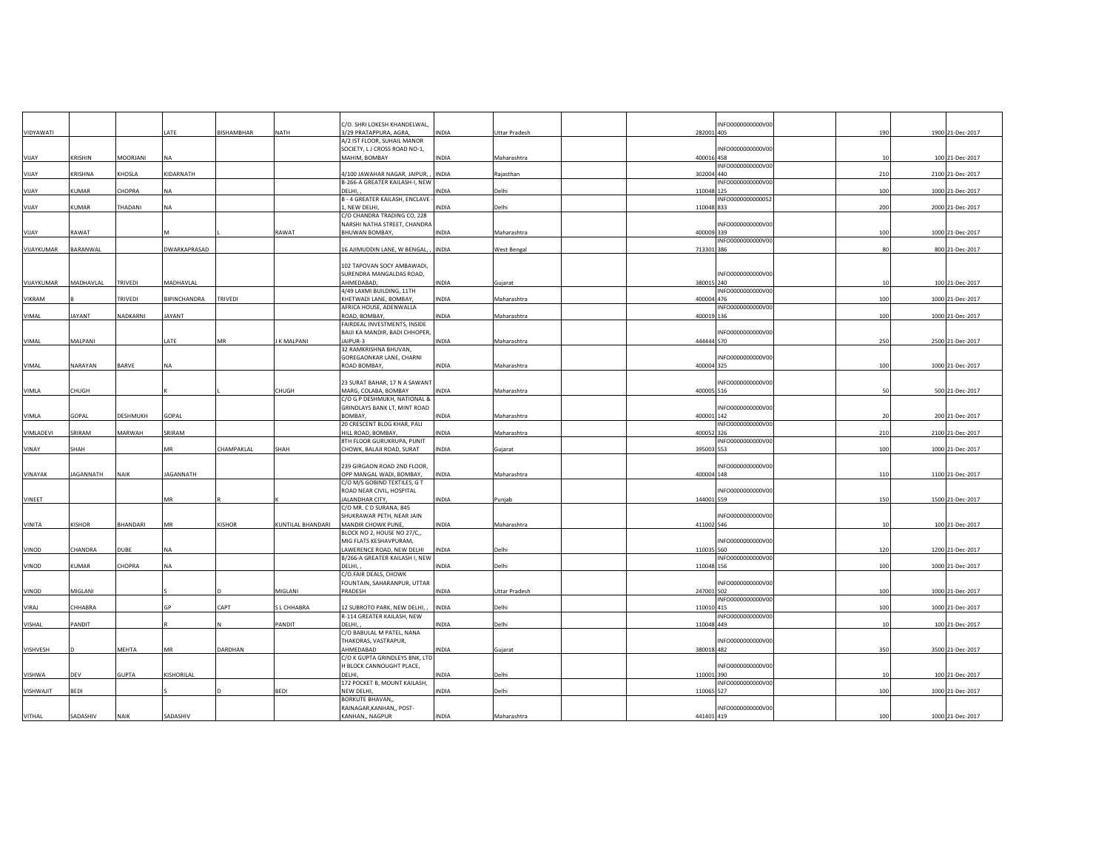|              |               |                 |                  |                   |                   | C/O. SHRI LOKESH KHANDELWAL,                          |              |                      | INFO0000000000V00               |     |                  |
|--------------|---------------|-----------------|------------------|-------------------|-------------------|-------------------------------------------------------|--------------|----------------------|---------------------------------|-----|------------------|
| VIDYAWATI    |               |                 | LATE             | <b>BISHAMBHAR</b> | NATH              | 3/29 PRATAPPURA, AGRA,                                | INDIA        | <b>Uttar Pradesh</b> | 282001 405                      | 190 | 1900 21-Dec-2017 |
|              |               |                 |                  |                   |                   | A/2 IST FLOOR, SUHAIL MANOR                           |              |                      |                                 |     |                  |
| YIJAY        | KRISHIN       | MOORJANI        | NΔ               |                   |                   | SOCIETY, LJ CROSS ROAD NO-1,<br>MAHIM, BOMBAY         | INDIA        |                      | INFO0000000000V00<br>400016 458 | 10  | 100 21-Dec-2017  |
|              |               |                 |                  |                   |                   |                                                       |              | Maharashtra          | INFO0000000000V00               |     |                  |
| VIJAY        | KRISHNA       | KHOSLA          | KIDARNATH        |                   |                   | 4/100 JAWAHAR NAGAR, JAIPUR, ,                        | <b>INDIA</b> | Rajasthan            | 302004 440                      | 210 | 2100 21-Dec-2017 |
|              |               |                 |                  |                   |                   | B-266-A GREATER KAILASH-I, NEW                        |              |                      | INFO0000000000V00               |     |                  |
| VIJAY        | KUMAR         | CHOPRA          | <b>NA</b>        |                   |                   | DELHI,                                                | INDIA        | Delhi                | 110048 125                      | 100 | 1000 21-Dec-2017 |
|              |               |                 |                  |                   |                   | B - 4 GREATER KAILASH, ENCLAVE                        |              |                      | INFO0000000000052               |     |                  |
| <b>VIJAY</b> | KUMAR         | THADANI         | NA               |                   |                   | , NEW DELHI                                           | INDIA        | Delhi                | 110048 833                      | 200 | 2000 21-Dec-2017 |
|              |               |                 |                  |                   |                   | C/O CHANDRA TRADING CO, 228                           |              |                      |                                 |     |                  |
| VIJAY        | RAWAT         |                 |                  |                   | RAWAT             | NARSHI NATHA STREET, CHANDRA<br>BHUWAN BOMBAY,        | INDIA        | Maharashtra          | INFO0000000000V00<br>400009 339 | 100 | 1000 21-Dec-2017 |
|              |               |                 |                  |                   |                   |                                                       |              |                      | INFO0000000000V00               |     |                  |
| VIJAYKUMAR   | BARANWAL      |                 | DWARKAPRASAD     |                   |                   | 16 AJIMUDDIN LANE, W BENGAL, INDIA                    |              | West Bengal          | 713301 386                      | 80  | 800 21-Dec-2017  |
|              |               |                 |                  |                   |                   |                                                       |              |                      |                                 |     |                  |
|              |               |                 |                  |                   |                   | 102 TAPOVAN SOCY AMBAWADI,                            |              |                      |                                 |     |                  |
|              |               |                 |                  |                   |                   | SURENDRA MANGALDAS ROAD,                              |              |                      | INFO0000000000V00               |     |                  |
| VIJAYKUMAR   | MADHAVLAL     | TRIVEDI         | MADHAVLAL        |                   |                   | AHMEDABAD,                                            | INDIA        | Gujarat              | 380015 240                      | 10  | 100 21-Dec-2017  |
|              |               |                 |                  |                   |                   | 4/49 LAXMI BUILDING, 11TH                             |              |                      | INFO0000000000V00               |     |                  |
| VIKRAM       |               | TRIVEDI         | BIPINCHANDRA     | TRIVEDI           |                   | KHETWADI LANE, BOMBAY,<br>AFRICA HOUSE, ADENWALLA     | INDIA        | Maharashtra          | 400004 476<br>INFO0000000000V00 | 100 | 1000 21-Dec-2017 |
| VIMAL        | <b>JAYANT</b> | NADKARNI        | JAYANT           |                   |                   | ROAD, BOMBAY,                                         | INDIA        | Maharashtra          | 400019 136                      | 100 | 1000 21-Dec-2017 |
|              |               |                 |                  |                   |                   | FAIRDEAL INVESTMENTS, INSIDE                          |              |                      |                                 |     |                  |
|              |               |                 |                  |                   |                   | BAIJI KA MANDIR, BADI CHHOPER                         |              |                      | INFO0000000000V00               |     |                  |
| VIMAL        | MALPANI       |                 | LATE             | MR                | K MALPANI         | JAIPUR-3                                              | INDIA        | Maharashtra          | 444444 570                      | 250 | 2500 21-Dec-2017 |
|              |               |                 |                  |                   |                   | 32 RAMKRISHNA BHUVAN,                                 |              |                      |                                 |     |                  |
|              |               |                 |                  |                   |                   | GOREGAONKAR LANE, CHARNI                              |              |                      | INFO0000000000V00               |     |                  |
| VIMAL        | NARAYAN       | BARVE           | NA               |                   |                   | ROAD BOMBAY,                                          | INDIA        | Maharashtra          | 400004 325                      | 100 | 1000 21-Dec-2017 |
|              |               |                 |                  |                   |                   |                                                       |              |                      | INFO0000000000V00               |     |                  |
| VIMLA        | CHUGH         |                 |                  |                   | CHUGH             | 23 SURAT BAHAR, 17 N A SAWANT<br>MARG, COLABA, BOMBAY | INDIA        | Maharashtra          | 400005 516                      | 50  | 500 21-Dec-2017  |
|              |               |                 |                  |                   |                   | C/O G P DESHMUKH, NATIONAL &                          |              |                      |                                 |     |                  |
|              |               |                 |                  |                   |                   | GRINDLAYS BANK LT, MINT ROAD                          |              |                      | INFO0000000000V00               |     |                  |
| VIMLA        | GOPAL         | <b>DESHMUKH</b> | GOPAL            |                   |                   | <b>BOMBAY</b>                                         | <b>INDIA</b> | Maharashtra          | 400001 142                      | 20  | 200 21-Dec-2017  |
|              |               |                 |                  |                   |                   | 20 CRESCENT BLDG KHAR, PALI                           |              |                      | INFO0000000000V00               |     |                  |
| VIMLADEVI    | SRIRAM        | MARWAH          | SRIRAM           |                   |                   | HILL ROAD, BOMBAY,                                    | INDIA        | Maharashtra          | 400052 326                      | 210 | 2100 21-Dec-2017 |
|              |               |                 |                  |                   |                   | 8TH FLOOR GURUKRUPA, PUNIT                            |              |                      | INFO0000000000V00               |     |                  |
| VINAY        | SHAH          |                 | MR               | CHAMPAKLAL        | SHAH              | CHOWK, BALAJI ROAD, SURAT                             | INDIA        | Gujarat              | 395003 553                      | 100 | 1000 21-Dec-2017 |
|              |               |                 |                  |                   |                   | 239 GIRGAON ROAD 2ND FLOOR,                           |              |                      | INFO0000000000V00               |     |                  |
| VINAYAK      | JAGANNATH     | <b>NAIK</b>     | <b>JAGANNATH</b> |                   |                   | OPP MANGAL WADI, BOMBAY,                              | INDIA        | Maharashtra          | 400004 148                      | 110 | 1100 21-Dec-2017 |
|              |               |                 |                  |                   |                   | C/O M/S GOBIND TEXTILES, G T                          |              |                      |                                 |     |                  |
|              |               |                 |                  |                   |                   | ROAD NEAR CIVIL, HOSPITAL                             |              |                      | INFO0000000000V00               |     |                  |
| VINEET       |               |                 | MR               |                   |                   | <b>JALANDHAR CITY,</b>                                | INDIA        | Punjab               | 144001 559                      | 150 | 1500 21-Dec-2017 |
|              |               |                 |                  |                   |                   | C/O MR. C D SURANA, 845                               |              |                      |                                 |     |                  |
|              |               |                 |                  |                   |                   | SHUKRAWAR PETH, NEAR JAIN                             |              |                      | INFO0000000000V00               |     |                  |
| VINITA       | <b>KISHOR</b> | BHANDARI        | MR               | KISHOR            | KUNTILAL BHANDARI | MANDIR CHOWK PUNE,<br>BLOCK NO 2, HOUSE NO 27/C,,     | INDIA        | Maharashtra          | 411002 546                      | 10  | 100 21-Dec-2017  |
|              |               |                 |                  |                   |                   | MIG FLATS KESHAVPURAM,                                |              |                      | INFO0000000000V00               |     |                  |
| VINOD        | CHANDRA       | DUBE            | <b>NA</b>        |                   |                   | LAWERENCE ROAD, NEW DELHI                             | <b>INDIA</b> | Delhi                | 110035 560                      | 120 | 1200 21-Dec-2017 |
|              |               |                 |                  |                   |                   | B/266-A GREATER KAILASH I, NEW                        |              |                      | INFO0000000000V00               |     |                  |
| VINOD        | <b>CUMAR</b>  | CHOPRA          | NA               |                   |                   | DELHI,                                                | <b>NDIA</b>  | Delhi                | 110048 156                      | 100 | 1000 21-Dec-2017 |
|              |               |                 |                  |                   |                   | C/O.FAIR DEALS, CHOWK                                 |              |                      |                                 |     |                  |
| VINOD        | MIGLANI       |                 |                  |                   |                   | FOUNTAIN, SAHARANPUR, UTTAR                           | INDIA        |                      | INFO0000000000V00<br>247001 502 | 100 |                  |
|              |               |                 |                  |                   | MIGLANI           | PRADESH                                               |              | Uttar Pradesh        | INFO0000000000V00               |     | 1000 21-Dec-2017 |
| VIRAJ        | CHHABRA       |                 | GP               | CAPT              | L CHHABRA         | 12 SUBROTO PARK, NEW DELHI,                           | <b>INDIA</b> | Delhi                | 110010 415                      | 100 | 1000 21-Dec-2017 |
|              |               |                 |                  |                   |                   | R-114 GREATER KAILASH, NEW                            |              |                      | INFO0000000000V00               |     |                  |
| VISHAL       | PANDIT        |                 |                  |                   | PANDIT            | DELHI,                                                | INDIA        | Delhi                | 110048 449                      | 10  | 100 21-Dec-2017  |
|              |               |                 |                  |                   |                   | C/O BABULAL M PATEL, NANA                             |              |                      |                                 |     |                  |
|              |               |                 |                  |                   |                   | THAKORAS, VASTRAPUR,                                  |              |                      | INFO0000000000V00               |     |                  |
| VISHVESH     |               | MEHTA           | MR               | DARDHAN           |                   | AHMEDABAD<br>C/O K GUPTA GRINDLEYS BNK, LTD           | INDIA        | Gujarat              | 380018 482                      | 350 | 3500 21-Dec-2017 |
|              |               |                 |                  |                   |                   | H BLOCK CANNOUGHT PLACE,                              |              |                      | INFO0000000000V00               |     |                  |
| VISHWA       | DEV           | <b>GUPTA</b>    | KISHORILAL       |                   |                   | DELHI,                                                | INDIA        | Delhi                | 110001 390                      |     | 100 21-Dec-2017  |
|              |               |                 |                  |                   |                   | 172 POCKET B, MOUNT KAILASH,                          |              |                      | INFO0000000000V00               |     |                  |
| VISHWAJIT    | BEDI          |                 |                  |                   | <b>BEDI</b>       | NEW DELHI                                             | INDIA        | Delhi                | 110065 527                      | 100 | 1000 21-Dec-2017 |
|              |               |                 |                  |                   |                   | <b>BORKUTE BHAVAN,</b>                                |              |                      |                                 |     |                  |
|              |               |                 |                  |                   |                   | RAINAGAR, KANHAN,, POST-                              |              |                      | INFO0000000000V00               |     |                  |
| VITHAL       | SADASHIV      | NAIK            | SADASHIV         |                   |                   | KANHAN,, NAGPUR                                       | INDIA        | Maharashtra          | 441401 419                      | 100 | 1000 21-Dec-2017 |